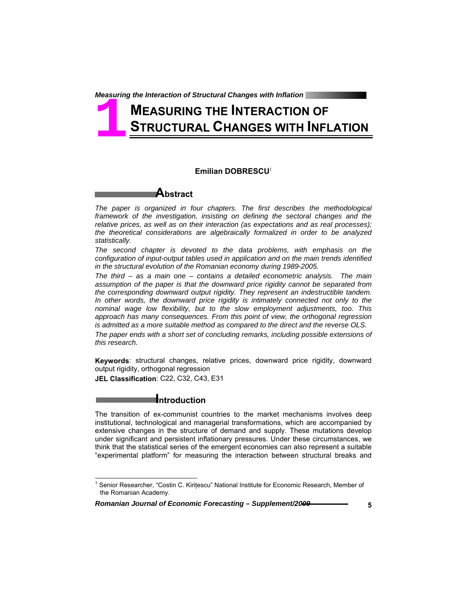# **MEASURING THE INTERACTION OF STRUCTURAL CHANGES WITH INFLATION 1**

#### **Emilian DOBRESCU**<sup>1</sup>



*The paper is organized in four chapters. The first describes the methodological*  framework of the investigation, insisting on defining the sectoral changes and the *relative prices, as well as on their interaction (as expectations and as real processes); the theoretical considerations are algebraically formalized in order to be analyzed statistically.* 

*The second chapter is devoted to the data problems, with emphasis on the configuration of input-output tables used in application and on the main trends identified in the structural evolution of the Romanian economy during 1989-2005.* 

*The third – as a main one – contains a detailed econometric analysis. The main assumption of the paper is that the downward price rigidity cannot be separated from the corresponding downward output rigidity. They represent an indestructible tandem. In other words, the downward price rigidity is intimately connected not only to the nominal wage low flexibility, but to the slow employment adjustments, too. This approach has many consequences. From this point of view, the orthogonal regression is admitted as a more suitable method as compared to the direct and the reverse OLS.* 

*The paper ends with a short set of concluding remarks, including possible extensions of this research.* 

**Keywords**: structural changes, relative prices, downward price rigidity, downward output rigidity, orthogonal regression

**JEL Classification**: C22, C32, C43, E31

 $\overline{a}$ 

#### **Introduction**

The transition of ex-communist countries to the market mechanisms involves deep institutional, technological and managerial transformations, which are accompanied by extensive changes in the structure of demand and supply. These mutations develop under significant and persistent inflationary pressures. Under these circumstances, we think that the statistical series of the emergent economies can also represent a suitable "experimental platform" for measuring the interaction between structural breaks and

<sup>&</sup>lt;sup>1</sup> Senior Researcher, "Costin C. Kirițescu" National Institute for Economic Research, Member of the Romanian Academy.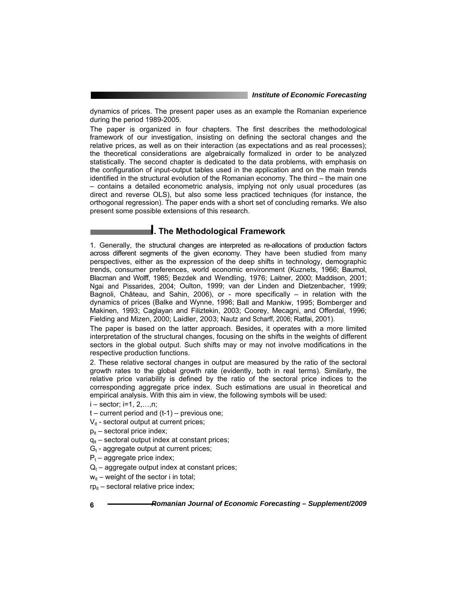dynamics of prices. The present paper uses as an example the Romanian experience during the period 1989-2005.

The paper is organized in four chapters. The first describes the methodological framework of our investigation, insisting on defining the sectoral changes and the relative prices, as well as on their interaction (as expectations and as real processes); the theoretical considerations are algebraically formalized in order to be analyzed statistically. The second chapter is dedicated to the data problems, with emphasis on the configuration of input-output tables used in the application and on the main trends identified in the structural evolution of the Romanian economy. The third – the main one – contains a detailed econometric analysis, implying not only usual procedures (as direct and reverse OLS), but also some less practiced techniques (for instance, the orthogonal regression). The paper ends with a short set of concluding remarks. We also present some possible extensions of this research.

## **I. The Methodological Framework**

1. Generally, the structural changes are interpreted as re-allocations of production factors across different segments of the given economy. They have been studied from many perspectives, either as the expression of the deep shifts in technology, demographic trends, consumer preferences, world economic environment (Kuznets, 1966; Baumol, Blacman and Wolff, 1985; Bezdek and Wendling, 1976; Laitner, 2000; Maddison, 2001; Ngai and Pissarides, 2004; Oulton, 1999; van der Linden and Dietzenbacher, 1999; Bagnoli, Château, and Sahin, 2006), or - more specifically – in relation with the dynamics of prices (Balke and Wynne, 1996; Ball and Mankiw, 1995; Bomberger and Makinen, 1993; Caglayan and Filiztekin, 2003; Coorey, Mecagni, and Offerdal, 1996; Fielding and Mizen, 2000; Laidler, 2003; Nautz and Scharff, 2006; Ratfai, 2001).

The paper is based on the latter approach. Besides, it operates with a more limited interpretation of the structural changes, focusing on the shifts in the weights of different sectors in the global output. Such shifts may or may not involve modifications in the respective production functions.

2. These relative sectoral changes in output are measured by the ratio of the sectoral growth rates to the global growth rate (evidently, both in real terms). Similarly, the relative price variability is defined by the ratio of the sectoral price indices to the corresponding aggregate price index. Such estimations are usual in theoretical and empirical analysis. With this aim in view, the following symbols will be used:

i – sector; i=1, 2,…,n;

- $t$  current period and  $(t-1)$  previous one;
- $V_{it}$  sectoral output at current prices;
- $p_{it}$  sectoral price index;
- $q_{it}$  sectoral output index at constant prices;
- $G_t$  aggregate output at current prices;
- $P_t$  aggregate price index;
- $Q_t$  aggregate output index at constant prices;
- $w_{it}$  weight of the sector i in total;

 $rp_{it}$  – sectoral relative price index;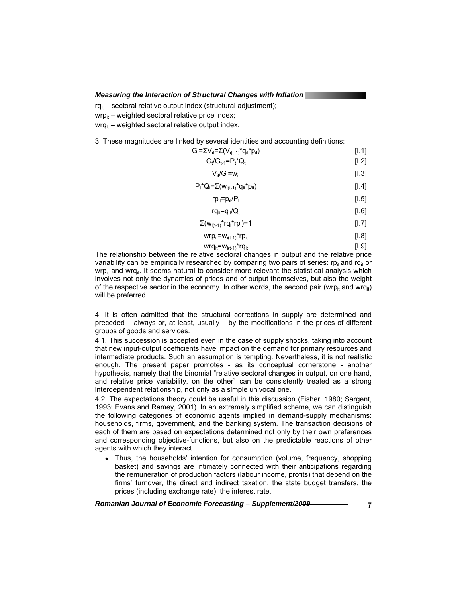$ra_{it}$  – sectoral relative output index (structural adjustment);

 $wp_{it}$  – weighted sectoral relative price index;

 $wrq_{it}$  – weighted sectoral relative output index.

3. These magnitudes are linked by several identities and accounting definitions:

| $G_t = \sum V_{it} = \sum (V_{i(t-1)}^* q_{it}^* p_{it})$ | [1.1] |
|-----------------------------------------------------------|-------|
| $G_t/G_{t-1} = P_t^*Q_t$                                  | [1.2] |
| $V_{it}/G_t = w_{it}$                                     | [1.3] |
| $P_t^*Q_t = \sum (W_{i(t-1)}^*q_{it}^*p_{it})$            | [1.4] |
| $rp_{it} = p_{it}/P_t$                                    | [1.5] |
| $rq_{it} = q_{it}/Q_t$                                    | [1.6] |
| $\Sigma(w_{i(t-1)}$ *rq <sub>i</sub> *rp <sub>i</sub> )=1 | [1.7] |
| $wrp_{it} = w_{i(t-1)}$ *rp <sub>it</sub>                 | [1.8] |

 $wrq_{it} = w_{i(t-1)} * rq_{it}$  [I.9]

The relationship between the relative sectoral changes in output and the relative price variability can be empirically researched by comparing two pairs of series:  $rp_{it}$  and rq<sub>it</sub> or  $wp_{it}$  and wrq<sub>it</sub>. It seems natural to consider more relevant the statistical analysis which involves not only the dynamics of prices and of output themselves, but also the weight of the respective sector in the economy. In other words, the second pair (wrp<sub>it</sub> and wrq<sub>it</sub>) will be preferred.

4. It is often admitted that the structural corrections in supply are determined and preceded – always or, at least, usually – by the modifications in the prices of different groups of goods and services.

4.1. This succession is accepted even in the case of supply shocks, taking into account that new input-output coefficients have impact on the demand for primary resources and intermediate products. Such an assumption is tempting. Nevertheless, it is not realistic enough. The present paper promotes - as its conceptual cornerstone - another hypothesis, namely that the binomial "relative sectoral changes in output, on one hand, and relative price variability, on the other" can be consistently treated as a strong interdependent relationship, not only as a simple univocal one.

4.2. The expectations theory could be useful in this discussion (Fisher, 1980; Sargent, 1993; Evans and Ramey, 2001). In an extremely simplified scheme, we can distinguish the following categories of economic agents implied in demand-supply mechanisms: households, firms, government, and the banking system. The transaction decisions of each of them are based on expectations determined not only by their own preferences and corresponding objective-functions, but also on the predictable reactions of other agents with which they interact.

• Thus, the households' intention for consumption (volume, frequency, shopping basket) and savings are intimately connected with their anticipations regarding the remuneration of production factors (labour income, profits) that depend on the firms' turnover, the direct and indirect taxation, the state budget transfers, the prices (including exchange rate), the interest rate.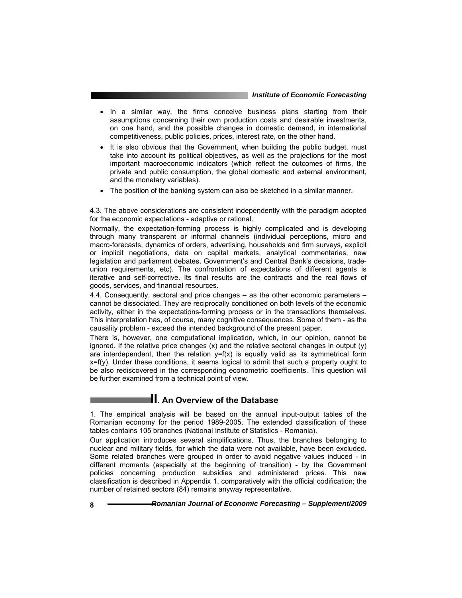- In a similar way, the firms conceive business plans starting from their assumptions concerning their own production costs and desirable investments, on one hand, and the possible changes in domestic demand, in international competitiveness, public policies, prices, interest rate, on the other hand.
- It is also obvious that the Government, when building the public budget, must take into account its political objectives, as well as the projections for the most important macroeconomic indicators (which reflect the outcomes of firms, the private and public consumption, the global domestic and external environment, and the monetary variables).
- The position of the banking system can also be sketched in a similar manner.

4.3. The above considerations are consistent independently with the paradigm adopted for the economic expectations - adaptive or rational.

Normally, the expectation-forming process is highly complicated and is developing through many transparent or informal channels (individual perceptions, micro and macro-forecasts, dynamics of orders, advertising, households and firm surveys, explicit or implicit negotiations, data on capital markets, analytical commentaries, new legislation and parliament debates, Government's and Central Bank's decisions, tradeunion requirements, etc). The confrontation of expectations of different agents is iterative and self-corrective. Its final results are the contracts and the real flows of goods, services, and financial resources.

4.4. Consequently, sectoral and price changes – as the other economic parameters – cannot be dissociated. They are reciprocally conditioned on both levels of the economic activity, either in the expectations-forming process or in the transactions themselves. This interpretation has, of course, many cognitive consequences. Some of them - as the causality problem - exceed the intended background of the present paper.

There is, however, one computational implication, which, in our opinion, cannot be ignored. If the relative price changes  $(x)$  and the relative sectoral changes in output  $(y)$ are interdependent, then the relation  $y=f(x)$  is equally valid as its symmetrical form  $x=f(y)$ . Under these conditions, it seems logical to admit that such a property ought to be also rediscovered in the corresponding econometric coefficients. This question will be further examined from a technical point of view.

## **II. An Overview of the Database**

1. The empirical analysis will be based on the annual input-output tables of the Romanian economy for the period 1989-2005. The extended classification of these tables contains 105 branches (National Institute of Statistics - Romania).

Our application introduces several simplifications. Thus, the branches belonging to nuclear and military fields, for which the data were not available, have been excluded. Some related branches were grouped in order to avoid negative values induced - in different moments (especially at the beginning of transition) - by the Government policies concerning production subsidies and administered prices. This new classification is described in Appendix 1, comparatively with the official codification; the number of retained sectors (84) remains anyway representative.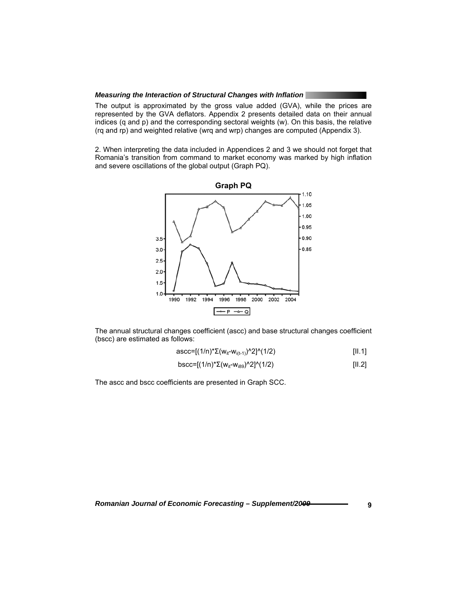The output is approximated by the gross value added (GVA), while the prices are represented by the GVA deflators. Appendix 2 presents detailed data on their annual indices (q and p) and the corresponding sectoral weights (w). On this basis, the relative (rq and rp) and weighted relative (wrq and wrp) changes are computed (Appendix 3).

2. When interpreting the data included in Appendices 2 and 3 we should not forget that Romania's transition from command to market economy was marked by high inflation and severe oscillations of the global output (Graph PQ).



The annual structural changes coefficient (ascc) and base structural changes coefficient (bscc) are estimated as follows:

$$
ascc=[(1/n)^*\Sigma(w_{it}-w_{i(t-1)})^2]^{\wedge}(1/2)
$$
 [II.1]

$$
bscc = [(1/n)^{*} \Sigma(w_{it} \cdot w_{i89})^{\wedge} 2]^{\wedge} (1/2)
$$
 [11.2]

The ascc and bscc coefficients are presented in Graph SCC.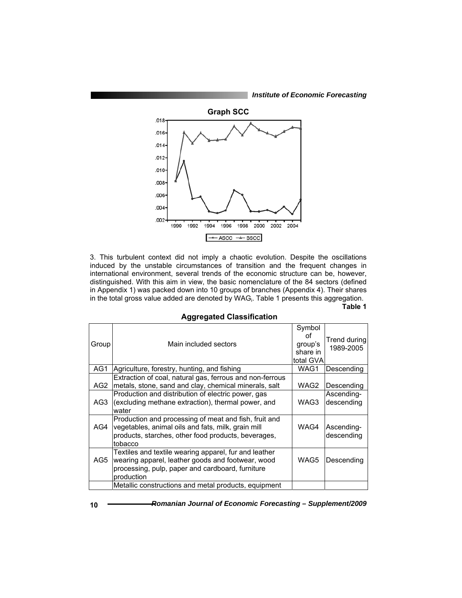*Institute of Economic Forecasting*



3. This turbulent context did not imply a chaotic evolution. Despite the oscillations induced by the unstable circumstances of transition and the frequent changes in international environment, several trends of the economic structure can be, however, distinguished. With this aim in view, the basic nomenclature of the 84 sectors (defined in Appendix 1) was packed down into 10 groups of branches (Appendix 4). Their shares in the total gross value added are denoted by WAGi . Table 1 presents this aggregation. **Table 1** 

| Group | Main included sectors                                                                                                                                                         | Symbol<br>οf<br>group's<br>share in | Trend during<br>1989-2005 |
|-------|-------------------------------------------------------------------------------------------------------------------------------------------------------------------------------|-------------------------------------|---------------------------|
|       |                                                                                                                                                                               | total GVA                           |                           |
| AG1   | Agriculture, forestry, hunting, and fishing                                                                                                                                   | WAG1                                | Descending                |
| AG2   | Extraction of coal, natural gas, ferrous and non-ferrous<br>metals, stone, sand and clay, chemical minerals, salt                                                             | WAG2                                | Descending                |
| AG3   | Production and distribution of electric power, gas<br>(excluding methane extraction), thermal power, and<br>water                                                             | WAG3                                | Ascending-<br>descending  |
| AG4   | Production and processing of meat and fish, fruit and<br>vegetables, animal oils and fats, milk, grain mill<br>products, starches, other food products, beverages,<br>tobacco | WAG4                                | Ascending-<br>descending  |
| AG5   | Textiles and textile wearing apparel, fur and leather<br>wearing apparel, leather goods and footwear, wood<br>processing, pulp, paper and cardboard, furniture<br>production  | WAG5                                | Descending                |
|       | Metallic constructions and metal products, equipment                                                                                                                          |                                     |                           |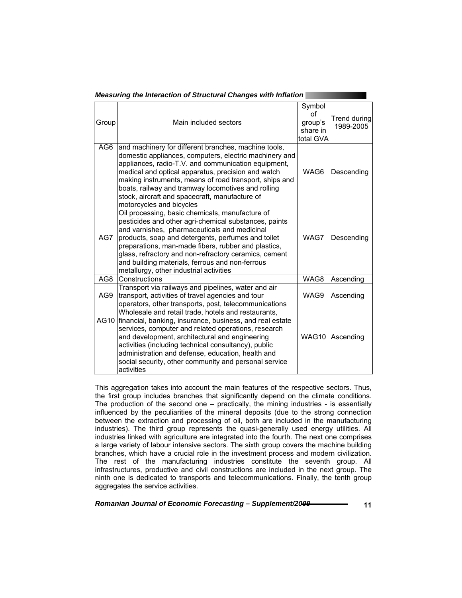|                 | asarnig arc micraoach or oa aolarar onanges mar innaa                                                                                                                                                                                                                                                                                                                                                                        |                                                  |                           |
|-----------------|------------------------------------------------------------------------------------------------------------------------------------------------------------------------------------------------------------------------------------------------------------------------------------------------------------------------------------------------------------------------------------------------------------------------------|--------------------------------------------------|---------------------------|
| Group           | Main included sectors                                                                                                                                                                                                                                                                                                                                                                                                        | Symbol<br>Ωf<br>group's<br>share in<br>total GVA | Trend during<br>1989-2005 |
| AG <sub>6</sub> | and machinery for different branches, machine tools,<br>domestic appliances, computers, electric machinery and<br>appliances, radio-T.V. and communication equipment,<br>medical and optical apparatus, precision and watch<br>making instruments, means of road transport, ships and<br>boats, railway and tramway locomotives and rolling<br>stock, aircraft and spacecraft, manufacture of<br>motorcycles and bicycles    | WAG <sub>6</sub>                                 | Descending                |
| AG7             | Oil processing, basic chemicals, manufacture of<br>pesticides and other agri-chemical substances, paints<br>and varnishes, pharmaceuticals and medicinal<br>products, soap and detergents, perfumes and toilet<br>preparations, man-made fibers, rubber and plastics,<br>glass, refractory and non-refractory ceramics, cement<br>and building materials, ferrous and non-ferrous<br>metallurgy, other industrial activities | WAG7                                             | Descending                |
| AG8             | Constructions                                                                                                                                                                                                                                                                                                                                                                                                                | WAG8                                             | Ascending                 |
| AG9             | Transport via railways and pipelines, water and air<br>transport, activities of travel agencies and tour<br>operators, other transports, post, telecommunications                                                                                                                                                                                                                                                            | WAG9                                             | Ascending                 |
| AG10            | Wholesale and retail trade, hotels and restaurants,<br>financial, banking, insurance, business, and real estate<br>services, computer and related operations, research<br>and development, architectural and engineering<br>activities (including technical consultancy), public<br>administration and defense, education, health and<br>social security, other community and personal service<br>activities                 | WAG10                                            | Ascending                 |

This aggregation takes into account the main features of the respective sectors. Thus, the first group includes branches that significantly depend on the climate conditions. The production of the second one  $-$  practically, the mining industries  $-$  is essentially influenced by the peculiarities of the mineral deposits (due to the strong connection between the extraction and processing of oil, both are included in the manufacturing industries). The third group represents the quasi-generally used energy utilities. All industries linked with agriculture are integrated into the fourth. The next one comprises a large variety of labour intensive sectors. The sixth group covers the machine building branches, which have a crucial role in the investment process and modern civilization. The rest of the manufacturing industries constitute the seventh group. All infrastructures, productive and civil constructions are included in the next group. The ninth one is dedicated to transports and telecommunications. Finally, the tenth group aggregates the service activities.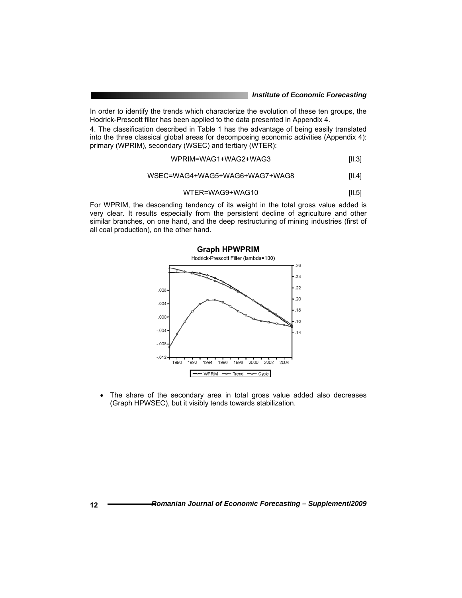In order to identify the trends which characterize the evolution of these ten groups, the Hodrick-Prescott filter has been applied to the data presented in Appendix 4.

4. The classification described in Table 1 has the advantage of being easily translated into the three classical global areas for decomposing economic activities (Appendix 4): primary (WPRIM), secondary (WSEC) and tertiary (WTER):

$$
WPRIM = WAG1 + WAG2 + WAG3
$$
 [II.3]

#### WSEC=WAG4+WAG5+WAG6+WAG7+WAG8 [II.4]

$$
WTER = WAG9 + WAG10
$$
 [II.5]

For WPRIM, the descending tendency of its weight in the total gross value added is very clear. It results especially from the persistent decline of agriculture and other similar branches, on one hand, and the deep restructuring of mining industries (first of all coal production), on the other hand.



• The share of the secondary area in total gross value added also decreases (Graph HPWSEC), but it visibly tends towards stabilization.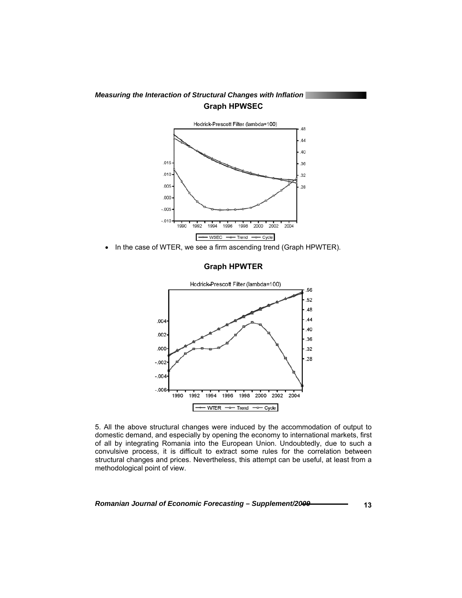

• In the case of WTER, we see a firm ascending trend (Graph HPWTER).

#### **Graph HPWTER**



5. All the above structural changes were induced by the accommodation of output to domestic demand, and especially by opening the economy to international markets, first of all by integrating Romania into the European Union. Undoubtedly, due to such a convulsive process, it is difficult to extract some rules for the correlation between structural changes and prices. Nevertheless, this attempt can be useful, at least from a methodological point of view.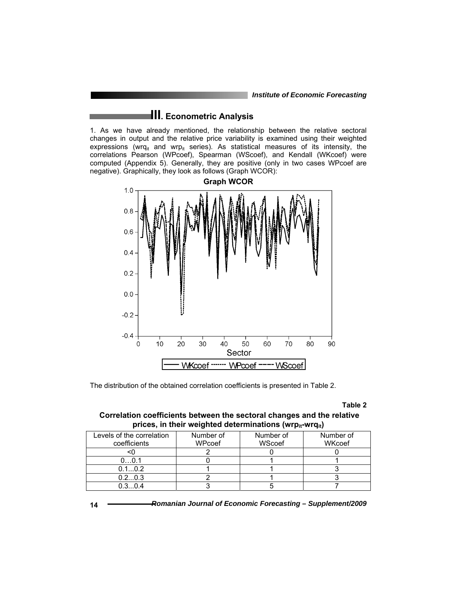## **III. Econometric Analysis**

1. As we have already mentioned, the relationship between the relative sectoral changes in output and the relative price variability is examined using their weighted expressions (wrq<sub>it</sub> and wrp<sub>it</sub> series). As statistical measures of its intensity, the correlations Pearson (WPcoef), Spearman (WScoef), and Kendall (WKcoef) were computed (Appendix 5). Generally, they are positive (only in two cases WPcoef are negative). Graphically, they look as follows (Graph WCOR):



The distribution of the obtained correlation coefficients is presented in Table 2.

**Table 2** 

### **Correlation coefficients between the sectoral changes and the relative**  prices, in their weighted determinations (wrp<sub>it</sub>-wrq<sub>it</sub>)

| Levels of the correlation | Number of | Number of | Number of     |
|---------------------------|-----------|-----------|---------------|
| coefficients              | WPcoef    | WScoef    | <b>WKcoef</b> |
|                           |           |           |               |
| 0. 0.1                    |           |           |               |
| 0.10.2                    |           |           |               |
| 0.20.3                    |           |           |               |
| 03 O4                     |           |           |               |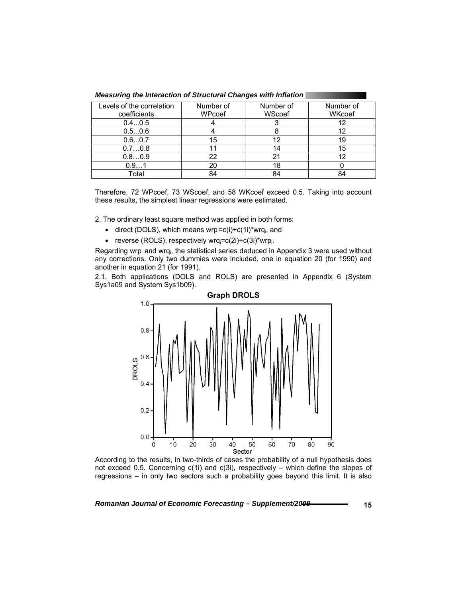| Levels of the correlation | Number of | Number of | Number of |
|---------------------------|-----------|-----------|-----------|
| coefficients              | WPcoef    | WScoef    | WKcoef    |
| 0.40.5                    |           |           | 12        |
| 0.50.6                    |           |           | 12        |
| 0.60.7                    | 15        |           | 19        |
| 0.70.8                    |           | 14        | 15        |
| 0.80.9                    | 22        | 21        | 12        |
| 0.91                      | 20        |           |           |
| Total                     | 84        | 84        |           |

*Measuring the Interaction of Structural Changes with Inflation* 

Therefore, 72 WPcoef, 73 WScoef, and 58 WKcoef exceed 0.5. Taking into account these results, the simplest linear regressions were estimated.

2. The ordinary least square method was applied in both forms:

- direct (DOLS), which means wrp $_i = c(i) + c(1i)^*$ wrq $_i$ , and
- reverse (ROLS), respectively wrq $= c(2i) + c(3i)^*$ wrp $_i$ .

Regarding wrp<sub>i</sub> and wrq<sub>i</sub>, the statistical series deduced in Appendix 3 were used without any corrections. Only two dummies were included, one in equation 20 (for 1990) and another in equation 21 (for 1991).

2.1. Both applications (DOLS and ROLS) are presented in Appendix 6 (System Sys1a09 and System Sys1b09).



According to the results, in two-thirds of cases the probability of a null hypothesis does not exceed 0.5. Concerning  $c(1i)$  and  $c(3i)$ , respectively – which define the slopes of regressions – in only two sectors such a probability goes beyond this limit. It is also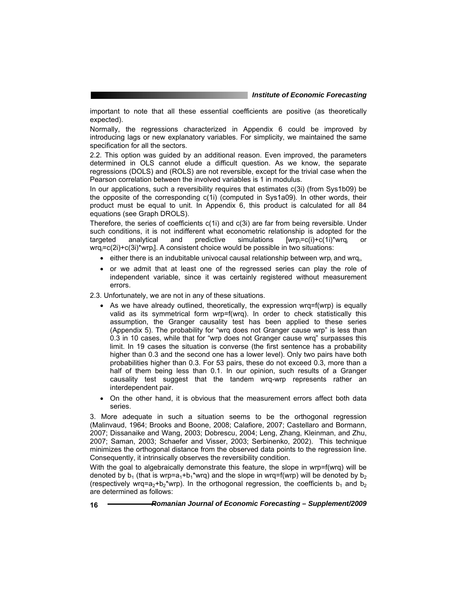important to note that all these essential coefficients are positive (as theoretically expected).

Normally, the regressions characterized in Appendix 6 could be improved by introducing lags or new explanatory variables. For simplicity, we maintained the same specification for all the sectors.

2.2. This option was guided by an additional reason. Even improved, the parameters determined in OLS cannot elude a difficult question. As we know, the separate regressions (DOLS) and (ROLS) are not reversible, except for the trivial case when the Pearson correlation between the involved variables is 1 in modulus.

In our applications, such a reversibility requires that estimates c(3i) (from Sys1b09) be the opposite of the corresponding c(1i) (computed in Sys1a09). In other words, their product must be equal to unit. In Appendix 6, this product is calculated for all 84 equations (see Graph DROLS).

Therefore, the series of coefficients c(1i) and c(3i) are far from being reversible. Under such conditions, it is not indifferent what econometric relationship is adopted for the targeted analytical and predictive simulations  $[wrp_i=c(i)+c(1i)*wrq_i]$  or wrqi =c(2i)+c(3i)\*wrpi ]. A consistent choice would be possible in two situations:

- $\bullet$  either there is an indubitable univocal causal relationship between wrp<sub>i</sub> and wrq<sub>i</sub>,
- or we admit that at least one of the regressed series can play the role of independent variable, since it was certainly registered without measurement errors.

2.3. Unfortunately, we are not in any of these situations.

- As we have already outlined, theoretically, the expression wrq=f(wrp) is equally valid as its symmetrical form wrp=f(wrq). In order to check statistically this assumption, the Granger causality test has been applied to these series (Appendix 5). The probability for "wrq does not Granger cause wrp" is less than 0.3 in 10 cases, while that for "wrp does not Granger cause wrq" surpasses this limit. In 19 cases the situation is converse (the first sentence has a probability higher than 0.3 and the second one has a lower level). Only two pairs have both probabilities higher than 0.3. For 53 pairs, these do not exceed 0.3, more than a half of them being less than 0.1. In our opinion, such results of a Granger causality test suggest that the tandem wrq-wrp represents rather an interdependent pair.
- On the other hand, it is obvious that the measurement errors affect both data series.

3. More adequate in such a situation seems to be the orthogonal regression (Malinvaud, 1964; Brooks and Boone, 2008; Calafiore, 2007; Castellaro and Bormann, 2007; Dissanaike and Wang, 2003; Dobrescu, 2004; Leng, Zhang, Kleinman, and Zhu, 2007; Saman, 2003; Schaefer and Visser, 2003; Serbinenko, 2002). This technique minimizes the orthogonal distance from the observed data points to the regression line. Consequently, it intrinsically observes the reversibility condition.

With the goal to algebraically demonstrate this feature, the slope in wrp=f(wrq) will be denoted by  $b_1$  (that is wrp=a<sub>1</sub>+b<sub>1</sub>\*wrq) and the slope in wrq=f(wrp) will be denoted by  $b_2$ (respectively wrq=a<sub>2</sub>+b<sub>2</sub>\*wrp). In the orthogonal regression, the coefficients b<sub>1</sub> and b<sub>2</sub> are determined as follows: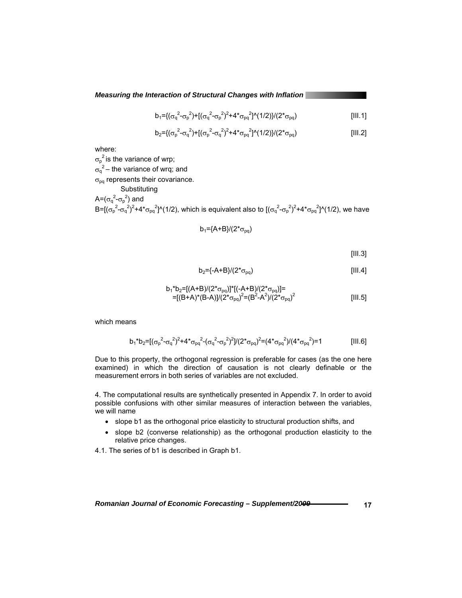$$
b_1 = \{ (\sigma_q^2 - \sigma_p^2) + [(\sigma_q^2 - \sigma_p^2)^2 + 4 \sigma_{pq}^2]^2 \ (1/2) \} / (2 \sigma_{pq})
$$
 [III.1]

$$
b_2 = \{ (\sigma_p^2 - \sigma_q^2) + [(\sigma_p^2 - \sigma_q^2)^2 + 4 \sigma_{pq}^2]^2 \ (1/2) \} / (2 \sigma_{pq})
$$
 [III.2]

where:

 $\sigma_{\rm p}^2$  is the variance of wrp;  $\sigma_q^2$  – the variance of wrq; and  $\sigma_{pq}$  represents their covariance. **Substituting** A= $(\sigma_q^2 - \sigma_p^2)$  and B=[( $\sigma_p^2$ - $\sigma_q^2$ )<sup>2</sup>+4\* $\sigma_{pq}$ <sup>2</sup>]^(1/2), which is equivalent also to [( $\sigma_q^2$ - $\sigma_p^2$ )<sup>2</sup>+4\* $\sigma_{pq}^2$ ]^(1/2), we have

$$
b_1 = (A + B)/(2 \cdot \sigma_{pq})
$$

 $[III.3]$ 

$$
b_2 = \frac{1}{2} - A + B \frac{1}{2} \left( 2 \cdot \sigma_{pq} \right) \tag{III.4}
$$

$$
b_1^*b_2 = [(A+B)/(2^*\sigma_{pq})]^*[(-A+B)/(2^*\sigma_{pq})]=
$$
  
= [(B+A)\*(B-A)]/(2^\*\sigma\_{pq})^2 = (B^2-A^2)/(2^\*\sigma\_{pq})^2 [III.5]

which means

$$
b_1^*b_2 = \left[ (\sigma_p^2 - \sigma_q^2)^2 + 4^* \sigma_{pq}^2 - (\sigma_q^2 - \sigma_p^2)^2 \right] / (2^* \sigma_{pq})^2 = (4^* \sigma_{pq}^2) / (4^* \sigma_{pq}^2) = 1
$$
 [III.6]

Due to this property, the orthogonal regression is preferable for cases (as the one here examined) in which the direction of causation is not clearly definable or the measurement errors in both series of variables are not excluded.

4. The computational results are synthetically presented in Appendix 7. In order to avoid possible confusions with other similar measures of interaction between the variables, we will name

- slope b1 as the orthogonal price elasticity to structural production shifts, and
- slope b2 (converse relationship) as the orthogonal production elasticity to the relative price changes.

4.1. The series of b1 is described in Graph b1.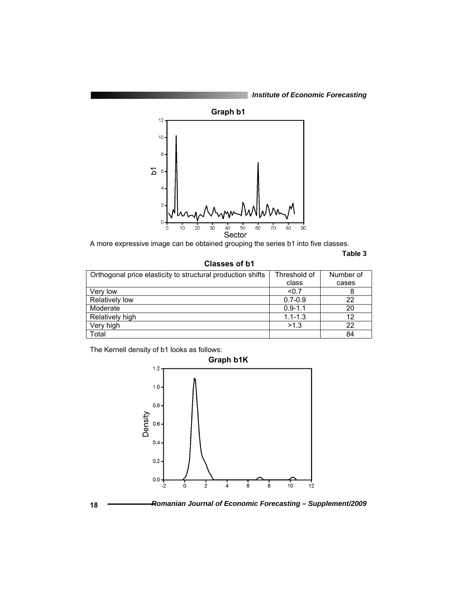*Institute of Economic Forecasting*



A more expressive image can be obtained grouping the series b1 into five classes.

#### **Table 3**

 **Classes of b1** 

| Orthogonal price elasticity to structural production shifts | Threshold of | Number of |
|-------------------------------------------------------------|--------------|-----------|
|                                                             | class        | cases     |
| Very low                                                    | < 0.7        | 8         |
| Relatively low                                              | $0.7 - 0.9$  | 22        |
| Moderate                                                    | $0.9 - 1.1$  | 20        |
| Relatively high                                             | $1.1 - 1.3$  | 12        |
| Very high                                                   | >1.3         | 22        |
| Total                                                       |              | 84        |

The Kernell density of b1 looks as follows:



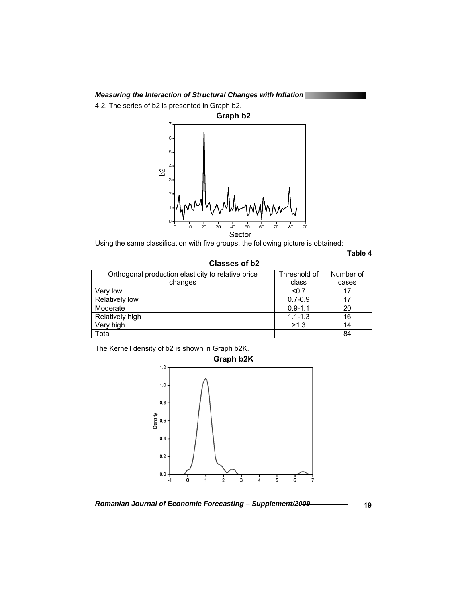4.2. The series of b2 is presented in Graph b2.



Using the same classification with five groups, the following picture is obtained:

**Table 4** 

 **Classes of b2** 

| Orthogonal production elasticity to relative price | Threshold of | Number of |
|----------------------------------------------------|--------------|-----------|
| changes                                            | class        | cases     |
| Verv low                                           | < 0.7        | 17        |
| Relatively low                                     | $0.7 - 0.9$  | 17        |
| Moderate                                           | $0.9 - 1.1$  | 20        |
| Relatively high                                    | $1.1 - 1.3$  | 16        |
| Very high                                          | >1.3         | 14        |
| Total                                              |              | 84        |

The Kernell density of b2 is shown in Graph b2K.



*Romanian Journal of Economic Forecasting – Supplement/2009* **19**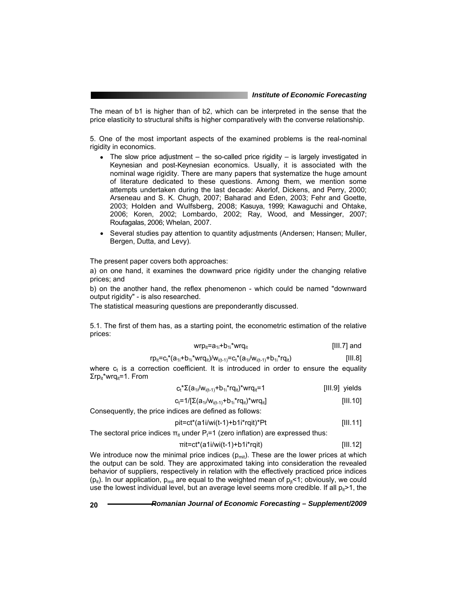The mean of b1 is higher than of b2, which can be interpreted in the sense that the price elasticity to structural shifts is higher comparatively with the converse relationship.

5. One of the most important aspects of the examined problems is the real-nominal rigidity in economics.

- The slow price adjustment  $-$  the so-called price rigidity  $-$  is largely investigated in Keynesian and post-Keynesian economics. Usually, it is associated with the nominal wage rigidity. There are many papers that systematize the huge amount of literature dedicated to these questions. Among them, we mention some attempts undertaken during the last decade: Akerlof, Dickens, and Perry, 2000; Arseneau and S. K. Chugh, 2007; Baharad and Eden, 2003; Fehr and Goette, 2003; Holden and Wulfsberg, 2008; Kasuya, 1999; Kawaguchi and Ohtake, 2006; Koren, 2002; Lombardo, 2002; Ray, Wood, and Messinger, 2007; Roufagalas, 2006; Whelan, 2007.
- Several studies pay attention to quantity adjustments (Andersen; Hansen; Muller, Bergen, Dutta, and Levy).

The present paper covers both approaches:

a) on one hand, it examines the downward price rigidity under the changing relative prices; and

b) on the another hand, the reflex phenomenon - which could be named "downward output rigidity" - is also researched.

The statistical measuring questions are preponderantly discussed.

5.1. The first of them has, as a starting point, the econometric estimation of the relative prices:

$$
wrp_{it} = a_{1i} + b_{1i} * wrq_{it}
$$
 [III.7] and

$$
rp_{it} = c_t * (a_{1i} + b_{1i} * wrq_{it})/w_{i(t-1)} = c_t * (a_{1i}/w_{i(t-1)} + b_{1i} * rq_{it})
$$
 [III.8]

where  $c<sub>i</sub>$  is a correction coefficient. It is introduced in order to ensure the equality  $\Sigma$ rp<sub>it</sub>\*wrq<sub>it</sub>=1. From

$$
c_t^* \Sigma (a_{1i}/w_{i(t-1)} + b_{1i}^*rq_{it})^* w r q_{it} = 1
$$
 [III.9] yields

$$
c_t = 1/[\Sigma(a_{1i}/w_{i(t-1)} + b_{1i} * r q_{it}) * w r q_{it}]
$$
 [III.10]

Consequently, the price indices are defined as follows:

$$
pit = ct*(a1i/wi(t-1)+b1i*rqit)*Pt
$$
 [III.11]

The sectoral price indices  $\pi_{it}$  under  $P_t=1$  (zero inflation) are expressed thus:

$$
\pi i t = ct^*(a1i/wi(t-1)+b1i^*rqit)
$$
 [III.12]

We introduce now the minimal price indices  $(p_{\text{mit}})$ . These are the lower prices at which the output can be sold. They are approximated taking into consideration the revealed behavior of suppliers, respectively in relation with the effectively practiced price indices ( $p_{it}$ ). In our application,  $p_{mit}$  are equal to the weighted mean of  $p_{it}$ <1; obviously, we could use the lowest individual level, but an average level seems more credible. If all  $p_{ii}$  > 1, the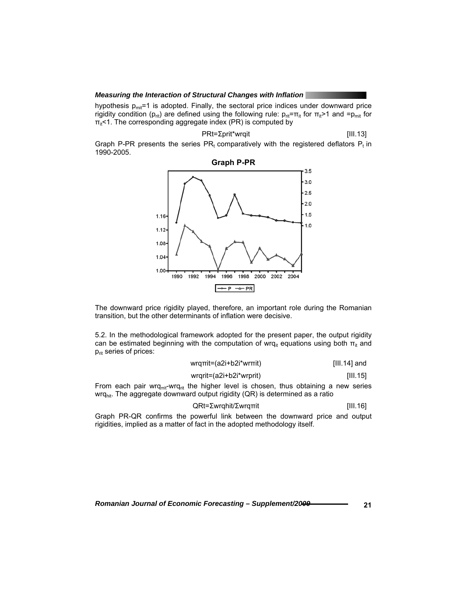hypothesis  $p_{mit}$ =1 is adopted. Finally, the sectoral price indices under downward price rigidity condition (p<sub>rit</sub>) are defined using the following rule:  $p_{rit} = \pi_{it}$  for  $\pi_{it} > 1$  and  $=p_{mit}$  for  $\pi_{it}$ <1. The corresponding aggregate index (PR) is computed by

$$
PRt = \sum print^*wrqit
$$
 [III.13]

Graph P-PR presents the series  $PR_t$  comparatively with the registered deflators  $P_t$  in 1990-2005.



The downward price rigidity played, therefore, an important role during the Romanian transition, but the other determinants of inflation were decisive.

5.2. In the methodological framework adopted for the present paper, the output rigidity can be estimated beginning with the computation of wrq<sub>it</sub> equations using both  $\pi_{it}$  and  $p_{\text{rit}}$  series of prices:

| wrgπit=(a2i+b2i*wrπit)  | $[III.14]$ and |
|-------------------------|----------------|
| wrgrit=(a2i+b2i*wrprit) | [III.15]       |

From each pair wrq<sub>πit</sub>-wrq<sub>rit</sub> the higher level is chosen, thus obtaining a new series wrq<sub>hit</sub>. The aggregate downward output rigidity (QR) is determined as a ratio

$$
QRt = \Sigma w r q h i t / \Sigma w r q r r i t \tag{III.16}
$$

Graph PR-QR confirms the powerful link between the downward price and output rigidities, implied as a matter of fact in the adopted methodology itself.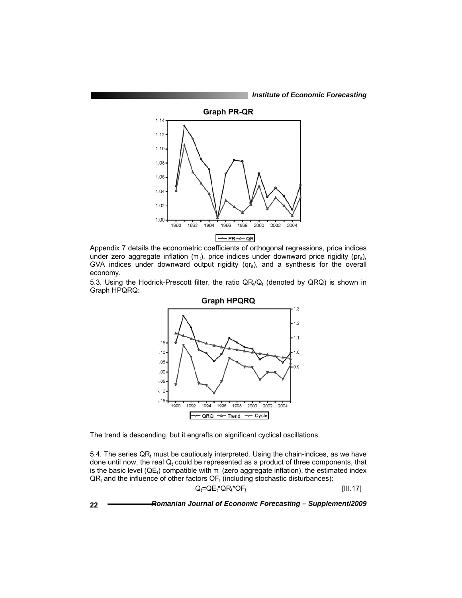*Institute of Economic Forecasting*



Appendix 7 details the econometric coefficients of orthogonal regressions, price indices under zero aggregate inflation  $(\pi_{it})$ , price indices under downward price rigidity ( $pr_{it}$ ), GVA indices under downward output rigidity ( $qr_{it}$ ), and a synthesis for the overall economy.

5.3. Using the Hodrick-Prescott filter, the ratio  $QR_t/Q_t$  (denoted by  $QRQ$ ) is shown in Graph HPQRQ:



The trend is descending, but it engrafts on significant cyclical oscillations.

5.4. The series  $QR_t$  must be cautiously interpreted. Using the chain-indices, as we have done until now, the real  $Q_t$  could be represented as a product of three components, that is the basic level ( $QE_t$ ) compatible with  $\pi_{it}$  (zero aggregate inflation), the estimated index  $QR_t$  and the influence of other factors  $OF_t$  (including stochastic disturbances):  $Q_t = QE_t^*QR_t^*OF_t$  [III.17]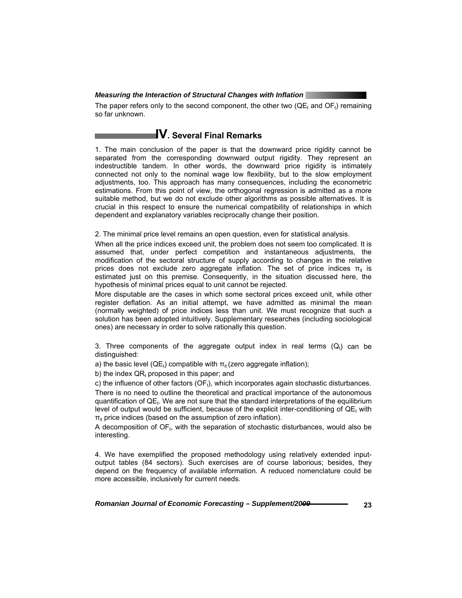The paper refers only to the second component, the other two  $(QE_t$  and  $OF_t)$  remaining so far unknown.

## **IV. Several Final Remarks**

1. The main conclusion of the paper is that the downward price rigidity cannot be separated from the corresponding downward output rigidity. They represent an indestructible tandem. In other words, the downward price rigidity is intimately connected not only to the nominal wage low flexibility, but to the slow employment adjustments, too. This approach has many consequences, including the econometric estimations. From this point of view, the orthogonal regression is admitted as a more suitable method, but we do not exclude other algorithms as possible alternatives. It is crucial in this respect to ensure the numerical compatibility of relationships in which dependent and explanatory variables reciprocally change their position.

2. The minimal price level remains an open question, even for statistical analysis.

When all the price indices exceed unit, the problem does not seem too complicated. It is assumed that, under perfect competition and instantaneous adjustments, the modification of the sectoral structure of supply according to changes in the relative prices does not exclude zero aggregate inflation. The set of price indices  $\pi_{it}$  is estimated just on this premise. Consequently, in the situation discussed here, the hypothesis of minimal prices equal to unit cannot be rejected.

More disputable are the cases in which some sectoral prices exceed unit, while other register deflation. As an initial attempt, we have admitted as minimal the mean (normally weighted) of price indices less than unit. We must recognize that such a solution has been adopted intuitively. Supplementary researches (including sociological ones) are necessary in order to solve rationally this question.

3. Three components of the aggregate output index in real terms  $(Q_t)$  can be distinguished:

a) the basic level ( $QE_t$ ) compatible with  $\pi_{it}$  (zero aggregate inflation);

b) the index  $QR_t$  proposed in this paper; and

c) the influence of other factors (OF<sub>t</sub>), which incorporates again stochastic disturbances. There is no need to outline the theoretical and practical importance of the autonomous quantification of  $QE_t$ . We are not sure that the standard interpretations of the equilibrium level of output would be sufficient, because of the explicit inter-conditioning of  $QE_t$  with  $\pi_{it}$  price indices (based on the assumption of zero inflation).

A decomposition of OFt, with the separation of stochastic disturbances, would also be interesting.

4. We have exemplified the proposed methodology using relatively extended inputoutput tables (84 sectors). Such exercises are of course laborious; besides, they depend on the frequency of available information. A reduced nomenclature could be more accessible, inclusively for current needs.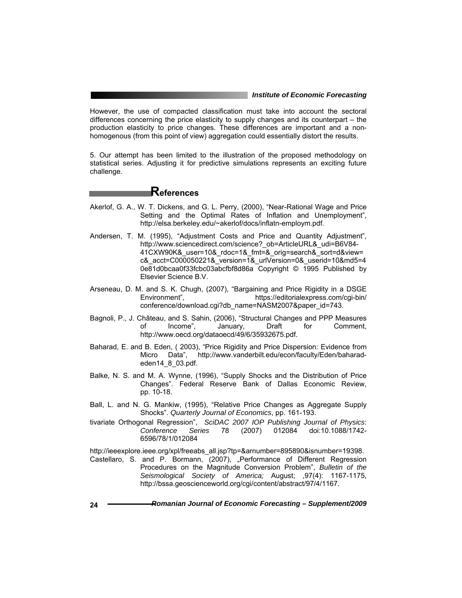However, the use of compacted classification must take into account the sectoral differences concerning the price elasticity to supply changes and its counterpart – the production elasticity to price changes. These differences are important and a nonhomogenous (from this point of view) aggregation could essentially distort the results.

5. Our attempt has been limited to the illustration of the proposed methodology on statistical series. Adjusting it for predictive simulations represents an exciting future challenge.

## **References**

- Akerlof, G. A., W. T. Dickens, and G. L. Perry, (2000), "Near-Rational Wage and Price Setting and the Optimal Rates of Inflation and Unemployment", http://elsa.berkeley.edu/~akerlof/docs/inflatn-employm.pdf.
- Andersen, T. M. (1995), "Adjustment Costs and Price and Quantity Adjustment", http://www.sciencedirect.com/science?\_ob=ArticleURL&\_udi=B6V84- 41CXW90K&\_user=10&\_rdoc=1&\_fmt=&\_orig=search&\_sort=d&view= c&\_acct=C000050221&\_version=1&\_urlVersion=0&\_userid=10&md5=4 0e81d0bcaa0f33fcbc03abcfbf8d86a Copyright © 1995 Published by Elsevier Science B.V.
- Arseneau, D. M. and S. K. Chugh, (2007), "Bargaining and Price Rigidity in a DSGE Environment", https://editorialexpress.com/cqi-bin/ conference/download.cgi?db\_name=NASM2007&paper\_id=743.
- Bagnoli, P., J. Château, and S. Sahin, (2006), "Structural Changes and PPP Measures of Income", January, Draft for Comment, http://www.oecd.org/dataoecd/49/6/35932675.pdf.
- Baharad, E. and B. Eden, ( 2003), "Price Rigidity and Price Dispersion: Evidence from Micro Data", http://www.vanderbilt.edu/econ/faculty/Eden/baharadeden14\_8\_03.pdf.
- Balke, N. S. and M. A. Wynne, (1996), "Supply Shocks and the Distribution of Price Changes". Federal Reserve Bank of Dallas Economic Review, pp. 10-18.
- Ball, L. and N. G. Mankiw, (1995), "Relative Price Changes as Aggregate Supply Shocks". *Quarterly Journal of Economics*, pp. 161-193.
- tivariate Orthogonal Regression", *SciDAC 2007 IOP Publishing Journal of Physics*: *Conference Series* 78 (2007) 012084 doi:10.1088/1742- 6596/78/1/012084

http://ieeexplore.ieee.org/xpl/freeabs\_all.jsp?tp=&arnumber=895890&isnumber=19398.

Castellaro, S. and P. Bormann, (2007), "Performance of Different Regression Procedures on the Magnitude Conversion Problem", *Bulletin of the Seismological Society of America;* August; ,97(4): 1167-1175, http://bssa.geoscienceworld.org/cgi/content/abstract/97/4/1167.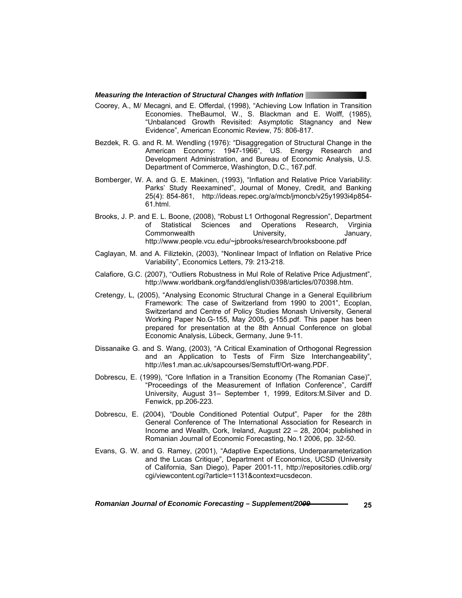- Coorey, A., M/ Mecagni, and E. Offerdal, (1998), "Achieving Low Inflation in Transition Economies. TheBaumol, W., S. Blackman and E. Wolff, (1985), "Unbalanced Growth Revisited: Asymptotic Stagnancy and New Evidence", American Economic Review, 75: 806-817.
- Bezdek, R. G. and R. M. Wendling (1976): "Disaggregation of Structural Change in the American Economy: 1947-1966", US. Energy Research and Development Administration, and Bureau of Economic Analysis, U.S. Department of Commerce, Washington, D.C., 167.pdf.
- Bomberger, W. A. and G. E. Makinen, (1993), "Inflation and Relative Price Variability: Parks' Study Reexamined", Journal of Money, Credit, and Banking 25(4): 854-861, http://ideas.repec.org/a/mcb/jmoncb/v25y1993i4p854- 61.html.
- Brooks, J. P. and E. L. Boone, (2008), "Robust L1 Orthogonal Regression", Department of Statistical Sciences and Operations Research, Virginia Commonwealth University, University, January, http://www.people.vcu.edu/~jpbrooks/research/brooksboone.pdf
- Caglayan, M. and A. Filiztekin, (2003), "Nonlinear Impact of Inflation on Relative Price Variability", Economics Letters, 79: 213-218.
- Calafiore, G.C. (2007), "Outliers Robustness in Mul Role of Relative Price Adjustment", http://www.worldbank.org/fandd/english/0398/articles/070398.htm.
- Cretengy, L, (2005), "Analysing Economic Structural Change in a General Equilibrium Framework: The case of Switzerland from 1990 to 2001", Ecoplan, Switzerland and Centre of Policy Studies Monash University, General Working Paper No.G-155, May 2005, g-155.pdf. This paper has been prepared for presentation at the 8th Annual Conference on global Economic Analysis, Lübeck, Germany, June 9-11.
- Dissanaike G. and S. Wang, (2003), "A Critical Examination of Orthogonal Regression and an Application to Tests of Firm Size Interchangeability", http://les1.man.ac.uk/sapcourses/Semstuff/Ort-wang.PDF.
- Dobrescu, E. (1999), "Core Inflation in a Transition Economy (The Romanian Case)", "Proceedings of the Measurement of Inflation Conference", Cardiff University, August 31– September 1, 1999, Editors:M.Silver and D. Fenwick, pp.206-223.
- Dobrescu, E. (2004), "Double Conditioned Potential Output", Paper for the 28th General Conference of The International Association for Research in Income and Wealth, Cork, Ireland, August 22 – 28, 2004; published in Romanian Journal of Economic Forecasting, No.1 2006, pp. 32-50.
- Evans, G. W. and G. Ramey, (2001), "Adaptive Expectations, Underparameterization and the Lucas Critique", Department of Economics, UCSD (University of California, San Diego), Paper 2001-11, http://repositories.cdlib.org/ cgi/viewcontent.cgi?article=1131&context=ucsdecon.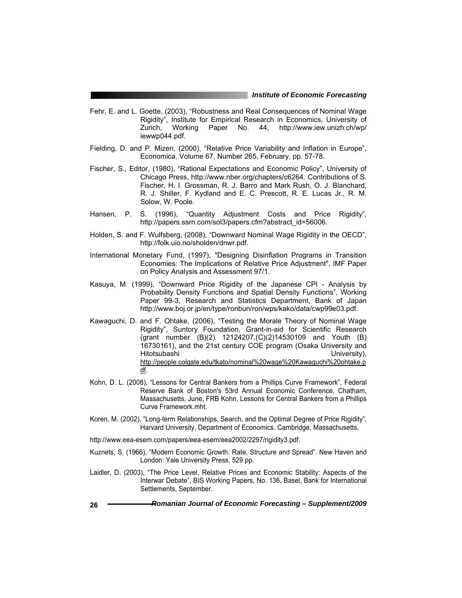- Fehr, E. and L. Goette, (2003), "Robustness and Real Consequences of Nominal Wage Rigidity", Institute for Empirical Research in Economics, University of Zurich, Working Paper No. 44, http://www.iew.unizh.ch/wp/ iewwp044.pdf.
- Fielding, D. and P. Mizen, (2000), "Relative Price Variability and Inflation in Europe", Economica. Volume 67, Number 265, February, pp. 57-78.
- Fischer, S., Editor, (1980), "Rational Expectations and Economic Policy", University of Chicago Press, http://www.nber.org/chapters/c6264. Contributions of S. Fischer, H. I. Grossman, R. J. Barro and Mark Rush, O. J. Blanchard, R. J. Shiller, F. Kydland and E. C. Prescott, R. E. Lucas Jr., R. M. Solow, W. Poole.
- Hansen, P. S. (1996), "Quantity Adjustment Costs and Price Rigidity", http://papers.ssrn.com/sol3/papers.cfm?abstract\_id=56006.
- Holden, S. and F. Wulfsberg, (2008), "Downward Nominal Wage Rigidity in the OECD", http://folk.uio.no/sholden/dnwr.pdf.
- International Monetary Fund, (1997), "Designing Disinflation Programs in Transition Economies: The Implications of Relative Price Adjustment", IMF Paper on Policy Analysis and Assessment 97/1.
- Kasuya, M. (1999), "Downward Price Rigidity of the Japanese CPI Analysis by Probability Density Functions and Spatial Density Functions", Working Paper 99-3, Research and Statistics Department, Bank of Japan http://www.boj.or.jp/en/type/ronbun/ron/wps/kako/data/cwp99e03.pdf.
- Kawaguchi, D. and F. Ohtake, (2006), "Testing the Morale Theory of Nominal Wage Rigidity", Suntory Foundation, Grant-in-aid for Scientific Research (grant number (B)(2) 12124207,(C)(2)14530109 and Youth (B) 16730161), and the 21st century COE program (Osaka University and Hitotsubashi University), http://people.colgate.edu/tkato/nominal%20wage%20Kawaguchi%20ohtake.p df.
- Kohn, D. L. (2008), "Lessons for Central Bankers from a Phillips Curve Framework", Federal Reserve Bank of Boston's 53rd Annual Economic Conference, Chatham, Massachusetts, June, FRB Kohn, Lessons for Central Bankers from a Phillips Curve Framework.mht.
- Koren, M. (2002), "Long-term Relationships, Search, and the Optimal Degree of Price Rigidity", Harvard University, Department of Economics. Cambridge, Massachusetts,
- http://www.eea-esem.com/papers/eea-esem/eea2002/2297/rigidity3.pdf.
- Kuznets, S. (1966), "Modern Economic Growth: Rate, Structure and Spread". New Haven and London: Yale University Press, 529 pp.
- Laidler, D. (2003), "The Price Level, Relative Prices and Economic Stability: Aspects of the Interwar Debate", BIS Working Papers, No. 136, Basel, Bank for International Settlements, September.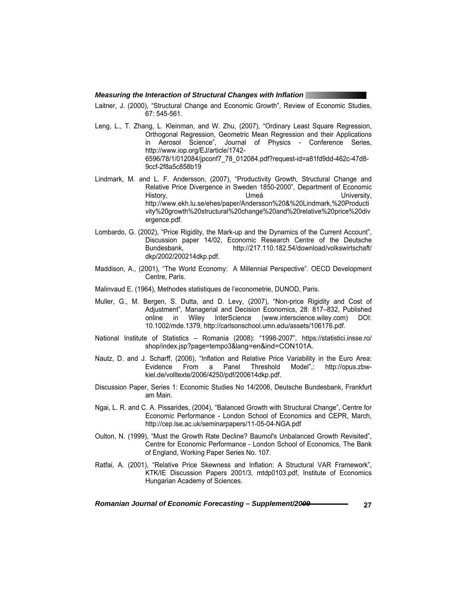Laitner, J. (2000), "Structural Change and Economic Growth", Review of Economic Studies, 67: 545-561.

- Leng, L., T. Zhang, L. Kleinman, and W. Zhu, (2007), "Ordinary Least Square Regression, Orthogonal Regression, Geometric Mean Regression and their Applications in Aerosol Science", Journal of Physics - Conference Series, http://www.iop.org/EJ/article/1742- 6596/78/1/012084/jpconf7\_78\_012084.pdf?request-id=a81fd9dd-462c-47d8- 9ccf-2f8a5c858b19
- Lindmark, M. and L. F. Andersson, (2007), "Productivity Growth, Structural Change and Relative Price Divergence in Sweden 1850-2000", Department of Economic History, Umeå Umeå University, http://www.ekh.lu.se/ehes/paper/Andersson%20&%20Lindmark,%20Producti vity%20growth%20structural%20change%20and%20relative%20price%20div ergence.pdf.
- Lombardo, G. (2002), "Price Rigidity, the Mark-up and the Dynamics of the Current Account", Discussion paper 14/02, Economic Research Centre of the Deutsche Bundesbank, http://217.110.182.54/download/volkswirtschaft/ dkp/2002/200214dkp.pdf.
- Maddison, A., (2001), "The World Economy: A Millennial Perspective". OECD Development Centre, Paris.
- Malinvaud E. (1964), Methodes statistiques de l'econometrie, DUNOD, Paris.
- Muller, G., M. Bergen, S. Dutta, and D. Levy, (2007), "Non-price Rigidity and Cost of Adjustment", Managerial and Decision Economics, 28: 817–832, Published online in Wiley InterScience (www.interscience.wiley.com) DOI: 10.1002/mde.1379, http://carlsonschool.umn.edu/assets/106176.pdf.
- National Institute of Statistics Romania (2008): "1998-2007", https://statistici.insse.ro/ shop/index.jsp?page=tempo3&lang=en&ind=CON101A.
- Nautz, D. and J. Scharff, (2006), "Inflation and Relative Price Variability in the Euro Area: Evidence From a Panel Threshold Model",: http://opus.zbwkiel.de/volltexte/2006/4250/pdf/200614dkp.pdf.
- Discussion Paper, Series 1: Economic Studies No 14/2006, Deutsche Bundesbank, Frankfurt am Main.
- Ngai, L. R. and C. A. Pissarides, (2004), "Balanced Growth with Structural Change", Centre for Economic Performance - London School of Economics and CEPR, March, http://cep.lse.ac.uk/seminarpapers/11-05-04-NGA.pdf
- Oulton, N. (1999), "Must the Growth Rate Decline? Baumol's Unbalanced Growth Revisited", Centre for Economic Performance - London School of Economics, The Bank of England, Working Paper Series No. 107.
- Ratfai, A. (2001), "Relative Price Skewness and Inflation: A Structural VAR Framework", KTK/IE Discussion Papers 2001/3, mtdp0103.pdf, Institute of Economics Hungarian Academy of Sciences.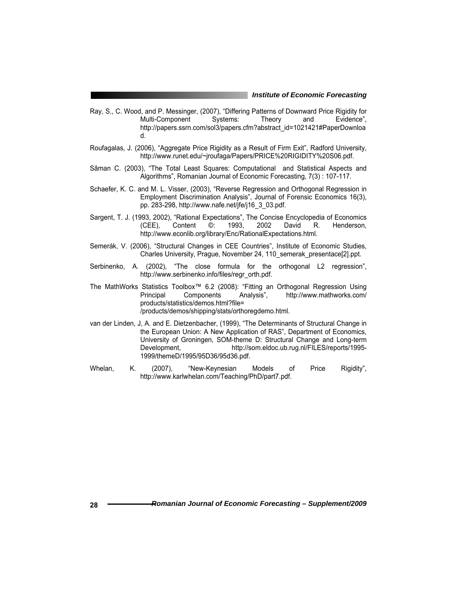- Ray, S., C. Wood, and P. Messinger, (2007), "Differing Patterns of Downward Price Rigidity for Multi-Component Systems: Theory and Evidence", http://papers.ssrn.com/sol3/papers.cfm?abstract\_id=1021421#PaperDownloa d.
- Roufagalas, J. (2006), "Aggregate Price Rigidity as a Result of Firm Exit", Radford University, http://www.runet.edu/~jroufaga/Papers/PRICE%20RIGIDITY%20S06.pdf.
- Sâman C. (2003), "The Total Least Squares: Computational and Statistical Aspects and Algorithms", Romanian Journal of Economic Forecasting, 7(3) : 107-117.
- Schaefer, K. C. and M. L. Visser, (2003), "Reverse Regression and Orthogonal Regression in Employment Discrimination Analysis", Journal of Forensic Economics 16(3), pp. 283-298, http://www.nafe.net/jfe/j16\_3\_03.pdf.
- Sargent, T. J. (1993, 2002), "Rational Expectations", The Concise Encyclopedia of Economics (CEE), Content ©: 1993, 2002 David R. Henderson, http://www.econlib.org/library/Enc/RationalExpectations.html.
- Semerák, V. (2006), "Structural Changes in CEE Countries", Institute of Economic Studies, Charles University, Prague, November 24, 110\_semerak\_presentace[2].ppt.
- Serbinenko, A. (2002), "The close formula for the orthogonal L2 regression", http://www.serbinenko.info/files/regr\_orth.pdf.
- The MathWorks Statistics Toolbox™ 6.2 (2008): "Fitting an Orthogonal Regression Using Principal Components Analysis", http://www.mathworks.com/ products/statistics/demos.html?file= /products/demos/shipping/stats/orthoregdemo.html.
- van der Linden, J, A. and E. Dietzenbacher, (1999), "The Determinants of Structural Change in the European Union: A New Application of RAS", Department of Economics, University of Groningen, SOM-theme D: Structural Change and Long-term Development, http://som.eldoc.ub.rug.nl/FILES/reports/1995- 1999/themeD/1995/95D36/95d36.pdf.
- Whelan, K. (2007), "New-Keynesian Models of Price Rigidity", http://www.karlwhelan.com/Teaching/PhD/part7.pdf.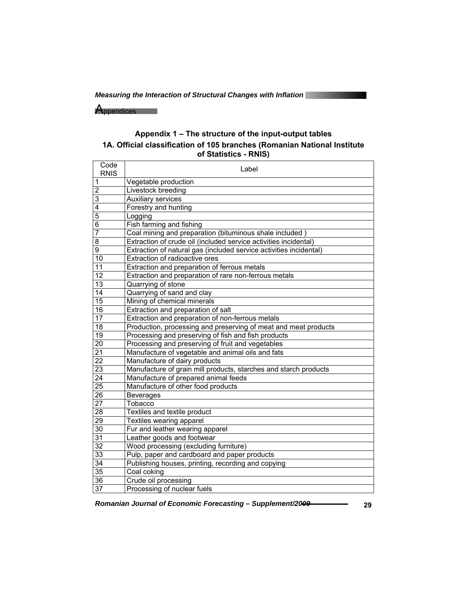Appendices and

## **Appendix 1 – The structure of the input-output tables 1A. Official classification of 105 branches (Romanian National Institute of Statistics - RNIS)**

| Code<br><b>RNIS</b> | Label                                                              |
|---------------------|--------------------------------------------------------------------|
| $\mathbf{1}$        | Vegetable production                                               |
| $\overline{2}$      | Livestock breeding                                                 |
| $\overline{3}$      | <b>Auxiliary services</b>                                          |
| 4                   | Forestry and hunting                                               |
| 5                   | Logging                                                            |
| $\overline{6}$      | Fish farming and fishing                                           |
| $\overline{7}$      | Coal mining and preparation (bituminous shale included)            |
| 8                   | Extraction of crude oil (included service activities incidental)   |
| $\overline{9}$      | Extraction of natural gas (included service activities incidental) |
| 10                  | Extraction of radioactive ores                                     |
| 11                  | Extraction and preparation of ferrous metals                       |
| 12                  | Extraction and preparation of rare non-ferrous metals              |
| 13                  | Quarrying of stone                                                 |
| $\overline{14}$     | Quarrying of sand and clay                                         |
| $\overline{15}$     | Mining of chemical minerals                                        |
| 16                  | Extraction and preparation of salt                                 |
| 17                  | Extraction and preparation of non-ferrous metals                   |
| 18                  | Production, processing and preserving of meat and meat products    |
| 19                  | Processing and preserving of fish and fish products                |
| $\overline{20}$     | Processing and preserving of fruit and vegetables                  |
| $\overline{21}$     | Manufacture of vegetable and animal oils and fats                  |
| $\overline{22}$     | Manufacture of dairy products                                      |
| 23                  | Manufacture of grain mill products, starches and starch products   |
| $\overline{24}$     | Manufacture of prepared animal feeds                               |
| 25                  | Manufacture of other food products                                 |
| 26                  | <b>Beverages</b>                                                   |
| $\overline{27}$     | Tobacco                                                            |
| 28                  | Textiles and textile product                                       |
| 29                  | Textiles wearing apparel                                           |
| 30                  | Fur and leather wearing apparel                                    |
| 31                  | Leather goods and footwear                                         |
| $\overline{32}$     | Wood processing (excluding furniture)                              |
| 33                  | Pulp, paper and cardboard and paper products                       |
| 34                  | Publishing houses, printing, recording and copying                 |
| $\overline{35}$     | Coal coking                                                        |
| 36                  | Crude oil processing                                               |
| 37                  | Processing of nuclear fuels                                        |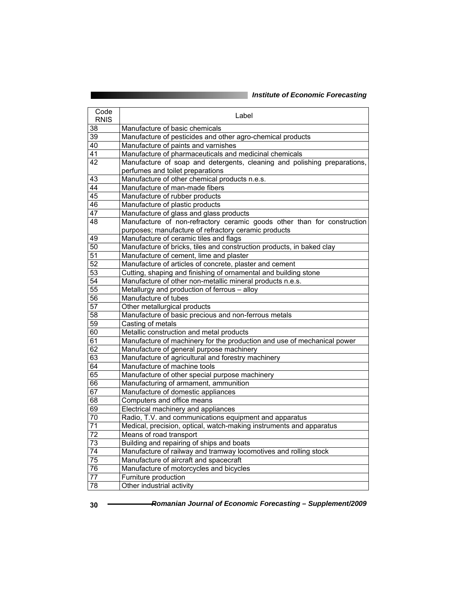| Code<br><b>RNIS</b> | Label                                                                    |
|---------------------|--------------------------------------------------------------------------|
| 38                  | Manufacture of basic chemicals                                           |
| 39                  | Manufacture of pesticides and other agro-chemical products               |
| 40                  | Manufacture of paints and varnishes                                      |
| $\overline{41}$     | Manufacture of pharmaceuticals and medicinal chemicals                   |
| 42                  | Manufacture of soap and detergents, cleaning and polishing preparations, |
|                     | perfumes and toilet preparations                                         |
| 43                  | Manufacture of other chemical products n.e.s.                            |
| $\overline{44}$     | Manufacture of man-made fibers                                           |
| 45                  | Manufacture of rubber products                                           |
| 46                  | Manufacture of plastic products                                          |
| $\overline{47}$     | Manufacture of glass and glass products                                  |
| 48                  | Manufacture of non-refractory ceramic goods other than for construction  |
|                     | purposes; manufacture of refractory ceramic products                     |
| 49                  | Manufacture of ceramic tiles and flags                                   |
| 50                  | Manufacture of bricks, tiles and construction products, in baked clay    |
| 51                  | Manufacture of cement, lime and plaster                                  |
| 52                  | Manufacture of articles of concrete, plaster and cement                  |
| $\overline{53}$     | Cutting, shaping and finishing of ornamental and building stone          |
| 54                  | Manufacture of other non-metallic mineral products n.e.s.                |
| $\overline{55}$     | Metallurgy and production of ferrous - alloy                             |
| 56                  | Manufacture of tubes                                                     |
| $\overline{57}$     | Other metallurgical products                                             |
| 58                  | Manufacture of basic precious and non-ferrous metals                     |
| $\overline{59}$     | Casting of metals                                                        |
| 60                  | Metallic construction and metal products                                 |
| 61                  | Manufacture of machinery for the production and use of mechanical power  |
| 62                  | Manufacture of general purpose machinery                                 |
| 63                  | Manufacture of agricultural and forestry machinery                       |
| 64                  | Manufacture of machine tools                                             |
| 65                  | Manufacture of other special purpose machinery                           |
| 66                  | Manufacturing of armament, ammunition                                    |
| 67                  | Manufacture of domestic appliances                                       |
| 68                  | Computers and office means                                               |
| 69                  | Electrical machinery and appliances                                      |
| $\overline{70}$     | Radio, T.V. and communications equipment and apparatus                   |
| 71                  | Medical, precision, optical, watch-making instruments and apparatus      |
| $\overline{72}$     | Means of road transport                                                  |
| $\overline{73}$     | Building and repairing of ships and boats                                |
| 74                  | Manufacture of railway and tramway locomotives and rolling stock         |
| 75                  | Manufacture of aircraft and spacecraft                                   |
| $\overline{76}$     | Manufacture of motorcycles and bicycles                                  |
| 77                  | Furniture production                                                     |
| $\overline{78}$     | Other industrial activity                                                |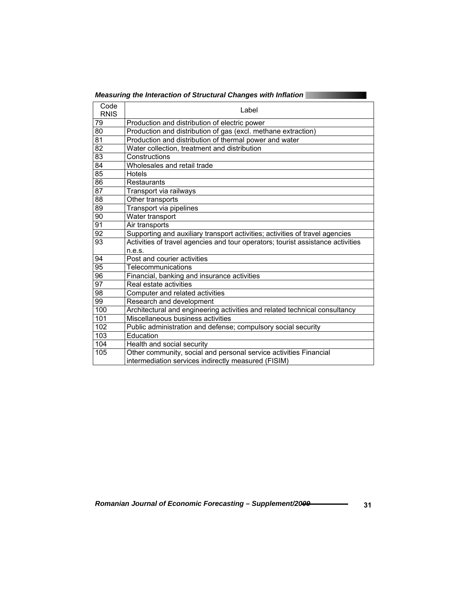|                     | Measuring the Interaction of Structural Changes with Inflation                  |
|---------------------|---------------------------------------------------------------------------------|
| Code<br><b>RNIS</b> | Label                                                                           |
| 79                  | Production and distribution of electric power                                   |
| 80                  | Production and distribution of gas (excl. methane extraction)                   |
| 81                  | Production and distribution of thermal power and water                          |
| 82                  | Water collection, treatment and distribution                                    |
| 83                  | Constructions                                                                   |
| 84                  | Wholesales and retail trade                                                     |
| 85                  | Hotels                                                                          |
| 86                  | Restaurants                                                                     |
| $\overline{87}$     | Transport via railways                                                          |
| 88                  | Other transports                                                                |
| 89                  | Transport via pipelines                                                         |
| 90                  | Water transport                                                                 |
| 91                  | Air transports                                                                  |
| $\overline{92}$     | Supporting and auxiliary transport activities; activities of travel agencies    |
| 93                  | Activities of travel agencies and tour operators; tourist assistance activities |
|                     | n.e.s.                                                                          |
| 94                  | Post and courier activities                                                     |
| 95                  | Telecommunications                                                              |
| 96                  | Financial, banking and insurance activities                                     |
| $\overline{97}$     | Real estate activities                                                          |
| 98                  | Computer and related activities                                                 |
| 99                  | Research and development                                                        |
| 100                 | Architectural and engineering activities and related technical consultancy      |
| 101                 | Miscellaneous business activities                                               |
| 102                 | Public administration and defense; compulsory social security                   |
| 103                 | Education                                                                       |
| 104                 | Health and social security                                                      |
| 105                 | Other community, social and personal service activities Financial               |
|                     | intermediation services indirectly measured (FISIM)                             |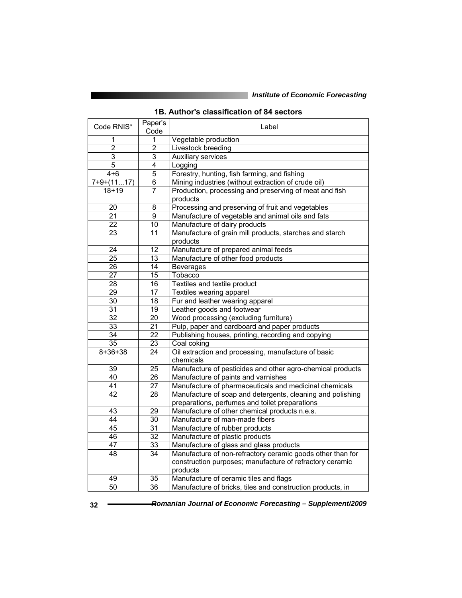J,

|  |  | 1B. Author's classification of 84 sectors |  |  |
|--|--|-------------------------------------------|--|--|
|--|--|-------------------------------------------|--|--|

| 1<br>1<br>Vegetable production<br>$\overline{2}$<br>$\overline{2}$<br>Livestock breeding<br>3<br>3<br>Auxiliary services<br>$\overline{5}$<br>$\overline{4}$<br>Logging<br>5<br>$4 + 6$<br>Forestry, hunting, fish farming, and fishing<br>$7+9+(1117)$<br>$\overline{6}$<br>Mining industries (without extraction of crude oil)<br>$\overline{7}$<br>Production, processing and preserving of meat and fish<br>$18 + 19$<br>products<br>$\overline{8}$<br>20<br>Processing and preserving of fruit and vegetables<br>21<br>9<br>Manufacture of vegetable and animal oils and fats<br>10<br>Manufacture of dairy products<br>22<br>Manufacture of grain mill products, starches and starch<br>$\overline{11}$<br>23<br>products<br>12<br>Manufacture of prepared animal feeds<br>24<br>$\overline{25}$<br>$\overline{13}$<br>Manufacture of other food products<br>26<br>14<br><b>Beverages</b><br>Tobacco<br>$\overline{15}$<br>27<br>$\overline{28}$<br>$\overline{16}$<br>Textiles and textile product<br>17<br>$\overline{29}$<br>Textiles wearing apparel<br>30<br>18<br>Fur and leather wearing apparel<br>Leather goods and footwear<br>31<br>19<br>$\overline{32}$<br>20<br>Wood processing (excluding furniture)<br>$\overline{21}$<br>$\overline{33}$<br>Pulp, paper and cardboard and paper products<br>22<br>Publishing houses, printing, recording and copying<br>34<br>$\overline{35}$<br>23<br>Coal coking<br>$8 + 36 + 38$<br>24<br>Oil extraction and processing, manufacture of basic<br>chemicals<br>$\overline{25}$<br>39<br>Manufacture of pesticides and other agro-chemical products<br>$\overline{26}$<br>Manufacture of paints and varnishes<br>40<br>$\overline{27}$<br>Manufacture of pharmaceuticals and medicinal chemicals<br>41<br>Manufacture of soap and detergents, cleaning and polishing<br>42<br>28<br>preparations, perfumes and toilet preparations<br>43<br>29<br>Manufacture of other chemical products n.e.s.<br>$\overline{30}$<br>Manufacture of man-made fibers<br>44<br>$\overline{31}$<br>45<br>Manufacture of rubber products<br>$\overline{32}$<br>46<br>Manufacture of plastic products<br>$\overline{33}$<br>Manufacture of glass and glass products<br>47<br>34<br>Manufacture of non-refractory ceramic goods other than for<br>48<br>construction purposes; manufacture of refractory ceramic<br>products<br>35<br>Manufacture of ceramic tiles and flags<br>49 | Code RNIS*      | Paper's | Label                                                      |
|-----------------------------------------------------------------------------------------------------------------------------------------------------------------------------------------------------------------------------------------------------------------------------------------------------------------------------------------------------------------------------------------------------------------------------------------------------------------------------------------------------------------------------------------------------------------------------------------------------------------------------------------------------------------------------------------------------------------------------------------------------------------------------------------------------------------------------------------------------------------------------------------------------------------------------------------------------------------------------------------------------------------------------------------------------------------------------------------------------------------------------------------------------------------------------------------------------------------------------------------------------------------------------------------------------------------------------------------------------------------------------------------------------------------------------------------------------------------------------------------------------------------------------------------------------------------------------------------------------------------------------------------------------------------------------------------------------------------------------------------------------------------------------------------------------------------------------------------------------------------------------------------------------------------------------------------------------------------------------------------------------------------------------------------------------------------------------------------------------------------------------------------------------------------------------------------------------------------------------------------------------------------------------------------------------------------------------------------------------------------------------------------------------------------------|-----------------|---------|------------------------------------------------------------|
|                                                                                                                                                                                                                                                                                                                                                                                                                                                                                                                                                                                                                                                                                                                                                                                                                                                                                                                                                                                                                                                                                                                                                                                                                                                                                                                                                                                                                                                                                                                                                                                                                                                                                                                                                                                                                                                                                                                                                                                                                                                                                                                                                                                                                                                                                                                                                                                                                       |                 | Code    |                                                            |
|                                                                                                                                                                                                                                                                                                                                                                                                                                                                                                                                                                                                                                                                                                                                                                                                                                                                                                                                                                                                                                                                                                                                                                                                                                                                                                                                                                                                                                                                                                                                                                                                                                                                                                                                                                                                                                                                                                                                                                                                                                                                                                                                                                                                                                                                                                                                                                                                                       |                 |         |                                                            |
|                                                                                                                                                                                                                                                                                                                                                                                                                                                                                                                                                                                                                                                                                                                                                                                                                                                                                                                                                                                                                                                                                                                                                                                                                                                                                                                                                                                                                                                                                                                                                                                                                                                                                                                                                                                                                                                                                                                                                                                                                                                                                                                                                                                                                                                                                                                                                                                                                       |                 |         |                                                            |
|                                                                                                                                                                                                                                                                                                                                                                                                                                                                                                                                                                                                                                                                                                                                                                                                                                                                                                                                                                                                                                                                                                                                                                                                                                                                                                                                                                                                                                                                                                                                                                                                                                                                                                                                                                                                                                                                                                                                                                                                                                                                                                                                                                                                                                                                                                                                                                                                                       |                 |         |                                                            |
|                                                                                                                                                                                                                                                                                                                                                                                                                                                                                                                                                                                                                                                                                                                                                                                                                                                                                                                                                                                                                                                                                                                                                                                                                                                                                                                                                                                                                                                                                                                                                                                                                                                                                                                                                                                                                                                                                                                                                                                                                                                                                                                                                                                                                                                                                                                                                                                                                       |                 |         |                                                            |
|                                                                                                                                                                                                                                                                                                                                                                                                                                                                                                                                                                                                                                                                                                                                                                                                                                                                                                                                                                                                                                                                                                                                                                                                                                                                                                                                                                                                                                                                                                                                                                                                                                                                                                                                                                                                                                                                                                                                                                                                                                                                                                                                                                                                                                                                                                                                                                                                                       |                 |         |                                                            |
|                                                                                                                                                                                                                                                                                                                                                                                                                                                                                                                                                                                                                                                                                                                                                                                                                                                                                                                                                                                                                                                                                                                                                                                                                                                                                                                                                                                                                                                                                                                                                                                                                                                                                                                                                                                                                                                                                                                                                                                                                                                                                                                                                                                                                                                                                                                                                                                                                       |                 |         |                                                            |
|                                                                                                                                                                                                                                                                                                                                                                                                                                                                                                                                                                                                                                                                                                                                                                                                                                                                                                                                                                                                                                                                                                                                                                                                                                                                                                                                                                                                                                                                                                                                                                                                                                                                                                                                                                                                                                                                                                                                                                                                                                                                                                                                                                                                                                                                                                                                                                                                                       |                 |         |                                                            |
|                                                                                                                                                                                                                                                                                                                                                                                                                                                                                                                                                                                                                                                                                                                                                                                                                                                                                                                                                                                                                                                                                                                                                                                                                                                                                                                                                                                                                                                                                                                                                                                                                                                                                                                                                                                                                                                                                                                                                                                                                                                                                                                                                                                                                                                                                                                                                                                                                       |                 |         |                                                            |
|                                                                                                                                                                                                                                                                                                                                                                                                                                                                                                                                                                                                                                                                                                                                                                                                                                                                                                                                                                                                                                                                                                                                                                                                                                                                                                                                                                                                                                                                                                                                                                                                                                                                                                                                                                                                                                                                                                                                                                                                                                                                                                                                                                                                                                                                                                                                                                                                                       |                 |         |                                                            |
|                                                                                                                                                                                                                                                                                                                                                                                                                                                                                                                                                                                                                                                                                                                                                                                                                                                                                                                                                                                                                                                                                                                                                                                                                                                                                                                                                                                                                                                                                                                                                                                                                                                                                                                                                                                                                                                                                                                                                                                                                                                                                                                                                                                                                                                                                                                                                                                                                       |                 |         |                                                            |
|                                                                                                                                                                                                                                                                                                                                                                                                                                                                                                                                                                                                                                                                                                                                                                                                                                                                                                                                                                                                                                                                                                                                                                                                                                                                                                                                                                                                                                                                                                                                                                                                                                                                                                                                                                                                                                                                                                                                                                                                                                                                                                                                                                                                                                                                                                                                                                                                                       |                 |         |                                                            |
|                                                                                                                                                                                                                                                                                                                                                                                                                                                                                                                                                                                                                                                                                                                                                                                                                                                                                                                                                                                                                                                                                                                                                                                                                                                                                                                                                                                                                                                                                                                                                                                                                                                                                                                                                                                                                                                                                                                                                                                                                                                                                                                                                                                                                                                                                                                                                                                                                       |                 |         |                                                            |
|                                                                                                                                                                                                                                                                                                                                                                                                                                                                                                                                                                                                                                                                                                                                                                                                                                                                                                                                                                                                                                                                                                                                                                                                                                                                                                                                                                                                                                                                                                                                                                                                                                                                                                                                                                                                                                                                                                                                                                                                                                                                                                                                                                                                                                                                                                                                                                                                                       |                 |         |                                                            |
|                                                                                                                                                                                                                                                                                                                                                                                                                                                                                                                                                                                                                                                                                                                                                                                                                                                                                                                                                                                                                                                                                                                                                                                                                                                                                                                                                                                                                                                                                                                                                                                                                                                                                                                                                                                                                                                                                                                                                                                                                                                                                                                                                                                                                                                                                                                                                                                                                       |                 |         |                                                            |
|                                                                                                                                                                                                                                                                                                                                                                                                                                                                                                                                                                                                                                                                                                                                                                                                                                                                                                                                                                                                                                                                                                                                                                                                                                                                                                                                                                                                                                                                                                                                                                                                                                                                                                                                                                                                                                                                                                                                                                                                                                                                                                                                                                                                                                                                                                                                                                                                                       |                 |         |                                                            |
|                                                                                                                                                                                                                                                                                                                                                                                                                                                                                                                                                                                                                                                                                                                                                                                                                                                                                                                                                                                                                                                                                                                                                                                                                                                                                                                                                                                                                                                                                                                                                                                                                                                                                                                                                                                                                                                                                                                                                                                                                                                                                                                                                                                                                                                                                                                                                                                                                       |                 |         |                                                            |
|                                                                                                                                                                                                                                                                                                                                                                                                                                                                                                                                                                                                                                                                                                                                                                                                                                                                                                                                                                                                                                                                                                                                                                                                                                                                                                                                                                                                                                                                                                                                                                                                                                                                                                                                                                                                                                                                                                                                                                                                                                                                                                                                                                                                                                                                                                                                                                                                                       |                 |         |                                                            |
|                                                                                                                                                                                                                                                                                                                                                                                                                                                                                                                                                                                                                                                                                                                                                                                                                                                                                                                                                                                                                                                                                                                                                                                                                                                                                                                                                                                                                                                                                                                                                                                                                                                                                                                                                                                                                                                                                                                                                                                                                                                                                                                                                                                                                                                                                                                                                                                                                       |                 |         |                                                            |
|                                                                                                                                                                                                                                                                                                                                                                                                                                                                                                                                                                                                                                                                                                                                                                                                                                                                                                                                                                                                                                                                                                                                                                                                                                                                                                                                                                                                                                                                                                                                                                                                                                                                                                                                                                                                                                                                                                                                                                                                                                                                                                                                                                                                                                                                                                                                                                                                                       |                 |         |                                                            |
|                                                                                                                                                                                                                                                                                                                                                                                                                                                                                                                                                                                                                                                                                                                                                                                                                                                                                                                                                                                                                                                                                                                                                                                                                                                                                                                                                                                                                                                                                                                                                                                                                                                                                                                                                                                                                                                                                                                                                                                                                                                                                                                                                                                                                                                                                                                                                                                                                       |                 |         |                                                            |
|                                                                                                                                                                                                                                                                                                                                                                                                                                                                                                                                                                                                                                                                                                                                                                                                                                                                                                                                                                                                                                                                                                                                                                                                                                                                                                                                                                                                                                                                                                                                                                                                                                                                                                                                                                                                                                                                                                                                                                                                                                                                                                                                                                                                                                                                                                                                                                                                                       |                 |         |                                                            |
|                                                                                                                                                                                                                                                                                                                                                                                                                                                                                                                                                                                                                                                                                                                                                                                                                                                                                                                                                                                                                                                                                                                                                                                                                                                                                                                                                                                                                                                                                                                                                                                                                                                                                                                                                                                                                                                                                                                                                                                                                                                                                                                                                                                                                                                                                                                                                                                                                       |                 |         |                                                            |
|                                                                                                                                                                                                                                                                                                                                                                                                                                                                                                                                                                                                                                                                                                                                                                                                                                                                                                                                                                                                                                                                                                                                                                                                                                                                                                                                                                                                                                                                                                                                                                                                                                                                                                                                                                                                                                                                                                                                                                                                                                                                                                                                                                                                                                                                                                                                                                                                                       |                 |         |                                                            |
|                                                                                                                                                                                                                                                                                                                                                                                                                                                                                                                                                                                                                                                                                                                                                                                                                                                                                                                                                                                                                                                                                                                                                                                                                                                                                                                                                                                                                                                                                                                                                                                                                                                                                                                                                                                                                                                                                                                                                                                                                                                                                                                                                                                                                                                                                                                                                                                                                       |                 |         |                                                            |
|                                                                                                                                                                                                                                                                                                                                                                                                                                                                                                                                                                                                                                                                                                                                                                                                                                                                                                                                                                                                                                                                                                                                                                                                                                                                                                                                                                                                                                                                                                                                                                                                                                                                                                                                                                                                                                                                                                                                                                                                                                                                                                                                                                                                                                                                                                                                                                                                                       |                 |         |                                                            |
|                                                                                                                                                                                                                                                                                                                                                                                                                                                                                                                                                                                                                                                                                                                                                                                                                                                                                                                                                                                                                                                                                                                                                                                                                                                                                                                                                                                                                                                                                                                                                                                                                                                                                                                                                                                                                                                                                                                                                                                                                                                                                                                                                                                                                                                                                                                                                                                                                       |                 |         |                                                            |
|                                                                                                                                                                                                                                                                                                                                                                                                                                                                                                                                                                                                                                                                                                                                                                                                                                                                                                                                                                                                                                                                                                                                                                                                                                                                                                                                                                                                                                                                                                                                                                                                                                                                                                                                                                                                                                                                                                                                                                                                                                                                                                                                                                                                                                                                                                                                                                                                                       |                 |         |                                                            |
|                                                                                                                                                                                                                                                                                                                                                                                                                                                                                                                                                                                                                                                                                                                                                                                                                                                                                                                                                                                                                                                                                                                                                                                                                                                                                                                                                                                                                                                                                                                                                                                                                                                                                                                                                                                                                                                                                                                                                                                                                                                                                                                                                                                                                                                                                                                                                                                                                       |                 |         |                                                            |
|                                                                                                                                                                                                                                                                                                                                                                                                                                                                                                                                                                                                                                                                                                                                                                                                                                                                                                                                                                                                                                                                                                                                                                                                                                                                                                                                                                                                                                                                                                                                                                                                                                                                                                                                                                                                                                                                                                                                                                                                                                                                                                                                                                                                                                                                                                                                                                                                                       |                 |         |                                                            |
|                                                                                                                                                                                                                                                                                                                                                                                                                                                                                                                                                                                                                                                                                                                                                                                                                                                                                                                                                                                                                                                                                                                                                                                                                                                                                                                                                                                                                                                                                                                                                                                                                                                                                                                                                                                                                                                                                                                                                                                                                                                                                                                                                                                                                                                                                                                                                                                                                       |                 |         |                                                            |
|                                                                                                                                                                                                                                                                                                                                                                                                                                                                                                                                                                                                                                                                                                                                                                                                                                                                                                                                                                                                                                                                                                                                                                                                                                                                                                                                                                                                                                                                                                                                                                                                                                                                                                                                                                                                                                                                                                                                                                                                                                                                                                                                                                                                                                                                                                                                                                                                                       |                 |         |                                                            |
|                                                                                                                                                                                                                                                                                                                                                                                                                                                                                                                                                                                                                                                                                                                                                                                                                                                                                                                                                                                                                                                                                                                                                                                                                                                                                                                                                                                                                                                                                                                                                                                                                                                                                                                                                                                                                                                                                                                                                                                                                                                                                                                                                                                                                                                                                                                                                                                                                       |                 |         |                                                            |
|                                                                                                                                                                                                                                                                                                                                                                                                                                                                                                                                                                                                                                                                                                                                                                                                                                                                                                                                                                                                                                                                                                                                                                                                                                                                                                                                                                                                                                                                                                                                                                                                                                                                                                                                                                                                                                                                                                                                                                                                                                                                                                                                                                                                                                                                                                                                                                                                                       |                 |         |                                                            |
|                                                                                                                                                                                                                                                                                                                                                                                                                                                                                                                                                                                                                                                                                                                                                                                                                                                                                                                                                                                                                                                                                                                                                                                                                                                                                                                                                                                                                                                                                                                                                                                                                                                                                                                                                                                                                                                                                                                                                                                                                                                                                                                                                                                                                                                                                                                                                                                                                       |                 |         |                                                            |
|                                                                                                                                                                                                                                                                                                                                                                                                                                                                                                                                                                                                                                                                                                                                                                                                                                                                                                                                                                                                                                                                                                                                                                                                                                                                                                                                                                                                                                                                                                                                                                                                                                                                                                                                                                                                                                                                                                                                                                                                                                                                                                                                                                                                                                                                                                                                                                                                                       |                 |         |                                                            |
|                                                                                                                                                                                                                                                                                                                                                                                                                                                                                                                                                                                                                                                                                                                                                                                                                                                                                                                                                                                                                                                                                                                                                                                                                                                                                                                                                                                                                                                                                                                                                                                                                                                                                                                                                                                                                                                                                                                                                                                                                                                                                                                                                                                                                                                                                                                                                                                                                       |                 |         |                                                            |
|                                                                                                                                                                                                                                                                                                                                                                                                                                                                                                                                                                                                                                                                                                                                                                                                                                                                                                                                                                                                                                                                                                                                                                                                                                                                                                                                                                                                                                                                                                                                                                                                                                                                                                                                                                                                                                                                                                                                                                                                                                                                                                                                                                                                                                                                                                                                                                                                                       |                 |         |                                                            |
|                                                                                                                                                                                                                                                                                                                                                                                                                                                                                                                                                                                                                                                                                                                                                                                                                                                                                                                                                                                                                                                                                                                                                                                                                                                                                                                                                                                                                                                                                                                                                                                                                                                                                                                                                                                                                                                                                                                                                                                                                                                                                                                                                                                                                                                                                                                                                                                                                       |                 |         |                                                            |
|                                                                                                                                                                                                                                                                                                                                                                                                                                                                                                                                                                                                                                                                                                                                                                                                                                                                                                                                                                                                                                                                                                                                                                                                                                                                                                                                                                                                                                                                                                                                                                                                                                                                                                                                                                                                                                                                                                                                                                                                                                                                                                                                                                                                                                                                                                                                                                                                                       |                 |         |                                                            |
|                                                                                                                                                                                                                                                                                                                                                                                                                                                                                                                                                                                                                                                                                                                                                                                                                                                                                                                                                                                                                                                                                                                                                                                                                                                                                                                                                                                                                                                                                                                                                                                                                                                                                                                                                                                                                                                                                                                                                                                                                                                                                                                                                                                                                                                                                                                                                                                                                       |                 |         |                                                            |
|                                                                                                                                                                                                                                                                                                                                                                                                                                                                                                                                                                                                                                                                                                                                                                                                                                                                                                                                                                                                                                                                                                                                                                                                                                                                                                                                                                                                                                                                                                                                                                                                                                                                                                                                                                                                                                                                                                                                                                                                                                                                                                                                                                                                                                                                                                                                                                                                                       |                 |         |                                                            |
|                                                                                                                                                                                                                                                                                                                                                                                                                                                                                                                                                                                                                                                                                                                                                                                                                                                                                                                                                                                                                                                                                                                                                                                                                                                                                                                                                                                                                                                                                                                                                                                                                                                                                                                                                                                                                                                                                                                                                                                                                                                                                                                                                                                                                                                                                                                                                                                                                       | $\overline{50}$ | 36      | Manufacture of bricks, tiles and construction products, in |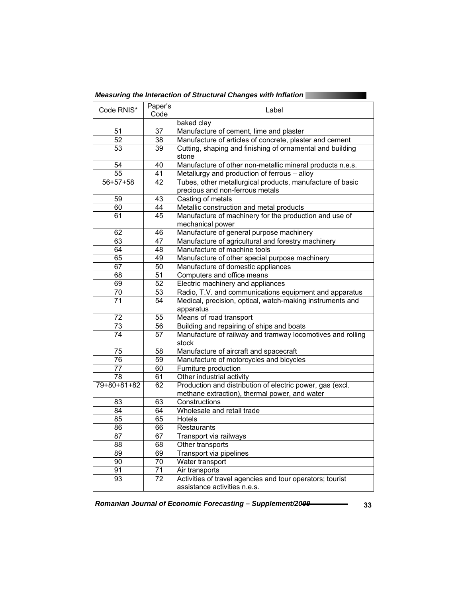| Measuring the Interaction of Structural Changes with Inflation |  |
|----------------------------------------------------------------|--|
|                                                                |  |
|                                                                |  |

| Code RNIS*      | Paper's<br>Code | Label                                                      |
|-----------------|-----------------|------------------------------------------------------------|
|                 |                 | baked clay                                                 |
| 51              | 37              | Manufacture of cement, lime and plaster                    |
| $\overline{52}$ | $\overline{38}$ | Manufacture of articles of concrete, plaster and cement    |
| $\overline{53}$ | $\overline{39}$ | Cutting, shaping and finishing of ornamental and building  |
|                 |                 | stone                                                      |
| 54              | 40              | Manufacture of other non-metallic mineral products n.e.s.  |
| $\overline{55}$ | 41              | Metallurgy and production of ferrous - alloy               |
| $56 + 57 + 58$  | 42              | Tubes, other metallurgical products, manufacture of basic  |
|                 |                 | precious and non-ferrous metals                            |
| $\overline{59}$ | $\overline{43}$ | Casting of metals                                          |
| 60              | 44              | Metallic construction and metal products                   |
| 61              | 45              | Manufacture of machinery for the production and use of     |
|                 |                 | mechanical power                                           |
| 62              | 46              | Manufacture of general purpose machinery                   |
| 63              | 47              | Manufacture of agricultural and forestry machinery         |
| 64              | 48              | Manufacture of machine tools                               |
| 65              | 49              | Manufacture of other special purpose machinery             |
| 67              | 50              | Manufacture of domestic appliances                         |
| 68              | 51              | Computers and office means                                 |
| 69              | 52              | Electric machinery and appliances                          |
| 70              | 53              | Radio, T.V. and communications equipment and apparatus     |
| 71              | 54              | Medical, precision, optical, watch-making instruments and  |
|                 |                 | apparatus                                                  |
| 72              | 55              | Means of road transport                                    |
| $\overline{73}$ | 56              | Building and repairing of ships and boats                  |
| 74              | 57              | Manufacture of railway and tramway locomotives and rolling |
|                 |                 | stock                                                      |
| $\overline{75}$ | 58              | Manufacture of aircraft and spacecraft                     |
| 76              | $\overline{59}$ | Manufacture of motorcycles and bicycles                    |
| 77              | 60              | Furniture production                                       |
| $\overline{78}$ | 61              | Other industrial activity                                  |
| 79+80+81+82     | 62              | Production and distribution of electric power, gas (excl.  |
|                 |                 | methane extraction), thermal power, and water              |
| $\overline{83}$ | 63              | Constructions                                              |
| $\overline{84}$ | 64              | Wholesale and retail trade                                 |
| $\overline{85}$ | 65              | <b>Hotels</b>                                              |
| 86              | 66              | Restaurants                                                |
| $\overline{87}$ | 67              | Transport via railways                                     |
| 88              | 68              | Other transports                                           |
| 89              | 69              | Transport via pipelines                                    |
| 90              | $\overline{70}$ | Water transport                                            |
| 91              | $\overline{71}$ | Air transports                                             |
| $\overline{93}$ | $\overline{72}$ | Activities of travel agencies and tour operators; tourist  |
|                 |                 | assistance activities n.e.s.                               |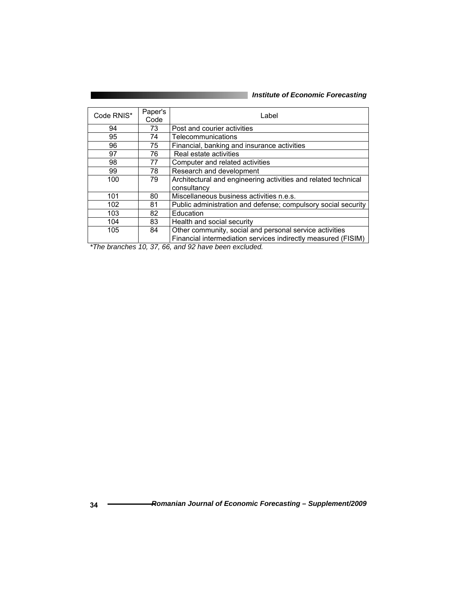| Code RNIS* | Paper's<br>Code | Label                                                          |
|------------|-----------------|----------------------------------------------------------------|
| 94         | 73              | Post and courier activities                                    |
| 95         | 74              | Telecommunications                                             |
| 96         | 75              | Financial, banking and insurance activities                    |
| 97         | 76              | Real estate activities                                         |
| 98         | 77              | Computer and related activities                                |
| 99         | 78              | Research and development                                       |
| 100        | 79              | Architectural and engineering activities and related technical |
|            |                 | consultancy                                                    |
| 101        | 80              | Miscellaneous business activities n.e.s.                       |
| 102        | 81              | Public administration and defense; compulsory social security  |
| 103        | 82              | Education                                                      |
| 104        | 83              | Health and social security                                     |
| 105        | 84              | Other community, social and personal service activities        |
|            |                 | Financial intermediation services indirectly measured (FISIM)  |

*\*The branches 10, 37, 66, and 92 have been excluded.*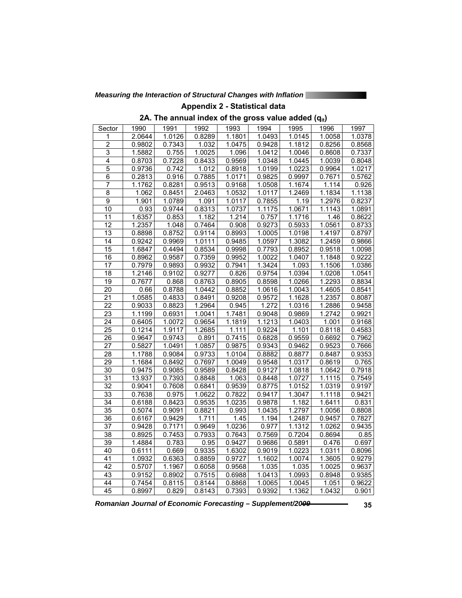*Measuring the Interaction of Structural Changes with Inflation* 

**Appendix 2 - Statistical data** 

2A. The annual index of the gross value added (q<sub>it</sub>)

| Sector          | 1990   | 1991   | 1992   | 1993                | 1994   | 1995   | 1996   | 1997                |
|-----------------|--------|--------|--------|---------------------|--------|--------|--------|---------------------|
| 1               | 2.0644 | 1.0126 | 0.8289 | 1.1801              | 1.0493 | 1.0145 | 1.0058 | 1.0378              |
| $\overline{2}$  | 0.9802 | 0.7343 | 1.032  | 1.0475              | 0.9428 | 1.1812 | 0.8256 | 0.8568              |
| 3               | 1.5882 | 0.755  | 1.0025 | 1.096               | 1.0412 | 1.0046 | 0.8608 | 0.7337              |
| $\overline{4}$  | 0.8703 | 0.7228 | 0.8433 | 0.9569              | 1.0348 | 1.0445 | 1.0039 | 0.8048              |
| $\overline{5}$  | 0.9736 | 0.742  | 1.012  | 0.8918              | 1.0199 | 1.0223 | 0.9964 | 1.0217              |
| $\overline{6}$  | 0.2813 | 0.916  | 0.7885 | 1.0171              | 0.9825 | 0.9997 | 0.7671 | 0.5762              |
| 7               | 1.1762 | 0.8281 | 0.9513 | 0.9168              | 1.0508 | 1.1674 | 1.114  | 0.926               |
| $\overline{8}$  | 1.062  | 0.8451 | 2.0463 | 1.0532              | 1.0117 | 1.2469 | 1.1834 | $1.1\overline{138}$ |
| $\overline{9}$  | 1.901  | 1.0789 | 1.091  | 1.0117              | 0.7855 | 1.19   | 1.2976 | 0.8237              |
| 10              | 0.93   | 0.9744 | 0.8313 | 1.0737              | 1.1175 | 1.0671 | 1.1143 | 1.0891              |
| 11              | 1.6357 | 0.853  | 1.182  | 1.214               | 0.757  | 1.1716 | 1.46   | 0.8622              |
| 12              | 1.2357 | 1.048  | 0.7464 | 0.908               | 0.9273 | 0.5933 | 1.0561 | 0.8733              |
| 13              | 0.8898 | 0.8752 | 0.9114 | 0.8993              | 1.0005 | 1.0198 | 1.4197 | 0.8797              |
| 14              | 0.9242 | 0.9969 | 1.0111 | 0.9485              | 1.0597 | 1.3082 | 1.2459 | 0.9866              |
| 15              | 1.6847 | 0.4494 | 0.8534 | 0.9998              | 0.7793 | 0.8952 | 0.9518 | 1.0098              |
| $\overline{16}$ | 0.8962 | 0.9587 | 0.7359 | 0.9952              | 1.0022 | 1.0407 | 1.1848 | 0.9222              |
| $\overline{17}$ | 0.7979 | 0.9893 | 0.9932 | 0.7941              | 1.3424 | 1.093  | 1.1506 | 1.0386              |
| 18              | 1.2146 | 0.9102 | 0.9277 | 0.826               | 0.9754 | 1.0394 | 1.0208 | 1.0541              |
| 19              | 0.7677 | 0.868  | 0.8763 | 0.8905              | 0.8598 | 1.0266 | 1.2293 | 0.8834              |
| $\overline{20}$ | 0.66   | 0.8788 | 1.0442 | 0.8852              | 1.0616 | 1.0043 | 1.4605 | 0.8541              |
| $\overline{21}$ | 1.0585 | 0.4833 | 0.8491 | 0.9208              | 0.9572 | 1.1628 | 1.2357 | 0.8087              |
| $\overline{22}$ | 0.9033 | 0.8823 | 1.2964 | 0.945               | 1.272  | 1.0316 | 1.2886 | 0.9458              |
| 23              | 1.1199 | 0.6931 | 1.0041 | 1.7481              | 0.9048 | 0.9869 | 1.2742 | 0.9921              |
| $\overline{24}$ | 0.6405 | 1.0072 | 0.9654 | 1.1819              | 1.1213 | 1.0403 | 1.001  | 0.9168              |
| $\overline{25}$ | 0.1214 | 1.9117 | 1.2685 | 1.111               | 0.9224 | 1.101  | 0.8118 | 0.4583              |
| 26              | 0.9647 | 0.9743 | 0.891  | 0.7415              | 0.6828 | 0.9559 | 0.6692 | 0.7962              |
| $\overline{27}$ | 0.5827 | 1.0491 | 1.0857 | 0.9875              | 0.9343 | 0.9462 | 0.9523 | 0.7666              |
| 28              | 1.1788 | 0.9084 | 0.9733 | 1.0104              | 0.8882 | 0.8877 | 0.8487 | 0.9353              |
| 29              | 1.1684 | 0.8492 | 0.7697 | $1.\overline{0049}$ | 0.9548 | 1.0317 | 0.8619 | 0.765               |
| 30              | 0.9475 | 0.9085 | 0.9589 | 0.8428              | 0.9127 | 1.0818 | 1.0642 | 0.7918              |
| $\overline{31}$ | 13.937 | 0.7393 | 0.8848 | 1.063               | 0.8448 | 1.0727 | 1.1115 | 0.7549              |
| $\overline{32}$ | 0.9041 | 0.7608 | 0.6841 | 0.9539              | 0.8775 | 1.0152 | 1.0319 | 0.9197              |
| 33              | 0.7638 | 0.975  | 1.0622 | 0.7822              | 0.9417 | 1.3047 | 1.1118 | 0.9421              |
| $\overline{34}$ | 0.6188 | 0.8423 | 0.9535 | 1.0235              | 0.9878 | 1.182  | 1.6411 | 0.831               |
| 35              | 0.5074 | 0.9091 | 0.8821 | 0.993               | 1.0435 | 1.2797 | 1.0056 | 0.8808              |
| 36              | 0.6167 | 0.9429 | 1.711  | 1.45                | 1.194  | 1.2487 | 0.9457 | 0.7827              |
| 37              | 0.9428 | 0.7171 | 0.9649 | 1.0236              | 0.977  | 1.1312 | 1.0262 | 0.9435              |
| 38              | 0.8925 | 0.7453 | 0.7933 | 0.7643              | 0.7569 | 0.7204 | 0.8694 | 0.85                |
| $\overline{39}$ | 1.4884 | 0.783  | 0.95   | 0.9427              | 0.9686 | 0.5891 | 0.476  | 0.697               |
| 40              | 0.6111 | 0.669  | 0.9335 | 1.6302              | 0.9019 | 1.0223 | 1.0311 | 0.8096              |
| 41              | 1.0932 | 0.6363 | 0.8859 | 0.9727              | 1.1602 | 1.0074 | 1.3605 | 0.9279              |
| 42              | 0.5707 | 1.1967 | 0.6058 | 0.9568              | 1.035  | 1.035  | 1.0025 | 0.9637              |
| 43              | 0.9152 | 0.8902 | 0.7515 | 0.6988              | 1.0413 | 1.0993 | 0.8948 | 0.9385              |
| 44              | 0.7454 | 0.8115 | 0.8144 | 0.8868              | 1.0065 | 1.0045 | 1.051  | 0.9622              |
| $\overline{45}$ | 0.8997 | 0.829  | 0.8143 | 0.7393              | 0.9392 | 1.1362 | 1.0432 | 0.901               |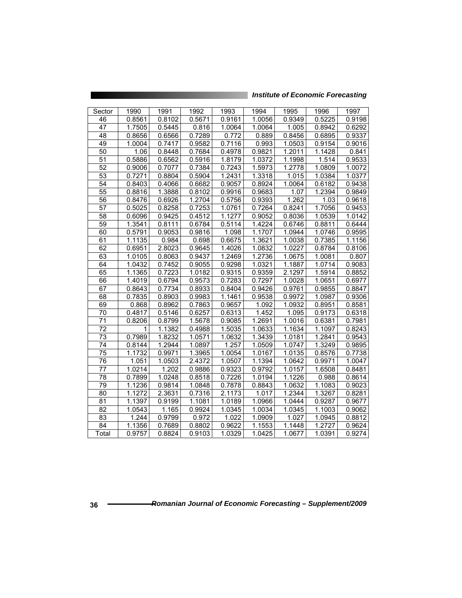|  |  | <b>Institute of Economic Forecasting</b> |
|--|--|------------------------------------------|
|--|--|------------------------------------------|

| Sector          | 1990   | 1991               | 1992   | 1993   | 1994   | 1995   | 1996                | 1997   |
|-----------------|--------|--------------------|--------|--------|--------|--------|---------------------|--------|
| 46              | 0.8561 | 0.8102             | 0.5671 | 0.9161 | 1.0056 | 0.9349 | 0.5225              | 0.9198 |
| 47              | 1.7505 | 0.5445             | 0.816  | 1.0064 | 1.0064 | 1.005  | 0.8942              | 0.6292 |
| 48              | 0.8656 | 0.6566             | 0.7289 | 0.772  | 0.889  | 0.8456 | 0.6895              | 0.9337 |
| 49              | 1.0004 | 0.7417             | 0.9582 | 0.7116 | 0.993  | 1.0503 | 0.9154              | 0.9016 |
| 50              | 1.06   | 0.8448             | 0.7684 | 0.4978 | 0.9821 | 1.2011 | 1.1428              | 0.841  |
| 51              | 0.5886 | 0.6562             | 0.5916 | 1.8179 | 1.0372 | 1.1998 | 1.514               | 0.9533 |
| 52              | 0.9006 | 0.7077             | 0.7384 | 0.7243 | 1.5973 | 1.2778 | 1.0809              | 1.0072 |
| 53              | 0.7271 | 0.8804             | 0.5904 | 1.2431 | 1.3318 | 1.015  | 1.0384              | 1.0377 |
| 54              | 0.8403 | 0.4066             | 0.6682 | 0.9057 | 0.8924 | 1.0064 | 0.6182              | 0.9438 |
| $\overline{55}$ | 0.8816 | 1.3888             | 0.8102 | 0.9916 | 0.9683 | 1.07   | 1.2394              | 0.9849 |
| 56              | 0.8476 | 0.6926             | 1.2704 | 0.5756 | 0.9393 | 1.262  | 1.03                | 0.9618 |
| 57              | 0.5025 | 0.8258             | 0.7253 | 1.0761 | 0.7264 | 0.8241 | 1.7056              | 0.9453 |
| 58              | 0.6096 | 0.9425             | 0.4512 | 1.1277 | 0.9052 | 0.8036 | 1.0539              | 1.0142 |
| 59              | 1.3541 | 0.8111             | 0.6784 | 0.5114 | 1.4224 | 0.6746 | 0.8811              | 0.6444 |
| 60              | 0.5791 | 0.9053             | 0.9816 | 1.098  | 1.1707 | 1.0944 | 1.0746              | 0.9595 |
| 61              | 1.1135 | 0.984              | 0.698  | 0.6675 | 1.3621 | 1.0038 | 0.7385              | 1.1156 |
| $\overline{62}$ | 0.6951 | 2.8023             | 0.9645 | 1.4026 | 1.0832 | 1.0227 | 0.8784              | 0.8106 |
| 63              | 1.0105 | 0.8063             | 0.9437 | 1.2469 | 1.2736 | 1.0675 | 1.0081              | 0.807  |
| 64              | 1.0432 | 0.7452             | 0.9055 | 0.9298 | 1.0321 | 1.1887 | 1.0714              | 0.9083 |
| 65              | 1.1365 | 0.7223             | 1.0182 | 0.9315 | 0.9359 | 2.1297 | 1.5914              | 0.8852 |
| 66              | 1.4019 | 0.6794             | 0.9573 | 0.7283 | 0.7297 | 1.0028 | 1.0651              | 0.6977 |
| 67              | 0.8643 | 0.7734             | 0.8933 | 0.8404 | 0.9426 | 0.9761 | 0.9855              | 0.8847 |
| 68              | 0.7835 | 0.8903             | 0.9983 | 1.1461 | 0.9538 | 0.9972 | 1.0987              | 0.9306 |
| 69              | 0.868  | 0.8962             | 0.7863 | 0.9657 | 1.092  | 1.0932 | 0.8951              | 0.8581 |
| $\overline{70}$ | 0.4817 | 0.5146             | 0.6257 | 0.6313 | 1.452  | 1.095  | 0.9173              | 0.6318 |
| 71              | 0.8206 | 0.8799             | 1.5678 | 0.9085 | 1.2691 | 1.0016 | 0.6381              | 0.7981 |
| $\overline{72}$ | 1      | 1.1382             | 0.4988 | 1.5035 | 1.0633 | 1.1634 | 1.1097              | 0.8243 |
| 73              | 0.7989 | 1.8232             | 1.0571 | 1.0632 | 1.3439 | 1.0181 | 1.2841              | 0.9543 |
| 74              | 0.8144 | 1.2944             | 1.0897 | 1.257  | 1.0509 | 1.0747 | 1.3249              | 0.9895 |
| 75              | 1.1732 | 0.9971             | 1.3965 | 1.0054 | 1.0167 | 1.0135 | 0.8576              | 0.7738 |
| 76              | 1.051  | 1.0503             | 2.4372 | 1.0507 | 1.1394 | 1.0642 | 0.9971              | 1.0047 |
| $\overline{77}$ | 1.0214 | 1.202              | 0.9886 | 0.9323 | 0.9792 | 1.0157 | 1.6508              | 0.8481 |
| 78              | 0.7899 | 1.0248             | 0.8518 | 0.7226 | 1.0194 | 1.1226 | 0.988               | 0.8614 |
| 79              | 1.1236 | 0.9814             | 1.0848 | 0.7878 | 0.8843 | 1.0632 | 1.1083              | 0.9023 |
| 80              | 1.1272 | 2.3631             | 0.7316 | 2.1173 | 1.017  | 1.2344 | 1.3267              | 0.8281 |
| $\overline{81}$ | 1.1397 | 0.9199             | 1.1081 | 1.0189 | 1.0966 | 1.0444 | 0.9287              | 0.9677 |
| 82              | 1.0543 | $\overline{1.165}$ | 0.9924 | 1.0345 | 1.0034 | 1.0345 | $\overline{1.1003}$ | 0.9062 |
| 83              | 1.244  | 0.9799             | 0.972  | 1.022  | 1.0909 | 1.027  | 1.0945              | 0.8812 |
| 84              | 1.1356 | 0.7689             | 0.8802 | 0.9622 | 1.1553 | 1.1448 | 1.2727              | 0.9624 |
| Total           | 0.9757 | 0.8824             | 0.9103 | 1.0329 | 1.0425 | 1.0677 | 1.0391              | 0.9274 |

<u> The Common State of the Common State of the Common State of the Common State of the Common State of the Common State of the Common State of the Common State of the Common State of the Common State of the Common State of </u>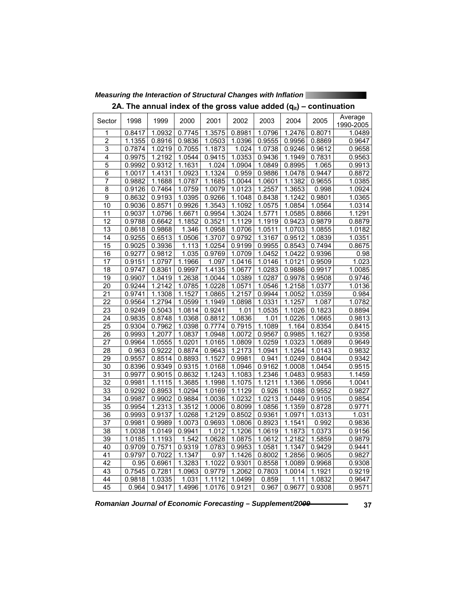| 2A. The annual index of the gross value added $(q_{it})$ – continuation |        |        |        |        |        |        |        |        |                     |
|-------------------------------------------------------------------------|--------|--------|--------|--------|--------|--------|--------|--------|---------------------|
| Sector                                                                  | 1998   | 1999   | 2000   | 2001   | 2002   | 2003   | 2004   | 2005   | Average             |
| 1                                                                       | 0.8417 | 1.0932 | 0.7745 | 1.3575 | 0.8981 | 1.0796 | 1.2476 | 0.8071 | 1990-2005<br>1.0489 |
| $\overline{2}$                                                          | 1.1355 | 0.8916 | 0.9836 | 1.0503 | 1.0396 | 0.9555 | 0.9956 | 0.8869 | 0.9647              |
| 3                                                                       | 0.7874 | 1.0219 | 0.7055 | 1.1873 | 1.024  | 1.0738 | 0.9246 | 0.9612 | 0.9658              |
| $\overline{4}$                                                          | 0.9975 | 1.2192 | 1.0544 | 0.9415 | 1.0353 | 0.9436 | 1.1949 | 0.7831 | 0.9563              |
| $\overline{5}$                                                          | 0.9992 | 0.9312 | 1.1631 | 1.024  | 1.0904 | 1.0849 | 0.8995 | 1.065  | 0.9913              |
| $\overline{6}$                                                          | 1.0017 | 1.4131 | 1.0923 | 1.1324 | 0.959  | 0.9886 | 1.0478 | 0.9447 | 0.8872              |
| 7                                                                       | 0.9882 | 1.1688 | 1.0787 | 1.1685 | 1.0044 | 1.0601 | 1.1382 | 0.9655 | 1.0385              |
| $\overline{8}$                                                          | 0.9126 | 0.7464 | 1.0759 | 1.0079 | 1.0123 | 1.2557 | 1.3653 | 0.998  | 1.0924              |
| 9                                                                       | 0.8632 | 0.9193 | 1.0395 | 0.9266 | 1.1048 | 0.8438 | 1.1242 | 0.9801 | 1.0365              |
| 10                                                                      | 0.9036 | 0.8571 | 0.9926 | 1.3543 | 1.1092 | 1.0575 | 1.0854 | 1.0564 | 1.0314              |
| $\overline{11}$                                                         | 0.9037 | 1.0796 | 1.6671 | 0.9954 | 1.3024 | 1.5771 | 1.0585 | 0.8866 | 1.1291              |
| $\overline{12}$                                                         | 0.9788 | 0.6642 | 1.1852 | 0.3521 | 1.1129 | 1.1919 | 0.9423 | 0.9879 | 0.8879              |
| 13                                                                      | 0.8618 | 0.9868 | 1.346  | 1.0958 | 1.0706 | 1.0511 | 1.0703 | 1.0855 | 1.0182              |
| 14                                                                      | 0.9255 | 0.6513 | 1.0506 | 1.3707 | 0.9792 | 1.3167 | 0.9512 | 1.0839 | 1.0351              |
| 15                                                                      | 0.9025 | 0.3936 | 1.113  | 1.0254 | 0.9199 | 0.9955 | 0.8543 | 0.7494 | 0.8675              |
| 16                                                                      | 0.9277 | 0.9812 | 1.035  | 0.9769 | 1.0709 | 1.0452 | 1.0422 | 0.9396 | 0.98                |
| 17                                                                      | 0.9151 | 1.0797 | 1.1966 | 1.097  | 1.0416 | 1.0146 | 1.0121 | 0.9509 | 1.023               |
| 18                                                                      | 0.9747 | 0.8361 | 0.9997 | 1.4135 | 1.0677 | 1.0283 | 0.9886 | 0.9917 | 1.0085              |
| $\overline{19}$                                                         | 0.9907 | 1.0419 | 1.2638 | 1.0044 | 1.0389 | 1.0287 | 0.9978 | 0.9508 | 0.9746              |
| $\overline{20}$                                                         | 0.9244 | 1.2142 | 1.0785 | 1.0228 | 1.0571 | 1.0546 | 1.2158 | 1.0377 | 1.0136              |
| 21                                                                      | 0.9741 | 1.1308 | 1.1527 | 1.0865 | 1.2157 | 0.9944 | 1.0052 | 1.0359 | 0.984               |
| $\overline{22}$                                                         | 0.9564 | 1.2794 | 1.0599 | 1.1949 | 1.0898 | 1.0331 | 1.1257 | 1.087  | 1.0782              |
| 23                                                                      | 0.9249 | 0.5043 | 1.0814 | 0.9241 | 1.01   | 1.0535 | 1.1026 | 0.1823 | 0.8894              |
| $\overline{24}$                                                         | 0.9835 | 0.8748 | 1.0368 | 0.8812 | 1.0836 | 1.01   | 1.0226 | 1.0665 | 0.9813              |
| $\overline{25}$                                                         | 0.9304 | 0.7962 | 1.0398 | 0.7774 | 0.7915 | 1.1089 | 1.164  | 0.8354 | 0.8415              |
| 26                                                                      | 0.9993 | 1.2077 | 1.0837 | 1.0948 | 1.0072 | 0.9567 | 0.9985 | 1.1627 | 0.9358              |
| 27                                                                      | 0.9964 | 1.0555 | 1.0201 | 1.0165 | 1.0809 | 1.0259 | 1.0323 | 1.0689 | 0.9649              |
| 28                                                                      | 0.963  | 0.9222 | 0.8874 | 0.9643 | 1.2173 | 1.0941 | 1.1264 | 1.0143 | 0.9832              |
| 29                                                                      | 0.9557 | 0.8514 | 0.8893 | 1.1527 | 0.9981 | 0.941  | 1.0249 | 0.8404 | 0.9342              |
| 30                                                                      | 0.8396 | 0.9349 | 0.9315 | 1.0168 | 1.0946 | 0.9162 | 1.0008 | 1.0454 | 0.9515              |
| 31                                                                      | 0.9977 | 0.9015 | 0.8632 | 1.1243 | 1.1083 | 1.2346 | 1.0483 | 0.9583 | 1.1459              |
| $\overline{32}$                                                         | 0.9981 | 1.1115 | 1.3685 | 1.1998 | 1.1075 | 1.1211 | 1.1366 | 1.0956 | 1.0041              |
| 33                                                                      | 0.9292 | 0.8953 | 1.0294 | 1.0169 | 1.1129 | 0.926  | 1.1088 | 0.9552 | 0.9827              |
| $\overline{34}$                                                         | 0.9987 | 0.9902 | 0.9884 | 1.0036 | 1.0232 | 1.0213 | 1.0449 | 0.9105 | 0.9854              |
| $\overline{35}$                                                         | 0.9954 | 1.2313 | 1.3512 | 1.0006 | 0.8099 | 1.0856 | 1.1359 | 0.8728 | 0.9771              |
| 36                                                                      | 0.9993 | 0.9137 | 1.0268 | 1.2129 | 0.8502 | 0.9361 | 1.0971 | 1.0313 | 1.031               |
| $\overline{37}$                                                         | 0.9981 | 0.9989 | 1.0073 | 0.9693 | 1.0806 | 0.8923 | 1.1541 | 0.992  | 0.9836              |
| 38                                                                      | 1.0038 | 1.0149 | 0.9941 | 1.012  | 1.1206 | 1.0619 | 1.1873 | 1.0373 | 0.9156              |
| 39                                                                      | 1.0185 | 1.1193 | 1.542  | 1.0628 | 1.0875 | 1.0612 | 1.2182 | 1.5859 | 0.9879              |
| 40                                                                      | 0.9709 | 0.7571 | 0.9319 | 1.0783 | 0.9953 | 1.0581 | 1.1347 | 0.9429 | 0.9441              |
| 41                                                                      | 0.9797 | 0.7022 | 1.1347 | 0.97   | 1.1426 | 0.8002 | 1.2856 | 0.9605 | 0.9827              |
| 42                                                                      | 0.95   | 0.6961 | 1.3283 | 1.1022 | 0.9301 | 0.8558 | 1.0089 | 0.9968 | 0.9308              |
| 43                                                                      | 0.7545 | 0.7281 | 1.0963 | 0.9779 | 1.2062 | 0.7803 | 1.0014 | 1.1921 | 0.9219              |
| 44                                                                      | 0.9818 | 1.0335 | 1.031  | 1.1112 | 1.0499 | 0.859  | 1.11   | 1.0832 | 0.9647              |
| 45                                                                      | 0.964  | 0.9417 | 1.4996 | 1.0176 | 0.9121 | 0.967  | 0.9677 | 0.9308 | 0.9571              |

*Measuring the Interaction of Structural Changes with Inflation*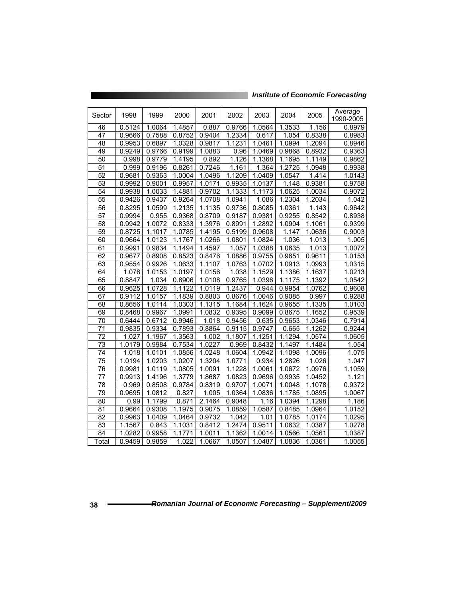| Sector          | 1998   | 1999   | 2000   | 2001                | 2002               | 2003   | 2004                | 2005                | Average<br>1990-2005 |
|-----------------|--------|--------|--------|---------------------|--------------------|--------|---------------------|---------------------|----------------------|
| 46              | 0.5124 | 1.0064 | 1.4857 | 0.887               | 0.9766             | 1.0564 | 1.3533              | 1.156               | 0.8979               |
| 47              | 0.9666 | 0.7588 | 0.8752 | 0.9404              | 1.2334             | 0.617  | 1.054               | 0.8338              | 0.8983               |
| 48              | 0.9953 | 0.6897 | 1.0328 | 0.9817              | 1.1231             | 1.0461 | 1.0994              | $\overline{1.2094}$ | 0.8946               |
| 49              | 0.9249 | 0.9766 | 0.9199 | 1.0883              | 0.96               | 1.0469 | 0.9868              | 0.8932              | 0.9363               |
| 50              | 0.998  | 0.9779 | 1.4195 | 0.892               | 1.126              | 1.1368 | 1.1695              | 1.1149              | 0.9862               |
| 51              | 0.999  | 0.9196 | 0.8261 | 0.7246              | 1.161              | 1.364  | 1.2725              | 1.0948              | 0.9938               |
| 52              | 0.9681 | 0.9363 | 1.0004 | 1.0496              | 1.1209             | 1.0409 | 1.0547              | 1.414               | 1.0143               |
| 53              | 0.9992 | 0.9001 | 0.9957 | 1.0171              | 0.9935             | 1.0137 | 1.148               | 0.9381              | 0.9758               |
| 54              | 0.9938 | 1.0033 | 1.4881 | 0.9702              | 1.1333             | 1.1173 | 1.0625              | 1.0034              | 0.9072               |
| 55              | 0.9426 | 0.9437 | 0.9264 | 1.0708              | 1.0941             | 1.086  | 1.2304              | 1.2034              | 1.042                |
| 56              | 0.8295 | 1.0599 | 1.2135 | 1.1135              | 0.9736             | 0.8085 | 1.0361              | 1.143               | 0.9642               |
| $\overline{57}$ | 0.9994 | 0.955  | 0.9368 | 0.8709              | 0.9187             | 0.9381 | 0.9255              | 0.8542              | 0.8938               |
| 58              | 0.9942 | 1.0072 | 0.8333 | 1.3976              | 0.8991             | 1.2892 | 1.0904              | 1.1061              | 0.9399               |
| $\overline{59}$ | 0.8725 | 1.1017 | 1.0785 | 1.4195              | 0.5199             | 0.9608 | 1.147               | 1.0636              | 0.9003               |
| 60              | 0.9664 | 1.0123 | 1.1767 | 1.0266              | 1.0801             | 1.0824 | 1.036               | 1.013               | 1.005                |
| 61              | 0.9991 | 0.9834 | 1.1494 | 1.4597              | 1.057              | 1.0388 | 1.0635              | 1.013               | 1.0072               |
| 62              | 0.9677 | 0.8908 | 0.8523 | 0.8476              | 1.0886             | 0.9755 | 0.9651              | 0.9611              | 1.0153               |
| 63              | 0.9554 | 0.9926 | 1.0633 | 1.1107              | 1.0763             | 1.0702 | 1.0913              | 1.0993              | 1.0315               |
| 64              | 1.076  | 1.0153 | 1.0197 | 1.0156              | 1.038              | 1.1529 | 1.1386              | 1.1637              | 1.0213               |
| 65              | 0.8847 | 1.034  | 0.8906 | 1.0108              | 0.9765             | 1.0396 | $\overline{1.1175}$ | 1.1392              | 1.0542               |
| 66              | 0.9625 | 1.0728 | 1.1122 | 1.0119              | 1.2437             | 0.944  | 0.9954              | 1.0762              | 0.9608               |
| 67              | 0.9112 | 1.0157 | 1.1839 | 0.8803              | 0.8676             | 1.0046 | 0.9085              | 0.997               | 0.9288               |
| 68              | 0.8656 | 1.0114 | 1.0303 | 1.1315              | 1.1684             | 1.1624 | 0.9655              | 1.1335              | 1.0103               |
| 69              | 0.8468 | 0.9967 | 1.0991 | 1.0832              | 0.9395             | 0.9099 | 0.8675              | 1.1652              | 0.9539               |
| 70              | 0.6444 | 0.6712 | 0.9946 | 1.018               | 0.9456             | 0.635  | 0.9653              | 1.0346              | 0.7914               |
| 71              | 0.9835 | 0.9334 | 0.7893 | 0.8864              | 0.9115             | 0.9747 | 0.665               | 1.1262              | 0.9244               |
| 72              | 1.027  | 1.1967 | 1.3563 | 1.002               | 1.1807             | 1.1251 | 1.1294              | 1.0574              | 1.0605               |
| $\overline{73}$ | 1.0179 | 0.9984 | 0.7534 | $\overline{1.0227}$ | 0.969              | 0.8432 | $\overline{1.1497}$ | $\overline{1.1484}$ | 1.054                |
| $\overline{74}$ | 1.018  | 1.0101 | 1.0856 | 1.0248              | 1.0604             | 1.0942 | 1.1098              | 1.0096              | 1.075                |
| 75              | 1.0194 | 1.0203 | 1.0207 | 1.3204              | 1.0771             | 0.934  | 1.2826              | 1.026               | 1.047                |
| 76              | 0.9981 | 1.0119 | 1.0805 | 1.0091              | 1.1228             | 1.0061 | 1.0672              | 1.0976              | 1.1059               |
| 77              | 0.9913 | 1.4196 | 1.3779 | 1.8687              | 1.0823             | 0.9696 | 0.9935              | 1.0452              | 1.121                |
| 78              | 0.969  | 0.8508 | 0.9784 | 0.8319              | 0.9707             | 1.0071 | $\overline{1.0048}$ | 1.1078              | 0.9372               |
| 79              | 0.9695 | 1.0812 | 0.827  | 1.005               | 1.0364             | 1.0836 | 1.1785              | 1.0895              | 1.0067               |
| 80              | 0.99   | 1.1799 | 0.871  | 2.1464              | 0.9048             | 1.16   | 1.0394              | 1.1298              | 1.186                |
| 81              | 0.9664 | 0.9308 | 1.1975 | 0.9075              | 1.0859             | 1.0587 | 0.8485              | 1.0964              | 1.0152               |
| $\overline{82}$ | 0.9963 | 1.0409 | 1.0464 | 0.9732              | $\overline{1.042}$ | 1.01   | 1.0785              | 1.0174              | 1.0295               |
| 83              | 1.1567 | 0.843  | 1.1031 | 0.8412              | 1.2474             | 0.9511 | 1.0632              | 1.0387              | 1.0278               |
| 84              | 1.0282 | 0.9958 | 1.1771 | 1.0011              | 1.1362             | 1.0014 | 1.0566              | 1.0561              | 1.0387               |
| Total           | 0.9459 | 0.9859 | 1.022  | 1.0667              | 1.0507             | 1.0487 | 1.0836              | 1.0361              | 1.0055               |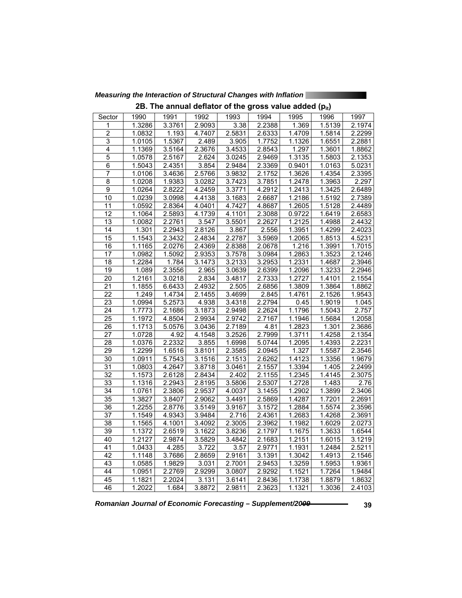|                 |        |        |                 |        |                  |                     | <b>IPIU</b>         |        |
|-----------------|--------|--------|-----------------|--------|------------------|---------------------|---------------------|--------|
| Sector          | 1990   | 1991   | 1992            | 1993   | 1994             | 1995                | 1996                | 1997   |
| 1               | 1.3286 | 3.3761 | 2.9093          | 3.38   | 2.2388           | 1.369               | 1.5139              | 2.1974 |
| $\overline{2}$  | 1.0832 | 1.193  | 4.7407          | 2.5831 | 2.6333           | 1.4709              | 1.5814              | 2.2299 |
| 3               | 1.0105 | 1.5367 | 2.489           | 3.905  | 1.7752           | 1.1326              | 1.6551              | 2.2881 |
| $\overline{4}$  | 1.1369 | 3.5164 | 2.3676          | 3.4533 | 2.8543           | 1.297               | 1.3601              | 1.8862 |
| 5               | 1.0578 | 2.5167 | 2.624           | 3.0245 | 2.9469           | 1.3135              | 1.5803              | 2.1353 |
| $\overline{6}$  | 1.5043 | 2.4351 | 3.854           | 2.9484 | 2.3369           | 0.9401              | 1.0163              | 5.0231 |
| 7               | 1.0106 | 3.4636 | 2.5766          | 3.9832 | 2.1752           | 1.3626              | 1.4354              | 2.3395 |
| $\overline{8}$  | 1.0208 | 1.9383 | 3.0282          | 3.7423 | 3.7851           | 1.2478              | 1.3963              | 2.297  |
| $\overline{9}$  | 1.0264 | 2.8222 | 4.2459          | 3.3771 | 4.2912           | 1.2413              | 1.3425              | 2.6489 |
| 10              | 1.0239 | 3.0998 | 4.4138          | 3.1683 | 2.6687           | 1.2186              | 1.5192              | 2.7389 |
| 11              | 1.0592 | 2.8364 | 4.0401          | 4.7427 | 4.8687           | 1.2605              | 1.5128              | 2.4489 |
| 12              | 1.1064 | 2.5893 | 4.1739          | 4.1101 | 2.3088           | 0.9722              | 1.6419              | 2.6583 |
| 13              | 1.0082 | 2.2761 | 3.547           | 3.5501 | 2.2627           | 1.2125              | 1.4988              | 2.4432 |
| 14              | 1.301  | 2.2943 | 2.8126          | 3.867  | 2.556            | 1.3951              | 1.4299              | 2.4023 |
| 15              | 1.1543 | 2.3432 | 2.4834          | 2.2787 | 3.5969           | 1.2065              | $\overline{1.8513}$ | 4.5231 |
| 16              | 1.1165 | 2.0276 | 2.4369          | 2.8388 | 2.0678           | 1.216               | 1.3991              | 1.7015 |
| $\overline{17}$ | 1.0982 | 1.5092 | 2.9353          | 3.7578 | 3.0984           | 1.2863              | 1.3523              | 2.1246 |
| $\overline{18}$ | 1.2284 | 1.784  | 3.1473          | 3.2133 | 3.2953           | 1.2331              | 1.4687              | 2.3946 |
| 19              | 1.089  | 2.3556 | 2.965           | 3.0639 | 2.6399           | 1.2096              | 1.3233              | 2.2946 |
| $\overline{20}$ | 1.2161 | 3.0218 | 2.834           | 3.4817 | 2.7333           | 1.2727              | 1.4101              | 2.1554 |
| 21              | 1.1855 | 6.6433 | 2.4932          | 2.505  | 2.6856           | 1.3809              | 1.3864              | 1.8862 |
| 22              | 1.249  | 1.4734 | 2.1455          | 3.4699 | 2.845            | 1.4761              | 2.1526              | 1.9543 |
| $\overline{23}$ | 1.0994 | 5.2573 | 4.938           | 3.4318 | 2.2794           | 0.45                | 1.9019              | 1.045  |
| 24              | 1.7773 | 2.1686 | 3.1873          | 2.9498 | 2.2624           | 1.1796              | 1.5043              | 2.757  |
| $\overline{25}$ | 1.1972 | 4.8504 | 2.9934          | 2.9742 | 2.7167           | 1.1946              | 1.5684              | 1.2058 |
| $\overline{26}$ | 1.1713 | 5.0576 | 3.0436          | 2.7189 | 4.81             | 1.2823              | 1.301               | 2.3686 |
| $\overline{27}$ | 1.0728 | 4.92   | 4.1548          | 3.2526 | 2.7999           | 1.3711              | 1.4258              | 2.1354 |
| 28              | 1.0376 | 2.2332 | 3.855           | 1.6998 | 5.0744           | $\overline{1.2095}$ | 1.4393              | 2.2231 |
| 29              | 1.2299 | 1.6516 | 3.8101          | 2.3585 | 2.0945           | 1.327               | 1.5587              | 2.3546 |
| 30              | 1.0911 | 5.7543 | 3.1516          | 2.1513 | 2.6262           | 1.4123              | 1.3356              | 1.9679 |
| $\overline{31}$ | 1.0803 | 4.2647 | 3.8718          | 3.0461 | 2.1557           | 1.3394              | 1.405               | 2.2499 |
| $\overline{32}$ | 1.1573 | 2.6128 | 2.8434          | 2.402  | 2.1155           | 1.2345              | 1.4145              | 2.3075 |
| $\overline{33}$ | 1.1316 | 2.2943 | 2.8195          | 3.5806 | 2.5307           | 1.2728              | 1.483               | 2.76   |
| $\overline{34}$ | 1.0761 | 2.3806 | 2.9537          | 4.0037 | 3.1455           | 1.2902              | 1.3899              | 2.3406 |
| $\overline{35}$ | 1.3827 | 3.8407 | 2.9062          | 3.4491 | 2.5869           | 1.4287              | 1.7201              | 2.2691 |
| 36              | 1.2255 | 2.8776 | 3.5149          | 3.9167 | 3.1572           | 1.2884              | 1.5574              | 2.3596 |
| 37              | 1.1549 | 4.9343 | 3.9484          | 2.716  | 2.4361           | 1.2683              | 1.4268              | 2.3691 |
| $\overline{38}$ | 1.1565 | 4.1001 | 3.4092          | 2.3005 | 2.3962           | 1.1982              | 1.6029              | 2.0273 |
| 39              | 1.1372 | 2.6519 | 3.1622          | 3.8236 | 2.1797           | 1.1675              | 1.3633              | 1.6544 |
| 40              | 1.2127 | 2.9874 | 3.5829          | 3.4842 | 2.1683           | 1.2151              | 1.6015              | 3.1219 |
| 41              | 1.0433 | 4.285  | 3.722           | 3.57   | 2.9771           | 1.1931              | 1.2484              | 2.5211 |
| 42              | 1.1148 | 3.7686 | 2.8659          | 2.9161 | 3.1391           | 1.3042              | 1.4913              | 2.1546 |
| 43              |        |        |                 |        |                  |                     |                     |        |
| 44              | 1.0585 | 1.9829 | 3.031<br>2.9299 | 2.7001 | 2.9453<br>2.9292 | 1.3259              | 1.5953              | 1.9361 |
|                 | 1.0951 | 2.2769 |                 | 3.0807 |                  | 1.1521              | 1.7264              | 1.9484 |
| 45              | 1.1821 | 2.2024 | 3.131           | 3.6141 | 2.8436           | 1.1738              | 1.8879              | 1.8632 |
| 46              | 1.2022 | 1.684  | 3.8872          | 2.9811 | 2.3623           | 1.1321              | 1.3036              | 2.4103 |

*Measuring the Interaction of Structural Changes with Inflation* 

**2B. The annual deflator of the gross value added (p<sub>it</sub>)**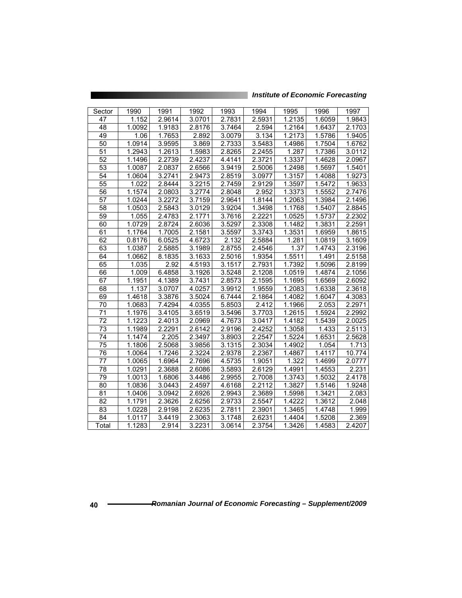| <b>Institute of Economic Forecasting</b> |  |  |
|------------------------------------------|--|--|
|                                          |  |  |

| Sector          | 1990              | 1991   | 1992   | 1993   | 1994   | 1995   | 1996   | 1997   |
|-----------------|-------------------|--------|--------|--------|--------|--------|--------|--------|
| 47              | 1.152             | 2.9614 | 3.0701 | 2.7831 | 2.5931 | 1.2135 | 1.6059 | 1.9843 |
| 48              | 1.0092            | 1.9183 | 2.8176 | 3.7464 | 2.594  | 1.2164 | 1.6437 | 2.1703 |
| 49              | $\overline{1.06}$ | 1.7653 | 2.892  | 3.0079 | 3.134  | 1.2173 | 1.5786 | 1.9405 |
| 50              | 1.0914            | 3.9595 | 3.869  | 2.7333 | 3.5483 | 1.4986 | 1.7504 | 1.6762 |
| 51              | 1.2943            | 1.2613 | 1.5983 | 2.8265 | 2.2455 | 1.287  | 1.7386 | 3.0112 |
| $\overline{52}$ | 1.1496            | 2.2739 | 2.4237 | 4.4141 | 2.3721 | 1.3337 | 1.4628 | 2.0967 |
| 53              | 1.0087            | 2.0837 | 2.6566 | 3.9419 | 2.5006 | 1.2498 | 1.5697 | 1.5401 |
| 54              | 1.0604            | 3.2741 | 2.9473 | 2.8519 | 3.0977 | 1.3157 | 1.4088 | 1.9273 |
| $\overline{55}$ | 1.022             | 2.8444 | 3.2215 | 2.7459 | 2.9129 | 1.3597 | 1.5472 | 1.9633 |
| 56              | 1.1574            | 2.0803 | 3.2774 | 2.8048 | 2.952  | 1.3373 | 1.5552 | 2.7476 |
| 57              | 1.0244            | 3.2272 | 3.7159 | 2.9641 | 1.8144 | 1.2063 | 1.3984 | 2.1496 |
| $\overline{58}$ | 1.0503            | 2.5843 | 3.0129 | 3.9204 | 1.3498 | 1.1768 | 1.5407 | 2.8845 |
| 59              | 1.055             | 2.4783 | 2.1771 | 3.7616 | 2.2221 | 1.0525 | 1.5737 | 2.2302 |
| 60              | 1.0729            | 2.8724 | 2.6036 | 3.5297 | 2.3308 | 1.1482 | 1.3831 | 2.2591 |
| 61              | 1.1764            | 1.7005 | 2.1581 | 3.5597 | 3.3743 | 1.3531 | 1.6959 | 1.8615 |
| 62              | 0.8176            | 6.0525 | 4.6723 | 2.132  | 2.5884 | 1.281  | 1.0819 | 3.1609 |
| 63              | 1.0387            | 2.5885 | 3.1989 | 2.8755 | 2.4546 | 1.37   | 1.4743 | 2.3196 |
| 64              | 1.0662            | 8.1835 | 3.1633 | 2.5016 | 1.9354 | 1.5511 | 1.491  | 2.5158 |
| 65              | 1.035             | 2.92   | 4.5193 | 3.1517 | 2.7931 | 1.7392 | 1.5096 | 2.8199 |
| 66              | 1.009             | 6.4858 | 3.1926 | 3.5248 | 2.1208 | 1.0519 | 1.4874 | 2.1056 |
| 67              | 1.1951            | 4.1389 | 3.7431 | 2.8573 | 2.1595 | 1.1695 | 1.6569 | 2.6092 |
| 68              | 1.137             | 3.0707 | 4.0257 | 3.9912 | 1.9559 | 1.2083 | 1.6338 | 2.3618 |
| 69              | 1.4618            | 3.3876 | 3.5024 | 6.7444 | 2.1864 | 1.4082 | 1.6047 | 4.3083 |
| 70              | 1.0683            | 7.4294 | 4.0355 | 5.8503 | 2.412  | 1.1966 | 2.053  | 2.2971 |
| 71              | 1.1976            | 3.4105 | 3.6519 | 3.5496 | 3.7703 | 1.2615 | 1.5924 | 2.2992 |
| 72              | 1.1223            | 2.4013 | 2.0969 | 4.7673 | 3.0417 | 1.4182 | 1.5439 | 2.0025 |
| $\overline{73}$ | 1.1989            | 2.2291 | 2.6142 | 2.9196 | 2.4252 | 1.3058 | 1.433  | 2.5113 |
| 74              | 1.1474            | 2.205  | 2.3497 | 3.8903 | 2.2547 | 1.5224 | 1.6531 | 2.5628 |
| $\overline{75}$ | 1.1806            | 2.5068 | 3.9856 | 3.1315 | 2.3034 | 1.4902 | 1.054  | 1.713  |
| 76              | 1.0064            | 1.7246 | 2.3224 | 2.9378 | 2.2367 | 1.4867 | 1.4117 | 10.774 |
| 77              | 1.0065            | 1.6964 | 2.7696 | 4.5735 | 1.9051 | 1.322  | 1.4699 | 2.0777 |
| 78              | 1.0291            | 2.3688 | 2.6086 | 3.5893 | 2.6129 | 1.4991 | 1.4553 | 2.231  |
| 79              | 1.0013            | 1.6806 | 3.4486 | 2.9955 | 2.7008 | 1.3743 | 1.5032 | 2.4178 |
| 80              | 1.0836            | 3.0443 | 2.4597 | 4.6168 | 2.2112 | 1.3827 | 1.5146 | 1.9248 |
| $\overline{81}$ | 1.0406            | 3.0942 | 2.6926 | 2.9943 | 2.3689 | 1.5998 | 1.3421 | 2.083  |
| 82              | 1.1791            | 2.3626 | 2.6256 | 2.9733 | 2.5547 | 1.4222 | 1.3612 | 2.048  |
| 83              | 1.0228            | 2.9198 | 2.6235 | 2.7811 | 2.3901 | 1.3465 | 1.4748 | 1.999  |
| 84              | 1.0117            | 3.4419 | 2.3063 | 3.1748 | 2.6231 | 1.4404 | 1.5208 | 2.369  |
| Total           | 1.1283            | 2.914  | 3.2231 | 3.0614 | 2.3754 | 1.3426 | 1.4583 | 2.4207 |

<u> The Common Second Common Second Common Second Common Second Common Second Common Second Common Second Common Second</u>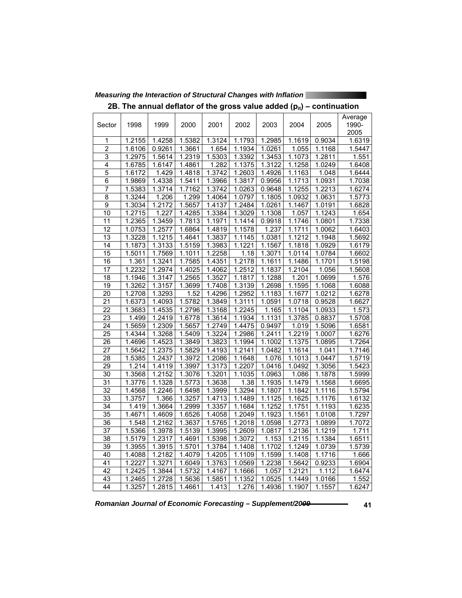| Sector             | 1998             | 1999                | 2000             | 2001             | 2002                | 2003                | 2004                | 2005             | Average<br>1990-<br>2005 |
|--------------------|------------------|---------------------|------------------|------------------|---------------------|---------------------|---------------------|------------------|--------------------------|
| 1                  | 1.2155           | 1.4258              | 1.5382           | 1.3124           | 1.1793              | 1.2985              | 1.1619              | 0.9034           | 1.6319                   |
| $\overline{c}$     | 1.6106           | 0.9261              | 1.3661           | 1.654            | 1.1934              | 1.0261              | 1.055               | 1.1168           | 1.5447                   |
| 3                  | 1.2975           | 1.5614              | 1.2319           | 1.5303           | 1.3392              | 1.3453              | 1.1073              | 1.2811           | 1.551                    |
| 4                  | 1.6785           | 1.6147              | 1.4861           | 1.282            | 1.1375              | 1.3122              | $\overline{1.1258}$ | 1.0249           | 1.6408                   |
| 5                  | 1.6172           | 1.429               | 1.4818           | 1.3742           | 1.2603              | 1.4926              | 1.1163              | 1.048            | 1.6444                   |
| 6                  | 1.9869           | 1.4338              | 1.5411           | 1.3966           | 1.3817              | 0.9956              | 1.1713              | 1.0931           | 1.7038                   |
| 7                  | 1.5383           | 1.3714              | 1.7162           | 1.3742           | 1.0263              | 0.9648              | 1.1255              | 1.2213           | 1.6274                   |
| $\overline{\bf 8}$ | 1.3244           | 1.206               | 1.299            | 1.4064           | 1.0797              | 1.1805              | 1.0932              | 1.0631           | 1.5773                   |
| 9                  | 1.3034           | 1.2172              | 1.5657           | 1.4137           | 1.2484              | 1.0261              | 1.1467              | 1.0191           | 1.6828                   |
| 10                 | 1.2715           | 1.227               | 1.4285           | 1.3384           | 1.3029              | 1.1308              | 1.057               | 1.1243           | 1.654                    |
| 11                 | 1.2365           | 1.3459              | 1.7813           | 1.1971           | 1.1414              | 0.9918              | 1.1746              | 1.0801           | 1.7338                   |
| 12                 | 1.0753           | 1.2577              | 1.6864           | 1.4819           | 1.1578              | 1.237               | 1.1711              | 1.0062           | 1.6403                   |
| $\overline{13}$    | 1.3228           | $\overline{1.1215}$ | 1.4641           | 1.3837           | $\overline{1.1145}$ | 1.0381              | 1.1212              | 1.1948           | 1.5692                   |
| 14                 | 1.1873           | 1.3133              | 1.5159           | 1.3983           | 1.1221              | 1.1567              | 1.1818              | 1.0929           | 1.6179                   |
| 15                 | 1.5011           | 1.7569              | 1.1011           | 1.2258           | 1.18                | 1.3071              | 1.0114              | 1.0784           | 1.6602                   |
| 16                 | 1.361            | 1.3241              | 1.7585           | 1.4351           | 1.2178              | 1.1611              | 1.1486              | 1.1701           | 1.5198                   |
| 17                 | 1.2232           | 1.2974              | 1.4025           | 1.4062           | 1.2512              | 1.1837              | 1.2104              | 1.056            | 1.5608                   |
| $\overline{18}$    | 1.1946           | 1.3147              | 1.2565           | 1.3527           | 1.1817              | 1.1288              | 1.201               | 1.0699           | 1.576                    |
| 19                 | 1.3262           | 1.3157              | 1.3699           | 1.7408           | 1.3139              | 1.2698              | 1.1595              | 1.1068           | 1.6088                   |
| $\overline{20}$    | 1.2708           | 1.3293              | 1.52             | 1.4296           | 1.2952              | 1.1183              | 1.1677              | 1.0212           | 1.6278                   |
| 21                 | 1.6373           | 1.4093              | 1.5782           | 1.3849           | 1.3111              | 1.0591              | 1.0718              | 0.9528           | 1.6627                   |
| $\overline{22}$    | 1.3683           | 1.4535              | 1.2796           | 1.3168           | 1.2245              | $\overline{1.165}$  | 1.1104              | 1.0933           | 1.573                    |
| 23                 | 1.499            | 1.2419              | 1.6778           | 1.3614           | 1.1934              | 1.1131              | 1.3785              | 0.8837           | 1.5708                   |
| 24                 | 1.5659           | 1.2309              | 1.5657           | 1.2749           | 1.4475<br>1.2986    | 0.9497              | 1.019               | 1.5096           | 1.6581                   |
| $\overline{25}$    | 1.4344           | 1.3268              | 1.5409           | 1.3224           |                     | 1.2411              | 1.2219              | 1.0007           | 1.6276                   |
| 26                 | 1.4696           | 1.4523<br>1.2375    | 1.3849<br>1.5829 | 1.3823           | 1.1994<br>1.2141    | 1.1002              | 1.1375<br>1.1614    | 1.0895           | 1.7264                   |
| 27<br>28           | 1.5642<br>1.5385 | 1.2437              | 1.3972           | 1.4193<br>1.2086 | 1.1648              | 1.0482<br>1.076     | 1.1013              | 1.041            | 1.7146<br>1.5719         |
| $\overline{29}$    | 1.214            | 1.4119              | 1.3997           | 1.3173           | 1.2207              | 1.0416              | 1.0492              | 1.0447<br>1.3056 | 1.5423                   |
| 30                 | 1.3568           | 1.2152              | 1.3076           | 1.3201           | 1.1035              | 1.0963              | 1.086               | 1.1878           | 1.5999                   |
| 31                 | 1.3776           | 1.1328              | 1.5773           | 1.3638           | 1.38                | 1.1935              | 1.1479              | 1.1568           | 1.6695                   |
| $\overline{32}$    | 1.4568           | 1.2246              | 1.6498           | 1.3999           | 1.3294              | 1.1807              | 1.1842              | 1.1116           | 1.5794                   |
| 33                 | 1.3757           | 1.366               | 1.3257           | 1.4713           | 1.1489              | $\overline{1.1125}$ | $\overline{1.1625}$ | 1.1176           | 1.6132                   |
| $\overline{34}$    | 1.419            | 1.3664              | 1.2999           | 1.3357           | 1.1684              | 1.1252              | 1.1751              | 1.1193           | 1.6235                   |
| 35                 | 1.4671           | 1.4609              | 1.6526           | 1.4058           | 1.2049              | 1.1923              | 1.1561              | 1.0108           | 1.7297                   |
| 36                 | 1.548            | 1.2162              | 1.3637           | 1.5765           | 1.2018              | 1.0598              | 1.2773              | 1.0899           | 1.7072                   |
| $\overline{37}$    | 1.5366           | 1.3978              | 1.5139           | 1.3995           | 1.2609              | 1.0817              | 1.2136              | 1.1219           | 1.711                    |
| 38                 | 1.5179           | 1.2317              | 1.4691           | 1.5398           | 1.3072              | 1.153               | 1.2115              | 1.1384           | 1.6511                   |
| 39                 | 1.3955           | 1.3915              | 1.5701           | 1.3784           | 1.1408              | 1.1702              | 1.1249              | 1.0739           | 1.5739                   |
| 40                 | 1.4088           | 1.2182              | 1.4079           | 1.4205           | 1.1109              | $\overline{1.1599}$ | $\overline{1.1408}$ | 1.1716           | 1.666                    |
| 41                 | 1.2227           | 1.3271              | 1.6049           | 1.3763           | 1.0569              | 1.2238              | 1.5642              | 0.9233           | 1.6904                   |
| 42                 | 1.2425           | 1.3844              | 1.5732           | 1.4167           | 1.1666              | 1.057               | $\overline{1.2121}$ | 1.112            | 1.6474                   |
| 43                 | 1.2465           | 1.2728              | 1.5636           | 1.5851           | 1.1352              | 1.0525              | 1.1449              | 1.0166           | 1.552                    |
| 44                 | 1.3257           | 1.2815              | 1.4661           | 1.413            | 1.276               | 1.4936              | 1.1907              | 1.1557           | 1.6247                   |

*Measuring the Interaction of Structural Changes with Inflation* 

2B. The annual deflator of the gross value added ( $p_{it}$ ) – continuation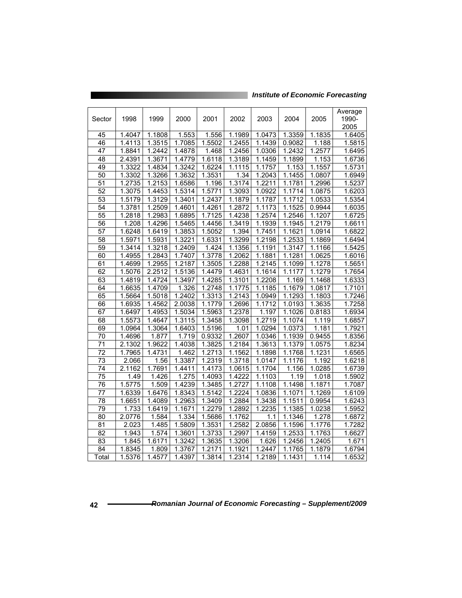*Institute of Economic Forecasting*

|                 |                     |                     |                     |                     |                     |                     |                     |                     | Average |
|-----------------|---------------------|---------------------|---------------------|---------------------|---------------------|---------------------|---------------------|---------------------|---------|
| Sector          | 1998                | 1999                | 2000                | 2001                | 2002                | 2003                | 2004                | 2005                | 1990-   |
|                 |                     |                     |                     |                     |                     |                     |                     |                     | 2005    |
| 45              | 1.4047              | 1.1808              | 1.553               | 1.556               | 1.1989              | 1.0473              | 1.3359              | 1.1835              | 1.6405  |
| 46              | 1.4113              | 1.3515              | 1.7085              | 1.5502              | 1.2455              | 1.1439              | 0.9082              | 1.188               | 1.5815  |
| 47              | 1.8841              | 1.2442              | 1.4878              | 1.468               | 1.2456              | 1.0306              | 1.2432              | 1.2577              | 1.6495  |
| 48              | 2.4391              | 1.3671              | 1.4779              | 1.6118              | 1.3189              | 1.1459              | 1.1899              | 1.153               | 1.6736  |
| 49              | 1.3322              | 1.4834              | 1.3242              | 1.6224              | 1.1115              | 1.1757              | 1.153               | 1.1557              | 1.5731  |
| 50              | 1.3302              | 1.3266              | 1.3632              | 1.3531              | 1.34                | 1.2043              | 1.1455              | 1.0807              | 1.6949  |
| 51              | 1.2735              | 1.2153              | 1.6586              | 1.196               | 1.3174              | 1.2211              | 1.1781              | 1.2996              | 1.5237  |
| 52              | 1.3075              | 1.4453              | 1.5314              | 1.5771              | 1.3093              | 1.0922              | 1.1714              | 1.0875              | 1.6203  |
| $\overline{53}$ | 1.5179              | 1.3129              | 1.3401              | 1.2437              | 1.1879              | 1.1787              | 1.1712              | 1.0533              | 1.5354  |
| 54              | 1.3781              | 1.2509              | 1.4601              | 1.4261              | 1.2872              | 1.1173              | 1.1525              | 0.9944              | 1.6035  |
| 55              | 1.2818              | 1.2983              | 1.6895              | 1.7125              | 1.4238              | 1.2574              | 1.2546              | 1.1207              | 1.6725  |
| 56              | 1.208               | 1.4296              | 1.5465              | 1.4456              | 1.3419              | 1.1939              | 1.1945              | 1.2179              | 1.6611  |
| $\overline{57}$ | 1.6248              | 1.6419              | 1.3853              | 1.5052              | 1.394               | 1.7451              | 1.1621              | 1.0914              | 1.6822  |
| $\overline{58}$ | 1.5971              | 1.5931              | 1.3221              | 1.6331              | 1.3299              | 1.2198              | 1.2533              | 1.1869              | 1.6494  |
| 59              | 1.3414              | 1.3218              | 1.2409              | 1.424               | 1.1356              | 1.1191              | 1.3147              | $\overline{1.1166}$ | 1.5425  |
| 60              | 1.4955              | 1.2843              | 1.7407              | 1.3778              | 1.2062              | 1.1881              | 1.1281              | 1.0625              | 1.6016  |
| 61              | 1.4699              | 1.2955              | 1.2187              | 1.3505              | 1.2288              | 1.2145              | 1.1099              | 1.1278              | 1.5651  |
| 62              | 1.5076              | 2.2512              | 1.5136              | 1.4479              | 1.4631              | 1.1614              | 1.1177              | 1.1279              | 1.7654  |
| 63              | 1.4819              | 1.4724              | 1.3497              | 1.4285              | 1.3101              | 1.2208              | 1.169               | 1.1468              | 1.6333  |
| 64              | 1.6635              | 1.4709              | 1.326               | $\overline{1.2748}$ | $\overline{1.1775}$ | $\overline{1.1185}$ | 1.1679              | 1.0817              | 1.7101  |
| 65              | 1.5664              | 1.5018              | $\overline{1.2402}$ | 1.3313              | 1.2143              | 1.0949              | 1.1293              | 1.1803              | 1.7246  |
| 66              | 1.6935              | 1.4562              | 2.0038              | $\overline{1.1779}$ | 1.2696              | 1.1712              | 1.0193              | 1.3635              | 1.7258  |
| 67              | 1.6497              | 1.4953              | 1.5034              | 1.5963              | 1.2378              | 1.197               | $\overline{1.1026}$ | 0.8183              | 1.6934  |
| 68              | 1.5573              | $\overline{1.4647}$ | 1.3115              | 1.3458              | 1.3098              | 1.2719              | $\overline{1.1074}$ | $\overline{1.119}$  | 1.6857  |
| 69              | 1.0964              | 1.3064              | 1.6403              | 1.5196              | 1.01                | 1.0294              | 1.0373              | 1.181               | 1.7921  |
| 70              | 1.4696              | 1.877               | 1.719               | 0.9332              | 1.2607              | 1.0346              | 1.1939              | 0.9455              | 1.8356  |
| 71              | 2.1302              | 1.9622              | 1.4038              | 1.3825              | 1.2184              | 1.3613              | 1.1379              | 1.0575              | 1.8234  |
| $\overline{72}$ | 1.7965              | 1.4731              | 1.462               | 1.2713              | 1.1562              | 1.1898              | 1.1768              | 1.1231              | 1.6565  |
| 73              | 2.066               | 1.56                | 1.3387              | 1.2319              | 1.3718              | 1.0147              | 1.1176              | 1.192               | 1.6218  |
| 74              | 2.1162              | 1.7691              | 1.4411              | 1.4173              | 1.0615              | 1.1704              | 1.156               | 1.0285              | 1.6739  |
| 75              | 1.49                | 1.426               | 1.275               | 1.4093              | 1.4222              | 1.1103              | 1.19                | 1.018               | 1.5902  |
| 76              | $\overline{1.5775}$ | 1.509               | 1.4239              | 1.3485              | 1.2727              | 1.1108              | 1.1498              | 1.1871              | 1.7087  |
| 77              | 1.6339              | 1.6476              | 1.8343              | $\overline{1.5142}$ | 1.2224              | 1.0836              | 1.1071              | 1.1269              | 1.6109  |
| 78              | 1.6651              | 1.4089              | 1.2963              | 1.3409              | 1.2884              | 1.3438              | 1.1511              | 0.9954              | 1.6243  |
| 79              | 1.733               | 1.6419              | 1.1671              | 1.2279              | 1.2892              | 1.2235              | 1.1385              | 1.0238              | 1.5952  |
| 80              | 2.0776              | 1.584               | 1.334               | 1.5686              | 1.1762              | 1.1                 | 1.1346              | 1.278               | 1.6872  |
| 81              | 2.023               | 1.485               | 1.5809              | 1.3531              | 1.2582              | 2.0856              | 1.1596              | 1.1776              | 1.7282  |
| 82              | 1.943               | 1.574               | 1.3601              | 1.3733              | 1.2997              | 1.4159              | 1.2533              | 1.1763              | 1.6627  |
| $\overline{83}$ | 1.845               | 1.6171              | 1.3242              | 1.3635              | 1.3206              | 1.626               | $\overline{1.2456}$ | $\overline{1.2405}$ | 1.671   |
| 84              | 1.8345              | 1.809               | 1.3767              | 1.2171              | 1.1921              | 1.2447              | 1.1765              | 1.1879              | 1.6794  |
| Total           | 1.5376              | 1.4577              | 1.4397              | 1.3814              | 1.2314              | 1.2189              | 1.1431              | 1.114               | 1.6532  |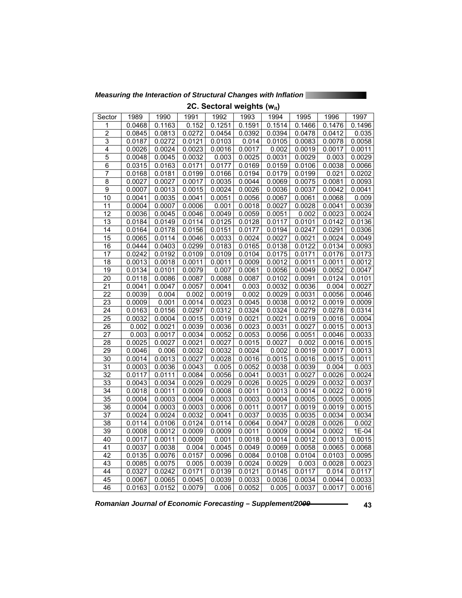*Measuring the Interaction of Structural Changes with Inflation* 

| 2C. Sectoral weignts (w <sub>it</sub> ) |        |        |        |        |        |        |        |                     |        |  |  |
|-----------------------------------------|--------|--------|--------|--------|--------|--------|--------|---------------------|--------|--|--|
| Sector                                  | 1989   | 1990   | 1991   | 1992   | 1993   | 1994   | 1995   | 1996                | 1997   |  |  |
| 1                                       | 0.0468 | 0.1163 | 0.152  | 0.1251 | 0.1591 | 0.1514 | 0.1466 | 0.1476              | 0.1496 |  |  |
| $\overline{2}$                          | 0.0845 | 0.0813 | 0.0272 | 0.0454 | 0.0392 | 0.0394 | 0.0478 | 0.0412              | 0.035  |  |  |
| 3                                       | 0.0187 | 0.0272 | 0.0121 | 0.0103 | 0.014  | 0.0105 | 0.0083 | 0.0078              | 0.0058 |  |  |
| 4                                       | 0.0026 | 0.0024 | 0.0023 | 0.0016 | 0.0017 | 0.002  | 0.0019 | 0.0017              | 0.0011 |  |  |
| 5                                       | 0.0048 | 0.0045 | 0.0032 | 0.003  | 0.0025 | 0.0031 | 0.0029 | 0.003               | 0.0029 |  |  |
| 6                                       | 0.0315 | 0.0163 | 0.0171 | 0.0177 | 0.0169 | 0.0159 | 0.0106 | 0.0038              | 0.0066 |  |  |
| 7                                       | 0.0168 | 0.0181 | 0.0199 | 0.0166 | 0.0194 | 0.0179 | 0.0199 | 0.021               | 0.0202 |  |  |
| $\overline{8}$                          | 0.0027 | 0.0027 | 0.0017 | 0.0035 | 0.0044 | 0.0069 | 0.0075 | 0.0081              | 0.0093 |  |  |
| $\overline{9}$                          | 0.0007 | 0.0013 | 0.0015 | 0.0024 | 0.0026 | 0.0036 | 0.0037 | 0.0042              | 0.0041 |  |  |
| $\overline{10}$                         | 0.0041 | 0.0035 | 0.0041 | 0.0051 | 0.0056 | 0.0067 | 0.0061 | 0.0068              | 0.009  |  |  |
| $\overline{11}$                         | 0.0004 | 0.0007 | 0.0006 | 0.001  | 0.0018 | 0.0027 | 0.0028 | 0.0041              | 0.0039 |  |  |
| $\overline{12}$                         | 0.0036 | 0.0045 | 0.0046 | 0.0049 | 0.0059 | 0.0051 | 0.002  | 0.0023              | 0.0024 |  |  |
| $\overline{13}$                         | 0.0184 | 0.0149 | 0.0114 | 0.0125 | 0.0128 | 0.0117 | 0.0101 | 0.0142              | 0.0136 |  |  |
| $\overline{1}4$                         | 0.0164 | 0.0178 | 0.0156 | 0.0151 | 0.0177 | 0.0194 | 0.0247 | 0.0291              | 0.0306 |  |  |
| $\overline{15}$                         |        | 0.0114 | 0.0046 | 0.0033 | 0.0024 | 0.0027 | 0.0021 | 0.0024              | 0.0049 |  |  |
|                                         | 0.0065 |        |        |        |        |        |        |                     |        |  |  |
| 16                                      | 0.0444 | 0.0403 | 0.0299 | 0.0183 | 0.0165 | 0.0138 | 0.0122 | 0.0134              | 0.0093 |  |  |
| 17                                      | 0.0242 | 0.0192 | 0.0109 | 0.0109 | 0.0104 | 0.0175 | 0.0171 | 0.0176              | 0.0173 |  |  |
| $\overline{18}$                         | 0.0013 | 0.0018 | 0.0011 | 0.0011 | 0.0009 | 0.0012 | 0.0011 | 0.0011              | 0.0012 |  |  |
| $\overline{19}$                         | 0.0134 | 0.0101 | 0.0079 | 0.007  | 0.0061 | 0.0056 | 0.0049 | 0.0052              | 0.0047 |  |  |
| $\overline{20}$                         | 0.0118 | 0.0086 | 0.0087 | 0.0088 | 0.0087 | 0.0102 | 0.0091 | 0.0124              | 0.0101 |  |  |
| 21                                      | 0.0041 | 0.0047 | 0.0057 | 0.0041 | 0.003  | 0.0032 | 0.0036 | 0.004               | 0.0027 |  |  |
| $\overline{22}$                         | 0.0039 | 0.004  | 0.002  | 0.0019 | 0.002  | 0.0029 | 0.0031 | 0.0056              | 0.0046 |  |  |
| 23                                      | 0.0009 | 0.001  | 0.0014 | 0.0023 | 0.0045 | 0.0038 | 0.0012 | 0.0019              | 0.0009 |  |  |
| $\overline{24}$                         | 0.0163 | 0.0156 | 0.0297 | 0.0312 | 0.0324 | 0.0324 | 0.0279 | 0.0278              | 0.0314 |  |  |
| 25                                      | 0.0032 | 0.0004 | 0.0015 | 0.0019 | 0.0021 | 0.0021 | 0.0019 | 0.0016              | 0.0004 |  |  |
| $\overline{26}$                         | 0.002  | 0.0021 | 0.0039 | 0.0036 | 0.0023 | 0.0031 | 0.0027 | 0.0015              | 0.0013 |  |  |
| $\overline{27}$                         | 0.003  | 0.0017 | 0.0034 | 0.0052 | 0.0053 | 0.0056 | 0.0051 | 0.0046              | 0.0033 |  |  |
| $\overline{28}$                         | 0.0025 | 0.0027 | 0.0021 | 0.0027 | 0.0015 | 0.0027 | 0.002  | 0.0016              | 0.0015 |  |  |
| 29                                      | 0.0046 | 0.006  | 0.0032 | 0.0032 | 0.0024 | 0.002  | 0.0019 | 0.0017              | 0.0013 |  |  |
| 30                                      | 0.0014 | 0.0013 | 0.0027 | 0.0028 | 0.0016 | 0.0015 | 0.0016 | 0.0015              | 0.0011 |  |  |
| $\overline{31}$                         | 0.0003 | 0.0036 | 0.0043 | 0.005  | 0.0052 | 0.0038 | 0.0039 | 0.004               | 0.003  |  |  |
| $\overline{32}$                         | 0.0117 | 0.0111 | 0.0084 | 0.0056 | 0.0041 | 0.0031 | 0.0027 | 0.0026              | 0.0024 |  |  |
| 33                                      | 0.0043 | 0.0034 | 0.0029 | 0.0029 | 0.0026 | 0.0025 | 0.0029 | 0.0032              | 0.0037 |  |  |
| 34                                      | 0.0018 | 0.0011 | 0.0009 | 0.0008 | 0.0011 | 0.0013 | 0.0014 | 0.0022              | 0.0019 |  |  |
| 35                                      | 0.0004 | 0.0003 | 0.0004 | 0.0003 | 0.0003 | 0.0004 | 0.0005 | 0.0005              | 0.0005 |  |  |
| $\overline{36}$                         | 0.0004 | 0.0003 | 0.0003 | 0.0006 | 0.0011 | 0.0017 | 0.0019 | 0.0019              | 0.0015 |  |  |
| 37                                      | 0.0024 | 0.0024 | 0.0032 | 0.0041 | 0.0037 | 0.0035 | 0.0035 | $0.003\overline{4}$ | 0.0034 |  |  |
| 38                                      | 0.0114 | 0.0106 | 0.0124 | 0.0114 | 0.0064 | 0.0047 | 0.0028 | 0.0026              | 0.002  |  |  |
| 39                                      | 0.0008 | 0.0012 | 0.0009 | 0.0009 | 0.0011 | 0.0009 | 0.0004 | 0.0002              | 1E-04  |  |  |
| 40                                      | 0.0017 | 0.0011 | 0.0009 | 0.001  | 0.0018 | 0.0014 | 0.0012 | 0.0013              | 0.0015 |  |  |
| $\overline{41}$                         | 0.0037 | 0.0038 | 0.004  | 0.0045 | 0.0049 | 0.0069 | 0.0058 | 0.0065              | 0.0068 |  |  |
| $\overline{42}$                         | 0.0135 | 0.0076 | 0.0157 | 0.0096 | 0.0084 | 0.0108 | 0.0104 | 0.0103              | 0.0095 |  |  |
| $\overline{43}$                         | 0.0085 | 0.0075 | 0.005  | 0.0039 | 0.0024 | 0.0029 | 0.003  | 0.0028              | 0.0023 |  |  |
| $\overline{44}$                         | 0.0327 | 0.0242 | 0.0171 | 0.0139 | 0.0121 | 0.0145 | 0.0117 | 0.014               | 0.0117 |  |  |
| 45                                      | 0.0067 | 0.0065 | 0.0045 | 0.0039 | 0.0033 | 0.0036 | 0.0034 | 0.0044              | 0.0033 |  |  |
| 46                                      | 0.0163 | 0.0152 | 0.0079 | 0.006  | 0.0052 | 0.005  | 0.0037 | 0.0017              | 0.0016 |  |  |
|                                         |        |        |        |        |        |        |        |                     |        |  |  |

2C. Sectoral weights (w.)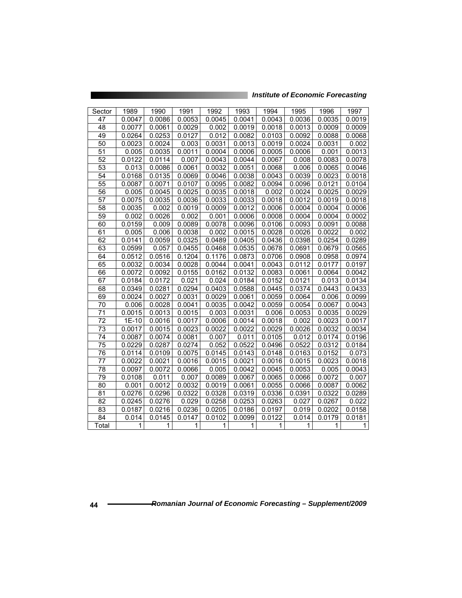| Sector          | 1989   | 1990   | 1991   | 1992   | 1993   | 1994   | 1995   | 1996   | 1997   |
|-----------------|--------|--------|--------|--------|--------|--------|--------|--------|--------|
| 47              | 0.0047 | 0.0086 | 0.0053 | 0.0045 | 0.0041 | 0.0043 | 0.0036 | 0.0035 | 0.0019 |
| 48              | 0.0077 | 0.0061 | 0.0029 | 0.002  | 0.0019 | 0.0018 | 0.0013 | 0.0009 | 0.0009 |
| 49              | 0.0264 | 0.0253 | 0.0127 | 0.012  | 0.0082 | 0.0103 | 0.0092 | 0.0088 | 0.0068 |
| 50              | 0.0023 | 0.0024 | 0.003  | 0.0031 | 0.0013 | 0.0019 | 0.0024 | 0.0031 | 0.002  |
| 51              | 0.005  | 0.0035 | 0.0011 | 0.0004 | 0.0006 | 0.0005 | 0.0006 | 0.001  | 0.0013 |
| $\overline{52}$ | 0.0122 | 0.0114 | 0.007  | 0.0043 | 0.0044 | 0.0067 | 0.008  | 0.0083 | 0.0078 |
| 53              | 0.013  | 0.0086 | 0.0061 | 0.0032 | 0.0051 | 0.0068 | 0.006  | 0.0065 | 0.0046 |
| 54              | 0.0168 | 0.0135 | 0.0069 | 0.0046 | 0.0038 | 0.0043 | 0.0039 | 0.0023 | 0.0018 |
| 55              | 0.0087 | 0.0071 | 0.0107 | 0.0095 | 0.0082 | 0.0094 | 0.0096 | 0.0121 | 0.0104 |
| 56              | 0.005  | 0.0045 | 0.0025 | 0.0035 | 0.0018 | 0.002  | 0.0024 | 0.0025 | 0.0029 |
| 57              | 0.0075 | 0.0035 | 0.0036 | 0.0033 | 0.0033 | 0.0018 | 0.0012 | 0.0019 | 0.0018 |
| 58              | 0.0035 | 0.002  | 0.0019 | 0.0009 | 0.0012 | 0.0006 | 0.0004 | 0.0004 | 0.0006 |
| 59              | 0.002  | 0.0026 | 0.002  | 0.001  | 0.0006 | 0.0008 | 0.0004 | 0.0004 | 0.0002 |
| 60              | 0.0159 | 0.009  | 0.0089 | 0.0078 | 0.0096 | 0.0106 | 0.0093 | 0.0091 | 0.0088 |
| 61              | 0.005  | 0.006  | 0.0038 | 0.002  | 0.0015 | 0.0028 | 0.0026 | 0.0022 | 0.002  |
| 62              | 0.0141 | 0.0059 | 0.0325 | 0.0489 | 0.0405 | 0.0436 | 0.0398 | 0.0254 | 0.0289 |
| 63              | 0.0599 | 0.057  | 0.0455 | 0.0468 | 0.0535 | 0.0678 | 0.0691 | 0.0679 | 0.0565 |
| 64              | 0.0512 | 0.0516 | 0.1204 | 0.1176 | 0.0873 | 0.0706 | 0.0908 | 0.0958 | 0.0974 |
| 65              | 0.0032 | 0.0034 | 0.0028 | 0.0044 | 0.0041 | 0.0043 | 0.0112 | 0.0177 | 0.0197 |
| 66              | 0.0072 | 0.0092 | 0.0155 | 0.0162 | 0.0132 | 0.0083 | 0.0061 | 0.0064 | 0.0042 |
| 67              | 0.0184 | 0.0172 | 0.021  | 0.024  | 0.0184 | 0.0152 | 0.0121 | 0.013  | 0.0134 |
| 68              | 0.0349 | 0.0281 | 0.0294 | 0.0403 | 0.0588 | 0.0445 | 0.0374 | 0.0443 | 0.0433 |
| 69              | 0.0024 | 0.0027 | 0.0031 | 0.0029 | 0.0061 | 0.0059 | 0.0064 | 0.006  | 0.0099 |
| 70              | 0.006  | 0.0028 | 0.0041 | 0.0035 | 0.0042 | 0.0059 | 0.0054 | 0.0067 | 0.0043 |
| 71              | 0.0015 | 0.0013 | 0.0015 | 0.003  | 0.0031 | 0.006  | 0.0053 | 0.0035 | 0.0029 |
| 72              | 1E-10  | 0.0016 | 0.0017 | 0.0006 | 0.0014 | 0.0018 | 0.002  | 0.0023 | 0.0017 |
| $\overline{73}$ | 0.0017 | 0.0015 | 0.0023 | 0.0022 | 0.0022 | 0.0029 | 0.0026 | 0.0032 | 0.0034 |
| 74              | 0.0087 | 0.0074 | 0.0081 | 0.007  | 0.011  | 0.0105 | 0.012  | 0.0174 | 0.0196 |
| 75              | 0.0229 | 0.0287 | 0.0274 | 0.052  | 0.0522 | 0.0496 | 0.0522 | 0.0312 | 0.0184 |
| 76              | 0.0114 | 0.0109 | 0.0075 | 0.0145 | 0.0143 | 0.0148 | 0.0163 | 0.0152 | 0.073  |
| 77              | 0.0022 | 0.0021 | 0.0016 | 0.0015 | 0.0021 | 0.0016 | 0.0015 | 0.0023 | 0.0018 |
| $\overline{78}$ | 0.0097 | 0.0072 | 0.0066 | 0.005  | 0.0042 | 0.0045 | 0.0053 | 0.005  | 0.0043 |
| 79              | 0.0108 | 0.011  | 0.007  | 0.0089 | 0.0067 | 0.0065 | 0.0066 | 0.0072 | 0.007  |
| 80              | 0.001  | 0.0012 | 0.0032 | 0.0019 | 0.0061 | 0.0055 | 0.0066 | 0.0087 | 0.0062 |
| 81              | 0.0276 | 0.0296 | 0.0322 | 0.0328 | 0.0319 | 0.0336 | 0.0391 | 0.0322 | 0.0289 |
| 82              | 0.0245 | 0.0276 | 0.029  | 0.0258 | 0.0253 | 0.0263 | 0.027  | 0.0267 | 0.022  |
| 83              | 0.0187 | 0.0216 | 0.0236 | 0.0205 | 0.0186 | 0.0197 | 0.019  | 0.0202 | 0.0158 |
| 84              | 0.014  | 0.0145 | 0.0147 | 0.0102 | 0.0099 | 0.0122 | 0.014  | 0.0179 | 0.0181 |
| Total           | 1      | 1      | 1      | 1      | 1      | 1      | 1      | 1      | 1      |

<u> Tanzania (Tanzania (Tanzania) (Tanzania (Tanzania) (Tanzania (Tanzania) (Tanzania (Tanzania) (Tanzania (Tanza</u>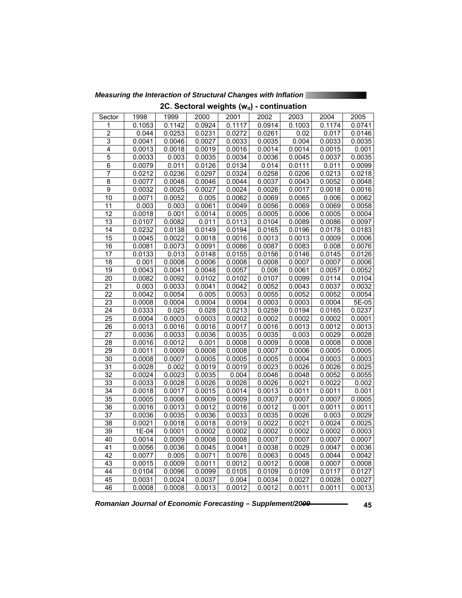2C. Sectoral weights (w<sub>it</sub>) - continuation Sector | 1998 | 1999 | 2000 | 2001 | 2002 | 2003 | 2004 | 2005

*Measuring the Interaction of Structural Changes with Inflation* 

| 1               | 0.1053 | 0.1142 | 0.0924 | 0.1117 | 0.0914 | 0.1003 | 0.1174 | 0.0741 |
|-----------------|--------|--------|--------|--------|--------|--------|--------|--------|
| $\overline{2}$  | 0.044  | 0.0253 | 0.0231 | 0.0272 | 0.0261 | 0.02   | 0.017  | 0.0146 |
| 3               | 0.0041 | 0.0046 | 0.0027 | 0.0033 | 0.0035 | 0.004  | 0.0033 | 0.0035 |
| 4               | 0.0013 | 0.0018 | 0.0019 | 0.0016 | 0.0014 | 0.0014 | 0.0015 | 0.001  |
| $\overline{5}$  | 0.0033 | 0.003  | 0.0035 | 0.0034 | 0.0036 | 0.0045 | 0.0037 | 0.0035 |
| $\overline{6}$  | 0.0079 | 0.011  | 0.0126 | 0.0134 | 0.014  | 0.0111 | 0.011  | 0.0099 |
| 7               | 0.0212 | 0.0236 | 0.0297 | 0.0324 | 0.0258 | 0.0206 | 0.0213 | 0.0218 |
| $\overline{8}$  | 0.0077 | 0.0048 | 0.0046 | 0.0044 | 0.0037 | 0.0043 | 0.0052 | 0.0048 |
| 9               | 0.0032 | 0.0025 | 0.0027 | 0.0024 | 0.0026 | 0.0017 | 0.0018 | 0.0016 |
| 10              | 0.0071 | 0.0052 | 0.005  | 0.0062 | 0.0069 | 0.0065 | 0.006  | 0.0062 |
| 11              | 0.003  | 0.003  | 0.0061 | 0.0049 | 0.0056 | 0.0069 | 0.0069 | 0.0058 |
| 12              | 0.0018 | 0.001  | 0.0014 | 0.0005 | 0.0005 | 0.0006 | 0.0005 | 0.0004 |
| $\overline{13}$ | 0.0107 | 0.0082 | 0.011  | 0.0113 | 0.0104 | 0.0089 | 0.0086 | 0.0097 |
| 14              | 0.0232 | 0.0138 | 0.0149 | 0.0194 | 0.0165 | 0.0196 | 0.0178 | 0.0183 |
| 15              | 0.0045 | 0.0022 | 0.0018 | 0.0016 | 0.0013 | 0.0013 | 0.0009 | 0.0006 |
| 16              | 0.0081 | 0.0073 | 0.0091 | 0.0086 | 0.0087 | 0.0083 | 0.008  | 0.0076 |
| 17              | 0.0133 | 0.013  | 0.0148 | 0.0155 | 0.0156 | 0.0146 | 0.0145 | 0.0126 |
| $\overline{18}$ | 0.001  | 0.0008 | 0.0006 | 0.0008 | 0.0008 | 0.0007 | 0.0007 | 0.0006 |
| $\overline{19}$ | 0.0043 | 0.0041 | 0.0048 | 0.0057 | 0.006  | 0.0061 | 0.0057 | 0.0052 |
| $\overline{20}$ | 0.0082 | 0.0092 | 0.0102 | 0.0102 | 0.0107 | 0.0099 | 0.0114 | 0.0104 |
| 21              | 0.003  | 0.0033 | 0.0041 | 0.0042 | 0.0052 | 0.0043 | 0.0037 | 0.0032 |
| $\overline{22}$ | 0.0042 | 0.0054 | 0.005  | 0.0053 | 0.0055 | 0.0052 | 0.0052 | 0.0054 |
| $\overline{23}$ | 0.0008 | 0.0004 | 0.0004 | 0.0004 | 0.0003 | 0.0003 | 0.0004 | 5E-05  |
| $\overline{24}$ | 0.0333 | 0.025  | 0.028  | 0.0213 | 0.0259 | 0.0194 | 0.0165 | 0.0237 |
| $\overline{25}$ | 0.0004 | 0.0003 | 0.0003 | 0.0002 | 0.0002 | 0.0002 | 0.0002 | 0.0001 |
| 26              | 0.0013 | 0.0016 | 0.0016 | 0.0017 | 0.0016 | 0.0013 | 0.0012 | 0.0013 |
| $\overline{27}$ | 0.0036 | 0.0033 | 0.0036 | 0.0035 | 0.0035 | 0.003  | 0.0029 | 0.0028 |
| 28              | 0.0016 | 0.0012 | 0.001  | 0.0008 | 0.0009 | 0.0008 | 0.0008 | 0.0008 |
| 29              | 0.0011 | 0.0009 | 0.0008 | 0.0008 | 0.0007 | 0.0006 | 0.0005 | 0.0005 |
| $\overline{30}$ | 0.0008 | 0.0007 | 0.0005 | 0.0005 | 0.0005 | 0.0004 | 0.0003 | 0.0003 |
| 31              | 0.0028 | 0.002  | 0.0019 | 0.0019 | 0.0023 | 0.0026 | 0.0026 | 0.0025 |
| $\overline{32}$ | 0.0024 | 0.0023 | 0.0035 | 0.004  | 0.0046 | 0.0048 | 0.0052 | 0.0055 |
| 33              | 0.0033 | 0.0028 | 0.0026 | 0.0026 | 0.0026 | 0.0021 | 0.0022 | 0.002  |
| $\overline{34}$ | 0.0018 | 0.0017 | 0.0015 | 0.0014 | 0.0013 | 0.0011 | 0.0011 | 0.001  |
| $\overline{35}$ | 0.0005 | 0.0006 | 0.0009 | 0.0009 | 0.0007 | 0.0007 | 0.0007 | 0.0005 |
| 36              | 0.0016 | 0.0013 | 0.0012 | 0.0016 | 0.0012 | 0.001  | 0.0011 | 0.0011 |
| $\overline{37}$ | 0.0036 | 0.0035 | 0.0036 | 0.0033 | 0.0035 | 0.0026 | 0.003  | 0.0029 |
| 38              | 0.0021 | 0.0018 | 0.0018 | 0.0019 | 0.0022 | 0.0021 | 0.0024 | 0.0025 |
| 39              | 1E-04  | 0.0001 | 0.0002 | 0.0002 | 0.0002 | 0.0002 | 0.0002 | 0.0003 |
| 40              | 0.0014 | 0.0009 | 0.0008 | 0.0008 | 0.0007 | 0.0007 | 0.0007 | 0.0007 |
| 41              | 0.0056 | 0.0036 | 0.0045 | 0.0041 | 0.0038 | 0.0029 | 0.0047 | 0.0036 |
| $\overline{42}$ | 0.0077 | 0.005  | 0.0071 | 0.0076 | 0.0063 | 0.0045 | 0.0044 | 0.0042 |
| 43              | 0.0015 | 0.0009 | 0.0011 | 0.0012 | 0.0012 | 0.0008 | 0.0007 | 0.0008 |
| 44              | 0.0104 | 0.0096 | 0.0099 | 0.0105 | 0.0109 | 0.0109 | 0.0117 | 0.0127 |
| 45              | 0.0031 | 0.0024 | 0.0037 | 0.004  | 0.0034 | 0.0027 | 0.0028 | 0.0027 |
| 46              | 0.0008 | 0.0008 | 0.0013 | 0.0012 | 0.0012 | 0.0011 | 0.0011 | 0.0013 |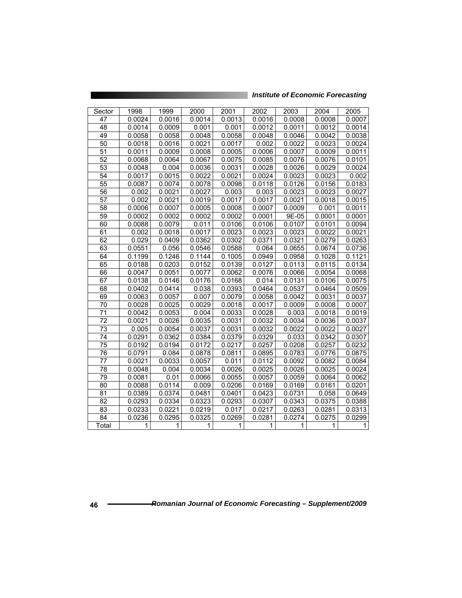| <b>Institute of Economic Forecasting</b> |  |  |
|------------------------------------------|--|--|
|                                          |  |  |

| Sector          | 1998   | 1999   | 2000   | 2001   | 2002   | 2003   | 2004   | 2005   |
|-----------------|--------|--------|--------|--------|--------|--------|--------|--------|
| 47              | 0.0024 | 0.0016 | 0.0014 | 0.0013 | 0.0016 | 0.0008 | 0.0008 | 0.0007 |
| 48              | 0.0014 | 0.0009 | 0.001  | 0.001  | 0.0012 | 0.0011 | 0.0012 | 0.0014 |
| 49              | 0.0058 | 0.0058 | 0.0048 | 0.0058 | 0.0048 | 0.0046 | 0.0042 | 0.0038 |
| 50              | 0.0018 | 0.0016 | 0.0021 | 0.0017 | 0.002  | 0.0022 | 0.0023 | 0.0024 |
| 51              | 0.0011 | 0.0009 | 0.0008 | 0.0005 | 0.0006 | 0.0007 | 0.0009 | 0.0011 |
| $\overline{52}$ | 0.0068 | 0.0064 | 0.0067 | 0.0075 | 0.0085 | 0.0076 | 0.0076 | 0.0101 |
| 53              | 0.0048 | 0.004  | 0.0036 | 0.0031 | 0.0028 | 0.0026 | 0.0029 | 0.0024 |
| 54              | 0.0017 | 0.0015 | 0.0022 | 0.0021 | 0.0024 | 0.0023 | 0.0023 | 0.002  |
| 55              | 0.0087 | 0.0074 | 0.0078 | 0.0098 | 0.0118 | 0.0126 | 0.0156 | 0.0183 |
| 56              | 0.002  | 0.0021 | 0.0027 | 0.003  | 0.003  | 0.0023 | 0.0023 | 0.0027 |
| 57              | 0.002  | 0.0021 | 0.0019 | 0.0017 | 0.0017 | 0.0021 | 0.0018 | 0.0015 |
| $\overline{58}$ | 0.0006 | 0.0007 | 0.0005 | 0.0008 | 0.0007 | 0.0009 | 0.001  | 0.0011 |
| 59              | 0.0002 | 0.0002 | 0.0002 | 0.0002 | 0.0001 | 9E-05  | 0.0001 | 0.0001 |
| 60              | 0.0088 | 0.0079 | 0.011  | 0.0106 | 0.0106 | 0.0107 | 0.0101 | 0.0094 |
| 61              | 0.002  | 0.0018 | 0.0017 | 0.0023 | 0.0023 | 0.0023 | 0.0022 | 0.0021 |
| 62              | 0.029  | 0.0409 | 0.0362 | 0.0302 | 0.0371 | 0.0321 | 0.0279 | 0.0263 |
| 63              | 0.0551 | 0.056  | 0.0546 | 0.0588 | 0.064  | 0.0655 | 0.0674 | 0.0736 |
| 64              | 0.1199 | 0.1246 | 0.1144 | 0.1005 | 0.0949 | 0.0958 | 0.1028 | 0.1121 |
| 65              | 0.0188 | 0.0203 | 0.0152 | 0.0139 | 0.0127 | 0.0113 | 0.0115 | 0.0134 |
| 66              | 0.0047 | 0.0051 | 0.0077 | 0.0062 | 0.0076 | 0.0066 | 0.0054 | 0.0068 |
| 67              | 0.0138 | 0.0146 | 0.0176 | 0.0168 | 0.014  | 0.0131 | 0.0106 | 0.0075 |
| 68              | 0.0402 | 0.0414 | 0.038  | 0.0393 | 0.0464 | 0.0537 | 0.0464 | 0.0509 |
| 69              | 0.0063 | 0.0057 | 0.007  | 0.0079 | 0.0058 | 0.0042 | 0.0031 | 0.0037 |
| 70              | 0.0028 | 0.0025 | 0.0029 | 0.0018 | 0.0017 | 0.0009 | 0.0008 | 0.0007 |
| $\overline{71}$ | 0.0042 | 0.0053 | 0.004  | 0.0033 | 0.0028 | 0.003  | 0.0018 | 0.0019 |
| 72              | 0.0021 | 0.0026 | 0.0035 | 0.0031 | 0.0032 | 0.0034 | 0.0036 | 0.0037 |
| 73              | 0.005  | 0.0054 | 0.0037 | 0.0031 | 0.0032 | 0.0022 | 0.0022 | 0.0027 |
| 74              | 0.0291 | 0.0362 | 0.0384 | 0.0379 | 0.0329 | 0.033  | 0.0342 | 0.0307 |
| 75              | 0.0192 | 0.0194 | 0.0172 | 0.0217 | 0.0257 | 0.0208 | 0.0257 | 0.0232 |
| 76              | 0.0791 | 0.084  | 0.0878 | 0.0811 | 0.0895 | 0.0783 | 0.0776 | 0.0875 |
| 77              | 0.0021 | 0.0033 | 0.0057 | 0.011  | 0.0112 | 0.0092 | 0.0082 | 0.0084 |
| 78              | 0.0048 | 0.004  | 0.0034 | 0.0026 | 0.0025 | 0.0026 | 0.0025 | 0.0024 |
| 79              | 0.0081 | 0.01   | 0.0066 | 0.0055 | 0.0057 | 0.0059 | 0.0064 | 0.0062 |
| 80              | 0.0088 | 0.0114 | 0.009  | 0.0206 | 0.0169 | 0.0169 | 0.0161 | 0.0201 |
| 81              | 0.0389 | 0.0374 | 0.0481 | 0.0401 | 0.0423 | 0.0731 | 0.058  | 0.0649 |
| 82              | 0.0293 | 0.0334 | 0.0323 | 0.0293 | 0.0307 | 0.0343 | 0.0375 | 0.0388 |
| 83              | 0.0233 | 0.0221 | 0.0219 | 0.017  | 0.0217 | 0.0263 | 0.0281 | 0.0313 |
| 84              | 0.0236 | 0.0295 | 0.0325 | 0.0269 | 0.0281 | 0.0274 | 0.0275 | 0.0299 |
| Total           | 1      | 1      | 1      | 1      | 1      | 1      | 1      | 1      |

<u> Tanzania (1985), matematika katika katika katika katika katika katika katika katika katika katika katika katika ka</u>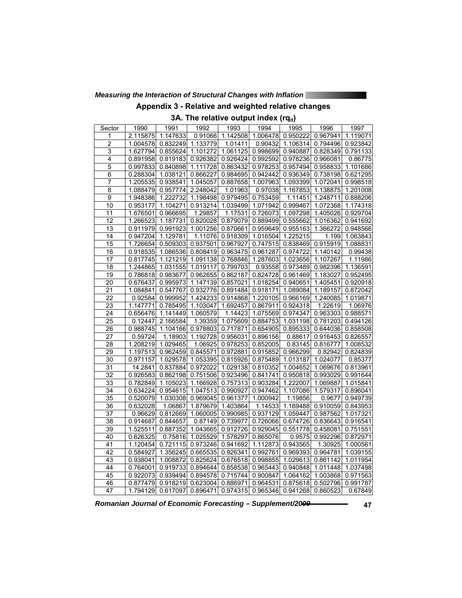### *Measuring the Interaction of Structural Changes with Inflation*

### **Appendix 3 - Relative and weighted relative changes**

3A. The relative output index (rq<sub>it</sub>)

| Sector                  | 1990     | 1991     | 1992     | 1993     | 1994     | 1995     | 1996     | 1997     |
|-------------------------|----------|----------|----------|----------|----------|----------|----------|----------|
| 1                       | 2.115875 | 1.147633 | 0.91066  | 1.142508 | 1.006478 | 0.950222 | 0.967941 | 1.119071 |
| $\overline{\mathbf{c}}$ | 1.004578 | 0.832249 | 1.133779 | 1.01411  | 0.90432  | 1.106314 | 0.794496 | 0.923842 |
| $\overline{3}$          | 1.627794 | 0.855624 | 1.101272 | 1.061125 | 0.998699 | 0.940887 | 0.828349 | 0.791133 |
| 4                       | 0.891958 | 0.819183 | 0.926382 | 0.926424 | 0.992592 | 0.978236 | 0.966081 | 0.86775  |
| $\overline{5}$          | 0.997833 | 0.840898 | 1.111728 | 0.863432 | 0.978253 | 0.957494 | 0.958833 | 1.101686 |
| $\overline{6}$          | 0.288304 | 1.038121 | 0.866227 | 0.984695 | 0.942442 | 0.936349 | 0.738198 | 0.621295 |
| $\overline{7}$          | 1.205535 | 0.938541 | 1.045057 | 0.887658 | 1.007963 | 1.093399 | 1.072041 | 0.998518 |
| $\overline{8}$          | 1.088479 | 0.957774 | 2.248042 | 1.01963  | 0.97038  | 1.167853 | 1.138875 | 1.201008 |
| 9                       | 1.948386 | 1.222732 | 1.198498 | 0.979495 | 0.753459 | 1.11451  | 1.248711 | 0.888206 |
| 10                      | 0.953177 | 1.104271 | 0.913214 | 1.039499 | 1.071942 | 0.999467 | 1.072368 | 1.174318 |
| 11                      | 1.676501 | 0.966695 | 1.29857  | 1.17531  | 0.726073 | 1.097298 | 1.405026 | 0.929704 |
| 12                      | 1.266523 | 1.187731 | 0.820028 | 0.879079 | 0.889499 | 0.555662 | 1.016362 | 0.941692 |
| 13                      | 0.911979 | 0.991923 | 1.001256 | 0.870661 | 0.959649 | 0.955163 | 1.366272 | 0.948566 |
| 14                      | 0.947204 | 1.129781 | 1.11076  | 0.918309 | 1.016504 | 1.225215 | 1.199    | 1.063843 |
| 15                      | 1.726654 | 0.509303 | 0.937501 | 0.967927 | 0.747515 | 0.838469 | 0.915919 | 1.088831 |
| 16                      | 0.918535 | 1.086536 | 0.808419 | 0.963475 | 0.961287 | 0.974722 | 1.140142 | 0.99438  |
| 17                      | 0.817745 | 1.121219 | 1.091138 | 0.768846 | 1.287603 | 1.023656 | 1.107267 | 1.11986  |
| $\overline{18}$         | 1.244865 | 1.031555 | 1.019117 | 0.799703 | 0.93558  | 0.973489 | 0.982396 | 1.136591 |
| 19                      | 0.786818 | 0.983677 | 0.962655 | 0.862187 | 0.824728 | 0.961469 | 1.183027 | 0.952495 |
| 20                      | 0.676437 | 0.995973 | 1.147139 | 0.857021 | 1.018254 | 0.940651 | 1.405451 | 0.920918 |
| 21                      | 1.084841 | 0.547767 | 0.932776 | 0.891484 | 0.918171 | 1.089084 | 1.189157 | 0.872042 |
| 22                      | 0.92584  | 0.999952 | 1.424233 | 0.914868 | 1.220105 | 0.966169 | 1.240085 | 1.019871 |
| 23                      | 1.147771 | 0.785495 | 1.103047 | 1.692457 | 0.867911 | 0.924318 | 1.22619  | 1.06976  |
| 24                      | 0.656476 | 1.141449 | 1.060579 | 1.14423  | 1.075569 | 0.974347 | 0.963303 | 0.988571 |
| 25                      | 0.12447  | 2.166584 | 1.39359  | 1.075609 | 0.884753 | 1.031198 | 0.781203 | 0.494126 |
| 26                      | 0.988745 | 1.104166 | 0.978803 | 0.717871 | 0.654905 | 0.895333 | 0.644036 | 0.858508 |
| 27                      | 0.59724  | 1.18903  | 1.192728 | 0.956031 | 0.896156 | 0.88617  | 0.916453 | 0.826557 |
| 28                      | 1.208219 | 1.029465 | 1.06925  | 0.978253 | 0.852005 | 0.83145  | 0.816777 | 1.008532 |
| 29                      | 1.197513 | 0.962459 | 0.845571 | 0.972881 | 0.915852 | 0.966299 | 0.82942  | 0.824839 |
| $\overline{30}$         | 0.971157 | 1.029578 | 1.053395 | 0.815926 | 0.875489 | 1.013187 | 1.024077 | 0.85377  |
| $\overline{31}$         | 14.2841  | 0.837884 | 0.972022 | 1.029138 | 0.810352 | 1.004652 | 1.069676 | 0.813961 |
| 32                      | 0.926583 | 0.862198 | 0.751506 | 0.923496 | 0.841741 | 0.950818 | 0.993029 | 0.991644 |
| 33                      | 0.782849 | 1.105023 | 1.166928 | 0.757313 | 0.903284 | 1.222007 | 1.069887 | 1.015841 |
| 34                      | 0.634224 | 0.954615 | 1.047513 | 0.990927 | 0.947462 | 1.107086 | 1.579317 | 0.896041 |
| 35                      | 0.520079 | 1.030308 | 0.969045 | 0.961377 | 1.000942 | 1.19856  | 0.9677   | 0.949739 |
| 36                      | 0.632028 | 1.06867  | 1.879679 | 1.403864 | 1.14533  | 1.169488 | 0.910059 | 0.843953 |
| 37                      | 0.96629  | 0.812669 | 1.060005 | 0.990985 | 0.937129 | 1.059447 | 0.987562 | 1.017321 |
| $\overline{38}$         | 0.914687 | 0.844657 | 0.87149  | 0.739977 | 0.726066 | 0.674726 | 0.836643 | 0.916541 |
| 39                      | 1.525511 | 0.887352 | 1.043665 | 0.912726 | 0.929045 | 0.551778 | 0.458081 | 0.751551 |
| 40                      | 0.626325 | 0.75816  | 1.025529 | 1.578297 | 0.865076 | 0.9575   | 0.992296 | 0.872971 |
| 41                      | 1.120454 | 0.721115 | 0.973246 | 0.941692 | 1.112873 | 0.943565 | 1.30925  | 1.000561 |
| 42                      | 0.584927 | 1.356245 | 0.665535 | 0.926341 | 0.992761 | 0.969393 | 0.964781 | 1.039155 |
| 43                      | 0.938041 | 1.008872 | 0.825624 | 0.676518 | 0.998855 | 1.029613 | 0.861142 | 1.011954 |
| 44                      | 0.764001 | 0.919733 | 0.894644 | 0.858538 | 0.965443 | 0.940848 | 1.011448 | 1.037498 |
| 45                      | 0.922073 | 0.939494 | 0.894578 | 0.715744 | 0.900847 | 1.064162 | 1.003868 | 0.971563 |
| 46                      | 0.877479 | 0.918219 | 0.623004 | 0.886971 | 0.964531 | 0.875618 | 0.502796 | 0.991787 |
| 47                      | 1.794129 | 0.617097 | 0.896471 | 0.974315 | 0.965346 | 0.941268 | 0.860523 | 0.67849  |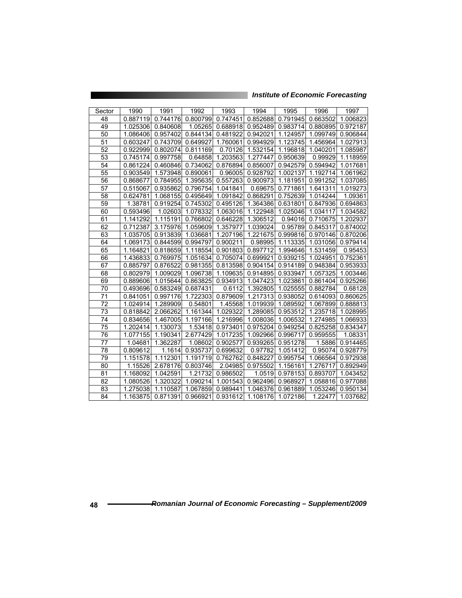| Sector | 1990     | 1991     | 1992     | 1993     | 1994     | 1995     | 1996     | 1997     |
|--------|----------|----------|----------|----------|----------|----------|----------|----------|
| 48     | 0.887119 | 0.744176 | 0.800799 | 0.747451 | 0.852688 | 0.791945 | 0.663502 | 1.006823 |
| 49     | 1.025306 | 0.840608 | 1.05265  | 0.688918 | 0.952489 | 0.983714 | 0.880895 | 0.972187 |
| 50     | 1.086406 | 0.957402 | 0.844134 | 0.481922 | 0.942021 | 1.124957 | 1.099749 | 0.906844 |
| 51     | 0.603247 | 0.743709 | 0.649927 | 1.760061 | 0.994929 | 1.123745 | 1.456964 | 1.027913 |
| 52     | 0.922999 | 0.802074 | 0.811169 | 0.70126  | 1.532154 | 1.196818 | 1.040201 | 1.085987 |
| 53     | 0.745174 | 0.997758 | 0.64858  | 1.203563 | 1.277447 | 0.950639 | 0.99929  | 1.118959 |
| 54     | 0.861224 | 0.460846 | 0.734062 | 0.876894 | 0.856007 | 0.942579 | 0.594942 | 1.017681 |
| 55     | 0.903549 | 1.573948 | 0.890061 | 0.96005  | 0.928792 | 1.002137 | 1.192714 | 1.061962 |
| 56     | 0.868677 | 0.784955 | 1.395635 | 0.557263 | 0.900973 | 1.181951 | 0.991252 | 1.037085 |
| 57     | 0.515067 | 0.935862 | 0.796754 | 1.041841 | 0.69675  | 0.771861 | 1.641311 | 1.019273 |
| 58     | 0.624781 | 1.068155 | 0.495649 | 1.091842 | 0.868291 | 0.752639 | 1.014244 | 1.09361  |
| 59     | 1.38781  | 0.919254 | 0.745302 | 0.495126 | 1.364386 | 0.631801 | 0.847936 | 0.694863 |
| 60     | 0.593496 | 1.02603  | 1.078332 | 1.063016 | 1.122948 | 1.025046 | 1.034117 | 1.034582 |
| 61     | 1.141292 | 1.115191 | 0.766802 | 0.646228 | 1.306512 | 0.94016  | 0.710675 | 1.202937 |
| 62     | 0.712387 | 3.175976 | 1.059609 | 1.357977 | 1.039024 | 0.95789  | 0.845317 | 0.874002 |
| 63     | 1.035705 | 0.913839 | 1.036681 | 1.207196 | 1.221675 | 0.999816 | 0.970146 | 0.870206 |
| 64     | 1.069173 | 0.844599 | 0.994797 | 0.900211 | 0.98995  | 1.113335 | 1.031056 | 0.979414 |
| 65     | 1.164821 | 0.818659 | 1.118554 | 0.901803 | 0.897712 | 1.994646 | 1.531459 | 0.95453  |
| 66     | 1.436833 | 0.769975 | 1.051634 | 0.705074 | 0.699921 | 0.939215 | 1.024951 | 0.752361 |
| 67     | 0.885797 | 0.876522 | 0.981355 | 0.813598 | 0.904154 | 0.914189 | 0.948384 | 0.953933 |
| 68     | 0.802979 | 1.009029 | 1.096738 | 1.109635 | 0.914895 | 0.933947 | 1.057325 | 1.003446 |
| 69     | 0.889606 | 1.015644 | 0.863825 | 0.934913 | 1.047423 | 1.023861 | 0.861404 | 0.925266 |
| 70     | 0.493696 | 0.583249 | 0.687431 | 0.6112   | 1.392805 | 1.025555 | 0.882784 | 0.68128  |
| 71     | 0.841051 | 0.997176 | 1.722303 | 0.879609 | 1.217313 | 0.938052 | 0.614093 | 0.860625 |
| 72     | 1.024914 | 1.289909 | 0.54801  | 1.45568  | 1.019939 | 1.089592 | 1.067899 | 0.888813 |
| 73     | 0.818842 | 2.066262 | 1.161344 | 1.029322 | 1.289085 | 0.953512 | 1.235718 | 1.028995 |
| 74     | 0.834656 | 1.467005 | 1.197166 | 1.216996 | 1.008036 | 1.006532 | 1.274985 | 1.066933 |
| 75     | 1.202414 | 1.130073 | 1.53418  | 0.973401 | 0.975204 | 0.949254 | 0.825258 | 0.834347 |
| 76     | 1.077155 | 1.190341 | 2.677429 | 1.017235 | 1.092966 | 0.996717 | 0.959555 | 1.08331  |
| 77     | 1.04681  | 1.362287 | 1.08602  | 0.902577 | 0.939265 | 0.951278 | 1.5886   | 0.914465 |
| 78     | 0.809612 | 1.1614   | 0.935737 | 0.699632 | 0.97782  | 1.051412 | 0.95074  | 0.928779 |
| 79     | 1.151578 | 1.112301 | 1.191719 | 0.762762 | 0.848227 | 0.995754 | 1.066564 | 0.972938 |
| 80     | 1.15526  | 2.678176 | 0.803746 | 2.04985  | 0.975502 | 1.156161 | 1.276717 | 0.892949 |
| 81     | 1.168092 | 1.042591 | 1.21732  | 0.986502 | 1.0519   | 0.978153 | 0.893707 | 1.043452 |
| 82     | 1.080526 | 1.320322 | 1.090214 | 1.001543 | 0.962496 | 0.968927 | 1.058816 | 0.977088 |
| 83     | 1.275038 | 1.110587 | 1.067859 | 0.989441 | 1.046376 | 0.961889 | 1.053246 | 0.950134 |
| 84     | 1.163875 | 0.871391 | 0.966921 | 0.931612 | 1.108176 | 1.072186 | 1.22477  | 1.037682 |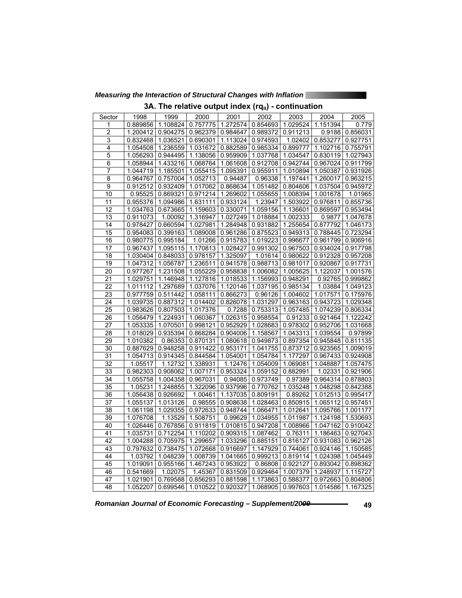*Measuring the Interaction of Structural Changes with Inflation* 

|  |  |  |  |  |  | 3A. The relative output index $(rq_{it})$ - continuation |
|--|--|--|--|--|--|----------------------------------------------------------|
|--|--|--|--|--|--|----------------------------------------------------------|

| Sector          | 1998     | 1999     | 2000     | 2001     | 2002                           | 2003              | 2004     | 2005     |
|-----------------|----------|----------|----------|----------|--------------------------------|-------------------|----------|----------|
| 1               | 0.889856 | 1.108824 | 0.757775 | 1.272574 | 0.854693                       | 1.029524          | 1.151394 | 0.779    |
| $\overline{c}$  | 1.200412 | 0.904275 | 0.962379 | 0.984647 | 0.989372                       | 0.911213          | 0.9188   | 0.856031 |
| 3               | 0.832468 | 1.036521 | 0.690301 | 1.113024 | 0.974593                       | 1.02402           | 0.853277 | 0.927751 |
| 4               | 1.054508 | 1.236559 | 1.031672 | 0.882589 |                                | 0.985334 0.899777 | 1.102716 | 0.755791 |
| $\overline{5}$  | 1.056293 | 0.944495 | 1.138056 | 0.959909 | 1.037768                       | 1.034547          | 0.830119 | 1.027943 |
| 6               | 1.058944 | 1.433216 | 1.068764 | 1.061608 | 0.912708                       | 0.942744          | 0.967024 | 0.911799 |
| 7               | 1.044719 | 1.185501 | 1.055415 | 1.095391 | 0.955911                       | 1.010894          | 1.050387 | 0.931926 |
| 8               | 0.964767 | 0.757004 | 1.052713 | 0.94487  | 0.96338                        | 1.197441          | 1.260017 | 0.963215 |
| $\overline{9}$  | 0.912512 | 0.932409 | 1.017062 | 0.868634 | 1.051482                       | 0.804606          | 1.037504 | 0.945972 |
| 10              | 0.95525  | 0.869321 | 0.971214 | 1.269602 | 1.055655                       | 1.008394          | 1.001678 | 1.01965  |
| 11              | 0.955376 | 1.094986 | 1.631111 | 0.933124 | 1.23947                        | 1.503922          | 0.976811 | 0.855736 |
| 12              | 1.034763 | 0.673665 | 1.159603 | 0.330071 | 1.059156                       | 1.136601          | 0.869597 | 0.953494 |
| 13              | 0.911073 | 1.00092  | 1.316947 | 1.027249 | 1.018884                       | 1.002333          | 0.9877   | 1.047678 |
| 14              | 0.978427 | 0.660594 | 1.027981 | 1.284948 | 0.931882                       | 1.255654          | 0.877792 | 1.046173 |
| 15              | 0.954083 | 0.399163 | 1.089008 | 0.961286 | 0.875523                       | 0.949313          | 0.788445 | 0.723294 |
| 16              | 0.980775 | 0.995184 | 1.01266  | 0.915783 | 1.019223                       | 0.996677          | 0.961799 | 0.906916 |
| 17              | 0.967437 | 1.095115 | 1.170813 | 1.028427 | 0.991302                       | 0.967503          | 0.934024 | 0.917798 |
| 18              | 1.030404 | 0.848033 | 0.978157 | 1.325097 | 1.01614                        | 0.980622          | 0.912328 | 0.957208 |
| 19              | 1.047312 | 1.056787 | 1.236511 | 0.941578 | 0.988713                       | 0.981017          | 0.920867 | 0.917731 |
| 20              | 0.977267 | 1.231508 | 1.055229 | 0.958838 | 1.006082                       | 1.005625          | 1.122037 | 1.001576 |
| 21              | 1.029751 | 1.146948 | 1.127816 | 1.018533 | 1.156993                       | 0.948291          | 0.92765  | 0.999862 |
| 22              | 1.011112 | 1.297689 | 1.037076 | 1.120146 | 1.037195                       | 0.985134          | 1.03884  | 1.049123 |
| 23              | 0.977759 | 0.511442 | 1.058111 | 0.866273 | 0.96126                        | 1.004602          | 1.017571 | 0.175976 |
| 24              | 1.039735 | 0.887312 | 1.014402 | 0.826078 | 1.031297                       | 0.963163          | 0.943723 | 1.029348 |
| 25              | 0.983626 | 0.807503 | 1.017376 | 0.7288   | 0.753313                       | 1.057485          | 1.074239 | 0.806334 |
| 26              | 1.056479 | 1.224931 | 1.060367 | 1.026315 | 0.958554                       | 0.91233           | 0.921464 | 1.122242 |
| 27              | 1.053335 | 1.070501 | 0.998121 | 0.952929 | 1.028683                       | 0.978302          | 0.952706 | 1.031668 |
| 28              | 1.018029 | 0.935394 | 0.868284 | 0.904006 | 1.158567                       | 1.043313          | 1.039554 | 0.97899  |
| 29              | 1.010382 | 0.86353  | 0.870131 | 1.080618 | 0.949873                       | 0.897354          | 0.945848 | 0.811135 |
| $\overline{30}$ | 0.887629 | 0.948258 | 0.911422 | 0.953171 | 1.041755                       | 0.873712          | 0.923565 | 1.009019 |
| 31              | 1.054713 | 0.914345 | 0.844584 | 1.054001 | 1.054784                       | 1.177297          | 0.967433 | 0.924908 |
| $\overline{32}$ | 1.05517  | 1.12732  | 1.338931 | 1.12476  | 1.054009                       | 1.069081          | 1.048887 | 1.057475 |
| $\overline{33}$ | 0.982303 | 0.908062 | 1.007171 | 0.953324 | 1.059152                       | 0.882991          | 1.02331  | 0.921906 |
| $\overline{34}$ | 1.055758 | 1.004358 | 0.967031 | 0.94085  | 0.973749                       | 0.97389           | 0.964314 | 0.878803 |
| 35              | 1.05231  | 1.248855 | 1.322096 | 0.937996 | 0.770762                       | 1.035248          | 1.048298 | 0.842388 |
| 36              | 1.056438 | 0.926692 | 1.00461  | 1.137035 | 0.809191                       | 0.89262           | 1.012513 | 0.995417 |
| 37              | 1.055137 | 1.013126 | 0.98555  | 0.908638 | 1.028463                       | 0.850915          | 1.065112 | 0.957451 |
| 38              | 1.061198 | 1.029355 | 0.972633 | 0.948744 | 1.066471                       | 1.012641          | 1.095766 | 1.001177 |
| 39              | 1.076708 | 1.13529  | 1.508751 | 0.99629  | 1.034955                       | 1.011987          | 1.124198 | 1.530693 |
| 40              | 1.026446 | 0.767856 | 0.911819 | 1.010815 | 0.947208                       | 1.008966          | 1.047162 | 0.910042 |
| 41              | 1.035731 | 0.712254 | 1.110202 | 0.909315 | 1.087462                       | 0.76311           | 1.186463 | 0.927043 |
| 42              | 1.004288 | 0.705975 | 1.299657 | 1.033296 | 0.885151                       | 0.816127          | 0.931083 | 0.962126 |
| 43              | 0.797632 | 0.738475 | 1.072668 | 0.916697 | 1.147929                       | 0.744061          | 0.924146 | 1.150585 |
| 44              | 1.03792  | 1.048239 | 1.008739 | 1.041665 | 0.999213                       | 0.819114          | 1.024398 | 1.045449 |
| 45              | 1.019091 | 0.955166 | 1.467243 | 0.953922 | 0.86808                        | 0.922127          | 0.893042 | 0.898362 |
| 46              | 0.541669 | 1.02075  | 1.45367  | 0.831509 | 0.929464                       | 1.007379          | 1.248937 | 1.115727 |
| 47              | 1.021901 | 0.769588 | 0.856293 | 0.881598 | 1.173863                       | 0.588377          | 0.972663 | 0.804806 |
| 48              | 1.052207 | 0.699546 | 1.010522 |          | 0.920327   1.068905   0.997603 |                   | 1.014586 | 1.167325 |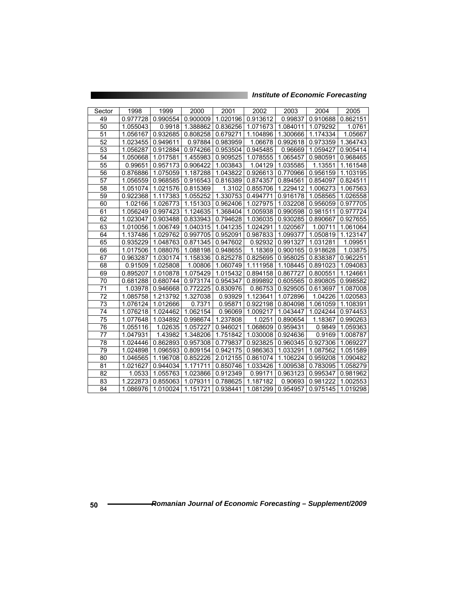| Sector | 1998     | 1999     | 2000     | 2001     | 2002     | 2003     | 2004     | 2005     |
|--------|----------|----------|----------|----------|----------|----------|----------|----------|
| 49     | 0.977728 | 0.990554 | 0.900009 | 1.020196 | 0.913612 | 0.99837  | 0.910688 | 0.862151 |
| 50     | 1.055043 | 0.9918   | 1.388862 | 0.836256 | 1.071673 | 1.084011 | 1.079292 | 1.0761   |
| 51     | 1.056167 | 0.932685 | 0.808258 | 0.679271 | 1.104896 | 1.300666 | 1.174334 | 1.05667  |
| 52     | 1.023455 | 0.949611 | 0.97884  | 0.983959 | 1.06678  | 0.992618 | 0.973359 | 1.364743 |
| 53     | 1.056287 | 0.912884 | 0.974266 | 0.953504 | 0.945485 | 0.96669  | 1.059427 | 0.905414 |
| 54     | 1.050668 | 1.017581 | 1.455983 | 0.909525 | 1.078555 | 1.065457 | 0.980591 | 0.968465 |
| 55     | 0.99651  | 0.957173 | 0.906422 | 1.003843 | 1.04129  | 1.035585 | 1.13551  | 1.161548 |
| 56     | 0.876886 | 1.075059 | 1.187288 | 1.043822 | 0.926613 | 0.770966 | 0.956159 | 1.103195 |
| 57     | 1.056559 | 0.968585 | 0.916543 | 0.816389 | 0.874357 | 0.894561 | 0.854097 | 0.824511 |
| 58     | 1.051074 | 1.021576 | 0.815369 | 1.3102   | 0.855706 | 1.229412 | 1.006273 | 1.067563 |
| 59     | 0.922368 | 1.117383 | 1.055252 | 1.330753 | 0.494771 | 0.916178 | 1.058565 | 1.026558 |
| 60     | 1.02166  | 1.026773 | 1.151303 | 0.962406 | 1.027975 | 1.032208 | 0.956059 | 0.977705 |
| 61     | 1.056249 | 0.997423 | 1.124635 | 1.368404 | 1.005938 | 0.990598 | 0.981511 | 0.977724 |
| 62     | 1.023047 | 0.903488 | 0.833943 | 0.794628 | 1.036035 | 0.930285 | 0.890667 | 0.927655 |
| 63     | 1.010056 | 1.006749 | 1.040315 | 1.041235 | 1.024291 | 1.020567 | 1.00711  | 1.061064 |
| 64     | 1.137486 | 1.029762 | 0.997705 | 0.952091 | 0.987833 | 1.099377 | 1.050819 | 1.123147 |
| 65     | 0.935229 | 1.048763 | 0.871345 | 0.947602 | 0.92932  | 0.991327 | 1.031281 | 1.09951  |
| 66     | 1.017506 | 1.088076 | 1.088198 | 0.948655 | 1.18369  | 0.900165 | 0.918628 | 1.03875  |
| 67     | 0.963287 | 1.030174 | 1.158336 | 0.825278 | 0.825695 | 0.958025 | 0.838387 | 0.962251 |
| 68     | 0.91509  | 1.025808 | 1.00806  | 1.060749 | 1.111958 | 1.108445 | 0.891023 | 1.094083 |
| 69     | 0.895207 | 1.010878 | 1.075429 | 1.015432 | 0.894158 | 0.867727 | 0.800551 | 1.124661 |
| 70     | 0.681288 | 0.680744 | 0.973174 | 0.954347 | 0.899892 | 0.605565 | 0.890805 | 0.998582 |
| 71     | 1.03978  | 0.946668 | 0.772225 | 0.830976 | 0.86753  | 0.929505 | 0.613697 | 1.087008 |
| 72     | 1.085758 | 1.213792 | 1.327038 | 0.93929  | 1.123641 | 1.072896 | 1.04226  | 1.020583 |
| 73     | 1.076124 | 1.012666 | 0.7371   | 0.95871  | 0.922198 | 0.804098 | 1.061059 | 1.108391 |
| 74     | 1.076218 | 1.024462 | 1.062154 | 0.96069  | 1.009217 | 1.043447 | 1.024244 | 0.974453 |
| 75     | 1.077648 | 1.034892 | 0.998674 | 1.237808 | 1.0251   | 0.890654 | 1.18367  | 0.990263 |
| 76     | 1.055116 | 1.02635  | 1.057227 | 0.946021 | 1.068609 | 0.959431 | 0.9849   | 1.059363 |
| 77     | 1.047931 | 1.43982  | 1.348206 | 1.751842 | 1.030008 | 0.924636 | 0.9169   | 1.008787 |
| 78     | 1.024446 | 0.862893 | 0.957308 | 0.779837 | 0.923825 | 0.960345 | 0.927306 | 1.069227 |
| 79     | 1.024898 | 1.096593 | 0.809154 | 0.942175 | 0.986363 | 1.033291 | 1.087562 | 1.051589 |
| 80     | 1.046565 | 1.196708 | 0.852226 | 2.012155 | 0.861074 | 1.106224 | 0.959208 | 1.090482 |
| 81     | 1.021627 | 0.944034 | 1.171711 | 0.850746 | 1.033426 | 1.009538 | 0.783095 | 1.058279 |
| 82     | 1.0533   | 1.055763 | 1.023866 | 0.912349 | 0.99171  | 0.963123 | 0.995347 | 0.981962 |
| 83     | 1.222873 | 0.855063 | 1.079311 | 0.788625 | 1.187182 | 0.90693  | 0.981222 | 1.002553 |
| 84     | 1.086976 | 1.010024 | 1.151721 | 0.938441 | 1.081299 | 0.954957 | 0.975145 | 1.019298 |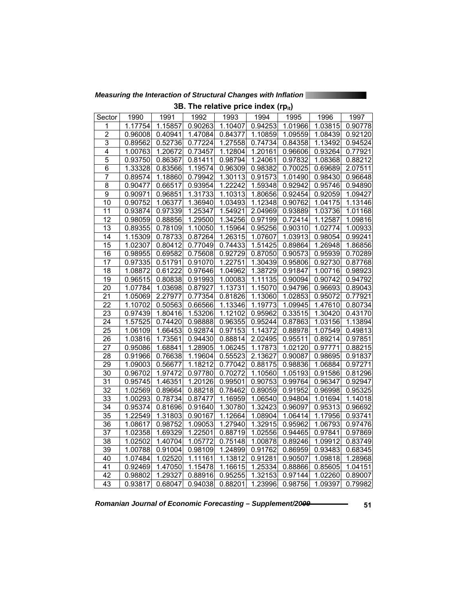*Measuring the Interaction of Structural Changes with Inflation* 

|                 |         |         | 1101111 |         | יש פוועט ווועט קופון |         |         |         |
|-----------------|---------|---------|---------|---------|----------------------|---------|---------|---------|
| Sector          | 1990    | 1991    | 1992    | 1993    | 1994                 | 1995    | 1996    | 1997    |
| 1               | 1.17754 | 1.15857 | 0.90263 | 1.10407 | 0.94253              | 1.01966 | 1.03815 | 0.90778 |
| $\overline{2}$  | 0.96008 | 0.40941 | 1.47084 | 0.84377 | 1.10859              | 1.09559 | 1.08439 | 0.92120 |
| $\overline{3}$  | 0.89562 | 0.52736 | 0.77224 | 1.27558 | 0.74734              | 0.84358 | 1.13492 | 0.94524 |
| $\overline{4}$  | 1.00763 | 1.20672 | 0.73457 | 1.12804 | 1.20161              | 0.96606 | 0.93264 | 0.77921 |
| 5               | 0.93750 | 0.86367 | 0.81411 | 0.98794 | 1.24061              | 0.97832 | 1.08368 | 0.88212 |
| $\overline{6}$  | 1.33328 | 0.83566 | 1.19574 | 0.96309 | 0.98382              | 0.70025 | 0.69689 | 2.07511 |
| $\overline{7}$  | 0.89574 | 1.18860 | 0.79942 | 1.30113 | 0.91573              | 1.01490 | 0.98430 | 0.96648 |
| 8               | 0.90477 | 0.66517 | 0.93954 | 1.22242 | 1.59348              | 0.92942 | 0.95746 | 0.94890 |
| $\overline{9}$  | 0.90971 | 0.96851 | 1.31733 | 1.10313 | 1.80656              | 0.92454 | 0.92059 | 1.09427 |
| 10              | 0.90752 | 1.06377 | 1.36940 | 1.03493 | 1.12348              | 0.90762 | 1.04175 | 1.13146 |
| 11              | 0.93874 | 0.97339 | 1.25347 | 1.54921 | 2.04969              | 0.93889 | 1.03736 | 1.01168 |
| $\overline{12}$ | 0.98059 | 0.88856 | 1.29500 | 1.34256 | 0.97199              | 0.72414 | 1.12587 | 1.09816 |
| 13              | 0.89355 | 0.78109 | 1.10050 | 1.15964 | 0.95256              | 0.90310 | 1.02774 | 1.00933 |
| 14              | 1.15309 | 0.78733 | 0.87264 | 1.26315 | 1.07607              | 1.03913 | 0.98054 | 0.99241 |
| 15              | 1.02307 | 0.80412 | 0.77049 | 0.74433 | 1.51425              | 0.89864 | 1.26948 | 1.86856 |
| 16              | 0.98955 | 0.69582 | 0.75608 | 0.92729 | 0.87050              | 0.90573 | 0.95939 | 0.70289 |
| $\overline{17}$ | 0.97335 | 0.51791 | 0.91070 | 1.22751 | 1.30439              | 0.95806 | 0.92730 | 0.87768 |
| 18              | 1.08872 | 0.61222 | 0.97646 | 1.04962 | 1.38729              | 0.91847 | 1.00716 | 0.98923 |
| $\overline{19}$ | 0.96515 | 0.80838 | 0.91993 | 1.00083 | 1.11135              | 0.90094 | 0.90742 | 0.94792 |
| 20              | 1.07784 | 1.03698 | 0.87927 | 1.13731 | 1.15070              | 0.94796 | 0.96693 | 0.89043 |
| 21              | 1.05069 | 2.27977 | 0.77354 | 0.81826 | 1.13060              | 1.02853 | 0.95072 | 0.77921 |
| $\overline{22}$ | 1.10702 | 0.50563 | 0.66566 | 1.13346 | 1.19773              | 1.09945 | 1.47610 | 0.80734 |
| 23              | 0.97439 | 1.80416 | 1.53206 | 1.12102 | 0.95962              | 0.33515 | 1.30420 | 0.43170 |
| 24              | 1.57525 | 0.74420 | 0.98888 | 0.96355 | 0.95244              | 0.87863 | 1.03156 | 1.13894 |
| 25              | 1.06109 | 1.66453 | 0.92874 | 0.97153 | 1.14372              | 0.88978 | 1.07549 | 0.49813 |
| 26              | 1.03816 | 1.73561 | 0.94430 | 0.88814 | 2.02495              | 0.95511 | 0.89214 | 0.97851 |
| 27              | 0.95086 | 1.68841 | 1.28905 | 1.06245 | 1.17873              | 1.02120 | 0.97771 | 0.88215 |
| $\overline{28}$ | 0.91966 | 0.76638 | 1.19604 | 0.55523 | 2.13627              | 0.90087 | 0.98695 | 0.91837 |
| $\overline{29}$ | 1.09003 | 0.56677 | 1.18212 | 0.77042 | 0.88175              | 0.98836 | 1.06884 | 0.97271 |
| 30              | 0.96702 | 1.97472 | 0.97780 | 0.70272 | 1.10560              | 1.05193 | 0.91586 | 0.81296 |
| $\overline{31}$ | 0.95745 | 1.46351 | 1.20126 | 0.99501 | 0.90753              | 0.99764 | 0.96347 | 0.92947 |
| $\overline{32}$ | 1.02569 | 0.89664 | 0.88218 | 0.78462 | 0.89059              | 0.91952 | 0.96998 | 0.95325 |
| 33              | 1.00293 | 0.78734 | 0.87477 | 1.16959 | 1.06540              | 0.94804 | 1.01694 | 1.14018 |
| 34              | 0.95374 | 0.81696 | 0.91640 | 1.30780 | 1.32423              | 0.96097 | 0.95313 | 0.96692 |
| 35              | 1.22549 | 1.31803 | 0.90167 | 1.12664 | 1.08904              | 1.06414 | 1.17956 | 0.93741 |
| $\overline{36}$ | 1.08617 | 0.98752 | 1.09053 | 1.27940 | 1.32915              | 0.95962 | 1.06793 | 0.97476 |
| $\overline{37}$ | 1.02358 | 1.69329 | 1.22501 | 0.88719 | 1.02556              | 0.94465 | 0.97841 | 0.97869 |
| 38              | 1.02502 | 1.40704 | 1.05772 | 0.75148 | 1.00878              | 0.89246 | 1.09912 | 0.83749 |
| 39              | 1.00788 | 0.91004 | 0.98109 | 1.24899 | 0.91762              | 0.86959 | 0.93483 | 0.68345 |
| 40              | 1.07484 | 1.02520 | 1.11161 | 1.13812 | 0.91281              | 0.90507 | 1.09818 | 1.28968 |
| 41              | 0.92469 | 1.47050 | 1.15478 | 1.16615 | 1.25334              | 0.88866 | 0.85605 | 1.04151 |
| 42              | 0.98802 | 1.29327 | 0.88916 | 0.95255 | 1.32153              | 0.97144 | 1.02260 | 0.89007 |
| $\overline{43}$ | 0.93817 | 0.68047 | 0.94038 | 0.88201 | 1.23996              | 0.98756 | 1.09397 | 0.79982 |

**3B. The relative price index (rp.)**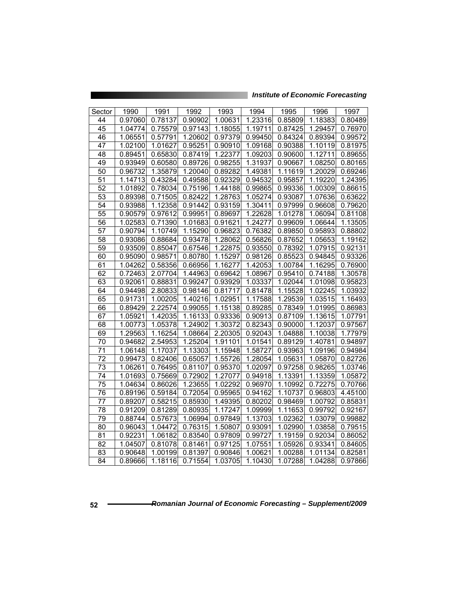*Institute of Economic Forecasting*

| Sector          | 1990    | 1991    | 1992    | 1993    | 1994    | 1995    | 1996    | 1997    |
|-----------------|---------|---------|---------|---------|---------|---------|---------|---------|
| 44              | 0.97060 | 0.78137 | 0.90902 | 1.00631 | 1.23316 | 0.85809 | 1.18383 | 0.80489 |
| 45              | 1.04774 | 0.75579 | 0.97143 | 1.18055 | 1.19711 | 0.87425 | 1.29457 | 0.76970 |
| 46              | 1.06551 | 0.57791 | 1.20602 | 0.97379 | 0.99450 | 0.84324 | 0.89394 | 0.99572 |
| 47              | 1.02100 | 1.01627 | 0.95251 | 0.90910 | 1.09168 | 0.90388 | 1.10119 | 0.81975 |
| $\overline{48}$ | 0.89451 | 0.65830 | 0.87419 | 1.22377 | 1.09203 | 0.90600 | 1.12711 | 0.89655 |
| 49              | 0.93949 | 0.60580 | 0.89726 | 0.98255 | 1.31937 | 0.90667 | 1.08250 | 0.80165 |
| $\overline{50}$ | 0.96732 | 1.35879 | 1.20040 | 0.89282 | 1.49381 | 1.11619 | 1.20029 | 0.69246 |
| 51              | 1.14713 | 0.43284 | 0.49588 | 0.92329 | 0.94532 | 0.95857 | 1.19220 | 1.24395 |
| 52              | 1.01892 | 0.78034 | 0.75196 | 1.44188 | 0.99865 | 0.99336 | 1.00309 | 0.86615 |
| 53              | 0.89398 | 0.71505 | 0.82422 | 1.28763 | 1.05274 | 0.93087 | 1.07636 | 0.63622 |
| 54              | 0.93988 | 1.12358 | 0.91442 | 0.93159 | 1.30411 | 0.97999 | 0.96608 | 0.79620 |
| 55              | 0.90579 | 0.97612 | 0.99951 | 0.89697 | 1.22628 | 1.01278 | 1.06094 | 0.81108 |
| $\overline{56}$ | 1.02583 | 0.71390 | 1.01683 | 0.91621 | 1.24277 | 0.99609 | 1.06644 | 1.13505 |
| $\overline{57}$ | 0.90794 | 1.10749 | 1.15290 | 0.96823 | 0.76382 | 0.89850 | 0.95893 | 0.88802 |
| $\overline{58}$ | 0.93086 | 0.88684 | 0.93478 | 1.28062 | 0.56826 | 0.87652 | 1.05653 | 1.19162 |
| 59              | 0.93509 | 0.85047 | 0.67546 | 1.22875 | 0.93550 | 0.78392 | 1.07915 | 0.92131 |
| 60              | 0.95090 | 0.98571 | 0.80780 | 1.15297 | 0.98126 | 0.85523 | 0.94845 | 0.93326 |
| 61              | 1.04262 | 0.58356 | 0.66956 | 1.16277 | 1.42053 | 1.00784 | 1.16295 | 0.76900 |
| 62              | 0.72463 | 2.07704 | 1.44963 | 0.69642 | 1.08967 | 0.95410 | 0.74188 | 1.30578 |
| 63              | 0.92061 | 0.88831 | 0.99247 | 0.93929 | 1.03337 | 1.02044 | 1.01098 | 0.95823 |
| 64              | 0.94498 | 2.80833 | 0.98146 | 0.81717 | 0.81478 | 1.15528 | 1.02245 | 1.03932 |
| 65              | 0.91731 | 1.00205 | 1.40216 | 1.02951 | 1.17588 | 1.29539 | 1.03515 | 1.16493 |
| 66              | 0.89429 | 2.22574 | 0.99055 | 1.15138 | 0.89285 | 0.78349 | 1.01995 | 0.86983 |
| 67              | 1.05921 | 1.42035 | 1.16133 | 0.93336 | 0.90913 | 0.87109 | 1.13615 | 1.07791 |
| 68              | 1.00773 | 1.05378 | 1.24902 | 1.30372 | 0.82343 | 0.90000 | 1.12037 | 0.97567 |
| 69              | 1.29563 | 1.16254 | 1.08664 | 2.20305 | 0.92043 | 1.04888 | 1.10038 | 1.77979 |
| 70              | 0.94682 | 2.54953 | 1.25204 | 1.91101 | 1.01541 | 0.89129 | 1.40781 | 0.94897 |
| $\overline{7}1$ | 1.06148 | 1.17037 | 1.13303 | 1.15948 | 1.58727 | 0.93963 | 1.09196 | 0.94984 |
| 72              | 0.99473 | 0.82406 | 0.65057 | 1.55726 | 1.28054 | 1.05631 | 1.05870 | 0.82726 |
| $\overline{73}$ | 1.06261 | 0.76495 | 0.81107 | 0.95370 | 1.02097 | 0.97258 | 0.98265 | 1.03746 |
| 74              | 1.01693 | 0.75669 | 0.72902 | 1.27077 | 0.94918 | 1.13391 | 1.13359 | 1.05872 |
| 75              | 1.04634 | 0.86026 | 1.23655 | 1.02292 | 0.96970 | 1.10992 | 0.72275 | 0.70766 |
| 76              | 0.89196 | 0.59184 | 0.72054 | 0.95965 | 0.94162 | 1.10737 | 0.96803 | 4.45100 |
| $\overline{77}$ | 0.89207 | 0.58215 | 0.85930 | 1.49395 | 0.80202 | 0.98469 | 1.00792 | 0.85831 |
| 78              | 0.91209 | 0.81289 | 0.80935 | 1.17247 | 1.09999 | 1.11653 | 0.99792 | 0.92167 |
| 79              | 0.88744 | 0.57673 | 1.06994 | 0.97849 | 1.13703 | 1.02362 | 1.03079 | 0.99882 |
| 80              | 0.96043 | 1.04472 | 0.76315 | 1.50807 | 0.93091 | 1.02990 | 1.03858 | 0.79515 |
| 81              | 0.92231 | 1.06182 | 0.83540 | 0.97809 | 0.99727 | 1.19159 | 0.92034 | 0.86052 |
| $\overline{82}$ | 1.04507 | 0.81078 | 0.81461 | 0.97125 | 1.07551 | 1.05926 | 0.93341 | 0.84605 |
| $\overline{83}$ | 0.90648 | 1.00199 | 0.81397 | 0.90846 | 1.00621 | 1.00288 | 1.01134 | 0.82581 |
| 84              | 0.89666 | 1.18116 | 0.71554 | 1.03705 | 1.10430 | 1.07288 | 1.04288 | 0.97866 |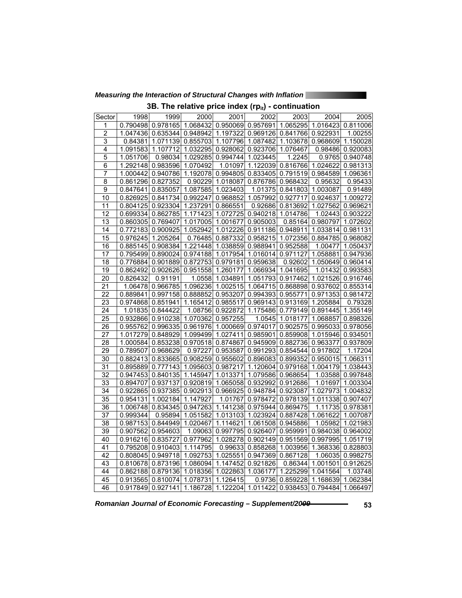*Measuring the Interaction of Structural Changes with Inflation* 

|  |  |  |  |  |  | 3B. The relative price index (rp $_{\rm it}$ ) - continuation |
|--|--|--|--|--|--|---------------------------------------------------------------|
|--|--|--|--|--|--|---------------------------------------------------------------|

| Sector          | 1998     | 1999                                | 2000              | 2001                                                                    | 2002                       | 2003              | 2004                                        | 2005              |
|-----------------|----------|-------------------------------------|-------------------|-------------------------------------------------------------------------|----------------------------|-------------------|---------------------------------------------|-------------------|
| 1               |          |                                     |                   | 0.790498 0.978165 1.068432 0.950069 0.957691 1.065295 1.016423 0.811006 |                            |                   |                                             |                   |
| $\overline{2}$  |          |                                     |                   | 1.047436 0.635344 0.948942 1.197322 0.969126 0.841766 0.922931          |                            |                   |                                             | 1.00255           |
| $\overline{3}$  |          |                                     |                   | 0.84381 1.071139 0.855703 1.107796 1.087482 1.103678 0.968609 1.150028  |                            |                   |                                             |                   |
| 4               | 1.091583 |                                     |                   | 1.107712 1.032295 0.928062 0.923706 1.076467                            |                            |                   |                                             | 0.98486 0.920083  |
| $\overline{5}$  | 1.051706 |                                     |                   | 0.98034 1.029285 0.994744 1.023445                                      |                            | 1.2245            |                                             | 0.9765 0.940748   |
| 6               |          | 1.292148 0.983596 1.070492          |                   |                                                                         | 1.01097 1.122039           |                   | 0.816766 1.024622 0.981313                  |                   |
| 7               |          |                                     |                   | 1.000442 0.940786 1.192078 0.994805 0.833405 0.791519 0.984589 1.096361 |                            |                   |                                             |                   |
| $\overline{8}$  |          | 0.861296 0.827352                   |                   | 0.90229 1.018087 0.876786 0.968432                                      |                            |                   | 0.95632                                     | 0.95433           |
| $\overline{9}$  | 0.847641 |                                     | 0.835057 1.087585 | 1.023403                                                                |                            | 1.01375 0.841803  | 1.003087                                    | 0.91489           |
| 10              |          | 0.826925 0.841734 0.992247          |                   |                                                                         | 0.968852 1.057992 0.927717 |                   | 0.924637                                    | 1.009272          |
| 11              |          | 0.804125 0.923304 1.237291 0.866551 |                   |                                                                         | 0.92686                    | 0.813692          | 1.027562 0.969621                           |                   |
| 12              |          |                                     |                   | 0.699334 0.862785 1.171423 1.072725 0.940218 1.014786                   |                            |                   |                                             | 1.02443 0.903222  |
| $\overline{13}$ |          |                                     |                   | 0.860305 0.769407 1.017005 1.001677 0.905003                            |                            |                   | 0.85164 0.980797                            | 1.072602          |
| 14              |          |                                     |                   | 0.772183 0.900925 1.052942 1.012226 0.911186 0.948911 1.033814 0.981131 |                            |                   |                                             |                   |
| $\overline{15}$ | 0.976245 | 1.205264                            |                   | 0.76485 0.887332 0.958215 1.072356 0.884785 0.968082                    |                            |                   |                                             |                   |
| $\overline{16}$ | 0.885145 |                                     |                   | 0.908384 1.221448 1.038859 0.988941                                     |                            | 0.952588          | 1.00477                                     | 1.050437          |
| 17              |          |                                     |                   | 0.795499 0.890024 0.974188 1.017954 1.016014 0.971127 1.058881 0.947936 |                            |                   |                                             |                   |
| $\overline{18}$ |          |                                     |                   | 0.776884 0.901889 0.872753 0.979181                                     | 0.959638                   | 0.92602           | 1.050649 0.960414                           |                   |
| 19              |          |                                     |                   | 0.862492 0.902626 0.951558 1.260177 1.066934 1.041695                   |                            |                   |                                             | 1.01432 0.993583  |
| $\overline{20}$ | 0.826432 | 0.91191                             |                   | 1.0558 1.034891 1.051793 0.917462 1.021526 0.916746                     |                            |                   |                                             |                   |
| $\overline{21}$ | 1.06478  | 0.966785                            |                   | 1.096236 1.002515 1.064715 0.868898                                     |                            |                   | 0.937602 0.855314                           |                   |
| $\overline{22}$ |          |                                     |                   | 0.889841 0.997158 0.888852 0.953207 0.994393                            |                            | 0.955771          | 0.971353 0.981472                           |                   |
| $\overline{23}$ |          |                                     |                   | 0.974868 0.851941 1.165412 0.985517                                     | 0.969143                   |                   | 0.913169 1.205884                           | 0.79328           |
| 24              |          | 1.01835 0.844422                    |                   | 1.08756 0.922872 1.175486 0.779149 0.891445 1.355149                    |                            |                   |                                             |                   |
| 25              |          | 0.932866 0.910238 1.070362 0.957255 |                   |                                                                         |                            |                   | 1.0545 1.018177 1.068857 0.898326           |                   |
| $\overline{26}$ |          |                                     |                   | 0.955762 0.996335 0.961976 1.000669 0.974017                            |                            | 0.902575          | 0.995033 0.978056                           |                   |
| $\overline{27}$ |          |                                     |                   | 1.017279 0.848929 1.099499 1.027411 0.985901                            |                            |                   | 0.859908 1.015946 0.934501                  |                   |
| $\overline{28}$ |          |                                     |                   | 1.000584 0.853238 0.970518 0.874867                                     | 0.945909                   |                   | 0.882736 0.963377 0.937809                  |                   |
| 29              |          | 0.789507 0.968629                   |                   | 0.97227 0.953587                                                        | 0.991293                   |                   | 0.854544 0.917802                           | 1.17204           |
| $\overline{30}$ |          |                                     |                   | 0.882413 0.833665 0.908259 0.955602 0.896083 0.899352 0.950015 1.066311 |                            |                   |                                             |                   |
| $\overline{31}$ |          |                                     |                   | 0.895889 0.777143 1.095603 0.987217 1.120604 0.979168 1.004179 1.038443 |                            |                   |                                             |                   |
| $\overline{32}$ |          |                                     |                   | 0.947453 0.840135 1.145947 1.013371 1.079586 0.968654                   |                            |                   |                                             | 1.03588 0.997848  |
| 33              |          |                                     |                   | 0.894707 0.937137 0.920819 1.065058 0.932992                            |                            | 0.912686          |                                             | 1.01697 1.003304  |
| 34              |          |                                     |                   | 0.922865 0.937385 0.902913 0.966925 0.948784                            |                            |                   | 0.923087 1.027973 1.004832                  |                   |
| 35              |          | 0.954131 1.002184 1.147927          |                   |                                                                         | 1.01767 0.978472           |                   | 0.978139 1.011338 0.907407                  |                   |
| 36              |          |                                     |                   | 1.006748 0.834345 0.947263 1.141238 0.975944 0.869475                   |                            |                   |                                             | 1.11735 0.978381  |
| 37              | 0.999344 |                                     |                   | 0.95894 1.051582 1.013103 1.023924 0.887428 1.061622 1.007087           |                            |                   |                                             |                   |
| $\overline{38}$ |          | 0.987153 0.844949 1.020467          |                   | 1.114621                                                                |                            | 1.061508 0.945886 |                                             | 1.05982 1.021983  |
| 39              |          | 0.907562 0.954603                   |                   | 1.09063 0.997795 0.926407                                               |                            |                   | 0.959991 0.984038 0.964002                  |                   |
| 40              |          | 0.916216 0.835727                   |                   | 0.977962 1.028278 0.902149                                              |                            |                   | 0.951569 0.997995 1.051719                  |                   |
| 41              |          | 0.795208 0.910403 1.114795          |                   |                                                                         |                            |                   | 0.99633 0.858268 1.003956 1.368336 0.828803 |                   |
| 42              |          |                                     |                   | 0.808045 0.949718 1.092753 1.025551 0.947369                            |                            | 0.867128          |                                             | 1.06035 0.998275  |
| $\overline{43}$ | 0.810678 |                                     | 0.873196 1.086094 |                                                                         | 1.147452 0.921826          | 0.86344           |                                             | 1.001501 0.912625 |
| 44              |          | 0.862188 0.879136 1.018356          |                   | 1.022863 1.036177                                                       |                            | 1.225299          | 1.041564                                    | 1.03748           |
| 45              | 0.913565 | 0.810074                            | 1.078731          | 1.126415                                                                | 0.9736                     | 0.859228          | 1.168639                                    | 1.062384          |
| 46              |          |                                     |                   | 0.917849 0.927141 1.186728 1.122204 1.011422                            |                            |                   | 0.938453 0.794484 1.066497                  |                   |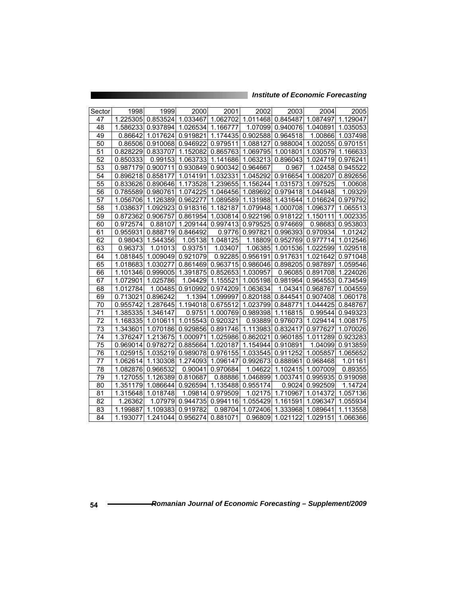| Sector          | 1998     | 1999     | 2000              | 2001     | 2002     | 2003     | 2004              | 2005     |
|-----------------|----------|----------|-------------------|----------|----------|----------|-------------------|----------|
| 47              | 1.225305 | 0.853524 | 1.033467          | 1.062702 | 1.011468 | 0.845487 | 1.087497          | 1.129047 |
| 48              | 1.586233 | 0.937894 | 1.026534          | 1.166777 | 1.07099  | 0.940076 | 1.040891          | 1.035053 |
| 49              | 0.86642  | 1.017624 | 0.919821          | 1.174435 | 0.902588 | 0.964518 | 1.00866           | 1.037498 |
| 50              | 0.86506  |          | 0.910068 0.946922 | 0.979511 | 1.088127 |          | 0.988004 1.002055 | 0.970151 |
| 51              | 0.828229 | 0.833707 | 1.152082          | 0.865763 | 1.069795 | 1.001801 | 1.030579          | 1.166633 |
| 52              | 0.850333 | 0.99153  | 1.063733          | 1.141686 | 1.063213 | 0.896043 | 1.024719          | 0.976241 |
| $\overline{53}$ | 0.987179 | 0.900711 | 0.930849          | 0.900342 | 0.964667 | 0.967    | 1.02458           | 0.945522 |
| 54              | 0.896218 | 0.858177 | 1.014191          | 1.032331 | 1.045292 | 0.916654 | 1.008207          | 0.892656 |
| 55              | 0.833626 | 0.890646 | 1.173528          | 1.239655 | 1.156244 | 1.031573 | 1.097525          | 1.00608  |
| 56              | 0.785589 | 0.980761 | 1.074225          | 1.046456 | 1.089692 | 0.979418 | 1.044948          | 1.09329  |
| 57              | 1.056706 | 1.126389 | 0.962277          | 1.089589 | 1.131988 | 1.431644 | 1.016624          | 0.979792 |
| $\overline{58}$ | 1.038637 | 1.092923 | 0.918316          | 1.182187 | 1.079948 | 1.000708 | 1.096377          | 1.065513 |
| 59              | 0.872362 | 0.906757 | 0.861954          | 1.030814 | 0.922196 | 0.918122 | 1.150111          | 1.002335 |
| 60              | 0.972574 | 0.88107  | 1.209144          | 0.997413 | 0.979525 | 0.974669 | 0.98683           | 0.953803 |
| 61              | 0.955931 | 0.888719 | 0.846492          | 0.9776   | 0.997821 | 0.996393 | 0.970934          | 1.01242  |
| 62              | 0.98043  | 1.544356 | 1.05138           | 1.048125 | 1.18809  | 0.952769 | 0.977714          | 1.012546 |
| 63              | 0.96373  | 1.01013  | 0.93751           | 1.03407  | 1.06385  | 1.001536 | 1.022599          | 1.029518 |
| 64              | 1.081845 | 1.009049 | 0.921079          | 0.92285  | 0.956191 | 0.917631 | 1.021642          | 0.971048 |
| 65              | 1.018683 | 1.030277 | 0.861469          | 0.963715 | 0.986046 | 0.898205 | 0.987897          | 1.059546 |
| 66              | 1.101346 | 0.999005 | 1.391875          | 0.852653 | 1.030957 | 0.96085  | 0.891708          | 1.224026 |
| 67              | 1.072901 | 1.025786 | 1.04429           | 1.155521 | 1.005198 | 0.981964 | 0.964553          | 0.734549 |
| 68              | 1.012784 | 1.00485  | 0.910992          | 0.974209 | 1.063634 | 1.04341  | 0.968767          | 1.004559 |
| 69              | 0.713021 | 0.896242 | 1.1394            | 1.099997 | 0.820188 | 0.844541 | 0.907408          | 1.060178 |
| 70              | 0.955742 | 1.287645 | 1.194018          | 0.675512 | 1.023799 | 0.848771 | 1.044425          | 0.848767 |
| $\overline{71}$ | 1.385335 | 1.346147 | 0.9751            | 1.000769 | 0.989398 | 1.116815 | 0.99544           | 0.949323 |
| 72              | 1.168335 | 1.010611 | 1.015543          | 0.920321 | 0.93889  | 0.976073 | 1.029414          | 1.008175 |
| 73              | 1.343601 | 1.070186 | 0.929856          | 0.891746 | 1.113983 | 0.832417 | 0.977627          | 1.070026 |
| 74              | 1.376247 | 1.213675 | 1.000971          | 1.025986 | 0.862021 | 0.960185 | 1.011289          | 0.923283 |
| 75              | 0.969014 | 0.978272 | 0.885664          | 1.020187 | 1.154944 | 0.910891 | 1.04099           | 0.913859 |
| 76              | 1.025915 | 1.035219 | 0.989078          | 0.976155 | 1.033545 | 0.911252 | 1.005857          | 1.065652 |
| 77              | 1.062614 | 1.130308 | 1.274093          | 1.096147 | 0.992673 | 0.888961 | 0.968468          | 1.01161  |
| 78              | 1.082876 | 0.966532 | 0.90041           | 0.970684 | 1.04622  | 1.102415 | 1.007009          | 0.89355  |
| 79              | 1.127055 | 1.126389 | 0.810687          | 0.88886  | 1.046899 | 1.003741 | 0.995935          | 0.919098 |
| 80              | 1.351179 | 1.086644 | 0.926594          | 1.135488 | 0.955174 | 0.9024   | 0.992509          | 1.14724  |
| 81              | 1.315648 | 1.018748 | 1.09814           | 0.979509 | 1.02175  | 1.710967 | 1.014372          | 1.057136 |
| 82              | 1.26362  | 1.07979  | 0.944735          | 0.994116 | 1.055429 | 1.161591 | 1.096347          | 1.055934 |
| 83              | 1.199887 | 1.109383 | 0.919782          | 0.98704  | 1.072406 | 1.333968 | 1.089641          | 1.113558 |
| 84              | 1.193077 | 1.241044 | 0.956274          | 0.881071 | 0.96809  | 1.021122 | 1.029151          | 1.066366 |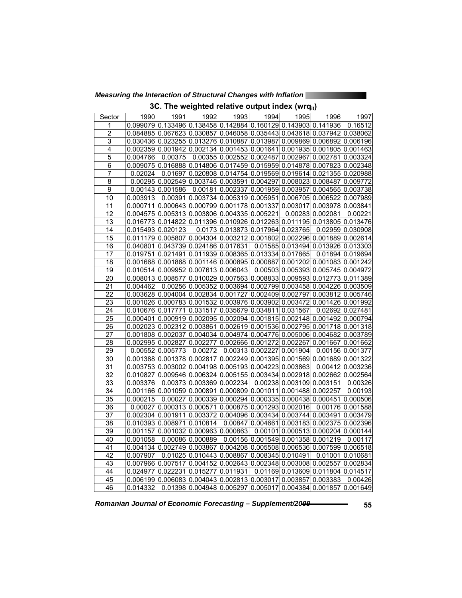*Measuring the Interaction of Structural Changes with Inflation* 

|  |  | 3C. The weighted relative output index (wrq $_{\rm it}$ ) |  |  |  |  |  |
|--|--|-----------------------------------------------------------|--|--|--|--|--|
|--|--|-----------------------------------------------------------|--|--|--|--|--|

| Sector          | 1990     | 1991                                                                                                         | 1992              | 1993                               | 1994 | 1995                                                                          | 1996              | 1997             |
|-----------------|----------|--------------------------------------------------------------------------------------------------------------|-------------------|------------------------------------|------|-------------------------------------------------------------------------------|-------------------|------------------|
| 1               |          | 0.099079 0.133496 0.138458 0.142884 0.160129 0.143903 0.141936                                               |                   |                                    |      |                                                                               |                   | 0.16512          |
| $\overline{2}$  |          | 0.084885 0.067623 0.030857 0.046058 0.035443 0.043618 0.037942 0.038062                                      |                   |                                    |      |                                                                               |                   |                  |
| 3               |          | $0.030436 0.023255 0.013276 0.010887 0.013987 0.009869 0.006892 0.006196$                                    |                   |                                    |      |                                                                               |                   |                  |
| $\overline{4}$  |          | 0.002359 0.001942 0.002134 0.001453 0.001641 0.001935 0.001805 0.001463                                      |                   |                                    |      |                                                                               |                   |                  |
| $\overline{5}$  | 0.004766 | 0.00375                                                                                                      |                   |                                    |      | 0.00355 0.002552 0.002487 0.002967 0.002781 0.003324                          |                   |                  |
| 6               |          | 0.009075 0.016888 0.014806 0.017459 0.015959 0.014878 0.007823 0.002348                                      |                   |                                    |      |                                                                               |                   |                  |
| $\overline{7}$  | 0.02024  |                                                                                                              |                   |                                    |      | 0.01697 0.020808 0.014754 0.019569 0.019614 0.021355 0.020988                 |                   |                  |
| $\overline{8}$  |          | $0.00295 0.002549 0.003746 0.003591 0.004297 0.008023 0.008487 0.009772$                                     |                   |                                    |      |                                                                               |                   |                  |
| $\overline{9}$  |          | $0.00143$ 0.001586                                                                                           |                   | 0.00181 0.002337 0.001959 0.003957 |      |                                                                               | 0.004565 0.003738 |                  |
| 10              | 0.003913 |                                                                                                              |                   |                                    |      | $0.00391 0.003734 0.005319 0.005951 0.006705 0.006522 0.007989$               |                   |                  |
| 11              |          | $0.000711$  0.000643 0.000799 0.001178 0.001337 0.003017 0.003978 0.003841                                   |                   |                                    |      |                                                                               |                   |                  |
| 12              |          | $0.004575 \, 0.005313 \, 0.003806 \, 0.004335 \, 0.005221$                                                   |                   |                                    |      |                                                                               | 0.00283 0.002081  | 0.00221          |
| 13              |          | $0.016773$ 0.014822 0.011396 0.010926 0.012263 0.011195 0.013805 0.013476                                    |                   |                                    |      |                                                                               |                   |                  |
| 14              |          | 0.015493 0.020123                                                                                            |                   |                                    |      | $0.0173 \mid 0.013873 \mid 0.017964 \mid 0.023765 \mid 0.02959 \mid 0.030908$ |                   |                  |
| 15              |          | 0.011179 0.005807 0.004304 0.003212 0.001802 0.002296 0.001889 0.002614                                      |                   |                                    |      |                                                                               |                   |                  |
| 16              |          | 0.040801 0.043739 0.024186 0.017631                                                                          |                   |                                    |      | 0.01585 0.013494 0.013926 0.013303                                            |                   |                  |
| 17              |          | $0.019751 0.021491 0.011939 0.008365 0.013334 0.017865 $                                                     |                   |                                    |      |                                                                               |                   | 0.01894 0.019694 |
| 18              |          | $0.001668$   $0.001868$   $0.001146$   $0.000895$   $0.000887$   $0.001202$   $0.001083$   $0.001242$        |                   |                                    |      |                                                                               |                   |                  |
| 19              |          | 0.010514 0.009952 0.007613 0.006043                                                                          |                   |                                    |      | $0.00503$ 0.005393 0.005745 0.004972                                          |                   |                  |
| $\overline{20}$ |          | 0.008013 0.008577 0.010029 0.007563 0.008833 0.009593 0.012773 0.011389                                      |                   |                                    |      |                                                                               |                   |                  |
| 21              | 0.004462 |                                                                                                              |                   |                                    |      | $0.00256$ 0.005352 0.003694 0.002799 0.003458 0.004226 0.003509               |                   |                  |
| 22              |          | 0.003628 0.004004 0.002834 0.001727 0.002409 0.002797 0.003812 0.005746                                      |                   |                                    |      |                                                                               |                   |                  |
| 23              |          | 0.001026 0.000783 0.001532 0.003976 0.003902 0.003472 0.001426 0.001992                                      |                   |                                    |      |                                                                               |                   |                  |
| 24              |          | $0.010676 0.017771 0.031517 0.035679 0.034811 0.031567 0.02692 0.027481$                                     |                   |                                    |      |                                                                               |                   |                  |
| 25              |          | $0.000401 0.000919 0.002095 0.002094 0.001815 0.002148 0.001492 0.000794$                                    |                   |                                    |      |                                                                               |                   |                  |
| 26              |          | $0.002023   0.002312   0.003861   0.002619   0.001536   0.002795   0.001718   0.001318$                      |                   |                                    |      |                                                                               |                   |                  |
| $\overline{27}$ |          | $0.001808$  0.002037 0.004034 0.004974 0.004776 0.005006 0.004682 0.003789                                   |                   |                                    |      |                                                                               |                   |                  |
| 28              |          | $0.002995 \mid 0.002827 \mid 0.002277 \mid 0.002666 \mid 0.001272 \mid 0.002267 \mid 0.001667 \mid 0.001662$ |                   |                                    |      |                                                                               |                   |                  |
| 29              |          | 0.00552 0.005773                                                                                             | 0.00272           |                                    |      | 0.00313 0.002227 0.001904                                                     |                   | 0.00156 0.001377 |
| 30              |          | $0.001388 0.001378 0.002817 0.002249 0.001395 0.001569 0.001689 0.001322$                                    |                   |                                    |      |                                                                               |                   |                  |
| $\overline{31}$ |          | $0.003753 0.003002 0.004198 0.005193 0.004223 0.003863 $                                                     |                   |                                    |      |                                                                               |                   | 0.00412 0.003236 |
| 32              |          | 0.010827 0.009546 0.006324 0.005155 0.003434 0.002918 0.002662 0.002564                                      |                   |                                    |      |                                                                               |                   |                  |
| $\overline{33}$ | 0.003376 |                                                                                                              |                   | 0.00373 0.003369 0.002234          |      | 0.00238 0.003109 0.003151                                                     |                   | 0.00326          |
| 34              |          | $0.001166 0.001059 0.000891 0.000809 0.001011 0.001488 0.002257$                                             |                   |                                    |      |                                                                               |                   | 0.00193          |
| 35              | 0.000215 |                                                                                                              |                   |                                    |      | $0.00027 0.000339 0.000294 0.000335 0.000438 0.000451 0.000506$               |                   |                  |
| 36              |          | $0.00027 0.000313 0.000571 0.000875 0.001293 0.002016 0.00176 0.001588$                                      |                   |                                    |      |                                                                               |                   |                  |
| 37              |          | $0.002304 0.001911 0.003372 0.004096 0.003434 0.003744 0.003491 0.003479$                                    |                   |                                    |      |                                                                               |                   |                  |
| $\overline{38}$ |          | 0.010393 0.008971 0.010814                                                                                   |                   |                                    |      | 0.00847 0.004661 0.003183 0.002375 0.002396                                   |                   |                  |
| 39              |          | 0.001157 0.001032 0.000963 0.000863                                                                          |                   |                                    |      | $0.00101$ 0.000513 0.000204 0.000144                                          |                   |                  |
| 40              | 0.001058 |                                                                                                              | 0.00086 0.000889  |                                    |      | 0.00156 0.001549 0.001358 0.001219                                            |                   | 0.00117          |
| 41              |          | $0.004134 \, 0.002749 \, 0.003867 \, 0.004208 \, 0.005508 \, 0.006536 \, 0.007599 \, 0.006518$               |                   |                                    |      |                                                                               |                   |                  |
| 42              | 0.007907 |                                                                                                              |                   |                                    |      | $0.01025 0.010443 0.008867 0.008345 0.010491 0.01001 0.010681$                |                   |                  |
| 43              |          | $0.007966   0.007517   0.004152   0.002643   0.002348   0.003008   0.002557   0.002834$                      |                   |                                    |      |                                                                               |                   |                  |
| 44              | 0.024977 |                                                                                                              | 0.022231 0.015277 | 0.011931                           |      | 0.01169 0.013609 0.011804 0.014517                                            |                   |                  |
| 45              |          | 0.006199 0.006083 0.004043 0.002813 0.003017 0.003857                                                        |                   |                                    |      |                                                                               | 0.003383          | 0.00426          |
| 46              | 0.014332 |                                                                                                              |                   |                                    |      | $0.01398 0.004948 0.005297 0.005017 0.004384 0.001857 0.001649$               |                   |                  |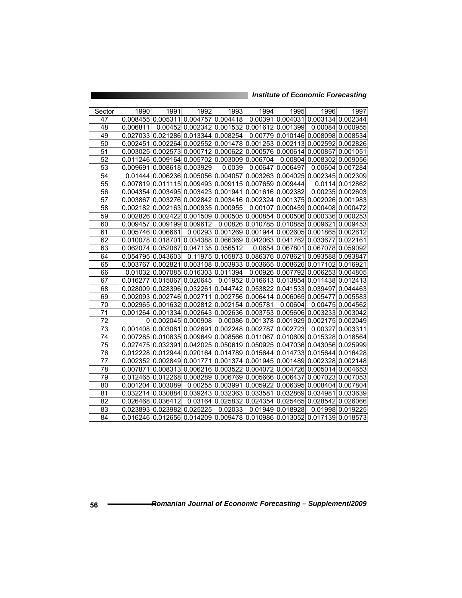| Sector          | 1990     | 1991                                            | 1992     | 1993              | 1994 | 1995                                                                                                         | 1996                      | 1997             |
|-----------------|----------|-------------------------------------------------|----------|-------------------|------|--------------------------------------------------------------------------------------------------------------|---------------------------|------------------|
| 47              |          | 0.008455 0.005311 0.004757 0.004418             |          |                   |      | $\boxed{0.00391}$ 0.004031 0.003134 0.002344                                                                 |                           |                  |
| 48              | 0.006811 |                                                 |          |                   |      | 0.00452 0.002342 0.001532 0.001612 0.001399                                                                  |                           | 0.00084 0.000955 |
| 49              |          | 0.027033 0.021286 0.013344 0.008254             |          |                   |      | 0.00779 0.010146 0.008098 0.008534                                                                           |                           |                  |
| 50              |          |                                                 |          |                   |      | 0.002451 0.002264 0.002552 0.001478 0.001253 0.002113 0.002592                                               |                           | 0.002826         |
| 51              |          |                                                 |          |                   |      | 0.003025 0.002573 0.000712 0.000622 0.000576 0.000614 0.000857                                               |                           | 0.001051         |
| 52              |          | $0.011246 0.009164 0.005702 0.003009 0.006704 $ |          |                   |      |                                                                                                              | 0.00804 0.008302 0.009056 |                  |
| 53              |          | 0.009691 0.008618 0.003929                      |          | 0.0039            |      | 0.00647 0.006497                                                                                             | 0.00604                   | 0.007284         |
| $\overline{54}$ |          |                                                 |          |                   |      | $0.01444 0.006236 0.005056 0.004057 0.003263 0.004025 0.002345 0.002309$                                     |                           |                  |
| 55              |          |                                                 |          |                   |      | 0.007819 0.011115 0.009493 0.009115 0.007659 0.009444                                                        |                           | 0.0114 0.012862  |
| 56              |          |                                                 |          |                   |      | 0.00435410.00349510.00342310.00194110.00161610.002382                                                        |                           | 0.00235 0.002603 |
| 57              |          |                                                 |          |                   |      | $0.003867$  0.003276 0.002842 0.003416 0.002324 0.001375 0.002026 0.001983                                   |                           |                  |
| $\overline{58}$ |          | 0.002182 0.002163 0.000935 0.000955             |          |                   |      | 0.00107 0.000459 0.000408 0.000472                                                                           |                           |                  |
| 59              |          | 0.002826 0.002422                               |          |                   |      | 0.001509 0.000505 0.000854 0.000506 0.000336 0.000253                                                        |                           |                  |
| 60              |          | 0.009457 0.009199 0.009612                      |          |                   |      | 0.00826 0.010785 0.010885 0.009621                                                                           |                           | 0.009453         |
| 61              |          | 0.005746 0.006661                               |          |                   |      | 0.00293 0.001269 0.001944 0.002605 0.001865 0.002612                                                         |                           |                  |
| 62              |          |                                                 |          |                   |      | $0.010078$  0.018701 0.034388 0.066369 0.042063 0.041762 0.033677                                            |                           | 0.022161         |
| 63              |          | 0.06207410.052067                               |          | 0.04713510.056512 |      | 0.0654 0.067801 0.067078                                                                                     |                           | 0.059092         |
| 64              |          | 0.054795 0.043603                               |          |                   |      | 0.11975 0.105873 0.086376 0.078621 0.093588 0.093847                                                         |                           |                  |
| 65              |          | 0.00376710.002821                               |          |                   |      | 0.003108 0.003933 0.003665 0.008626 0.017102                                                                 |                           | 0.016921         |
| 66              |          | 0.01032 0.007085 0.016303 0.011394              |          |                   |      | 0.00926 0.007792 0.006253                                                                                    |                           | 0.004805         |
| 67              |          | 0.016277 0.015067                               | 0.020645 |                   |      | 0.01952 0.016613 0.013854 0.011438                                                                           |                           | 0.012413         |
| 68              |          |                                                 |          |                   |      | 0.028009 0.028396 0.032261 0.044742 0.053822 0.041533 0.039497                                               |                           | 0.044463         |
| 69              |          |                                                 |          |                   |      | 0.002093 0.002746 0.002711 0.002756 0.006414 0.006065 0.005477                                               |                           | 0.005583         |
| 70              |          | 0.002965 0.001632 0.002812 0.002154 0.005781    |          |                   |      | 0.00604                                                                                                      | 0.00475                   | 0.004562         |
| 71              |          |                                                 |          |                   |      | $0.001264 0.001334 0.002643 0.002636 0.003753 0.005606 0.003233 $                                            |                           | 0.003042         |
| 72              |          | 0 0.002045 0.000908                             |          |                   |      | 0.00086 0.001378 0.001929 0.002175                                                                           |                           | 0.002049         |
| $\overline{73}$ |          |                                                 |          |                   |      | 0.001408 0.003081 0.002691 0.002248 0.002787 0.002723                                                        | 0.00327                   | 0.003311         |
| 74              |          |                                                 |          |                   |      | 0.007285 0.010835 0.009649 0.008566 0.011067 0.010609 0.015328                                               |                           | 0.018564         |
| 75              |          |                                                 |          |                   |      | $0.027475 \mid 0.032391 \mid 0.042025 \mid 0.050619 \mid 0.050925 \mid 0.047036 \mid 0.043056 \mid 0.025999$ |                           |                  |
| 76              |          |                                                 |          |                   |      | $0.012228 0.012944 0.020164 0.014789 0.015644 0.014733 0.015644 0.016428$                                    |                           |                  |
| 77              |          |                                                 |          |                   |      | $0.002352 0.002849 0.001771 0.001374 0.001945 0.001489 0.002328 0.002148$                                    |                           |                  |
| 78              |          |                                                 |          |                   |      | 0.007871 0.008313 0.006216 0.003522 0.004072 0.004726 0.005014                                               |                           | 0.004653         |
| 79              |          |                                                 |          |                   |      | $0.012465 \mid 0.012268 \mid 0.008289 \mid 0.006769 \mid 0.005666 \mid 0.006437 \mid 0.007023 \mid 0.007053$ |                           |                  |
| 80              |          | 0.001204 0.003089                               | 0.00255  |                   |      | 0.003991 0.005922 0.006395 0.008404                                                                          |                           | 0.007804         |
| 81              |          |                                                 |          |                   |      | $0.032214 0.030884 0.039243 0.032363 0.033581 0.032869 0.034981 $                                            |                           | 0.033639         |
| $\overline{82}$ |          | 0.026468 0.036412                               |          |                   |      | 0.03164 0.025832 0.024354 0.025465 0.028542                                                                  |                           | 0.026066         |
| 83              |          | 0.023893 0.023982                               | 0.025225 | 0.02033           |      | 0.01949 0.018928                                                                                             | 0.01998                   | 0.019225         |
| 84              |          |                                                 |          |                   |      | 0.016246 0.012656 0.014209 0.009478 0.010986 0.013052 0.017139                                               |                           | 0.018573         |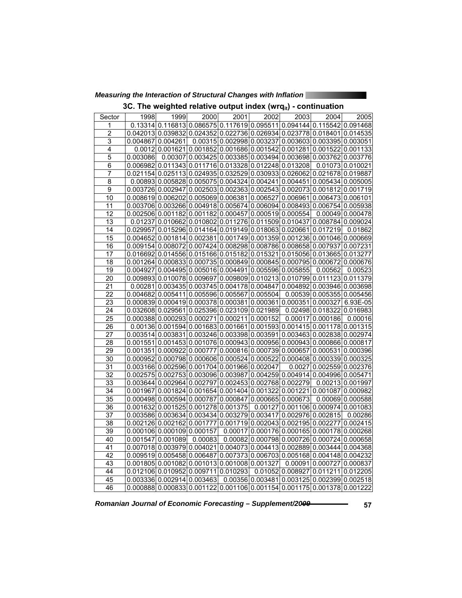*Measuring the Interaction of Structural Changes with Inflation* 

|  |  |  |  | 3C. The weighted relative output index (wrq $_{it}$ ) - continuation |  |
|--|--|--|--|----------------------------------------------------------------------|--|
|--|--|--|--|----------------------------------------------------------------------|--|

| Sector          | 1998     | 1999                                                                                                         | 2000                       | 2001    | $\overline{2002}$             | 2003             | 2004                                                            | 2005             |
|-----------------|----------|--------------------------------------------------------------------------------------------------------------|----------------------------|---------|-------------------------------|------------------|-----------------------------------------------------------------|------------------|
| 1               |          | $0.13314 0.116813 0.086575 0.117619 0.095511 0.094144 0.115542 0.091468$                                     |                            |         |                               |                  |                                                                 |                  |
| $\overline{c}$  |          | $0.042013 0.039832 0.024352 0.022736 0.026934 0.023778 0.018401 0.014535$                                    |                            |         |                               |                  |                                                                 |                  |
| 3               |          | 0.004867 0.004261                                                                                            |                            |         |                               |                  | $0.003150.00299800.0032370.00360300.0033950.003051$             |                  |
| 4               |          | $0.0012 0.001621 0.001852 0.001686 0.001542 0.001281 0.001522 0.001133$                                      |                            |         |                               |                  |                                                                 |                  |
| 5               | 0.003086 |                                                                                                              |                            |         |                               |                  | $0.00307$ 0.003425 0.003385 0.003494 0.003698 0.003762 0.003776 |                  |
| 6               |          | 0.006982 0.011343 0.011716 0.013328 0.012248 0.013208                                                        |                            |         |                               |                  |                                                                 | 0.01073 0.010021 |
| 7               |          | $0.021154 0.025113 0.024935 0.032529 0.030933 0.026062 0.021678 0.019887$                                    |                            |         |                               |                  |                                                                 |                  |
| $\overline{8}$  |          | $0.00893 0.005828 0.005075 0.004324 0.004241 0.004451 0.005434 0.005005$                                     |                            |         |                               |                  |                                                                 |                  |
| $\overline{9}$  |          | 0.003726 0.002947 0.002503 0.002363 0.002543 0.002073 0.001812 0.001719                                      |                            |         |                               |                  |                                                                 |                  |
| 10              |          | 0.008619 0.006202 0.005069 0.006381 0.006527 0.006961 0.006473 0.006101                                      |                            |         |                               |                  |                                                                 |                  |
| 11              |          | $0.003706$ 0.003266 0.004918 0.005674 0.006094 0.008493 0.006754 0.005938                                    |                            |         |                               |                  |                                                                 |                  |
| 12              |          | $0.002506 0.001182 0.001182 0.000457 0.000519 0.000554 $                                                     |                            |         |                               |                  |                                                                 | 0.00049 0.000478 |
| $\overline{13}$ |          | 0.01237 0.010662 0.010802 0.011276 0.011509 0.010437 0.008784 0.009024                                       |                            |         |                               |                  |                                                                 |                  |
| 14              |          | 0.029957 0.015296 0.014164 0.019149 0.018063 0.020661 0.017219                                               |                            |         |                               |                  |                                                                 | 0.01862          |
| 15              |          | 0.004652 0.001814 0.002381 0.001749 0.001359 0.001236 0.001046 0.000669                                      |                            |         |                               |                  |                                                                 |                  |
| 16              |          | 0.009154 0.008072 0.007424 0.008298 0.008786 0.008658 0.007937 0.007231                                      |                            |         |                               |                  |                                                                 |                  |
| 17              |          | $0.016692 \mid 0.014556 \mid 0.015166 \mid 0.015182 \mid 0.015321 \mid 0.015056 \mid 0.013665 \mid 0.013277$ |                            |         |                               |                  |                                                                 |                  |
| $\overline{18}$ |          | $0.001264$ 0.000833 0.000735 0.000849 0.000845 0.000795 0.000672 0.000676                                    |                            |         |                               |                  |                                                                 |                  |
| 19              |          | $0.004927 \mid 0.004495 \mid 0.005016 \mid 0.004491 \mid 0.005596 \mid 0.005855$                             |                            |         |                               |                  | 0.00562                                                         | 0.00523          |
| $\overline{20}$ |          | 0.009893 0.010078 0.009697 0.009809 0.010213 0.010799 0.011123 0.011379                                      |                            |         |                               |                  |                                                                 |                  |
| 21              |          | $0.00281 0.003435 0.003745 0.004178 0.004847 0.004892 0.003946 0.003698$                                     |                            |         |                               |                  |                                                                 |                  |
| $\overline{22}$ |          | 0.004682 0.005411 0.005596 0.005567 0.005504                                                                 |                            |         |                               |                  | 0.00539 0.005355 0.005456                                       |                  |
| 23              |          | $0.000839 0.000419 0.000378 0.000381 0.000361 0.000351 0.000327 $                                            |                            |         |                               |                  |                                                                 | 6.93E-05         |
| 24              |          | 0.032608 0.029561 0.025396 0.023109 0.021989                                                                 |                            |         |                               |                  | 0.02498 0.018322 0.016983                                       |                  |
| 25              |          | $0.000388 0.000293 0.000271 0.000211 0.000152$                                                               |                            |         |                               |                  | $0.00017$ 0.000186                                              | 0.00016          |
| 26              |          | $0.00136 0.001594 0.001683 0.001661 0.001593 0.001415 0.001178 0.001315$                                     |                            |         |                               |                  |                                                                 |                  |
| $\overline{27}$ |          | 0.003514 0.003831 0.003246 0.003398 0.003591 0.003463 0.002838 0.002974                                      |                            |         |                               |                  |                                                                 |                  |
| $\overline{2}8$ |          | $0.001551 0.001453 0.001076 0.000943 0.000956 0.000943 0.000866 0.000817$                                    |                            |         |                               |                  |                                                                 |                  |
| $\overline{29}$ |          | $0.001351 0.000922 0.000777 0.000816 0.000739 0.000657 0.000531 0.000396$                                    |                            |         |                               |                  |                                                                 |                  |
| 30              |          | $0.000952 0.000798 0.000606 0.000524 0.000522 0.000408 0.000339 0.000325$                                    |                            |         |                               |                  |                                                                 |                  |
| $\overline{31}$ |          | 0.003166 0.002596 0.001704 0.001966 0.002047                                                                 |                            |         |                               |                  | 0.0027 0.002559 0.002376                                        |                  |
| $\overline{32}$ |          | 0.002575 0.002753 0.003096 0.003987 0.004259 0.004914 0.004996 0.005471                                      |                            |         |                               |                  |                                                                 |                  |
| $\overline{33}$ |          | 0.003644 0.002964 0.002797 0.002453 0.002768 0.002279                                                        |                            |         |                               |                  |                                                                 | 0.00213 0.001997 |
| 34              |          | $0.001967 \mid 0.001824 \mid 0.001654 \mid 0.001404 \mid 0.001322 \mid 0.001221 \mid 0.001087 \mid 0.000982$ |                            |         |                               |                  |                                                                 |                  |
| 35              |          | $0.000498 0.000594 0.000787 0.000847 0.000665 0.000673 $                                                     |                            |         |                               |                  |                                                                 | 0.00069 0.000588 |
| 36              |          | 0.001632 0.001525 0.001278 0.001375                                                                          |                            |         |                               |                  | 0.00127 0.001106 0.000974 0.001083                              |                  |
| 37              |          | 0.003586 0.003634 0.003434 0.003279 0.003417 0.002976 0.002815                                               |                            |         |                               |                  |                                                                 | 0.00286          |
| 38              |          | 0.002126 0.002162 0.001777 0.001719 0.002043 0.002195 0.002277 0.002415                                      |                            |         |                               |                  |                                                                 |                  |
| 39              |          | 0.000106 0.000109 0.000157                                                                                   |                            |         |                               |                  | 0.00017 0.000176 0.000165 0.000178 0.000268                     |                  |
| 40              |          | 0.001547 0.001089                                                                                            | 0.00083                    | 0.00082 |                               |                  | 0.000798 0.000726 0.000724 0.000658                             |                  |
| 41              |          | $0.007018$  0.003979 0.004021 0.004073 0.004413 0.002889 0.003444 0.004368                                   |                            |         |                               |                  |                                                                 |                  |
| 42              |          | 0.009519 0.005458 0.006487 0.007373 0.006703 0.005168 0.004148 0.004232                                      |                            |         |                               |                  |                                                                 |                  |
| 43              |          | $0.001805 0.001082 0.001013 0.001008 0.001327$                                                               |                            |         |                               | 0.00091          | 0.000727 0.000837                                               |                  |
| 44              | 0.012106 |                                                                                                              | 0.010952 0.009711 0.010293 |         |                               | 0.01052 0.008927 | 0.011211                                                        | 0.012205         |
| 45              |          | 0.003336 0.002914 0.003463                                                                                   |                            |         | $\overline{0.00356}$ 0.003481 |                  | 0.003125 0.002399 0.002518                                      |                  |
| 46              |          | 0.000888 0.000833 0.001122 0.001106 0.001154 0.001175 0.001378 0.001222                                      |                            |         |                               |                  |                                                                 |                  |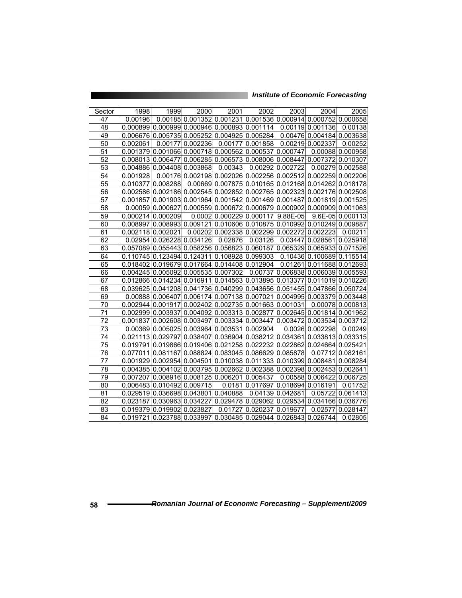|                 |                 |                                                                                                              | 2000     |                            | 2002     |                                                                       |                           | 2005             |
|-----------------|-----------------|--------------------------------------------------------------------------------------------------------------|----------|----------------------------|----------|-----------------------------------------------------------------------|---------------------------|------------------|
| Sector<br>47    | 1998<br>0.00196 | 1999                                                                                                         |          | 2001                       |          | 2003<br>0.00185 0.001352 0.001231 0.001536 0.000914 0.000752 0.000658 | <b>2004</b>               |                  |
| 48              |                 | $0.000899   0.000999   0.000946   0.000893   0.001114  $                                                     |          |                            |          |                                                                       | 0.00119 0.001136          | 0.00138          |
| 49              |                 | 0.006676 0.005735                                                                                            |          |                            |          |                                                                       | 0.00476 0.004184 0.003638 |                  |
|                 |                 |                                                                                                              |          | 0.005252 0.004925 0.005284 |          |                                                                       |                           |                  |
| 50              | 0.002061        | 0.00177                                                                                                      | 0.002236 | 0.00177                    | 0.001858 |                                                                       | 0.00219 0.002337          | 0.00252          |
| 51              |                 | 0.001379 0.001066                                                                                            |          |                            |          | 0.000718 0.000562 0.000537 0.000747                                   |                           | 0.00088 0.000958 |
| 52              |                 | 0.008013 0.006477                                                                                            |          |                            |          | 0.006285 0.006573 0.008006 0.008447 0.007372 0.010307                 |                           |                  |
| 53              |                 | 0.00488610.0044081                                                                                           | 0.003868 | 0.00343                    |          | 0.00292 0.002722                                                      |                           | 0.0027910.002588 |
| $\overline{54}$ | 0.001928        |                                                                                                              |          |                            |          | 0.00176 0.002198 0.002026 0.002256 0.002512 0.002259 0.002206         |                           |                  |
| 55              |                 | 0.010377 0.008288                                                                                            |          |                            |          | 0.00669 0.007875 0.010165 0.012168 0.014262 0.018178                  |                           |                  |
| 56              |                 | $0.002586   0.002186   0.002545   0.002852   0.002765   0.002323   0.002176   0.002508$                      |          |                            |          |                                                                       |                           |                  |
| 57              |                 | $0.001857$  0.001903 0.001964 0.001542 0.001469 0.001487 0.001819 0.001525                                   |          |                            |          |                                                                       |                           |                  |
| 58              |                 | 0.0005910.000627                                                                                             |          | 0.000559 0.000672          |          | $0.000679$ 0.000902 0.000909 0.001063                                 |                           |                  |
| 59              |                 | 0.00021410.000209                                                                                            |          |                            |          | 0.0002 0.000229 0.000117 9.88E-05                                     |                           | 9.6E-05 0.000113 |
| 60              |                 | $0.008997 0.008993 0.009121 0.010606 0.010875 0.010992 0.010249 0.009887$                                    |          |                            |          |                                                                       |                           |                  |
| 61              |                 | 0.002118 0.002021                                                                                            |          |                            |          | $0.00202$ 0.002338 0.002299 0.002272 0.002223                         |                           | 0.00211          |
| 62              |                 | 0.02954 0.026228                                                                                             | 0.034126 | 0.02876                    | 0.03126  |                                                                       | 0.03447 0.028561 0.025918 |                  |
| 63              |                 | 0.05708910.0554431                                                                                           |          |                            |          | 0.058256 0.056823 0.060187 0.065329 0.065933 0.071526                 |                           |                  |
| 64              |                 | 0.110745 0.123494 0.124311 0.108928 0.099303                                                                 |          |                            |          |                                                                       | 0.10436 0.100689 0.115514 |                  |
| 65              |                 | 0.01840210.019679                                                                                            |          | 0.01766410.01440810.012904 |          |                                                                       | 0.01261 0.011688 0.012693 |                  |
| 66              |                 | 0.00424510.0050921                                                                                           |          | 0.005535 0.007302          |          | 0.0073710.00683810.00603910.005593                                    |                           |                  |
| 67              |                 | 0.01286610.0142341                                                                                           |          |                            |          | 0.016911 0.014563 0.013895 0.013377 0.011019 0.010226                 |                           |                  |
| 68              |                 | $0.039625 \mid 0.041208 \mid 0.041736 \mid 0.040299 \mid 0.043656 \mid 0.051455 \mid 0.047866 \mid 0.050724$ |          |                            |          |                                                                       |                           |                  |
| 69              |                 | 0.00888 0.006407                                                                                             |          |                            |          | 0.006174 0.007138 0.007021 0.004995 0.003379 0.003448                 |                           |                  |
| 70              |                 | 0.00294410.001917                                                                                            |          |                            |          | 0.002402 0.002735 0.001663 0.001031                                   |                           | 0.00078 0.000813 |
| 71              |                 | 0.002999 0.003937                                                                                            |          |                            |          | 0.004092 0.003313 0.002877 0.002645 0.001814 0.001962                 |                           |                  |
| 72              |                 | 0.00183710.0026081                                                                                           |          |                            |          | 0.003497 0.003334 0.003447 0.003472 0.003534 0.003712                 |                           |                  |
| 73              |                 | 0.0036910.0050251                                                                                            |          | 0.003964 0.003531 0.002904 |          |                                                                       | 0.0026 0.002298           | 0.00249          |
| 74              |                 | 0.02111310.029797                                                                                            |          |                            |          | 0.038407 0.036904 0.038212 0.034361 0.033813 0.033315                 |                           |                  |
| 75              |                 | 0.019791 0.019866 0.019406 0.021258 0.022232 0.022862 0.024664 0.025421                                      |          |                            |          |                                                                       |                           |                  |
| 76              |                 | 0.077011 0.081167                                                                                            |          |                            |          | 0.088824 0.083045 0.086629 0.085878                                   |                           | 0.07712 0.082161 |
| 77              |                 | 0.001929   0.002954                                                                                          |          |                            |          | 0.004501 0.010038 0.011333 0.010399 0.008481 0.008284                 |                           |                  |
| $\overline{78}$ |                 | 0.004385 0.004102                                                                                            |          |                            |          | 0.003795 0.002662 0.002388 0.002398 0.002453 0.002641                 |                           |                  |
| 79              |                 | 0.007207 0.008916 0.008125 0.006201 0.005437                                                                 |          |                            |          |                                                                       | 0.00588 0.006422 0.006725 |                  |
| 80              |                 | 0.00648310.010492                                                                                            | 0.009715 | 0.0181                     |          | 0.017697 0.018694 0.016191                                            |                           | 0.01752          |
| 81              |                 | 0.029519 0.036698                                                                                            | 0.043801 | 0.040888                   |          | 0.04139 0.042681                                                      |                           | 0.0572210.061413 |
| $\overline{82}$ | 0.023187        | 0.030963                                                                                                     | 0.034227 |                            |          | 0.029478 0.029062 0.029534 0.034166 0.036776                          |                           |                  |
| 83              |                 | 0.01937910.019902                                                                                            | 0.023827 | 0.01727                    |          | 0.020237 0.019677                                                     | 0.02577                   | 0.028147         |
| 84              |                 | 0.019721 0.023788 0.033997 0.030485 0.029044 0.026843 0.026744                                               |          |                            |          |                                                                       |                           | 0.02805          |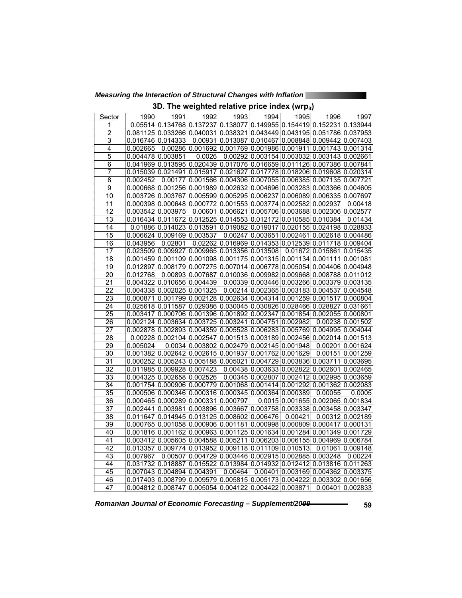*Measuring the Interaction of Structural Changes with Inflation* 

|  | 3D. The weighted relative price index (wrpit) |  |  |  |
|--|-----------------------------------------------|--|--|--|
|  |                                               |  |  |  |

| 0.05514 0.134768 0.137237 0.138077 0.149955 0.154419 0.152231 0.133944<br>1<br>2<br>0.081125 0.033266 0.040031 0.038321 0.043449 0.043195 0.051786 0.037953<br>3<br>$0.00931 0.013087 0.010467 0.008848 0.009442 0.007403$<br>0.016746 0.014333<br>$0.00286 0.001692 0.001769 0.001986 0.001911 0.001743 0.001314$<br>4<br>0.002665<br>5<br>0.004478 0.003851<br>0.0026<br>$0.00292 0.003154 0.003032 0.003143 0.002661$<br>0.041969 0.013595 0.020439 0.017076 0.016659 0.011126 0.007386 0.007841<br>6<br>$\overline{7}$<br>0.015039 0.021491 0.015917 0.021627 0.017778 0.018206 0.019608 0.020314<br>$\overline{8}$<br>0.00177 0.001566 0.004306 0.007055 0.006385 0.007135 0.007721<br>0.002452<br>9<br>$0.000668 0.001256 0.001989 0.002632 0.004696 0.003283 0.003366 0.004605$<br>10<br>$0.003726 0.003767 0.005599 0.005295 0.006237 0.006089 0.006335 0.007697$<br>11<br>$0.000398$  0.000648 0.000772 0.001553 0.003774 0.002582 0.002937<br>0.00418<br>12<br>$0.00601 0.006621 0.005706 0.003688 0.002306 0.002577$<br>0.003542 0.003975<br>13<br>0.016434 0.011672 0.012525 0.014553 0.012172 0.010585 0.010384<br>0.01434<br>14<br>0.01886 0.014023 0.013591<br>0.019082<br>0.019017<br>0.020155 0.024198 0.028833<br>15<br>0.006624 0.009169 0.003537<br>0.00247<br>0.003651 0.002461 0.002618 0.004486<br>16<br>0.043956<br>0.02801<br>0.02262 0.016969 0.014353 0.012539 0.011718 0.009404<br>$0.023509 0.009927 0.009965 0.013356 0.013508$<br>17<br>0.01672 0.015861 0.015435<br>18<br>$0.001459 0.001109 0.001098 0.001175 0.001315 0.001134 0.001111 0.001081$<br>$0.012897   0.008179   0.007275   0.007014   0.006778   0.005054   0.004406   0.004948$<br>19<br>20<br>$0.00893 0.007687 0.010036 0.009982 0.009668 0.008788 0.011012$<br>0.012768<br>21<br>0.004322 0.010656 0.004439<br>0.00339 0.003446 0.003266 0.003379 0.003135<br>$\overline{22}$<br>0.004338 0.002025 0.001325<br>$0.00214 0.002365 0.003183 0.004537 0.004548$<br>23<br>$0.000871 0.001799 0.002128 0.002634 0.004314 0.001259 0.001517 0.000804$<br>24<br>$0.025618$ 0.011587 0.029386 0.030045 0.030826 0.028466 0.028827 0.031661 |
|--------------------------------------------------------------------------------------------------------------------------------------------------------------------------------------------------------------------------------------------------------------------------------------------------------------------------------------------------------------------------------------------------------------------------------------------------------------------------------------------------------------------------------------------------------------------------------------------------------------------------------------------------------------------------------------------------------------------------------------------------------------------------------------------------------------------------------------------------------------------------------------------------------------------------------------------------------------------------------------------------------------------------------------------------------------------------------------------------------------------------------------------------------------------------------------------------------------------------------------------------------------------------------------------------------------------------------------------------------------------------------------------------------------------------------------------------------------------------------------------------------------------------------------------------------------------------------------------------------------------------------------------------------------------------------------------------------------------------------------------------------------------------------------------------------------------------------------------------------------------------------------------------------------------------------------------------------------------------------------------------------------------------------------------------------------------------------------------------------------------------------------|
|                                                                                                                                                                                                                                                                                                                                                                                                                                                                                                                                                                                                                                                                                                                                                                                                                                                                                                                                                                                                                                                                                                                                                                                                                                                                                                                                                                                                                                                                                                                                                                                                                                                                                                                                                                                                                                                                                                                                                                                                                                                                                                                                      |
|                                                                                                                                                                                                                                                                                                                                                                                                                                                                                                                                                                                                                                                                                                                                                                                                                                                                                                                                                                                                                                                                                                                                                                                                                                                                                                                                                                                                                                                                                                                                                                                                                                                                                                                                                                                                                                                                                                                                                                                                                                                                                                                                      |
|                                                                                                                                                                                                                                                                                                                                                                                                                                                                                                                                                                                                                                                                                                                                                                                                                                                                                                                                                                                                                                                                                                                                                                                                                                                                                                                                                                                                                                                                                                                                                                                                                                                                                                                                                                                                                                                                                                                                                                                                                                                                                                                                      |
|                                                                                                                                                                                                                                                                                                                                                                                                                                                                                                                                                                                                                                                                                                                                                                                                                                                                                                                                                                                                                                                                                                                                                                                                                                                                                                                                                                                                                                                                                                                                                                                                                                                                                                                                                                                                                                                                                                                                                                                                                                                                                                                                      |
|                                                                                                                                                                                                                                                                                                                                                                                                                                                                                                                                                                                                                                                                                                                                                                                                                                                                                                                                                                                                                                                                                                                                                                                                                                                                                                                                                                                                                                                                                                                                                                                                                                                                                                                                                                                                                                                                                                                                                                                                                                                                                                                                      |
|                                                                                                                                                                                                                                                                                                                                                                                                                                                                                                                                                                                                                                                                                                                                                                                                                                                                                                                                                                                                                                                                                                                                                                                                                                                                                                                                                                                                                                                                                                                                                                                                                                                                                                                                                                                                                                                                                                                                                                                                                                                                                                                                      |
|                                                                                                                                                                                                                                                                                                                                                                                                                                                                                                                                                                                                                                                                                                                                                                                                                                                                                                                                                                                                                                                                                                                                                                                                                                                                                                                                                                                                                                                                                                                                                                                                                                                                                                                                                                                                                                                                                                                                                                                                                                                                                                                                      |
|                                                                                                                                                                                                                                                                                                                                                                                                                                                                                                                                                                                                                                                                                                                                                                                                                                                                                                                                                                                                                                                                                                                                                                                                                                                                                                                                                                                                                                                                                                                                                                                                                                                                                                                                                                                                                                                                                                                                                                                                                                                                                                                                      |
|                                                                                                                                                                                                                                                                                                                                                                                                                                                                                                                                                                                                                                                                                                                                                                                                                                                                                                                                                                                                                                                                                                                                                                                                                                                                                                                                                                                                                                                                                                                                                                                                                                                                                                                                                                                                                                                                                                                                                                                                                                                                                                                                      |
|                                                                                                                                                                                                                                                                                                                                                                                                                                                                                                                                                                                                                                                                                                                                                                                                                                                                                                                                                                                                                                                                                                                                                                                                                                                                                                                                                                                                                                                                                                                                                                                                                                                                                                                                                                                                                                                                                                                                                                                                                                                                                                                                      |
|                                                                                                                                                                                                                                                                                                                                                                                                                                                                                                                                                                                                                                                                                                                                                                                                                                                                                                                                                                                                                                                                                                                                                                                                                                                                                                                                                                                                                                                                                                                                                                                                                                                                                                                                                                                                                                                                                                                                                                                                                                                                                                                                      |
|                                                                                                                                                                                                                                                                                                                                                                                                                                                                                                                                                                                                                                                                                                                                                                                                                                                                                                                                                                                                                                                                                                                                                                                                                                                                                                                                                                                                                                                                                                                                                                                                                                                                                                                                                                                                                                                                                                                                                                                                                                                                                                                                      |
|                                                                                                                                                                                                                                                                                                                                                                                                                                                                                                                                                                                                                                                                                                                                                                                                                                                                                                                                                                                                                                                                                                                                                                                                                                                                                                                                                                                                                                                                                                                                                                                                                                                                                                                                                                                                                                                                                                                                                                                                                                                                                                                                      |
|                                                                                                                                                                                                                                                                                                                                                                                                                                                                                                                                                                                                                                                                                                                                                                                                                                                                                                                                                                                                                                                                                                                                                                                                                                                                                                                                                                                                                                                                                                                                                                                                                                                                                                                                                                                                                                                                                                                                                                                                                                                                                                                                      |
|                                                                                                                                                                                                                                                                                                                                                                                                                                                                                                                                                                                                                                                                                                                                                                                                                                                                                                                                                                                                                                                                                                                                                                                                                                                                                                                                                                                                                                                                                                                                                                                                                                                                                                                                                                                                                                                                                                                                                                                                                                                                                                                                      |
|                                                                                                                                                                                                                                                                                                                                                                                                                                                                                                                                                                                                                                                                                                                                                                                                                                                                                                                                                                                                                                                                                                                                                                                                                                                                                                                                                                                                                                                                                                                                                                                                                                                                                                                                                                                                                                                                                                                                                                                                                                                                                                                                      |
|                                                                                                                                                                                                                                                                                                                                                                                                                                                                                                                                                                                                                                                                                                                                                                                                                                                                                                                                                                                                                                                                                                                                                                                                                                                                                                                                                                                                                                                                                                                                                                                                                                                                                                                                                                                                                                                                                                                                                                                                                                                                                                                                      |
|                                                                                                                                                                                                                                                                                                                                                                                                                                                                                                                                                                                                                                                                                                                                                                                                                                                                                                                                                                                                                                                                                                                                                                                                                                                                                                                                                                                                                                                                                                                                                                                                                                                                                                                                                                                                                                                                                                                                                                                                                                                                                                                                      |
|                                                                                                                                                                                                                                                                                                                                                                                                                                                                                                                                                                                                                                                                                                                                                                                                                                                                                                                                                                                                                                                                                                                                                                                                                                                                                                                                                                                                                                                                                                                                                                                                                                                                                                                                                                                                                                                                                                                                                                                                                                                                                                                                      |
|                                                                                                                                                                                                                                                                                                                                                                                                                                                                                                                                                                                                                                                                                                                                                                                                                                                                                                                                                                                                                                                                                                                                                                                                                                                                                                                                                                                                                                                                                                                                                                                                                                                                                                                                                                                                                                                                                                                                                                                                                                                                                                                                      |
|                                                                                                                                                                                                                                                                                                                                                                                                                                                                                                                                                                                                                                                                                                                                                                                                                                                                                                                                                                                                                                                                                                                                                                                                                                                                                                                                                                                                                                                                                                                                                                                                                                                                                                                                                                                                                                                                                                                                                                                                                                                                                                                                      |
|                                                                                                                                                                                                                                                                                                                                                                                                                                                                                                                                                                                                                                                                                                                                                                                                                                                                                                                                                                                                                                                                                                                                                                                                                                                                                                                                                                                                                                                                                                                                                                                                                                                                                                                                                                                                                                                                                                                                                                                                                                                                                                                                      |
|                                                                                                                                                                                                                                                                                                                                                                                                                                                                                                                                                                                                                                                                                                                                                                                                                                                                                                                                                                                                                                                                                                                                                                                                                                                                                                                                                                                                                                                                                                                                                                                                                                                                                                                                                                                                                                                                                                                                                                                                                                                                                                                                      |
|                                                                                                                                                                                                                                                                                                                                                                                                                                                                                                                                                                                                                                                                                                                                                                                                                                                                                                                                                                                                                                                                                                                                                                                                                                                                                                                                                                                                                                                                                                                                                                                                                                                                                                                                                                                                                                                                                                                                                                                                                                                                                                                                      |
| 25<br>$0.003417 0.000706 0.001396 0.001892 0.002347 0.001854 0.002055 0.000801$                                                                                                                                                                                                                                                                                                                                                                                                                                                                                                                                                                                                                                                                                                                                                                                                                                                                                                                                                                                                                                                                                                                                                                                                                                                                                                                                                                                                                                                                                                                                                                                                                                                                                                                                                                                                                                                                                                                                                                                                                                                      |
| 26<br>$0.002124 0.003634 0.003725 0.003241 0.004751 0.002982 $<br>0.00238 0.001502                                                                                                                                                                                                                                                                                                                                                                                                                                                                                                                                                                                                                                                                                                                                                                                                                                                                                                                                                                                                                                                                                                                                                                                                                                                                                                                                                                                                                                                                                                                                                                                                                                                                                                                                                                                                                                                                                                                                                                                                                                                   |
| 27<br>$0.002878$ 0.002893 0.004359 0.005528 0.006283 0.005769 0.004995 0.004044                                                                                                                                                                                                                                                                                                                                                                                                                                                                                                                                                                                                                                                                                                                                                                                                                                                                                                                                                                                                                                                                                                                                                                                                                                                                                                                                                                                                                                                                                                                                                                                                                                                                                                                                                                                                                                                                                                                                                                                                                                                      |
| 28<br>$0.00228$ 0.002104 0.002547 0.001513 0.003189 0.002456 0.002014 0.001513                                                                                                                                                                                                                                                                                                                                                                                                                                                                                                                                                                                                                                                                                                                                                                                                                                                                                                                                                                                                                                                                                                                                                                                                                                                                                                                                                                                                                                                                                                                                                                                                                                                                                                                                                                                                                                                                                                                                                                                                                                                       |
| 29<br>$0.0034 0.003802 0.002479 0.002145 0.001948 $<br>0.005024<br>0.00201 0.001624                                                                                                                                                                                                                                                                                                                                                                                                                                                                                                                                                                                                                                                                                                                                                                                                                                                                                                                                                                                                                                                                                                                                                                                                                                                                                                                                                                                                                                                                                                                                                                                                                                                                                                                                                                                                                                                                                                                                                                                                                                                  |
| 30<br>$0.001382 0.002642 0.002615 0.001937 0.001762 0.001629 $<br>0.00151 0.001259                                                                                                                                                                                                                                                                                                                                                                                                                                                                                                                                                                                                                                                                                                                                                                                                                                                                                                                                                                                                                                                                                                                                                                                                                                                                                                                                                                                                                                                                                                                                                                                                                                                                                                                                                                                                                                                                                                                                                                                                                                                   |
| 31<br>0.000252 0.005243 0.005188 0.005021 <br>0.004729 0.003836 0.003711 0.003695                                                                                                                                                                                                                                                                                                                                                                                                                                                                                                                                                                                                                                                                                                                                                                                                                                                                                                                                                                                                                                                                                                                                                                                                                                                                                                                                                                                                                                                                                                                                                                                                                                                                                                                                                                                                                                                                                                                                                                                                                                                    |
| $\overline{32}$<br>0.011985 0.009928 0.007423<br>$0.00438$ 0.003633 0.002822 0.002601 0.002465                                                                                                                                                                                                                                                                                                                                                                                                                                                                                                                                                                                                                                                                                                                                                                                                                                                                                                                                                                                                                                                                                                                                                                                                                                                                                                                                                                                                                                                                                                                                                                                                                                                                                                                                                                                                                                                                                                                                                                                                                                       |
| 33<br>0.004325 0.002658 0.002526<br>$0.00345$ 0.002807 0.002412 0.002995 0.003659                                                                                                                                                                                                                                                                                                                                                                                                                                                                                                                                                                                                                                                                                                                                                                                                                                                                                                                                                                                                                                                                                                                                                                                                                                                                                                                                                                                                                                                                                                                                                                                                                                                                                                                                                                                                                                                                                                                                                                                                                                                    |
| 34<br>$0.001754 0.000906 0.000779 0.001068 0.001414 0.001292 0.001362 0.002083$                                                                                                                                                                                                                                                                                                                                                                                                                                                                                                                                                                                                                                                                                                                                                                                                                                                                                                                                                                                                                                                                                                                                                                                                                                                                                                                                                                                                                                                                                                                                                                                                                                                                                                                                                                                                                                                                                                                                                                                                                                                      |
| 35<br>$0.000506 0.000346 0.000316 0.000345 0.000364 0.000389 $<br>0.00055<br>0.0005                                                                                                                                                                                                                                                                                                                                                                                                                                                                                                                                                                                                                                                                                                                                                                                                                                                                                                                                                                                                                                                                                                                                                                                                                                                                                                                                                                                                                                                                                                                                                                                                                                                                                                                                                                                                                                                                                                                                                                                                                                                  |
| 36<br>$0.000465$ 0.000289 0.000331 0.000797<br>0.0015 0.001655 0.002065 0.001834                                                                                                                                                                                                                                                                                                                                                                                                                                                                                                                                                                                                                                                                                                                                                                                                                                                                                                                                                                                                                                                                                                                                                                                                                                                                                                                                                                                                                                                                                                                                                                                                                                                                                                                                                                                                                                                                                                                                                                                                                                                     |
| 37<br>$0.002441 0.003981 0.003896 0.003667 0.003758 0.003338 0.003458 0.003347$                                                                                                                                                                                                                                                                                                                                                                                                                                                                                                                                                                                                                                                                                                                                                                                                                                                                                                                                                                                                                                                                                                                                                                                                                                                                                                                                                                                                                                                                                                                                                                                                                                                                                                                                                                                                                                                                                                                                                                                                                                                      |
| 38<br>0.011647 0.014945 0.013125 0.008602 0.006476<br>0.00421<br>0.00312 0.002189                                                                                                                                                                                                                                                                                                                                                                                                                                                                                                                                                                                                                                                                                                                                                                                                                                                                                                                                                                                                                                                                                                                                                                                                                                                                                                                                                                                                                                                                                                                                                                                                                                                                                                                                                                                                                                                                                                                                                                                                                                                    |
| 39<br>$0.000765 0.001058 0.000906 0.001181 0.000998 0.000809 0.000417 0.000131$                                                                                                                                                                                                                                                                                                                                                                                                                                                                                                                                                                                                                                                                                                                                                                                                                                                                                                                                                                                                                                                                                                                                                                                                                                                                                                                                                                                                                                                                                                                                                                                                                                                                                                                                                                                                                                                                                                                                                                                                                                                      |
| $0.001816 0.001162 0.000963 0.001125 0.001634 0.001284 0.001349 0.001729$<br>40                                                                                                                                                                                                                                                                                                                                                                                                                                                                                                                                                                                                                                                                                                                                                                                                                                                                                                                                                                                                                                                                                                                                                                                                                                                                                                                                                                                                                                                                                                                                                                                                                                                                                                                                                                                                                                                                                                                                                                                                                                                      |
| 41<br>0.003412 0.005605 0.004588 0.005211<br>0.006203 0.006155 0.004969 0.006784                                                                                                                                                                                                                                                                                                                                                                                                                                                                                                                                                                                                                                                                                                                                                                                                                                                                                                                                                                                                                                                                                                                                                                                                                                                                                                                                                                                                                                                                                                                                                                                                                                                                                                                                                                                                                                                                                                                                                                                                                                                     |
| 42<br>$0.009774 0.013952 0.009118 0.011109 0.010513 $<br>0.01061 0.009148<br>0.013357                                                                                                                                                                                                                                                                                                                                                                                                                                                                                                                                                                                                                                                                                                                                                                                                                                                                                                                                                                                                                                                                                                                                                                                                                                                                                                                                                                                                                                                                                                                                                                                                                                                                                                                                                                                                                                                                                                                                                                                                                                                |
| 43<br>$0.00507$ 0.004729 0.003446 0.002915 0.002885 0.003248<br>0.007967<br>0.00224                                                                                                                                                                                                                                                                                                                                                                                                                                                                                                                                                                                                                                                                                                                                                                                                                                                                                                                                                                                                                                                                                                                                                                                                                                                                                                                                                                                                                                                                                                                                                                                                                                                                                                                                                                                                                                                                                                                                                                                                                                                  |
| 44<br>0.031732 0.018887 0.015522 0.013984 0.014932 0.012412 0.013816 0.011263                                                                                                                                                                                                                                                                                                                                                                                                                                                                                                                                                                                                                                                                                                                                                                                                                                                                                                                                                                                                                                                                                                                                                                                                                                                                                                                                                                                                                                                                                                                                                                                                                                                                                                                                                                                                                                                                                                                                                                                                                                                        |
| 45<br>0.007043 0.004894 0.004391<br>0.00464<br>0.00401<br>0.003169 0.004362 0.003375                                                                                                                                                                                                                                                                                                                                                                                                                                                                                                                                                                                                                                                                                                                                                                                                                                                                                                                                                                                                                                                                                                                                                                                                                                                                                                                                                                                                                                                                                                                                                                                                                                                                                                                                                                                                                                                                                                                                                                                                                                                 |
| 46<br>$0.017403$ 0.008799 0.009579 0.005815 0.005173 0.004222 0.003302 0.001656                                                                                                                                                                                                                                                                                                                                                                                                                                                                                                                                                                                                                                                                                                                                                                                                                                                                                                                                                                                                                                                                                                                                                                                                                                                                                                                                                                                                                                                                                                                                                                                                                                                                                                                                                                                                                                                                                                                                                                                                                                                      |
| 47<br>$0.004812 0.008747 0.005054 0.004122 0.004422 0.003871 $<br>0.00401 0.002833                                                                                                                                                                                                                                                                                                                                                                                                                                                                                                                                                                                                                                                                                                                                                                                                                                                                                                                                                                                                                                                                                                                                                                                                                                                                                                                                                                                                                                                                                                                                                                                                                                                                                                                                                                                                                                                                                                                                                                                                                                                   |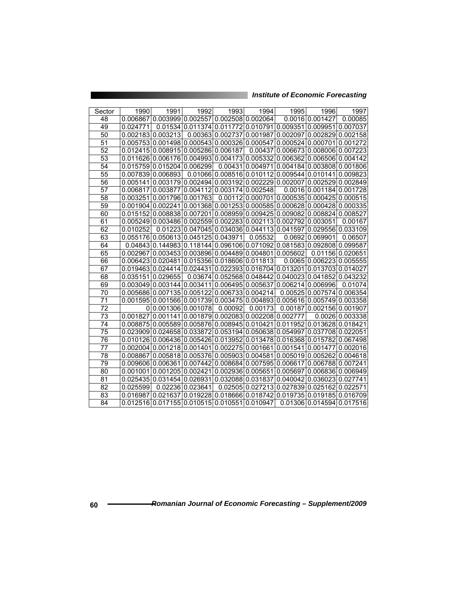| Sector | 1990     | 1991                                                                    | 1992             | 1993                      | 1994              | 1995                                                 | 1996                       | 1997                       |
|--------|----------|-------------------------------------------------------------------------|------------------|---------------------------|-------------------|------------------------------------------------------|----------------------------|----------------------------|
| 48     |          | 0.006867 0.003999 0.002557 0.002508 0.002064                            |                  |                           |                   |                                                      | 0.0016 0.001427            | 0.00085                    |
| 49     | 0.024771 |                                                                         |                  |                           |                   | 0.01534 0.011374 0.011772 0.010791 0.009351 0.009951 |                            | 0.007037                   |
|        |          |                                                                         |                  |                           |                   |                                                      |                            |                            |
| 50     |          | 0.002183 0.003213                                                       |                  | 0.00363 0.002737 0.001987 |                   |                                                      | 0.002097 0.002829          | 0.002158                   |
| 51     |          | 0.005753 0.001498 0.000543 0.000326 0.000547                            |                  |                           |                   |                                                      | 0.000524 0.000701          | 0.001272                   |
| 52     |          | 0.012415 0.008915 0.005286 0.006187                                     |                  |                           | 0.00437           |                                                      | 0.006673 0.008006          | 0.007223                   |
| 53     |          | 0.011626 0.006176 0.004993 0.004173 0.005332                            |                  |                           |                   |                                                      | 0.006362 0.006506          | 0.004142                   |
| 54     |          | 0.015759 0.015204 0.006299                                              |                  |                           | 0.00431 0.004971  |                                                      |                            | 0.004184 0.003808 0.001806 |
| 55     |          | 0.007839 0.006893                                                       |                  | 0.01066 0.008516 0.010112 |                   | 0.009544 0.010141                                    |                            | 0.009823                   |
| 56     |          | 0.005141 0.003179 0.002494 0.003192 0.002229 0.002007 0.002529 0.002849 |                  |                           |                   |                                                      |                            |                            |
| 57     |          | 0.006817 0.003877 0.004112 0.003174 0.002548                            |                  |                           |                   |                                                      |                            | 0.0016 0.001184 0.001728   |
| 58     |          | 0.003251 0.001796 0.001763                                              |                  |                           |                   | 0.00112 0.000701 0.000535 0.000425 0.000515          |                            |                            |
| 59     |          | $0.001904 0.002241 0.001368 0.001253 0.000585 0.000628 0.000428 $       |                  |                           |                   |                                                      |                            | 0.000335                   |
| 60     |          | 0.015152 0.008838 0.007201                                              |                  |                           |                   | 0.008959 0.009425 0.009082 0.008824                  |                            | 0.008527                   |
| 61     |          | 0.005249 0.003486 0.002559 0.002283 0.002113                            |                  |                           |                   | 0.002792 0.003051                                    |                            | 0.00167                    |
| 62     | 0.010252 |                                                                         | 0.01223 0.047045 |                           | 0.034036 0.044113 |                                                      | 0.041597 0.029556          | 0.033109                   |
| 63     |          | 0.055176 0.050613 0.045125                                              |                  | 0.043971                  | 0.05532           |                                                      | 0.0692 0.069901            | 0.06507                    |
| 64     |          | 0.04843 0.144983 0.118144 0.096106 0.071092                             |                  |                           |                   | 0.081583 0.092808                                    |                            | 0.099587                   |
| 65     |          | 0.002967 0.003453 0.003896 0.004489 0.004801                            |                  |                           |                   | 0.005602                                             |                            | 0.01156 0.020651           |
| 66     |          | 0.006423 0.020481 0.015356 0.018606 0.011813                            |                  |                           |                   |                                                      | 0.0065 0.006223 0.005555   |                            |
| 67     |          | 0.019463 0.024414 0.024431                                              |                  |                           | 0.022393 0.016704 | 0.013201 0.013703 0.014027                           |                            |                            |
| 68     |          | 0.035151 0.029655                                                       |                  |                           |                   | 0.03674 0.052568 0.048442 0.040023 0.041852 0.043232 |                            |                            |
| 69     |          | 0.003049 0.003144 0.003411                                              |                  |                           | 0.006495 0.005637 | 0.006214 0.006996                                    |                            | 0.01074                    |
| 70     |          | 0.005686 0.007135 0.005122 0.006733 0.004214                            |                  |                           |                   |                                                      | 0.00525 0.007574           | 0.006354                   |
| 71     |          | 0.001595 0.001566 0.001739 0.003475                                     |                  |                           |                   | 0.004893 0.005616 0.005749                           |                            | 0.003358                   |
| 72     |          | 0 0.001306 0.001078                                                     |                  | 0.00092                   | 0.00173           |                                                      | 0.00187 0.002156           | 0.001907                   |
| 73     |          | 0.001827 0.001141 0.001879                                              |                  |                           |                   | 0.002083 0.002208 0.002777                           |                            | 0.0026 0.003338            |
| 74     |          | 0.008875 0.005589 0.005876                                              |                  |                           | 0.008945 0.010421 | 0.011952   0.013628   0.018421                       |                            |                            |
| 75     |          | 0.023909 0.024658 0.033872                                              |                  |                           |                   | 0.053194 0.050638 0.054997 0.037708 0.022051         |                            |                            |
| 76     |          | 0.010126 0.006436 0.005426                                              |                  |                           |                   | 0.013952 0.013478 0.016368 0.015782 0.067498         |                            |                            |
| 77     |          | 0.002004 0.001218 0.001401                                              |                  | 0.002275                  | 0.001661          | 0.001541 0.001477                                    |                            | 0.002016                   |
| 78     |          | 0.008867 0.005818 0.005376                                              |                  | 0.005903 0.004581         |                   | 0.005019 0.005262                                    |                            | 0.004618                   |
| 79     |          | 0.009606 0.006361 0.007442                                              |                  |                           |                   | 0.008684 0.007595 0.006617 0.006788                  |                            | 0.007241                   |
| 80     |          | 0.001001 0.001205                                                       | 0.002421         | 0.002936                  | 0.005651          |                                                      | 0.005697 0.006836          | 0.006949                   |
| 81     |          | 0.025435 0.031454 0.026931                                              |                  | 0.032088                  | 0.031837          | 0.040042                                             | 0.036023                   | 0.027741                   |
| 82     | 0.025599 |                                                                         | 0.02236 0.023641 | 0.02505                   | 0.027213          | 0.027839 0.025162                                    |                            | 0.022571                   |
| 83     |          | 0.016987 0.021637 0.019228 0.018666 0.018742                            |                  |                           |                   |                                                      | 0.019735 0.019185 0.016709 |                            |
| 84     |          | 0.012516 0.017155 0.010515 0.010551 0.010947                            |                  |                           |                   |                                                      |                            | 0.01306 0.014594 0.017516  |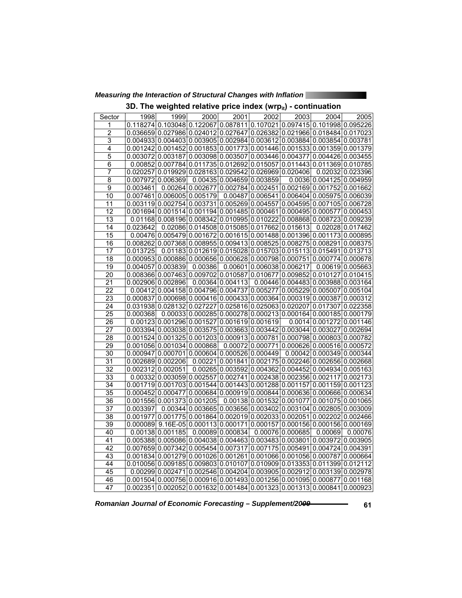*Measuring the Interaction of Structural Changes with Inflation* 

|  |  |  |  |  | 3D. The weighted relative price index (wrp $_{\rm it}$ ) - continuation |
|--|--|--|--|--|-------------------------------------------------------------------------|
|--|--|--|--|--|-------------------------------------------------------------------------|

| Sector | 1998     | 1999                                                     | 2000             | 2001             | 2002                          | 2003             | 2004                                                                                                  | 2005             |
|--------|----------|----------------------------------------------------------|------------------|------------------|-------------------------------|------------------|-------------------------------------------------------------------------------------------------------|------------------|
| 1      |          |                                                          |                  |                  |                               |                  | 0.118274 0.103048 0.122067 0.087811 0.107021 0.097415 0.101998 0.095226                               |                  |
| 2      |          |                                                          |                  |                  |                               |                  | 0.036659 0.027986 0.024012 0.027647 0.026382 0.021966 0.018484 0.017023                               |                  |
| 3      |          |                                                          |                  |                  |                               |                  | $0.004933 0.004403 0.003905 0.002984 0.003612 0.003884 0.003854 0.003781$                             |                  |
| 4      |          |                                                          |                  |                  |                               |                  | $0.001242$ 0.001452 0.001853 0.001773 0.001446 0.001533 0.001359 0.001379                             |                  |
| 5      |          |                                                          |                  |                  |                               |                  | $0.003072$ 0.003187 0.003098 0.003507 0.003446 0.004377 0.004426 0.003455                             |                  |
| 6      |          | 0.00852 0.007784 0.011735 0.012692 0.015057              |                  |                  |                               |                  | 0.011443 0.011369 0.010785                                                                            |                  |
| 7      |          | $0.020257 0.019929 0.028163 0.029542 0.026969 0.020406 $ |                  |                  |                               |                  |                                                                                                       | 0.02032 0.023396 |
| 8      |          | 0.007972 0.006369                                        |                  |                  | 0.00435   0.004659   0.003859 |                  | 0.0036 0.004125 0.004959                                                                              |                  |
| 9      | 0.003461 |                                                          |                  |                  |                               |                  | $0.00264 0.002677 0.002784 0.002451 0.002169 0.001752 0.001662$                                       |                  |
| 10     | 0.007461 | 0.006005 0.005179                                        |                  |                  |                               |                  | $0.00487$ 0.006541 0.006404 0.005975 0.006039                                                         |                  |
| 11     |          |                                                          |                  |                  |                               |                  | $0.003119 0.002754 0.003731 0.005269 0.004557 0.004595 0.007105 0.006728$                             |                  |
| 12     |          |                                                          |                  |                  |                               |                  | $0.001694 0.001514 0.001194 0.001485 0.000461 0.000495 0.000577 0.000453$                             |                  |
| 13     |          |                                                          |                  |                  |                               |                  | $0.01168$ 0.008196 0.008342 0.010995 0.010222 0.008868 0.008723 0.009239                              |                  |
| 14     | 0.023642 |                                                          | 0.02086 0.014508 |                  | 0.015085 0.017662 0.015613    |                  |                                                                                                       | 0.02028 0.017462 |
| 15     |          |                                                          |                  |                  |                               |                  | $0.00476$ 0.005479 0.001672 0.001615 0.001488 0.001396 0.001173 0.000895                              |                  |
| 16     |          |                                                          |                  |                  |                               |                  | $0.008262$ 0.007368 0.008955 0.009413 0.008525 0.008275 0.008291 0.008375                             |                  |
| 17     | 0.013725 |                                                          |                  |                  |                               |                  | $0.01183 0.012619 0.015028 0.015703 0.015113 0.015491 0.013713$                                       |                  |
| 18     |          |                                                          |                  |                  |                               |                  | $0.000953   0.000886   0.000656   0.000628   0.000798   0.000751   0.000774   0.000678$               |                  |
| 19     |          | 0.004057 0.003839                                        | 0.00386          |                  | 0.00601 0.006038 0.006217     |                  |                                                                                                       | 0.00619 0.005663 |
| 20     |          |                                                          |                  |                  |                               |                  | $0.008366 0.007463 0.009702 0.010587 0.010677 0.009852 0.010127 0.010415$                             |                  |
| 21     |          | 0.002906 0.002896                                        |                  | 0.00364 0.004113 |                               |                  | 0.00446 0.004483 0.003988 0.003164                                                                    |                  |
| 22     |          |                                                          |                  |                  |                               |                  | $0.00412 0.004158 0.004796 0.004737 0.005277 0.005229 0.005007 0.005104$                              |                  |
| 23     |          |                                                          |                  |                  |                               |                  | $0.000837   0.000698   0.000416   0.000433   0.000364   0.000319   0.000387   0.000312$               |                  |
| 24     |          | 0.031938 0.028132 0.027227                               |                  |                  |                               |                  | $0.025816 0.025063 0.020207 0.017307 0.022358$                                                        |                  |
| 25     | 0.000368 |                                                          |                  |                  |                               |                  | $0.00033 0.000285 0.000278 0.000213 0.000164 0.000185 0.000179$                                       |                  |
| 26     |          | $0.00123 0.001296 0.001527 0.001619 0.001619$            |                  |                  |                               |                  | 0.0014 0.001272 0.001146                                                                              |                  |
| 27     |          | 0.003394   0.003038   0.003575                           |                  |                  |                               |                  | $0.003663 0.003442 0.003044 0.003027 0.002694$                                                        |                  |
| 28     |          |                                                          |                  |                  |                               |                  | $0.001524$ $0.001325$ $0.001203$ $0.000913$ $0.000781$ $0.000798$ $0.000803$ $0.000782$               |                  |
| 29     |          | 0.001056 0.001034 0.000868                               |                  |                  |                               |                  | $0.00072$ 0.000771 0.000626 0.000516 0.000572                                                         |                  |
| 30     |          | 0.000947 0.000701 0.000604 0.000526 0.000449             |                  |                  |                               |                  | 0.00042 0.000349 0.000344                                                                             |                  |
| 31     |          | 0.002689 0.002206                                        |                  |                  |                               |                  | 0.00221 0.001841 0.002175 0.002246 0.002656 0.002668                                                  |                  |
| 32     |          | 0.002312 0.002051                                        | 0.00265          |                  |                               |                  | $0.003592   0.004362   0.004452   0.004934   0.005163$                                                |                  |
| 33     |          | 0.00332 0.003059 0.002557                                |                  | 0.002741         |                               |                  | 0.002438 0.002356 0.002117 0.002173                                                                   |                  |
| 34     |          |                                                          |                  |                  |                               |                  | $0.001719$ 0.001703 0.001544 0.001443 0.001288 0.001157 0.001159 0.001123                             |                  |
| 35     |          | 0.000452 0.000477 0.000684                               |                  |                  |                               |                  | $0.000919 0.000844 0.000636 0.000666 0.000634$                                                        |                  |
| 36     |          | 0.001556 0.001373 0.001205                               |                  |                  |                               |                  | $0.00138$ 0.001532 0.001077 0.001075 0.001065                                                         |                  |
| 37     | 0.003397 |                                                          |                  |                  |                               |                  | $0.00344 0.003665 0.003656 0.003402 0.003104 0.002805 0.003009$                                       |                  |
| 38     |          |                                                          |                  |                  |                               |                  | $0.001977   0.001775   0.001864   0.002019   0.002033   0.002051   0.002202   0.002466$               |                  |
| 39     |          |                                                          |                  |                  |                               |                  | $0.000089$   9.16E-05  0.000113  0.000171  0.000157  0.000156  0.000156  0.000169                     |                  |
| 40     |          | 0.00138 0.001185                                         |                  | 0.00089 0.000834 |                               | 0.00076 0.000685 | 0.00069                                                                                               | 0.00076          |
| 41     |          |                                                          |                  |                  |                               |                  | $0.005388$   $0.005086$   $0.004038$   $0.004463$   $0.003483$   $0.003801$   $0.003972$   $0.003905$ |                  |
| 42     |          |                                                          |                  |                  |                               |                  | $0.007659   0.007342   0.005454   0.007317   0.007175   0.005491   0.004724   0.004391$               |                  |
| 43     |          |                                                          |                  |                  |                               |                  | $0.001834 0.001279 0.001026 0.001261 0.001066 0.001056 0.000787 0.000664$                             |                  |
| 44     |          | 0.010056 0.009185 0.009803 0.010107                      |                  |                  |                               |                  | 0.010909 0.013353 0.011399 0.012112                                                                   |                  |
| 45     |          |                                                          |                  |                  |                               |                  | $0.00299$ 0.002471 0.002546 0.004204 0.003905 0.002912 0.003139 0.002978                              |                  |
| 46     |          |                                                          |                  |                  |                               |                  | $0.001504$ 0.000756 0.000916 0.001493 0.001256 0.001095 0.000877 0.001168                             |                  |
| 47     |          |                                                          |                  |                  |                               |                  | $0.002351 0.002052 0.001632 0.001484 0.001323 0.001313 0.000841 0.000923$                             |                  |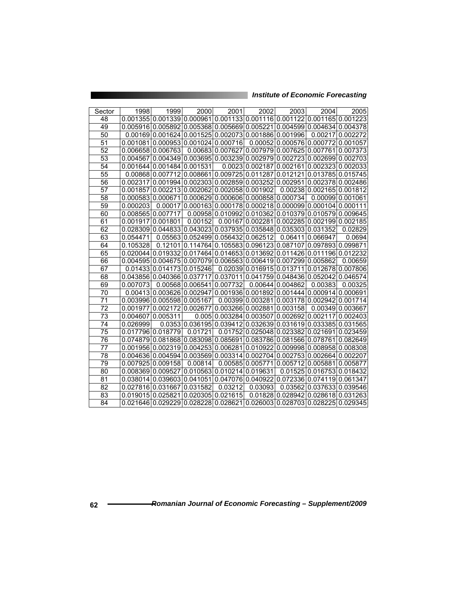| Sector | 1998     | 1999                                                                                    | 2000    | 2001                               | 2002              | 2003                                                            | 2004                      | 2005             |
|--------|----------|-----------------------------------------------------------------------------------------|---------|------------------------------------|-------------------|-----------------------------------------------------------------|---------------------------|------------------|
| 48     |          | $0.001355 0.001339 0.000961 0.001133 0.001116 0.001122 0.001165 0.001223 $              |         |                                    |                   |                                                                 |                           |                  |
| 49     |          | 0.005916 0.005892 0.005368 0.005669 0.005221 0.004599 0.004634 0.004378                 |         |                                    |                   |                                                                 |                           |                  |
|        |          |                                                                                         |         |                                    |                   |                                                                 |                           |                  |
| 50     |          | $0.00169 0.001624 0.001525 0.002073 0.001886 0.001996 $                                 |         |                                    |                   |                                                                 | 0.00217                   | 0.002272         |
| 51     |          | 0.001081 0.000953 0.001024 0.000716                                                     |         |                                    |                   | 0.00052 0.000576 0.000772                                       |                           | 0.001057         |
| 52     |          | 0.006658 0.006763                                                                       |         |                                    |                   | $0.00683 0.007627 0.007979 0.007625 0.007761$                   |                           | 0.007373         |
| 53     |          | $0.004567$ 0.004349 0.003695 0.003239 0.002979 0.002723 0.002699 0.002703               |         |                                    |                   |                                                                 |                           |                  |
| 54     |          | 0.001644 0.001484 0.001531                                                              |         |                                    | 0.0023 0.002187   | 0.002161 0.002323 0.002033                                      |                           |                  |
| 55     |          | $0.00868 0.007712 0.008661 0.009725 0.011287 0.012121 0.013785 0.015745 $               |         |                                    |                   |                                                                 |                           |                  |
| 56     |          | $0.002317 0.001994 0.002303 0.002859 0.003252 0.002951 0.002378 0.002486$               |         |                                    |                   |                                                                 |                           |                  |
| 57     |          | $0.001857 0.002213 0.002062 0.002058 0.001902$                                          |         |                                    |                   |                                                                 | 0.00238 0.002165 0.001812 |                  |
| 58     |          | $0.000583 0.000671 0.000629 0.000606 0.000858 0.000734 $                                |         |                                    |                   |                                                                 |                           | 0.00099 0.001061 |
| 59     | 0.000203 |                                                                                         |         |                                    |                   | $0.00017$ 0.000163 0.000178 0.000218 0.000099 0.000104          |                           | 0.000111         |
| 60     |          | 0.00856510.007717                                                                       |         |                                    |                   | 0.00958 0.010992 0.010362 0.010379 0.010579                     |                           | 0.009645         |
| 61     |          | 0.001917 0.001801                                                                       | 0.00152 |                                    |                   | 0.00167 0.002281 0.002285 0.002199                              |                           | 0.002185         |
| 62     |          | 0.028309 0.044833 0.043023 0.037935 0.035848 0.035303 0.031352                          |         |                                    |                   |                                                                 |                           | 0.02829          |
| 63     | 0.054471 |                                                                                         |         | 0.05563 0.052499 0.056432 0.062512 |                   |                                                                 | 0.06411 0.066947          | 0.0694           |
| 64     | 0.105328 |                                                                                         |         |                                    |                   | $0.12101 0.114764 0.105583 0.096123 0.087107 0.097893 0.099871$ |                           |                  |
| 65     |          | $0.020044 0.019332 0.017464 0.014653 0.013692 0.011426 0.011196 0.012232$               |         |                                    |                   |                                                                 |                           |                  |
| 66     |          | 0.004595 0.004675 0.007079 0.006563 0.006419 0.007299 0.005862                          |         |                                    |                   |                                                                 |                           | 0.00659          |
| 67     |          | 0.01433 0.014173 0.015246                                                               |         |                                    |                   | 0.02039 0.016915 0.013711 0.012678                              |                           | 0.007806         |
| 68     |          | 0.043856 0.040366 0.037717 0.037011 0.041759 0.048436 0.052042 0.046574                 |         |                                    |                   |                                                                 |                           |                  |
| 69     | 0.007073 |                                                                                         |         | 0.00568 0.006541 0.007732          |                   | 0.00644 0.004862                                                | 0.00383                   | 0.00325          |
| 70     |          | 0.00413 0.003626 0.002947                                                               |         |                                    |                   | 0.001936 0.001892 0.001444 0.000914                             |                           | 0.000691         |
| 71     |          | 0.003996 0.005598 0.005167                                                              |         |                                    |                   | 0.00399 0.003281 0.003178 0.002942                              |                           | 0.001714         |
| 72     |          | 0.001977 0.002172 0.002677                                                              |         |                                    | 0.003266 0.002881 | 0.003158                                                        |                           | 0.00349 0.003667 |
| 73     |          | 0.004607 0.005311                                                                       | 0.005   |                                    | 0.003284 0.003507 | 0.002692   0.002117                                             |                           | 0.002403         |
| 74     | 0.026999 |                                                                                         |         |                                    |                   | $0.0353 0.036195 0.039412 0.032639 0.031619 0.033385 0.031565$  |                           |                  |
| 75     |          | 0.017796 0.018779                                                                       | 0.01721 |                                    |                   | 0.01752 0.025048 0.023382 0.021691                              |                           | 0.023459         |
| 76     |          | $0.074879 0.081868 0.083098 0.085691 0.083786 0.081566 0.078761 0.082649$               |         |                                    |                   |                                                                 |                           |                  |
| 77     |          | $0.001956$ $0.002319$ $0.004253$ $0.006281$ $0.010922$ $0.009998$ $0.008958$ $0.008308$ |         |                                    |                   |                                                                 |                           |                  |
| 78     |          | 0.004636 0.004594 0.003569 0.003314 0.002704 0.002753 0.002664 0.002207                 |         |                                    |                   |                                                                 |                           |                  |
| 79     |          | 0.007925 0.009158                                                                       | 0.00814 |                                    | 0.00585 0.005771  | 0.005712 0.005881                                               |                           | 0.005877         |
| 80     |          | 0.008369 0.009527 0.010563 0.010214 0.019631                                            |         |                                    |                   |                                                                 | 0.01525 0.016753          | 0.018432         |
| 81     |          | 0.038014 0.039603 0.041051                                                              |         |                                    | 0.047076 0.040922 | 0.072336 0.074119                                               |                           | 0.061347         |
| 82     |          | 0.027816 0.031667 0.031582                                                              |         | 0.03212                            | 0.03093           |                                                                 | 0.03562 0.037633          | 0.039546         |
| 83     |          | 0.019015 0.025821 0.020305 0.021615                                                     |         |                                    |                   | 0.01828 0.028942 0.028618 0.031263                              |                           |                  |
| 84     |          | $0.021646$ 0.029229 0.028228 0.028621 0.026003 0.028703 0.028225 0.029345               |         |                                    |                   |                                                                 |                           |                  |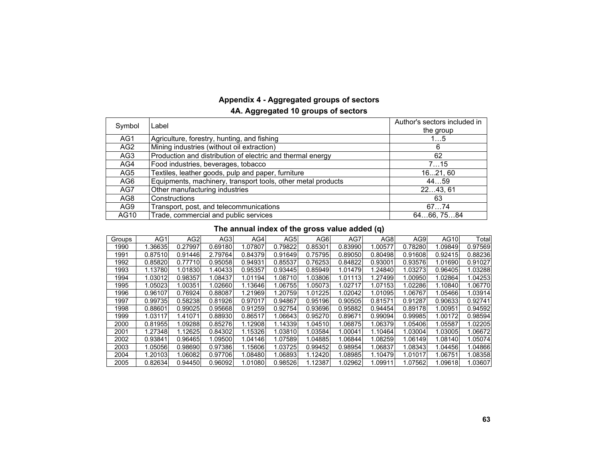# **Appendix 4 - Aggregated groups of sectors**

### **4A. Aggregated 10 groups of sectors**

| Symbol          | Label                                                        | Author's sectors included in<br>the group |
|-----------------|--------------------------------------------------------------|-------------------------------------------|
|                 |                                                              |                                           |
| AG1             | Agriculture, forestry, hunting, and fishing                  | 15                                        |
| AG <sub>2</sub> | Mining industries (without oil extraction)                   | 6                                         |
| AG <sub>3</sub> | Production and distribution of electric and thermal energy   | 62                                        |
| AG4             | Food industries, beverages, tobacco                          | 715                                       |
| AG5             | Textiles, leather goods, pulp and paper, furniture           | 1621, 60                                  |
| AG <sub>6</sub> | Equipments, machinery, transport tools, other metal products | 4459                                      |
| AG7             | Other manufacturing industries                               | 2243,61                                   |
| AG <sub>8</sub> | Constructions                                                | 63                                        |
| AG9             | Transport, post, and telecommunications                      | 6774                                      |
| AG10            | Trade, commercial and public services                        | 6466, 7584                                |

### **The annual index of the gross value added (q)**

| Groups | AG1     | AG <sub>2</sub> | AG3     | AG4     | AG5     | AG6     | AG7     | AG8     | AG9     | AG10    | Total   |
|--------|---------|-----------------|---------|---------|---------|---------|---------|---------|---------|---------|---------|
| 1990   | 1.36635 | 0.27997         | 0.69180 | 1.07807 | 0.79822 | 0.85301 | 0.83990 | .00577  | 0.78280 | .09849  | 0.97569 |
| 1991   | 0.87510 | 0.91446         | 2.79764 | 0.84379 | 0.91649 | 0.75795 | 0.89050 | 0.80498 | 0.91608 | 0.92415 | 0.88236 |
| 1992   | 0.85820 | 0.77710         | 0.95058 | 0.94931 | 0.85537 | 0.76253 | 0.84822 | 0.93001 | 0.93576 | 1.01690 | 0.91027 |
| 1993   | 1.13780 | 1.01830         | 1.40433 | 0.95357 | 0.93445 | 0.85949 | 1.01479 | 1.24840 | 1.03273 | 0.96405 | 1.03288 |
| 1994   | 1.03012 | 0.98357         | 1.08437 | 1.01194 | 1.08710 | 1.03806 | 1.01113 | 1.27499 | 1.00950 | 1.02864 | 1.04253 |
| 1995   | 1.05023 | 1.00351         | 1.02660 | 1.13646 | 1.06755 | 1.05073 | 1.02717 | 1.07153 | 1.02286 | 1.10840 | 1.06770 |
| 1996   | 0.96107 | 0.76924         | 0.88087 | 1.21969 | 1.20759 | 1.01225 | 1.02042 | 1.01095 | 1.06767 | 1.05466 | 1.03914 |
| 1997   | 0.99735 | 0.58238         | 0.81926 | 0.97017 | 0.94867 | 0.95196 | 0.90505 | 0.81571 | 0.91287 | 0.90633 | 0.92741 |
| 1998   | 0.88601 | 0.99025         | 0.95668 | 0.91259 | 0.92754 | 0.93696 | 0.95882 | 0.94454 | 0.89178 | 1.00951 | 0.94592 |
| 1999   | 1.03117 | 1.41071         | 0.88930 | 0.86517 | 1.06643 | 0.95270 | 0.89671 | 0.99094 | 0.99985 | 1.00172 | 0.98594 |
| 2000   | 0.81955 | 1.09288         | 0.85276 | 1.12908 | 1.14339 | 1.04510 | 1.06875 | 1.06379 | 1.05406 | 1.05587 | 1.02205 |
| 2001   | 1.27348 | 1.12625         | 0.84302 | 1.15326 | 1.03810 | 1.03584 | 1.00041 | 1.10464 | 1.03004 | 1.03005 | 1.06672 |
| 2002   | 0.93841 | 0.96465         | 1.09500 | 1.04146 | 1.07589 | 1.04885 | 1.06844 | 1.08259 | 1.06149 | 1.08140 | 1.05074 |
| 2003   | 1.05056 | 0.98690         | 0.97386 | 1.15606 | 1.03725 | 0.99452 | 0.98954 | 1.06837 | 1.08343 | 1.04456 | 1.04866 |
| 2004   | 1.20103 | 1.06082         | 0.97706 | 1.08480 | 1.06893 | 1.12420 | 1.08985 | 1.10479 | 1.01017 | 1.06751 | 1.08358 |
| 2005   | 0.82634 | 0.94450         | 0.96092 | 1.01080 | 0.98526 | 1.12387 | 1.02962 | 1.09911 | 1.07562 | 1.09618 | 1.03607 |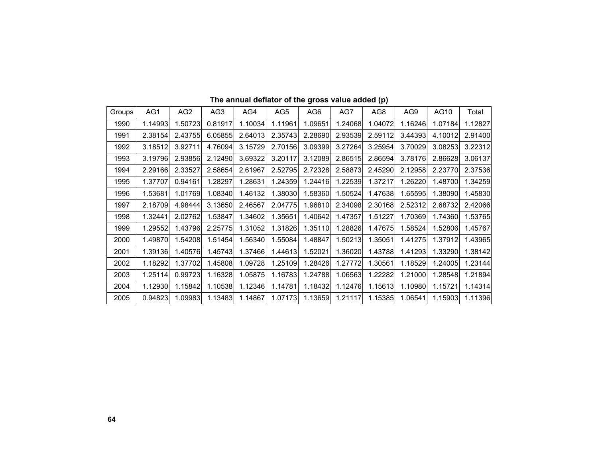| Groups | AG1     | AG <sub>2</sub> | AG <sub>3</sub> | AG4     | AG <sub>5</sub> | AG <sub>6</sub> | AG7     | AG <sub>8</sub> | AG9     | AG10    | Total   |
|--------|---------|-----------------|-----------------|---------|-----------------|-----------------|---------|-----------------|---------|---------|---------|
| 1990   | 1.14993 | 1.50723         | 0.81917         | 1.10034 | 1.11961         | 1.09651         | 1.24068 | 1.04072         | 1.16246 | 1.07184 | 1.12827 |
| 1991   | 2.38154 | 2.43755         | 6.05855         | 2.64013 | 2.35743         | 2.28690         | 2.93539 | 2.59112         | 3.44393 | 4.10012 | 2.91400 |
| 1992   | 3.18512 | 3.92711         | 4.76094         | 3.15729 | 2.70156         | 3.09399         | 3.27264 | 3.25954         | 3.70029 | 3.08253 | 3.22312 |
| 1993   | 3.19796 | 2.93856         | 2.12490         | 3.69322 | 3.20117         | 3.12089         | 2.86515 | 2.86594         | 3.78176 | 2.86628 | 3.06137 |
| 1994   | 2.29166 | 2.33527         | 2.58654         | 2.61967 | 2.52795         | 2.72328         | 2.58873 | 2.45290         | 2.12958 | 2.23770 | 2.37536 |
| 1995   | 1.37707 | 0.94161         | 1.28297         | 1.28631 | 1.24359         | 1.24416         | 1.22539 | 1.37217         | 1.26220 | 1.48700 | 1.34259 |
| 1996   | 1.53681 | 1.01769         | 1.08340         | 1.46132 | 1.38030         | 1.58360         | 1.50524 | 1.47638         | 1.65595 | 1.38090 | 1.45830 |
| 1997   | 2.18709 | 4.98444         | 3.13650         | 2.46567 | 2.04775         | 1.96810         | 2.34098 | 2.30168         | 2.52312 | 2.68732 | 2.42066 |
| 1998   | 1.32441 | 2.02762         | 1.53847         | 1.34602 | 1.35651         | 1.40642         | 1.47357 | 1.51227         | 1.70369 | 1.74360 | 1.53765 |
| 1999   | 1.29552 | 1.43796         | 2.25775         | 1.31052 | 1.31826         | 1.35110         | 1.28826 | 1.47675         | 1.58524 | 1.52806 | 1.45767 |
| 2000   | 1.49870 | 1.54208         | 1.51454         | 1.56340 | 1.55084         | 1.48847         | 1.50213 | 1.35051         | 1.41275 | 1.37912 | 1.43965 |
| 2001   | 1.39136 | 1.40576         | 1.45743         | 1.37466 | 1.44613         | 1.52021         | 1.36020 | 1.43788         | 1.41293 | 1.33290 | 1.38142 |
| 2002   | 1.18292 | 1.37702         | 1.45808         | 1.09728 | 1.25109         | 1.28426         | 1.27772 | 1.30561         | 1.18529 | 1.24005 | 1.23144 |
| 2003   | 1.25114 | 0.99723         | 1.16328         | 1.05875 | 1.16783         | 1.24788         | 1.06563 | 1.22282         | 1.21000 | 1.28548 | 1.21894 |
| 2004   | 1.12930 | 1.15842         | 1.10538         | 1.12346 | 1.14781         | 1.18432         | 1.12476 | 1.15613         | 1.10980 | 1.15721 | 1.14314 |
| 2005   | 0.94823 | 1.09983         | 1.13483         | 1.14867 | 1.07173         | 1.13659         | 1.21117 | 1.15385         | 1.06541 | 1.15903 | 1.11396 |

**The annual deflator of the gross value added (p)**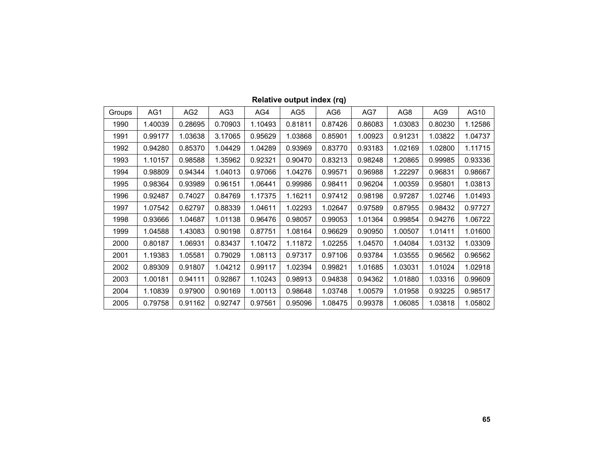| Groups | AG1     | AG2     | AG3     | AG4     | AG <sub>5</sub> | AG <sub>6</sub> | AG7     | AG8     | AG9     | AG10    |
|--------|---------|---------|---------|---------|-----------------|-----------------|---------|---------|---------|---------|
| 1990   | 1.40039 | 0.28695 | 0.70903 | 1.10493 | 0.81811         | 0.87426         | 0.86083 | 1.03083 | 0.80230 | 1.12586 |
| 1991   | 0.99177 | 1.03638 | 3.17065 | 0.95629 | 1.03868         | 0.85901         | 1.00923 | 0.91231 | 1.03822 | 1.04737 |
| 1992   | 0.94280 | 0.85370 | 1.04429 | 1.04289 | 0.93969         | 0.83770         | 0.93183 | 1.02169 | 1.02800 | 1.11715 |
| 1993   | 1.10157 | 0.98588 | 1.35962 | 0.92321 | 0.90470         | 0.83213         | 0.98248 | 1.20865 | 0.99985 | 0.93336 |
| 1994   | 0.98809 | 0.94344 | 1.04013 | 0.97066 | 1.04276         | 0.99571         | 0.96988 | 1.22297 | 0.96831 | 0.98667 |
| 1995   | 0.98364 | 0.93989 | 0.96151 | 1.06441 | 0.99986         | 0.98411         | 0.96204 | 1.00359 | 0.95801 | 1.03813 |
| 1996   | 0.92487 | 0.74027 | 0.84769 | 1.17375 | 1.16211         | 0.97412         | 0.98198 | 0.97287 | 1.02746 | 1.01493 |
| 1997   | 1.07542 | 0.62797 | 0.88339 | 1.04611 | 1.02293         | 1.02647         | 0.97589 | 0.87955 | 0.98432 | 0.97727 |
| 1998   | 0.93666 | 1.04687 | 1.01138 | 0.96476 | 0.98057         | 0.99053         | 1.01364 | 0.99854 | 0.94276 | 1.06722 |
| 1999   | 1.04588 | 1.43083 | 0.90198 | 0.87751 | 1.08164         | 0.96629         | 0.90950 | 1.00507 | 1.01411 | 1.01600 |
| 2000   | 0.80187 | 1.06931 | 0.83437 | 1.10472 | 1.11872         | 1.02255         | 1.04570 | 1.04084 | 1.03132 | 1.03309 |
| 2001   | 1.19383 | 1.05581 | 0.79029 | 1.08113 | 0.97317         | 0.97106         | 0.93784 | 1.03555 | 0.96562 | 0.96562 |
| 2002   | 0.89309 | 0.91807 | 1.04212 | 0.99117 | 1.02394         | 0.99821         | 1.01685 | 1.03031 | 1.01024 | 1.02918 |
| 2003   | 1.00181 | 0.94111 | 0.92867 | 1.10243 | 0.98913         | 0.94838         | 0.94362 | 1.01880 | 1.03316 | 0.99609 |
| 2004   | 1.10839 | 0.97900 | 0.90169 | 1.00113 | 0.98648         | 1.03748         | 1.00579 | 1.01958 | 0.93225 | 0.98517 |
| 2005   | 0.79758 | 0.91162 | 0.92747 | 0.97561 | 0.95096         | 1.08475         | 0.99378 | 1.06085 | 1.03818 | 1.05802 |

### **Relative output index (rq)**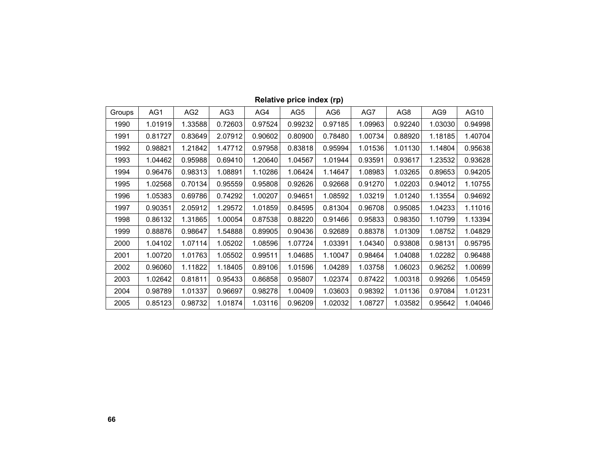| Groups | AG1     | AG <sub>2</sub> | AG <sub>3</sub> | AG4     | AG5     | AG <sub>6</sub> | AG7     | AG8     | AG9     | AG10    |
|--------|---------|-----------------|-----------------|---------|---------|-----------------|---------|---------|---------|---------|
| 1990   | 1.01919 | 1.33588         | 0.72603         | 0.97524 | 0.99232 | 0.97185         | 1.09963 | 0.92240 | 1.03030 | 0.94998 |
| 1991   | 0.81727 | 0.83649         | 2.07912         | 0.90602 | 0.80900 | 0.78480         | 1.00734 | 0.88920 | 1.18185 | 1.40704 |
| 1992   | 0.98821 | 1.21842         | 1.47712         | 0.97958 | 0.83818 | 0.95994         | 1.01536 | 1.01130 | 1.14804 | 0.95638 |
| 1993   | 1.04462 | 0.95988         | 0.69410         | 1.20640 | 1.04567 | 1.01944         | 0.93591 | 0.93617 | 1.23532 | 0.93628 |
| 1994   | 0.96476 | 0.98313         | 1.08891         | 1.10286 | 1.06424 | 1.14647         | 1.08983 | 1.03265 | 0.89653 | 0.94205 |
| 1995   | 1.02568 | 0.70134         | 0.95559         | 0.95808 | 0.92626 | 0.92668         | 0.91270 | 1.02203 | 0.94012 | 1.10755 |
| 1996   | 1.05383 | 0.69786         | 0.74292         | 1.00207 | 0.94651 | 1.08592         | 1.03219 | 1.01240 | 1.13554 | 0.94692 |
| 1997   | 0.90351 | 2.05912         | 1.29572         | 1.01859 | 0.84595 | 0.81304         | 0.96708 | 0.95085 | 1.04233 | 1.11016 |
| 1998   | 0.86132 | 1.31865         | 1.00054         | 0.87538 | 0.88220 | 0.91466         | 0.95833 | 0.98350 | 1.10799 | 1.13394 |
| 1999   | 0.88876 | 0.98647         | 1.54888         | 0.89905 | 0.90436 | 0.92689         | 0.88378 | 1.01309 | 1.08752 | 1.04829 |
| 2000   | 1.04102 | 1.07114         | 1.05202         | 1.08596 | 1.07724 | 1.03391         | 1.04340 | 0.93808 | 0.98131 | 0.95795 |
| 2001   | 1.00720 | 1.01763         | 1.05502         | 0.99511 | 1.04685 | 1.10047         | 0.98464 | 1.04088 | 1.02282 | 0.96488 |
| 2002   | 0.96060 | 1.11822         | 1.18405         | 0.89106 | 1.01596 | 1.04289         | 1.03758 | 1.06023 | 0.96252 | 1.00699 |
| 2003   | 1.02642 | 0.81811         | 0.95433         | 0.86858 | 0.95807 | 1.02374         | 0.87422 | 1.00318 | 0.99266 | 1.05459 |
| 2004   | 0.98789 | 1.01337         | 0.96697         | 0.98278 | 1.00409 | 1.03603         | 0.98392 | 1.01136 | 0.97084 | 1.01231 |
| 2005   | 0.85123 | 0.98732         | 1.01874         | 1.03116 | 0.96209 | 1.02032         | 1.08727 | 1.03582 | 0.95642 | 1.04046 |

### **Relative price index (rp)**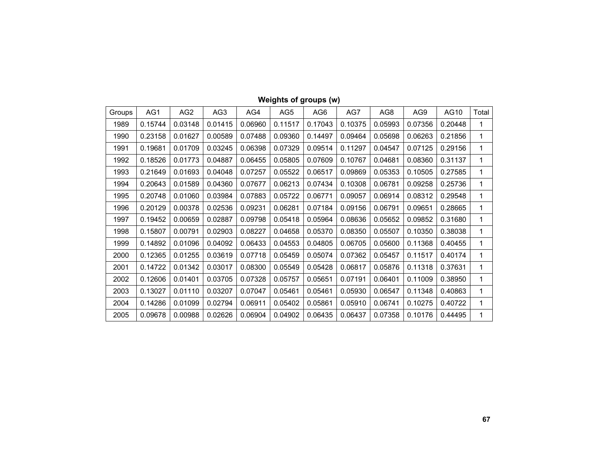| Groups | AG1     | AG <sub>2</sub> | AG <sub>3</sub> | AG4     | AG5     | AG <sub>6</sub> | AG7     | AG8     | AG9     | AG10    | Total |
|--------|---------|-----------------|-----------------|---------|---------|-----------------|---------|---------|---------|---------|-------|
| 1989   | 0.15744 | 0.03148         | 0.01415         | 0.06960 | 0.11517 | 0.17043         | 0.10375 | 0.05993 | 0.07356 | 0.20448 | 1     |
| 1990   | 0.23158 | 0.01627         | 0.00589         | 0.07488 | 0.09360 | 0.14497         | 0.09464 | 0.05698 | 0.06263 | 0.21856 | 1     |
| 1991   | 0.19681 | 0.01709         | 0.03245         | 0.06398 | 0.07329 | 0.09514         | 0.11297 | 0.04547 | 0.07125 | 0.29156 | 1     |
| 1992   | 0.18526 | 0.01773         | 0.04887         | 0.06455 | 0.05805 | 0.07609         | 0.10767 | 0.04681 | 0.08360 | 0.31137 | 1     |
| 1993   | 0.21649 | 0.01693         | 0.04048         | 0.07257 | 0.05522 | 0.06517         | 0.09869 | 0.05353 | 0.10505 | 0.27585 | 1     |
| 1994   | 0.20643 | 0.01589         | 0.04360         | 0.07677 | 0.06213 | 0.07434         | 0.10308 | 0.06781 | 0.09258 | 0.25736 | 1     |
| 1995   | 0.20748 | 0.01060         | 0.03984         | 0.07883 | 0.05722 | 0.06771         | 0.09057 | 0.06914 | 0.08312 | 0.29548 | 1     |
| 1996   | 0.20129 | 0.00378         | 0.02536         | 0.09231 | 0.06281 | 0.07184         | 0.09156 | 0.06791 | 0.09651 | 0.28665 | 1     |
| 1997   | 0.19452 | 0.00659         | 0.02887         | 0.09798 | 0.05418 | 0.05964         | 0.08636 | 0.05652 | 0.09852 | 0.31680 | 1     |
| 1998   | 0.15807 | 0.00791         | 0.02903         | 0.08227 | 0.04658 | 0.05370         | 0.08350 | 0.05507 | 0.10350 | 0.38038 | 1     |
| 1999   | 0.14892 | 0.01096         | 0.04092         | 0.06433 | 0.04553 | 0.04805         | 0.06705 | 0.05600 | 0.11368 | 0.40455 | 1     |
| 2000   | 0.12365 | 0.01255         | 0.03619         | 0.07718 | 0.05459 | 0.05074         | 0.07362 | 0.05457 | 0.11517 | 0.40174 | 1     |
| 2001   | 0.14722 | 0.01342         | 0.03017         | 0.08300 | 0.05549 | 0.05428         | 0.06817 | 0.05876 | 0.11318 | 0.37631 | 1     |
| 2002   | 0.12606 | 0.01401         | 0.03705         | 0.07328 | 0.05757 | 0.05651         | 0.07191 | 0.06401 | 0.11009 | 0.38950 | 1     |
| 2003   | 0.13027 | 0.01110         | 0.03207         | 0.07047 | 0.05461 | 0.05461         | 0.05930 | 0.06547 | 0.11348 | 0.40863 | 1     |
| 2004   | 0.14286 | 0.01099         | 0.02794         | 0.06911 | 0.05402 | 0.05861         | 0.05910 | 0.06741 | 0.10275 | 0.40722 | 1     |
| 2005   | 0.09678 | 0.00988         | 0.02626         | 0.06904 | 0.04902 | 0.06435         | 0.06437 | 0.07358 | 0.10176 | 0.44495 | 1     |

# **Weights of groups (w)**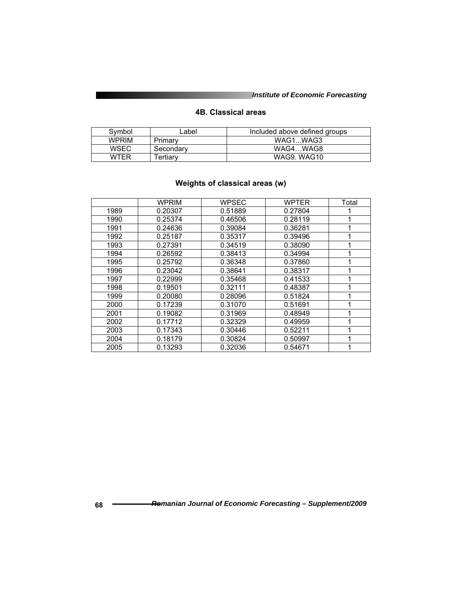#### **4B. Classical areas**

| Symbol       | _abel     | Included above defined groups |
|--------------|-----------|-------------------------------|
| <b>WPRIM</b> | Primary   | WAG1WAG3                      |
| WSEC         | Secondary | WAG4WAG8                      |
| WTER         | Tertiarv  | WAG9, WAG10                   |

# **Weights of classical areas (w)**

|      | <b>WPRIM</b> | <b>WPSEC</b> | WPTER   | Total |
|------|--------------|--------------|---------|-------|
| 1989 | 0.20307      | 0.51889      | 0.27804 |       |
| 1990 | 0.25374      | 0.46506      | 0.28119 |       |
| 1991 | 0.24636      | 0.39084      | 0.36281 |       |
| 1992 | 0.25187      | 0.35317      | 0.39496 |       |
| 1993 | 0.27391      | 0.34519      | 0.38090 |       |
| 1994 | 0.26592      | 0.38413      | 0.34994 |       |
| 1995 | 0.25792      | 0.36348      | 0.37860 |       |
| 1996 | 0.23042      | 0.38641      | 0.38317 |       |
| 1997 | 0.22999      | 0.35468      | 0.41533 |       |
| 1998 | 0.19501      | 0.32111      | 0.48387 |       |
| 1999 | 0.20080      | 0.28096      | 0.51824 |       |
| 2000 | 0.17239      | 0.31070      | 0.51691 |       |
| 2001 | 0.19082      | 0.31969      | 0.48949 |       |
| 2002 | 0.17712      | 0.32329      | 0.49959 |       |
| 2003 | 0.17343      | 0.30446      | 0.52211 |       |
| 2004 | 0.18179      | 0.30824      | 0.50997 |       |
| 2005 | 0.13293      | 0.32036      | 0.54671 |       |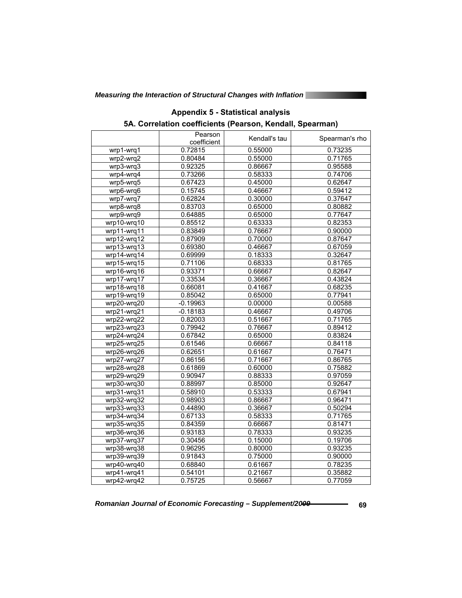|                                | Pearson<br>coefficient | Kendall's tau | Spearman's rho |
|--------------------------------|------------------------|---------------|----------------|
| wrp1-wrq1                      | 0.72815                | 0.55000       | 0.73235        |
| wrp2-wrq2                      | 0.80484                | 0.55000       | 0.71765        |
| wrp3-wrq3                      | 0.92325                | 0.86667       | 0.95588        |
| $\overline{\text{wrp4}}$ -wrq4 | 0.73266                | 0.58333       | 0.74706        |
| wrp5-wrq5                      | 0.67423                | 0.45000       | 0.62647        |
| wrp6-wrq6                      | 0.15745                | 0.46667       | 0.59412        |
| wrp7-wrq7                      | 0.62824                | 0.30000       | 0.37647        |
| wrp8-wrq8                      | 0.83703                | 0.65000       | 0.80882        |
| wrp9-wrq9                      | 0.64885                | 0.65000       | 0.77647        |
| wrp10-wrq10                    | 0.85512                | 0.63333       | 0.82353        |
| wrp11-wrq11                    | 0.83849                | 0.76667       | 0.90000        |
| wrp12-wrq12                    | 0.87909                | 0.70000       | 0.87647        |
| wrp13-wrq13                    | 0.69380                | 0.46667       | 0.67059        |
| wrp14-wrq14                    | 0.69999                | 0.18333       | 0.32647        |
| wrp15-wrq15                    | 0.71106                | 0.68333       | 0.81765        |
| wrp16-wrq16                    | 0.93371                | 0.66667       | 0.82647        |
| wrp17-wrq17                    | 0.33534                | 0.36667       | 0.43824        |
| wrp18-wrq18                    | 0.66081                | 0.41667       | 0.68235        |
| wrp19-wrq19                    | 0.85042                | 0.65000       | 0.77941        |
| wrp20-wrq20                    | $-0.19963$             | 0.00000       | 0.00588        |
| wrp21-wrq21                    | $-0.18183$             | 0.46667       | 0.49706        |
| wrp22-wrq22                    | 0.82003                | 0.51667       | 0.71765        |
| wrp23-wrq23                    | 0.79942                | 0.76667       | 0.89412        |
| wrp24-wrq24                    | 0.67842                | 0.65000       | 0.83824        |
| wrp25-wrq25                    | 0.61546                | 0.66667       | 0.84118        |
| wrp26-wrq26                    | 0.62651                | 0.61667       | 0.76471        |
| wrp27-wrq27                    | 0.86156                | 0.71667       | 0.86765        |
| wrp28-wrq28                    | 0.61869                | 0.60000       | 0.75882        |
| wrp29-wrq29                    | 0.90947                | 0.88333       | 0.97059        |
| wrp30-wrq30                    | 0.88997                | 0.85000       | 0.92647        |
| wrp31-wrq31                    | 0.58910                | 0.53333       | 0.67941        |
| wrp32-wrq32                    | 0.98903                | 0.86667       | 0.96471        |
| wrp33-wrq33                    | 0.44890                | 0.36667       | 0.50294        |
| wrp34-wrq34                    | 0.67133                | 0.58333       | 0.71765        |
| wrp35-wrq35                    | 0.84359                | 0.66667       | 0.81471        |
| wrp36-wrq36                    | 0.93183                | 0.78333       | 0.93235        |
| wrp37-wrq37                    | 0.30456                | 0.15000       | 0.19706        |
| wrp38-wrq38                    | 0.96295                | 0.80000       | 0.93235        |
| wrp39-wrq39                    | 0.91843                | 0.75000       | 0.90000        |
| wrp40-wrq40                    | 0.68840                | 0.61667       | 0.78235        |
| wrp41-wrq41                    | 0.54101                | 0.21667       | 0.35882        |
| wrp42-wrq42                    | 0.75725                | 0.56667       | 0.77059        |

## **Appendix 5 - Statistical analysis 5A. Correlation coefficients (Pearson, Kendall, Spearman)**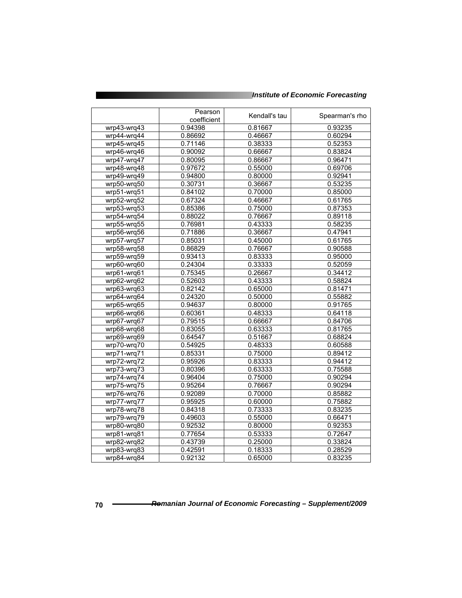|               | Pearson<br>coefficient | Kendall's tau | Spearman's rho |
|---------------|------------------------|---------------|----------------|
| wrp43-wrq43   | 0.94398                | 0.81667       | 0.93235        |
| wrp44-wrq44   | 0.86692                | 0.46667       | 0.60294        |
| wrp45-wrq45   | 0.71146                | 0.38333       | 0.52353        |
| wrp46-wrq46   | 0.90092                | 0.66667       | 0.83824        |
| wrp47-wrq47   | 0.80095                | 0.86667       | 0.96471        |
| wrp48-wrq48   | 0.97672                | 0.55000       | 0.69706        |
| wrp49-wrq49   | 0.94800                | 0.80000       | 0.92941        |
| wrp50-wrq50   | 0.30731                | 0.36667       | 0.53235        |
| wrp51-wrq51   | 0.84102                | 0.70000       | 0.85000        |
| wrp52-wrq52   | 0.67324                | 0.46667       | 0.61765        |
| wrp53-wrq53   | 0.85386                | 0.75000       | 0.87353        |
| wrp54-wrq54   | 0.88022                | 0.76667       | 0.89118        |
| wrp55-wrq55   | 0.76981                | 0.43333       | 0.58235        |
| wrp56-wrq56   | 0.71886                | 0.36667       | 0.47941        |
| wrp57-wrq57   | 0.85031                | 0.45000       | 0.61765        |
| wrp58-wrq58   | 0.86829                | 0.76667       | 0.90588        |
| wrp59-wrq59   | 0.93413                | 0.83333       | 0.95000        |
| wrp60-wrq60   | 0.24304                | 0.33333       | 0.52059        |
| wrp61-wrq61   | 0.75345                | 0.26667       | 0.34412        |
| wrp62-wrq62   | 0.52603                | 0.43333       | 0.58824        |
| wrp63-wrq63   | 0.82142                | 0.65000       | 0.81471        |
| wrp64-wrq64   | 0.24320                | 0.50000       | 0.55882        |
| wrp65-wrq65   | 0.94637                | 0.80000       | 0.91765        |
| wrp66-wrq66   | 0.60361                | 0.48333       | 0.64118        |
| wrp67-wrq67   | 0.79515                | 0.66667       | 0.84706        |
| wrp68-wrq68   | 0.83055                | 0.63333       | 0.81765        |
| wrp69-wrq69   | 0.64547                | 0.51667       | 0.68824        |
| wrp70-wrq70   | 0.54925                | 0.48333       | 0.60588        |
| wrp71-wrq71   | 0.85331                | 0.75000       | 0.89412        |
| wrp72-wrq72   | 0.95926                | 0.83333       | 0.94412        |
| wrp73-wrq73   | 0.80396                | 0.63333       | 0.75588        |
| wrp74-wrq74   | 0.96404                | 0.75000       | 0.90294        |
| wrp75-wrq75   | 0.95264                | 0.76667       | 0.90294        |
| wrp76-wrq76   | 0.92089                | 0.70000       | 0.85882        |
| wrp77-wrq77   | 0.95925                | 0.60000       | 0.75882        |
| wrp78-wrq78   | 0.84318                | 0.73333       | 0.83235        |
| wrp79-wrq79   | 0.49603                | 0.55000       | 0.66471        |
| wrp80-wrq80   | 0.92532                | 0.80000       | 0.92353        |
| wrp81-wrq81   | 0.77654                | 0.53333       | 0.72647        |
| wrp82-wrq82   | 0.43739                | 0.25000       | 0.33824        |
| wrp83-wrq83   | 0.42591                | 0.18333       | 0.28529        |
| $wrp84-wrq84$ | 0.92132                | 0.65000       | 0.83235        |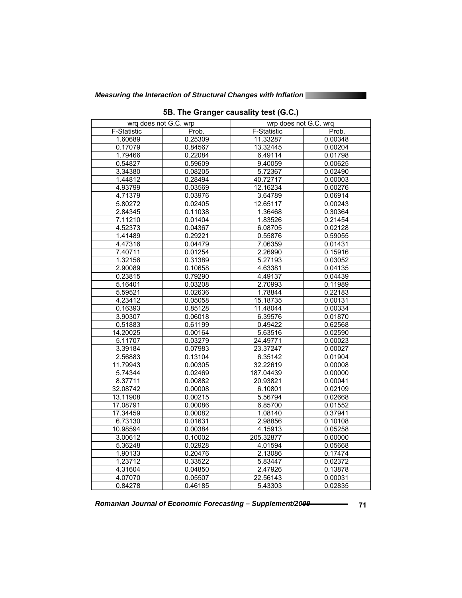| wrq does not G.C. wrp |         | wrp does not G.C. wrq |         |  |
|-----------------------|---------|-----------------------|---------|--|
| F-Statistic           | Prob.   | F-Statistic           | Prob.   |  |
| 1.60689               | 0.25309 | 11.33287              | 0.00348 |  |
| 0.17079               | 0.84567 | 13.32445              | 0.00204 |  |
| 1.79466               | 0.22084 | 6.49114               | 0.01798 |  |
| 0.54827               | 0.59609 | 9.40059               | 0.00625 |  |
| 3.34380               | 0.08205 | 5.72367               | 0.02490 |  |
| 1.44812               | 0.28494 | 40.72717              | 0.00003 |  |
| 4.93799               | 0.03569 | 12.16234              | 0.00276 |  |
| 4.71379               | 0.03976 | 3.64789               | 0.06914 |  |
| 5.80272               | 0.02405 | 12.65117              | 0.00243 |  |
| 2.84345               | 0.11038 | 1.36468               | 0.30364 |  |
| 7.11210               | 0.01404 | 1.83526               | 0.21454 |  |
| 4.52373               | 0.04367 | 6.08705               | 0.02128 |  |
| 1.41489               | 0.29221 | 0.55876               | 0.59055 |  |
| 4.47316               | 0.04479 | 7.06359               | 0.01431 |  |
| 7.40711               | 0.01254 | 2.26990               | 0.15916 |  |
| 1.32156               | 0.31389 | 5.27193               | 0.03052 |  |
| 2.90089               | 0.10658 | 4.63381               | 0.04135 |  |
| 0.23815               | 0.79290 | 4.49137               | 0.04439 |  |
| 5.16401               | 0.03208 | 2.70993               | 0.11989 |  |
| 5.59521               | 0.02636 | 1.78844               | 0.22183 |  |
| 4.23412               | 0.05058 | 15.18735              | 0.00131 |  |
| 0.16393               | 0.85128 | 11.48044              | 0.00334 |  |
| 3.90307               | 0.06018 | 6.39576               | 0.01870 |  |
| 0.51883               | 0.61199 | 0.49422               | 0.62568 |  |
| 14.20025              | 0.00164 | 5.63516               | 0.02590 |  |
| 5.11707               | 0.03279 | 24.49771              | 0.00023 |  |
| 3.39184               | 0.07983 | 23.37247              | 0.00027 |  |
| 2.56883               | 0.13104 | 6.35142               | 0.01904 |  |
| 11.79943              | 0.00305 | 32.22619              | 0.00008 |  |
| 5.74344               | 0.02469 | 187.04439             | 0.00000 |  |
| 8.37711               | 0.00882 | 20.93821              | 0.00041 |  |
| 32.08742              | 0.00008 | 6.10801               | 0.02109 |  |
| 13.11908              | 0.00215 | 5.56794               | 0.02668 |  |
| 17.08791              | 0.00086 | 6.85700               | 0.01552 |  |
| 17.34459              | 0.00082 | 1.08140               | 0.37941 |  |
| 6.73130               | 0.01631 | 2.98856               | 0.10108 |  |
| 10.98594              | 0.00384 | 4.15913               | 0.05258 |  |
| 3.00612               | 0.10002 | 205.32877             | 0.00000 |  |
| 5.36248               | 0.02928 | 4.01594               | 0.05668 |  |
| 1.90133               | 0.20476 | 2.13086               | 0.17474 |  |
| 1.23712               | 0.33522 | 5.83447               | 0.02372 |  |
| 4.31604               | 0.04850 | 2.47926               | 0.13878 |  |
| 4.07070               | 0.05507 | 22.56143              | 0.00031 |  |
| 0.84278               | 0.46185 | 5.43303               | 0.02835 |  |

**5B. The Granger causality test (G.C.)**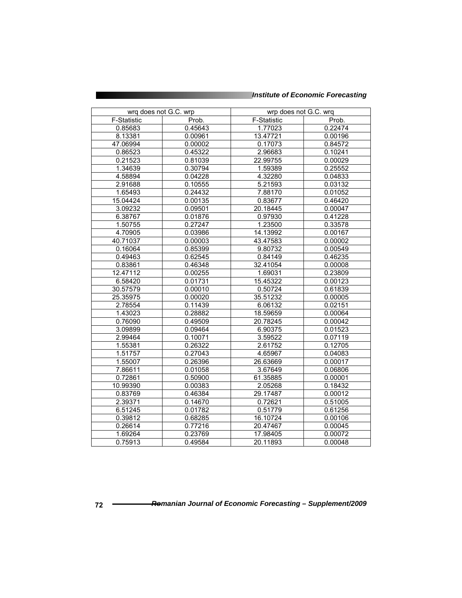| wrq does not G.C. wrp |         | wrp does not G.C. wrq |         |  |
|-----------------------|---------|-----------------------|---------|--|
| F-Statistic           | Prob.   | F-Statistic           | Prob.   |  |
| 0.85683               | 0.45643 | 1.77023               | 0.22474 |  |
| 8.13381               | 0.00961 | 13.47721              | 0.00196 |  |
| 47.06994              | 0.00002 | 0.17073               | 0.84572 |  |
| 0.86523               | 0.45322 | 2.96683               | 0.10241 |  |
| 0.21523               | 0.81039 | 22.99755              | 0.00029 |  |
| 1.34639               | 0.30794 | 1.59389               | 0.25552 |  |
| 4.58894               | 0.04228 | 4.32280               | 0.04833 |  |
| 2.91688               | 0.10555 | 5.21593               | 0.03132 |  |
| 1.65493               | 0.24432 | 7.88170               | 0.01052 |  |
| 15.04424              | 0.00135 | 0.83677               | 0.46420 |  |
| 3.09232               | 0.09501 | 20.18445              | 0.00047 |  |
| 6.38767               | 0.01876 | 0.97930               | 0.41228 |  |
| 1.50755               | 0.27247 | 1.23500               | 0.33578 |  |
| 4.70905               | 0.03986 | 14.13992              | 0.00167 |  |
| 40.71037              | 0.00003 | 43.47583              | 0.00002 |  |
| 0.16064               | 0.85399 | 9.80732               | 0.00549 |  |
| 0.49463               | 0.62545 | 0.84149               | 0.46235 |  |
| 0.83861               | 0.46348 | 32.41054              | 0.00008 |  |
| 12.47112              | 0.00255 | 1.69031               | 0.23809 |  |
| 6.58420               | 0.01731 | 15.45322              | 0.00123 |  |
| 30.57579              | 0.00010 | 0.50724               | 0.61839 |  |
| 25.35975              | 0.00020 | 35.51232              | 0.00005 |  |
| 2.78554               | 0.11439 | 6.06132               | 0.02151 |  |
| 1.43023               | 0.28882 | 18.59659              | 0.00064 |  |
| 0.76090               | 0.49509 | 20.78245              | 0.00042 |  |
| 3.09899               | 0.09464 | 6.90375               | 0.01523 |  |
| 2.99464               | 0.10071 | 3.59522               | 0.07119 |  |
| 1.55381               | 0.26322 | 2.61752               | 0.12705 |  |
| 1.51757               | 0.27043 | 4.65967               | 0.04083 |  |
| 1.55007               | 0.26396 | 26.63669              | 0.00017 |  |
| 7.86611               | 0.01058 | 3.67649               | 0.06806 |  |
| 0.72861               | 0.50900 | 61.35885              | 0.00001 |  |
| 10.99390              | 0.00383 | 2.05268               | 0.18432 |  |
| 0.83769               | 0.46384 | 29.17487              | 0.00012 |  |
| 2.39371               | 0.14670 | 0.72621               | 0.51005 |  |
| 6.51245               | 0.01782 | 0.51779               | 0.61256 |  |
| 0.39812               | 0.68285 | 16.10724              | 0.00106 |  |
| 0.26614               | 0.77216 | 20.47467              | 0.00045 |  |
| 1.69264               | 0.23769 | 17.98405              | 0.00072 |  |
| 0.75913               | 0.49584 | 20.11893              | 0.00048 |  |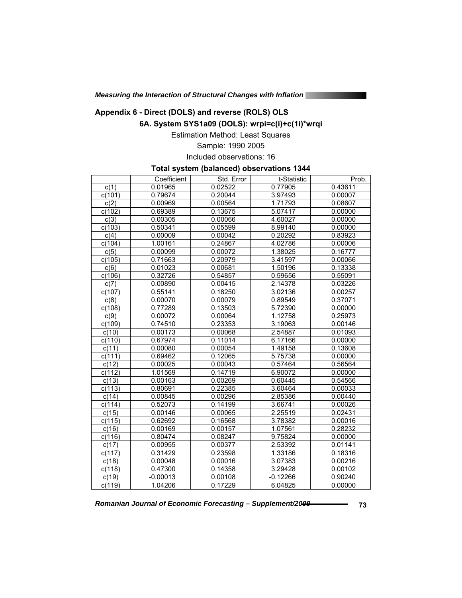*Measuring the Interaction of Structural Changes with Inflation* 

# **Appendix 6 - Direct (DOLS) and reverse (ROLS) OLS**

**6A. System SYS1a09 (DOLS): wrpi=c(i)+c(1i)\*wrqi** 

Estimation Method: Least Squares

Sample: 1990 2005

Included observations: 16

#### **Total system (balanced) observations 1344**

|                   | Coefficient | Std. Error | t-Statistic | Prob.   |
|-------------------|-------------|------------|-------------|---------|
| $\overline{c(1)}$ | 0.01965     | 0.02522    | 0.77905     | 0.43611 |
| c(101)            | 0.79674     | 0.20044    | 3.97493     | 0.00007 |
| $\overline{c(2)}$ | 0.00969     | 0.00564    | 1.71793     | 0.08607 |
| c(102)            | 0.69389     | 0.13675    | 5.07417     | 0.00000 |
| c(3)              | 0.00305     | 0.00066    | 4.60027     | 0.00000 |
| c(103)            | 0.50341     | 0.05599    | 8.99140     | 0.00000 |
| c(4)              | 0.00009     | 0.00042    | 0.20292     | 0.83923 |
| c(104)            | 1.00161     | 0.24867    | 4.02786     | 0.00006 |
| c(5)              | 0.00099     | 0.00072    | 1.38025     | 0.16777 |
| c(105)            | 0.71663     | 0.20979    | 3.41597     | 0.00066 |
| c(6)              | 0.01023     | 0.00681    | 1.50196     | 0.13338 |
| c(106)            | 0.32726     | 0.54857    | 0.59656     | 0.55091 |
| c(7)              | 0.00890     | 0.00415    | 2.14378     | 0.03226 |
| c(107)            | 0.55141     | 0.18250    | 3.02136     | 0.00257 |
| c(8)              | 0.00070     | 0.00079    | 0.89549     | 0.37071 |
| c(108)            | 0.77289     | 0.13503    | 5.72390     | 0.00000 |
| $\overline{c(9)}$ | 0.00072     | 0.00064    | 1.12758     | 0.25973 |
| c(109)            | 0.74510     | 0.23353    | 3.19063     | 0.00146 |
| c(10)             | 0.00173     | 0.00068    | 2.54887     | 0.01093 |
| c(110)            | 0.67974     | 0.11014    | 6.17166     | 0.00000 |
| c(11)             | 0.00080     | 0.00054    | 1.49158     | 0.13608 |
| c(111)            | 0.69462     | 0.12065    | 5.75738     | 0.00000 |
| c(12)             | 0.00025     | 0.00043    | 0.57464     | 0.56564 |
| c(112)            | 1.01569     | 0.14719    | 6.90072     | 0.00000 |
| c(13)             | 0.00163     | 0.00269    | 0.60445     | 0.54566 |
| c(113)            | 0.80691     | 0.22385    | 3.60464     | 0.00033 |
| c(14)             | 0.00845     | 0.00296    | 2.85386     | 0.00440 |
| c(114)            | 0.52073     | 0.14199    | 3.66741     | 0.00026 |
| c(15)             | 0.00146     | 0.00065    | 2.25519     | 0.02431 |
| c(115)            | 0.62692     | 0.16568    | 3.78382     | 0.00016 |
| c(16)             | 0.00169     | 0.00157    | 1.07561     | 0.28232 |
| c(116)            | 0.80474     | 0.08247    | 9.75824     | 0.00000 |
| c(17)             | 0.00955     | 0.00377    | 2.53392     | 0.01141 |
| c(117)            | 0.31429     | 0.23598    | 1.33186     | 0.18316 |
| c(18)             | 0.00048     | 0.00016    | 3.07383     | 0.00216 |
| c(118)            | 0.47300     | 0.14358    | 3.29428     | 0.00102 |
| c(19)             | $-0.00013$  | 0.00108    | $-0.12266$  | 0.90240 |
| c(119)            | 1.04206     | 0.17229    | 6.04825     | 0.00000 |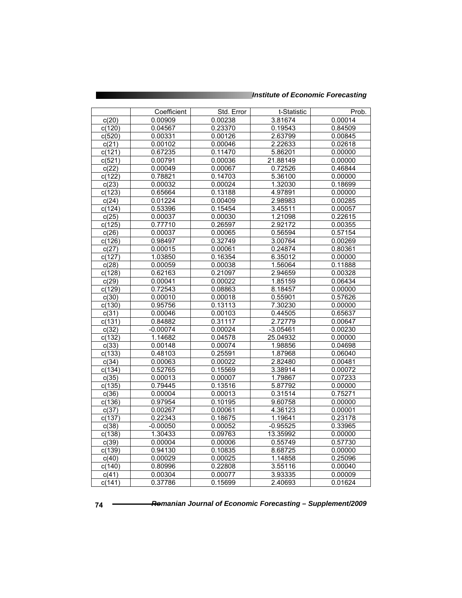|                    | Coefficient | Std. Error | t-Statistic | Prob.   |
|--------------------|-------------|------------|-------------|---------|
| c(20)              | 0.00909     | 0.00238    | 3.81674     | 0.00014 |
| c(120)             | 0.04567     | 0.23370    | 0.19543     | 0.84509 |
| c(520)             | 0.00331     | 0.00126    | 2.63799     | 0.00845 |
| c(21)              | 0.00102     | 0.00046    | 2.22633     | 0.02618 |
| c(121)             | 0.67235     | 0.11470    | 5.86201     | 0.00000 |
| c(521)             | 0.00791     | 0.00036    | 21.88149    | 0.00000 |
| c(22)              | 0.00049     | 0.00067    | 0.72526     | 0.46844 |
| c(122)             | 0.78821     | 0.14703    | 5.36100     | 0.00000 |
| c(23)              | 0.00032     | 0.00024    | 1.32030     | 0.18699 |
| c(123)             | 0.65664     | 0.13188    | 4.97891     | 0.00000 |
| c(24)              | 0.01224     | 0.00409    | 2.98983     | 0.00285 |
| c(124)             | 0.53396     | 0.15454    | 3.45511     | 0.00057 |
| c(25)              | 0.00037     | 0.00030    | 1.21098     | 0.22615 |
| c(125)             | 0.77710     | 0.26597    | 2.92172     | 0.00355 |
| c(26)              | 0.00037     | 0.00065    | 0.56594     | 0.57154 |
| c(126)             | 0.98497     | 0.32749    | 3.00764     | 0.00269 |
| c(27)              | 0.00015     | 0.00061    | 0.24874     | 0.80361 |
| c(127)             | 1.03850     | 0.16354    | 6.35012     | 0.00000 |
| c(28)              | 0.00059     | 0.00038    | 1.56064     | 0.11888 |
| c(128)             | 0.62163     | 0.21097    | 2.94659     | 0.00328 |
| c(29)              | 0.00041     | 0.00022    | 1.85159     | 0.06434 |
| c(129)             | 0.72543     | 0.08863    | 8.18457     | 0.00000 |
| c(30)              | 0.00010     | 0.00018    | 0.55901     | 0.57626 |
| c(130)             | 0.95756     | 0.13113    | 7.30230     | 0.00000 |
| c(31)              | 0.00046     | 0.00103    | 0.44505     | 0.65637 |
| c(131)             | 0.84882     | 0.31117    | 2.72779     | 0.00647 |
| c(32)              | $-0.00074$  | 0.00024    | $-3.05461$  | 0.00230 |
| c(132)             | 1.14682     | 0.04578    | 25.04932    | 0.00000 |
| c(33)              | 0.00148     | 0.00074    | 1.98856     | 0.04698 |
| c(133)             | 0.48103     | 0.25591    | 1.87968     | 0.06040 |
| c(34)              | 0.00063     | 0.00022    | 2.82480     | 0.00481 |
| c(134)             | 0.52765     | 0.15569    | 3.38914     | 0.00072 |
| c(35)              | 0.00013     | 0.00007    | 1.79867     | 0.07233 |
| c(135)             | 0.79445     | 0.13516    | 5.87792     | 0.00000 |
| $\overline{c(36)}$ | 0.00004     | 0.00013    | 0.31514     | 0.75271 |
| c(136)             | 0.97954     | 0.10195    | 9.60758     | 0.00000 |
| c(37)              | 0.00267     | 0.00061    | 4.36123     | 0.00001 |
| c(137)             | 0.22343     | 0.18675    | 1.19641     | 0.23178 |
| c(38)              | $-0.00050$  | 0.00052    | $-0.95525$  | 0.33965 |
| c(138)             | 1.30433     | 0.09763    | 13.35992    | 0.00000 |
| c(39)              | 0.00004     | 0.00006    | 0.55749     | 0.57730 |
| c(139)             | 0.94130     | 0.10835    | 8.68725     | 0.00000 |
| c(40)              | 0.00029     | 0.00025    | 1.14858     | 0.25096 |
| c(140)             | 0.80996     | 0.22808    | 3.55116     | 0.00040 |
| c(41)              | 0.00304     | 0.00077    | 3.93335     | 0.00009 |
| c(141)             | 0.37786     | 0.15699    | 2.40693     | 0.01624 |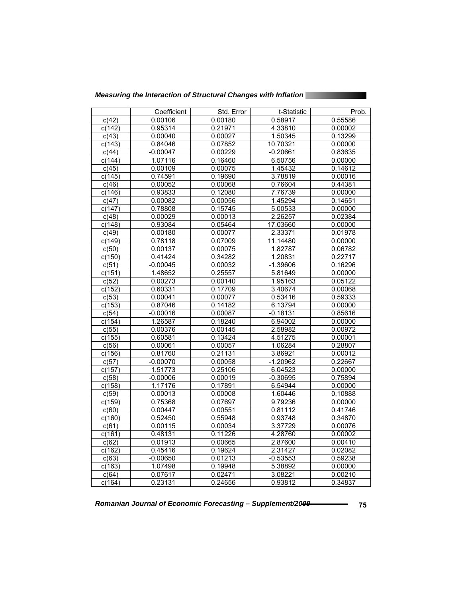| Measuring the Interaction of Structural Changes with Inflation |  |
|----------------------------------------------------------------|--|
|                                                                |  |

|                 | Coefficient        | Std. Error         | t-Statistic        | Prob.              |
|-----------------|--------------------|--------------------|--------------------|--------------------|
| c(42)           | 0.00106            | 0.00180            | 0.58917            | 0.55586            |
| c(142)          | 0.95314            | 0.21971            | 4.33810            | 0.00002            |
| c(43)           | 0.00040            | 0.00027            | 1.50345            | 0.13299            |
| c(143)          | 0.84046            | 0.07852            | 10.70321           | 0.00000            |
| C(44)           | $-0.00047$         | 0.00229            | $-0.20661$         | 0.83635            |
| c(144)          | 1.07116            | 0.16460            | 6.50756            | 0.00000            |
| c(45)           | 0.00109            | 0.00075            | 1.45432            | 0.14612            |
| c(145)          | 0.74591            | 0.19690            | 3.78819            | 0.00016            |
| c(46)           | 0.00052            | 0.00068            | 0.76604            | 0.44381            |
| c(146)          | 0.93833            | 0.12080            | 7.76739            | 0.00000            |
| c(47)           | 0.00082            | 0.00056            | 1.45294            | 0.14651            |
| c(147)          | 0.78808            | 0.15745            | 5.00533            | 0.00000            |
| C(48)           | 0.00029            | 0.00013            | 2.26257            | 0.02384            |
| c(148)          | 0.93084            | 0.05464            | 17.03660           | 0.00000            |
| c(49)           | 0.00180            | 0.00077            | 2.33371            | 0.01978            |
| c(149)          | 0.78118            | 0.07009            | 11.14480           | 0.00000            |
| c(50)           | 0.00137            | 0.00075            | 1.82787            | 0.06782            |
| c(150)          | 0.41424            | 0.34282            | 1.20831            | 0.22717            |
| c(51)           | $-0.00045$         | 0.00032            | $-1.39606$         | 0.16296            |
| c(151)          | 1.48652<br>0.00273 | 0.25557<br>0.00140 | 5.81649<br>1.95163 | 0.00000<br>0.05122 |
| c(52)<br>c(152) | 0.60331            | 0.17709            | 3.40674            | 0.00068            |
| c(53)           | 0.00041            | 0.00077            | 0.53416            | 0.59333            |
| c(153)          | 0.87046            | 0.14182            | 6.13794            | 0.00000            |
| c(54)           | $-0.00016$         | 0.00087            | $-0.18131$         | 0.85616            |
| c(154)          | 1.26587            | 0.18240            | 6.94002            | 0.00000            |
| c(55)           | 0.00376            | 0.00145            | 2.58982            | 0.00972            |
| c(155)          | 0.60581            | 0.13424            | 4.51275            | 0.00001            |
| c(56)           | 0.00061            | 0.00057            | 1.06284            | 0.28807            |
| c(156)          | 0.81760            | 0.21131            | 3.86921            | 0.00012            |
| c(57)           | $-0.00070$         | 0.00058            | $-1.20962$         | 0.22667            |
| c(157)          | 1.51773            | 0.25106            | 6.04523            | 0.00000            |
| c(58)           | $-0.00006$         | 0.00019            | $-0.30695$         | 0.75894            |
| c(158)          | 1.17176            | 0.17891            | 6.54944            | 0.00000            |
| c(59)           | 0.00013            | 0.00008            | 1.60446            | 0.10888            |
| c(159)          | 0.75368            | 0.07697            | 9.79236            | 0.00000            |
| c(60)           | 0.00447            | 0.00551            | 0.81112            | 0.41746            |
| c(160)          | 0.52450            | 0.55948            | 0.93748            | 0.34870            |
| c(61)           | 0.00115            | 0.00034            | 3.37729            | 0.00076            |
| c(161)          | 0.48131            | 0.11226            | 4.28760            | 0.00002            |
| c(62)           | 0.01913            | 0.00665            | 2.87600            | 0.00410            |
| c(162)          | 0.45416            | 0.19624            | 2.31427            | 0.02082            |
| c(63)           | $-0.00650$         | 0.01213            | $-0.53553$         | 0.59238            |
| c(163)          | 1.07498            | 0.19948            | 5.38892            | 0.00000            |
| C(64)           | 0.07617            | 0.02471            | 3.08221            | 0.00210            |
| c(164)          | 0.23131            | 0.24656            | 0.93812            | 0.34837            |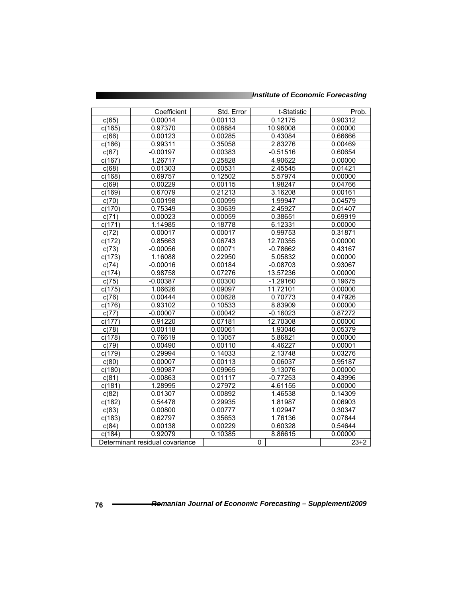|                    | Coefficient                     | Std. Error | t-Statistic | Prob.   |
|--------------------|---------------------------------|------------|-------------|---------|
| c(65)              | 0.00014                         | 0.00113    | 0.12175     | 0.90312 |
| c(165)             | 0.97370                         | 0.08884    | 10.96008    | 0.00000 |
| c(66)              | 0.00123                         | 0.00285    | 0.43084     | 0.66666 |
| c(166)             | 0.99311                         | 0.35058    | 2.83276     | 0.00469 |
| c(67)              | $-0.00197$                      | 0.00383    | $-0.51516$  | 0.60654 |
| c(167)             | 1.26717                         | 0.25828    | 4.90622     | 0.00000 |
| c(68)              | 0.01303                         | 0.00531    | 2.45545     | 0.01421 |
| c(168)             | 0.69757                         | 0.12502    | 5.57974     | 0.00000 |
| c(69)              | 0.00229                         | 0.00115    | 1.98247     | 0.04766 |
| c(169)             | 0.67079                         | 0.21213    | 3.16208     | 0.00161 |
| c(70)              | 0.00198                         | 0.00099    | 1.99947     | 0.04579 |
| c(170)             | 0.75349                         | 0.30639    | 2.45927     | 0.01407 |
| c(71)              | 0.00023                         | 0.00059    | 0.38651     | 0.69919 |
| c(171)             | 1.14985                         | 0.18778    | 6.12331     | 0.00000 |
| c(72)              | 0.00017                         | 0.00017    | 0.99753     | 0.31871 |
| c(172)             | 0.85663                         | 0.06743    | 12.70355    | 0.00000 |
| c(73)              | $-0.00056$                      | 0.00071    | $-0.78662$  | 0.43167 |
| c(173)             | 1.16088                         | 0.22950    | 5.05832     | 0.00000 |
| c(74)              | $-0.00016$                      | 0.00184    | $-0.08703$  | 0.93067 |
| c(174)             | 0.98758                         | 0.07276    | 13.57236    | 0.00000 |
| c(75)              | $-0.00387$                      | 0.00300    | $-1.29160$  | 0.19675 |
| c(175)             | 1.06626                         | 0.09097    | 11.72101    | 0.00000 |
| c(76)              | 0.00444                         | 0.00628    | 0.70773     | 0.47926 |
| c(176)             | 0.93102                         | 0.10533    | 8.83909     | 0.00000 |
| c(77)              | $-0.00007$                      | 0.00042    | $-0.16023$  | 0.87272 |
| c(177)             | 0.91220                         | 0.07181    | 12.70308    | 0.00000 |
| c(78)              | 0.00118                         | 0.00061    | 1.93046     | 0.05379 |
| c(178)             | 0.76619                         | 0.13057    | 5.86821     | 0.00000 |
| c(79)              | 0.00490                         | 0.00110    | 4.46227     | 0.00001 |
| c(179)             | 0.29994                         | 0.14033    | 2.13748     | 0.03276 |
| c(80)              | 0.00007                         | 0.00113    | 0.06037     | 0.95187 |
| c(180)             | 0.90987                         | 0.09965    | 9.13076     | 0.00000 |
| c(81)              | $-0.00863$                      | 0.01117    | $-0.77253$  | 0.43996 |
| c(181)             | 1.28995                         | 0.27972    | 4.61155     | 0.00000 |
| c(82)              | 0.01307                         | 0.00892    | 1.46538     | 0.14309 |
| c(182)             | 0.54478                         | 0.29935    | 1.81987     | 0.06903 |
| c(83)              | 0.00800                         | 0.00777    | 1.02947     | 0.30347 |
| c(183)             | 0.62797                         | 0.35653    | 1.76136     | 0.07844 |
| $\overline{c(84)}$ | 0.00138                         | 0.00229    | 0.60328     | 0.54644 |
| c(184)             | 0.92079                         | 0.10385    | 8.86615     | 0.00000 |
|                    | Determinant residual covariance |            | $\Omega$    | $23+2$  |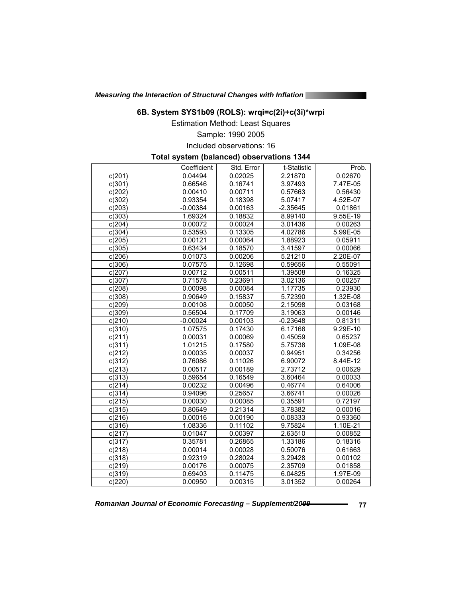*Measuring the Interaction of Structural Changes with Inflation* 

### **6B. System SYS1b09 (ROLS): wrqi=c(2i)+c(3i)\*wrpi**

Estimation Method: Least Squares

# Sample: 1990 2005

Included observations: 16

#### **Total system (balanced) observations 1344**

|                     | Coefficient | Std. Error | t-Statistic          | Prob.      |
|---------------------|-------------|------------|----------------------|------------|
| c(201)              | 0.04494     | 0.02025    | 2.21870              | 0.02670    |
| c(301)              | 0.66546     | 0.16741    | 3.97493              | 7.47E-05   |
| c(202)              | 0.00410     | 0.00711    | 0.57663              | 0.56430    |
| c(302)              | 0.93354     | 0.18398    | 5.07417              | 4.52E-07   |
| c(203)              | $-0.00384$  | 0.00163    | $-2.35645$           | 0.01861    |
| c(303)              | 1.69324     | 0.18832    | 8.99140              | $9.55E-19$ |
| c(204)              | 0.00072     | 0.00024    | 3.01436              | 0.00263    |
| c(304)              | 0.53593     | 0.13305    | 4.02786              | 5.99E-05   |
| c(205)              | 0.00121     | 0.00064    | 1.88923              | 0.05911    |
| c(305)              | 0.63434     | 0.18570    | 3.41597              | 0.00066    |
| c(206)              | 0.01073     | 0.00206    | $\overline{5.21210}$ | 2.20E-07   |
| c(306)              | 0.07575     | 0.12698    | 0.59656              | 0.55091    |
| c(207)              | 0.00712     | 0.00511    | 1.39508              | 0.16325    |
| c(307)              | 0.71578     | 0.23691    | 3.02136              | 0.00257    |
| c(208)              | 0.00098     | 0.00084    | 1.17735              | 0.23930    |
| c(308)              | 0.90649     | 0.15837    | 5.72390              | $1.32E-08$ |
| c(209)              | 0.00108     | 0.00050    | 2.15098              | 0.03168    |
| c(309)              | 0.56504     | 0.17709    | 3.19063              | 0.00146    |
| c(210)              | $-0.00024$  | 0.00103    | $-0.23648$           | 0.81311    |
| c(310)              | 1.07575     | 0.17430    | 6.17166              | 9.29E-10   |
| c(211)              | 0.00031     | 0.00069    | 0.45059              | 0.65237    |
| c(311)              | 1.01215     | 0.17580    | 5.75738              | 1.09E-08   |
| c(212)              | 0.00035     | 0.00037    | 0.94951              | 0.34256    |
| c(312)              | 0.76086     | 0.11026    | 6.90072              | 8.44E-12   |
| c(213)              | 0.00517     | 0.00189    | 2.73712              | 0.00629    |
| c(313)              | 0.59654     | 0.16549    | 3.60464              | 0.00033    |
| c(214)              | 0.00232     | 0.00496    | 0.46774              | 0.64006    |
| c(314)              | 0.94096     | 0.25657    | 3.66741              | 0.00026    |
| c(215)              | 0.00030     | 0.00085    | 0.35591              | 0.72197    |
| c(315)              | 0.80649     | 0.21314    | 3.78382              | 0.00016    |
| c(216)              | 0.00016     | 0.00190    | 0.08333              | 0.93360    |
| c(316)              | 1.08336     | 0.11102    | 9.75824              | $1.10E-21$ |
| c(217)              | 0.01047     | 0.00397    | 2.63510              | 0.00852    |
| c(317)              | 0.35781     | 0.26865    | 1.33186              | 0.18316    |
| c(218)              | 0.00014     | 0.00028    | 0.50076              | 0.61663    |
| c(318)              | 0.92319     | 0.28024    | 3.29428              | 0.00102    |
| c(219)              | 0.00176     | 0.00075    | 2.35709              | 0.01858    |
| c(319)              | 0.69403     | 0.11475    | 6.04825              | 1.97E-09   |
| $\overline{c(220)}$ | 0.00950     | 0.00315    | 3.01352              | 0.00264    |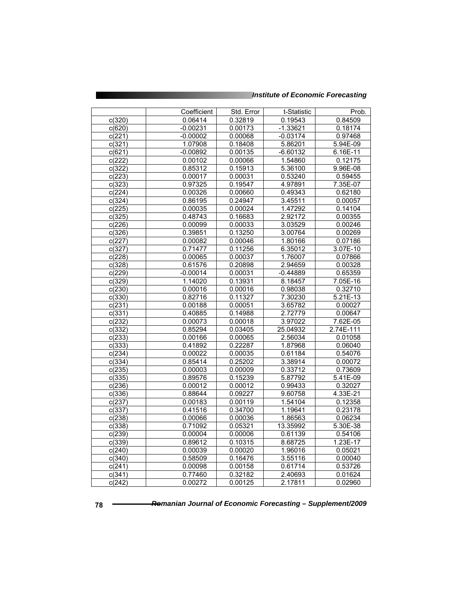|  |  | <b>Institute of Economic Forecasting</b> |
|--|--|------------------------------------------|
|--|--|------------------------------------------|

|                     | Coefficient        | Std. Error         | t-Statistic        | Prob.                 |
|---------------------|--------------------|--------------------|--------------------|-----------------------|
| c(320)              | 0.06414            | 0.32819            | 0.19543            | 0.84509               |
| c(620)              | $-0.00231$         | 0.00173            | $-1.33621$         | 0.18174               |
| c(221)              | $-0.00002$         | 0.00068            | $-0.03174$         | 0.97468               |
| c(321)              | 1.07908            | 0.18408            | 5.86201            | 5.94E-09              |
| c(621)              | $-0.00892$         | 0.00135            | $-6.60132$         | $6.16E-11$            |
| c(222)              | 0.00102            | 0.00066            | 1.54860            | 0.12175               |
| c(322)              | 0.85312            | 0.15913            | 5.36100            | 9.96E-08              |
| c(223)              | 0.00017            | 0.00031            | 0.53240            | 0.59455               |
| c(323)              | 0.97325            | 0.19547            | 4.97891            | 7.35E-07              |
| c(224)              | 0.00326            | 0.00660            | 0.49343            | 0.62180               |
| c(324)              | 0.86195            | 0.24947            | 3.45511            | 0.00057               |
| c(225)              | 0.00035            | 0.00024            | 1.47292            | 0.14104               |
| c(325)              | 0.48743            | 0.16683            | 2.92172            | 0.00355               |
| c(226)              | 0.00099            | 0.00033            | 3.03529            | 0.00246               |
| c(326)              | 0.39851            | 0.13250            | 3.00764            | 0.00269               |
| c(227)              | 0.00082            | 0.00046            | 1.80166            | 0.07186               |
| c(327)              | 0.71477            | 0.11256            | 6.35012            | 3.07E-10              |
| c(228)              | 0.00065            | 0.00037            | 1.76007            | 0.07866               |
| c(328)              | 0.61576            | 0.20898            | 2.94659            | 0.00328               |
| c(229)              | $-0.00014$         | 0.00031            | $-0.44889$         | 0.65359               |
| c(329)              | 1.14020            | 0.13931            | 8.18457            | 7.05E-16              |
| c(230)              | 0.00016            | 0.00016            | 0.98038            | 0.32710               |
| c(330)              | 0.82716            | 0.11327            | 7.30230            | 5.21E-13              |
| c(231)              | 0.00188            | 0.00051            | 3.65782            | 0.00027               |
| c(331)              | 0.40885            | 0.14988            | 2.72779            | 0.00647               |
| c(232)              | 0.00073            | 0.00018            | 3.97022            | 7.62E-05              |
| c(332)              | 0.85294            | 0.03405            | 25.04932           | 2.74E-111             |
| c(233)              | 0.00166            | 0.00065            | 2.56034            | 0.01058               |
| c(333)              | 0.41892            | 0.22287            | 1.87968            | 0.06040               |
| c(234)              | 0.00022            | 0.00035            | 0.61184            | 0.54076               |
| c(334)              | 0.85414            | 0.25202            | 3.38914            | 0.00072               |
| $\overline{c(235)}$ | 0.00003            | 0.00009            | 0.33712            | 0.73609               |
| c(335)              | 0.89576            | 0.15239            | 5.87792            | 5.41E-09              |
| c(236)              | 0.00012            | 0.00012            | 0.99433            | 0.32027               |
| c(336)              | 0.88644            | 0.09227            | 9.60758            | $4.33E - 21$          |
| c(237)              | 0.00183            | 0.00119            | 1.54104            | 0.12358<br>0.23178    |
| c(337)              | 0.41516            | 0.34700            | 1.19641            |                       |
| c(238)              | 0.00066            | 0.00036            | 1.86563            | 0.06234               |
| c(338)              | 0.71092            | 0.05321            | 13.35992           | 5.30E-38              |
| c(239)              | 0.00004<br>0.89612 | 0.00006<br>0.10315 | 0.61139<br>8.68725 | 0.54106<br>$1.23E-17$ |
| c(339)              |                    |                    | 1.96016            | 0.05021               |
| c(240)              | 0.00039<br>0.58509 | 0.00020<br>0.16476 | 3.55116            | 0.00040               |
| c(340)              |                    | 0.00158            |                    | 0.53726               |
| c(241)<br>c(341)    | 0.00098<br>0.77460 | 0.32182            | 0.61714<br>2.40693 | 0.01624               |
|                     | 0.00272            |                    | 2.17811            |                       |
| c(242)              |                    | 0.00125            |                    | 0.02960               |

t i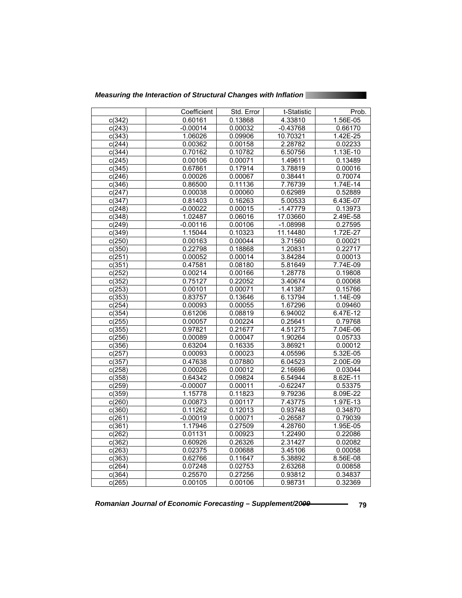*Measuring the Interaction of Structural Changes with Inflation* 

|                     | Coefficient | Std. Error | t-Statistic | Prob.      |
|---------------------|-------------|------------|-------------|------------|
| c(342)              | 0.60161     | 0.13868    | 4.33810     | 1.56E-05   |
| c(243)              | $-0.00014$  | 0.00032    | $-0.43768$  | 0.66170    |
| c(343)              | 1.06026     | 0.09906    | 10.70321    | 1.42E-25   |
| c(244)              | 0.00362     | 0.00158    | 2.28782     | 0.02233    |
| c(344)              | 0.70162     | 0.10782    | 6.50756     | 1.13E-10   |
| c(245)              | 0.00106     | 0.00071    | 1.49611     | 0.13489    |
| c(345)              | 0.67861     | 0.17914    | 3.78819     | 0.00016    |
| c(246)              | 0.00026     | 0.00067    | 0.38441     | 0.70074    |
| c(346)              | 0.86500     | 0.11136    | 7.76739     | 1.74E-14   |
| c(247)              | 0.00038     | 0.00060    | 0.62989     | 0.52889    |
| c(347)              | 0.81403     | 0.16263    | 5.00533     | 6.43E-07   |
| c(248)              | $-0.00022$  | 0.00015    | $-1.47779$  | 0.13973    |
| c(348)              | 1.02487     | 0.06016    | 17.03660    | 2.49E-58   |
| c(249)              | $-0.00116$  | 0.00106    | $-1.08998$  | 0.27595    |
| c(349)              | 1.15044     | 0.10323    | 11.14480    | 1.72E-27   |
| c(250)              | 0.00163     | 0.00044    | 3.71560     | 0.00021    |
| c(350)              | 0.22798     | 0.18868    | 1.20831     | 0.22717    |
| c(251)              | 0.00052     | 0.00014    | 3.84284     | 0.00013    |
| c(351)              | 0.47581     | 0.08180    | 5.81649     | 7.74E-09   |
| c(252)              | 0.00214     | 0.00166    | 1.28778     | 0.19808    |
| c(352)              | 0.75127     | 0.22052    | 3.40674     | 0.00068    |
| c(253)              | 0.00101     | 0.00071    | 1.41387     | 0.15766    |
| c(353)              | 0.83757     | 0.13646    | 6.13794     | 1.14E-09   |
| c(254)              | 0.00093     | 0.00055    | 1.67296     | 0.09460    |
| c(354)              | 0.61206     | 0.08819    | 6.94002     | 6.47E-12   |
| c(255)              | 0.00057     | 0.00224    | 0.25641     | 0.79768    |
| c(355)              | 0.97821     | 0.21677    | 4.51275     | 7.04E-06   |
| c(256)              | 0.00089     | 0.00047    | 1.90264     | 0.05733    |
| c(356)              | 0.63204     | 0.16335    | 3.86921     | 0.00012    |
| c(257)              | 0.00093     | 0.00023    | 4.05596     | 5.32E-05   |
| c(357)              | 0.47638     | 0.07880    | 6.04523     | $2.00E-09$ |
| c(258)              | 0.00026     | 0.00012    | 2.16696     | 0.03044    |
| c(358)              | 0.64342     | 0.09824    | 6.54944     | 8.62E-11   |
| c(259)              | $-0.00007$  | 0.00011    | $-0.62247$  | 0.53375    |
| c(359)              | 1.15778     | 0.11823    | 9.79236     | 8.09E-22   |
| c(260)              | 0.00873     | 0.00117    | 7.43775     | 1.97E-13   |
| c(360)              | 0.11262     | 0.12013    | 0.93748     | 0.34870    |
| c(261)              | $-0.00019$  | 0.00071    | $-0.26587$  | 0.79039    |
| c(361)              | 1.17946     | 0.27509    | 4.28760     | 1.95E-05   |
| c(262)              | 0.01131     | 0.00923    | 1.22490     | 0.22086    |
| c(362)              | 0.60926     | 0.26326    | 2.31427     | 0.02082    |
| c(263)              | 0.02375     | 0.00688    | 3.45106     | 0.00058    |
| c(363)              | 0.62766     | 0.11647    | 5.38892     | 8.56E-08   |
| c(264)              | 0.07248     | 0.02753    | 2.63268     | 0.00858    |
| $\overline{c}(364)$ | 0.25570     | 0.27256    | 0.93812     | 0.34837    |
| c(265)              | 0.00105     | 0.00106    | 0.98731     | 0.32369    |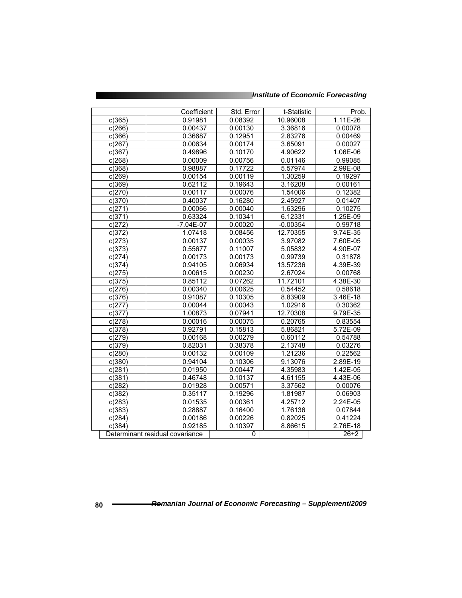| <b>Institute of Economic Forecasting</b> |
|------------------------------------------|
|------------------------------------------|

|        | Coefficient                     | Std. Error | t-Statistic | Prob.      |
|--------|---------------------------------|------------|-------------|------------|
| c(365) | 0.91981                         | 0.08392    | 10.96008    | 1.11E-26   |
| c(266) | 0.00437                         | 0.00130    | 3.36816     | 0.00078    |
| c(366) | 0.36687                         | 0.12951    | 2.83276     | 0.00469    |
| c(267) | 0.00634                         | 0.00174    | 3.65091     | 0.00027    |
| c(367) | 0.49896                         | 0.10170    | 4.90622     | 1.06E-06   |
| c(268) | 0.00009                         | 0.00756    | 0.01146     | 0.99085    |
| c(368) | 0.98887                         | 0.17722    | 5.57974     | 2.99E-08   |
| c(269) | 0.00154                         | 0.00119    | 1.30259     | 0.19297    |
| c(369) | 0.62112                         | 0.19643    | 3.16208     | 0.00161    |
| c(270) | 0.00117                         | 0.00076    | 1.54006     | 0.12382    |
| c(370) | 0.40037                         | 0.16280    | 2.45927     | 0.01407    |
| c(271) | 0.00066                         | 0.00040    | 1.63296     | 0.10275    |
| c(371) | 0.63324                         | 0.10341    | 6.12331     | 1.25E-09   |
| c(272) | $-7.04E-07$                     | 0.00020    | $-0.00354$  | 0.99718    |
| c(372) | 1.07418                         | 0.08456    | 12.70355    | 9.74E-35   |
| c(273) | 0.00137                         | 0.00035    | 3.97082     | 7.60E-05   |
| c(373) | 0.55677                         | 0.11007    | 5.05832     | 4.90E-07   |
| c(274) | 0.00173                         | 0.00173    | 0.99739     | 0.31878    |
| c(374) | 0.94105                         | 0.06934    | 13.57236    | 4.39E-39   |
| c(275) | 0.00615                         | 0.00230    | 2.67024     | 0.00768    |
| c(375) | 0.85112                         | 0.07262    | 11.72101    | 4.38E-30   |
| c(276) | 0.00340                         | 0.00625    | 0.54452     | 0.58618    |
| c(376) | 0.91087                         | 0.10305    | 8.83909     | 3.46E-18   |
| c(277) | 0.00044                         | 0.00043    | 1.02916     | 0.30362    |
| c(377) | 1.00873                         | 0.07941    | 12.70308    | 9.79E-35   |
| c(278) | 0.00016                         | 0.00075    | 0.20765     | 0.83554    |
| c(378) | 0.92791                         | 0.15813    | 5.86821     | 5.72E-09   |
| c(279) | 0.00168                         | 0.00279    | 0.60112     | 0.54788    |
| c(379) | 0.82031                         | 0.38378    | 2.13748     | 0.03276    |
| c(280) | 0.00132                         | 0.00109    | 1.21236     | 0.22562    |
| c(380) | 0.94104                         | 0.10306    | 9.13076     | 2.89E-19   |
| c(281) | 0.01950                         | 0.00447    | 4.35983     | 1.42E-05   |
| c(381) | 0.46748                         | 0.10137    | 4.61155     | 4.43E-06   |
| c(282) | 0.01928                         | 0.00571    | 3.37562     | 0.00076    |
| c(382) | 0.35117                         | 0.19296    | 1.81987     | 0.06903    |
| c(283) | 0.01535                         | 0.00361    | 4.25712     | 2.24E-05   |
| c(383) | 0.28887                         | 0.16400    | 1.76136     | 0.07844    |
| c(284) | 0.00186                         | 0.00226    | 0.82025     | 0.41224    |
| c(384) | 0.92185                         | 0.10397    | 8.86615     | $2.76E-18$ |
|        | Determinant residual covariance | 0          |             | $26 + 2$   |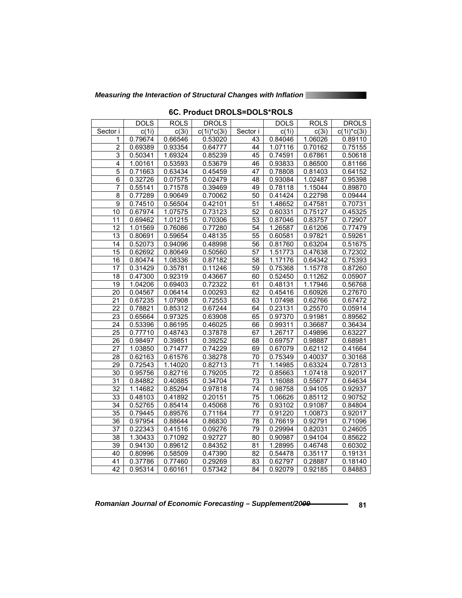*Measuring the Interaction of Structural Changes with Inflation* 

|                 | <b>DOLS</b>        | <b>ROLS</b> | <b>DROLS</b>              |                 | <b>DOLS</b> | <b>ROLS</b> | <b>DROLS</b>   |
|-----------------|--------------------|-------------|---------------------------|-----------------|-------------|-------------|----------------|
| Sector i        | $\overline{c(1i)}$ | c(3i)       | $\overline{c(1i)^*c(3i)}$ | Sector i        | c(1i)       | c(3i)       | $c(1i)^*c(3i)$ |
| 1               | 0.79674            | 0.66546     | 0.53020                   | 43              | 0.84046     | 1.06026     | 0.89110        |
| $\overline{2}$  | 0.69389            | 0.93354     | 0.64777                   | 44              | 1.07116     | 0.70162     | 0.75155        |
| $\overline{3}$  | 0.50341            | 1.69324     | 0.85239                   | 45              | 0.74591     | 0.67861     | 0.50618        |
| 4               | 1.00161            | 0.53593     | 0.53679                   | 46              | 0.93833     | 0.86500     | 0.81166        |
| $\overline{5}$  | 0.71663            | 0.63434     | 0.45459                   | 47              | 0.78808     | 0.81403     | 0.64152        |
| $\overline{6}$  | 0.32726            | 0.07575     | 0.02479                   | 48              | 0.93084     | 1.02487     | 0.95398        |
| $\overline{7}$  | 0.55141            | 0.71578     | 0.39469                   | 49              | 0.78118     | 1.15044     | 0.89870        |
| 8               | 0.77289            | 0.90649     | 0.70062                   | 50              | 0.41424     | 0.22798     | 0.09444        |
| $\overline{9}$  | 0.74510            | 0.56504     | 0.42101                   | $\overline{51}$ | 1.48652     | 0.47581     | 0.70731        |
| 10              | 0.67974            | 1.07575     | 0.73123                   | 52              | 0.60331     | 0.75127     | 0.45325        |
| 11              | 0.69462            | 1.01215     | 0.70306                   | 53              | 0.87046     | 0.83757     | 0.72907        |
| 12              | 1.01569            | 0.76086     | 0.77280                   | 54              | 1.26587     | 0.61206     | 0.77479        |
| 13              | 0.80691            | 0.59654     | 0.48135                   | 55              | 0.60581     | 0.97821     | 0.59261        |
| $\overline{14}$ | 0.52073            | 0.94096     | 0.48998                   | 56              | 0.81760     | 0.63204     | 0.51675        |
| 15              | 0.62692            | 0.80649     | 0.50560                   | 57              | 1.51773     | 0.47638     | 0.72302        |
| 16              | 0.80474            | 1.08336     | 0.87182                   | 58              | 1.17176     | 0.64342     | 0.75393        |
| 17              | 0.31429            | 0.35781     | 0.11246                   | $\overline{59}$ | 0.75368     | 1.15778     | 0.87260        |
| 18              | 0.47300            | 0.92319     | 0.43667                   | 60              | 0.52450     | 0.11262     | 0.05907        |
| 19              | 1.04206            | 0.69403     | 0.72322                   | 61              | 0.48131     | 1.17946     | 0.56768        |
| 20              | 0.04567            | 0.06414     | 0.00293                   | 62              | 0.45416     | 0.60926     | 0.27670        |
| 21              | 0.67235            | 1.07908     | 0.72553                   | 63              | 1.07498     | 0.62766     | 0.67472        |
| 22              | 0.78821            | 0.85312     | 0.67244                   | 64              | 0.23131     | 0.25570     | 0.05914        |
| 23              | 0.65664            | 0.97325     | 0.63908                   | 65              | 0.97370     | 0.91981     | 0.89562        |
| 24              | 0.53396            | 0.86195     | 0.46025                   | 66              | 0.99311     | 0.36687     | 0.36434        |
| 25              | 0.77710            | 0.48743     | 0.37878                   | 67              | 1.26717     | 0.49896     | 0.63227        |
| 26              | 0.98497            | 0.39851     | 0.39252                   | 68              | 0.69757     | 0.98887     | 0.68981        |
| $\overline{27}$ | 1.03850            | 0.71477     | 0.74229                   | 69              | 0.67079     | 0.62112     | 0.41664        |
| 28              | 0.62163            | 0.61576     | 0.38278                   | 70              | 0.75349     | 0.40037     | 0.30168        |
| 29              | 0.72543            | 1.14020     | 0.82713                   | 71              | 1.14985     | 0.63324     | 0.72813        |
| 30              | 0.95756            | 0.82716     | 0.79205                   | 72              | 0.85663     | 1.07418     | 0.92017        |
| 31              | 0.84882            | 0.40885     | 0.34704                   | 73              | 1.16088     | 0.55677     | 0.64634        |
| $\overline{32}$ | 1.14682            | 0.85294     | 0.97818                   | 74              | 0.98758     | 0.94105     | 0.92937        |
| 33              | 0.48103            | 0.41892     | 0.20151                   | 75              | 1.06626     | 0.85112     | 0.90752        |
| 34              | 0.52765            | 0.85414     | 0.45068                   | 76              | 0.93102     | 0.91087     | 0.84804        |
| 35              | 0.79445            | 0.89576     | 0.71164                   | 77              | 0.91220     | 1.00873     | 0.92017        |
| 36              | 0.97954            | 0.88644     | 0.86830                   | 78              | 0.76619     | 0.92791     | 0.71096        |
| $\overline{37}$ | 0.22343            | 0.41516     | 0.09276                   | 79              | 0.29994     | 0.82031     | 0.24605        |
| 38              | 1.30433            | 0.71092     | 0.92727                   | 80              | 0.90987     | 0.94104     | 0.85622        |
| 39              | 0.94130            | 0.89612     | 0.84352                   | 81              | 1.28995     | 0.46748     | 0.60302        |
| 40              | 0.80996            | 0.58509     | 0.47390                   | $\overline{82}$ | 0.54478     | 0.35117     | 0.19131        |
| 41              | 0.37786            | 0.77460     | 0.29269                   | 83              | 0.62797     | 0.28887     | 0.18140        |
| 42              | 0.95314            | 0.60161     | 0.57342                   | 84              | 0.92079     | 0.92185     | 0.84883        |

**6C. Product DROLS=DOLS\*ROLS**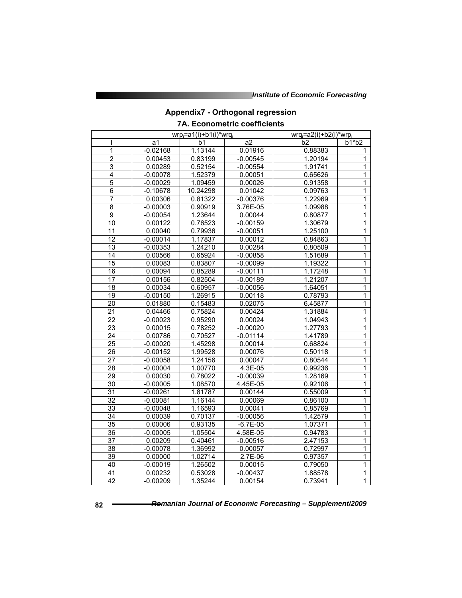# **Appendix7 - Orthogonal regression 7A. Econometric coefficients**

|                 | $wrp_i=a1(i)+b1(i)*wrq_i$ |          |            | $wrq_i=a2(i)+b2(i)*wrp_i$ |                |  |
|-----------------|---------------------------|----------|------------|---------------------------|----------------|--|
| ı               | a1                        | b1       | a2         | b <sub>2</sub>            | $b1* b2$       |  |
| 1               | $-0.02168$                | 1.13144  | 0.01916    | 0.88383                   | 1              |  |
| $\overline{2}$  | 0.00453                   | 0.83199  | $-0.00545$ | 1.20194                   | 1              |  |
| 3               | 0.00289                   | 0.52154  | $-0.00554$ | 1.91741                   | 1              |  |
| 4               | $-0.00078$                | 1.52379  | 0.00051    | 0.65626                   | 1              |  |
| 5               | $-0.00029$                | 1.09459  | 0.00026    | 0.91358                   | 1              |  |
| $\overline{6}$  | $-0.10678$                | 10.24298 | 0.01042    | 0.09763                   | 1              |  |
| $\overline{7}$  | 0.00306                   | 0.81322  | $-0.00376$ | 1.22969                   | 1              |  |
| 8               | $-0.00003$                | 0.90919  | 3.76E-05   | 1.09988                   | 1              |  |
| $\overline{9}$  | $-0.00054$                | 1.23644  | 0.00044    | 0.80877                   | $\overline{1}$ |  |
| 10              | 0.00122                   | 0.76523  | $-0.00159$ | 1.30679                   | $\overline{1}$ |  |
| 11              | 0.00040                   | 0.79936  | $-0.00051$ | 1.25100                   | 1              |  |
| $\overline{12}$ | $-0.00014$                | 1.17837  | 0.00012    | 0.84863                   | 1              |  |
| $\overline{13}$ | $-0.00353$                | 1.24210  | 0.00284    | 0.80509                   | 1              |  |
| $\overline{14}$ | 0.00566                   | 0.65924  | $-0.00858$ | 1.51689                   | $\overline{1}$ |  |
| 15              | 0.00083                   | 0.83807  | $-0.00099$ | 1.19322                   | 1              |  |
| $\overline{16}$ | 0.00094                   | 0.85289  | $-0.00111$ | 1.17248                   | 1              |  |
| 17              | 0.00156                   | 0.82504  | $-0.00189$ | 1.21207                   | $\overline{1}$ |  |
| 18              | 0.00034                   | 0.60957  | $-0.00056$ | 1.64051                   | 1              |  |
| $\overline{19}$ | $-0.00150$                | 1.26915  | 0.00118    | 0.78793                   | $\overline{1}$ |  |
| 20              | 0.01880                   | 0.15483  | 0.02075    | 6.45877                   | $\mathbf{1}$   |  |
| $\overline{21}$ | 0.04466                   | 0.75824  | 0.00424    | 1.31884                   | 1              |  |
| $\overline{22}$ | $-0.00023$                | 0.95290  | 0.00024    | 1.04943                   | 1              |  |
| 23              | 0.00015                   | 0.78252  | $-0.00020$ | 1.27793                   | $\overline{1}$ |  |
| 24              | 0.00786                   | 0.70527  | $-0.01114$ | 1.41789                   | 1              |  |
| $\overline{25}$ | $-0.00020$                | 1.45298  | 0.00014    | 0.68824                   | 1              |  |
| 26              | $-0.00152$                | 1.99528  | 0.00076    | 0.50118                   | $\mathbf{1}$   |  |
| $\overline{27}$ | $-0.00058$                | 1.24156  | 0.00047    | 0.80544                   | 1              |  |
| 28              | $-0.00004$                | 1.00770  | 4.3E-05    | 0.99236                   | 1              |  |
| 29              | 0.00030                   | 0.78022  | $-0.00039$ | 1.28169                   | 1              |  |
| $\overline{30}$ | $-0.00005$                | 1.08570  | 4.45E-05   | 0.92106                   | $\overline{1}$ |  |
| 31              | $-0.00261$                | 1.81787  | 0.00144    | 0.55009                   | 1              |  |
| $\overline{32}$ | $-0.00081$                | 1.16144  | 0.00069    | 0.86100                   | 1              |  |
| 33              | $-0.00048$                | 1.16593  | 0.00041    | 0.85769                   | 1              |  |
| $\overline{34}$ | 0.00039                   | 0.70137  | $-0.00056$ | 1.42579                   | 1              |  |
| 35              | 0.00006                   | 0.93135  | $-6.7E-05$ | 1.07371                   | 1              |  |
| $\overline{36}$ | $-0.00005$                | 1.05504  | 4.58E-05   | 0.94783                   | 1              |  |
| 37              | 0.00209                   | 0.40461  | $-0.00516$ | 2.47153                   | 1              |  |
| 38              | $-0.00078$                | 1.36992  | 0.00057    | 0.72997                   | 1              |  |
| 39              | 0.00000                   | 1.02714  | $2.7E-06$  | 0.97357                   | 1              |  |
| 40              | $-0.00019$                | 1.26502  | 0.00015    | 0.79050                   | $\overline{1}$ |  |
| 41              | 0.00232                   | 0.53028  | $-0.00437$ | 1.88578                   | $\mathbf 1$    |  |
| $\overline{42}$ | $-0.00209$                | 1.35244  | 0.00154    | 0.73941                   | 1              |  |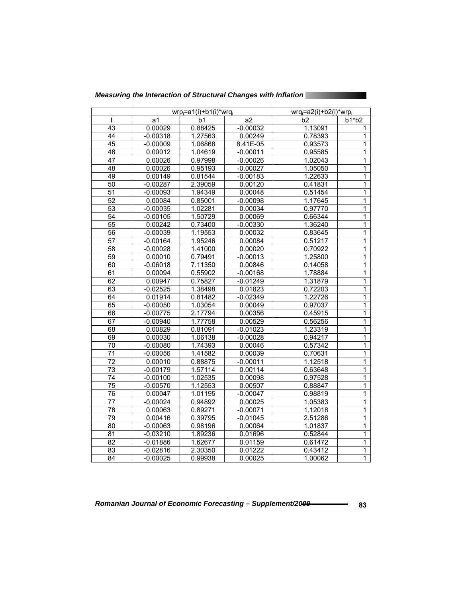| Measuring the Interaction of Structural Changes with Inflation |  |
|----------------------------------------------------------------|--|
|                                                                |  |

|                 | $wrp_i=a1(i)+b1(i)*wrq_i$ |         |            | wrq <sub>i</sub> =a2(i)+b2(i)*wrp <sub>i</sub> |                |  |
|-----------------|---------------------------|---------|------------|------------------------------------------------|----------------|--|
|                 | a1                        | b1      | a2         | b2                                             | b1*b2          |  |
| $\overline{43}$ | 0.00029                   | 0.88425 | $-0.00032$ | 1.13091                                        | 1              |  |
| 44              | $-0.00318$                | 1.27563 | 0.00249    | 0.78393                                        | 1              |  |
| 45              | $-0.00009$                | 1.06868 | 8.41E-05   | 0.93573                                        | 1              |  |
| 46              | 0.00012                   | 1.04619 | $-0.00011$ | 0.95585                                        | 1              |  |
| 47              | 0.00026                   | 0.97998 | $-0.00026$ | 1.02043                                        | 1              |  |
| 48              | 0.00026                   | 0.95193 | $-0.00027$ | 1.05050                                        | 1              |  |
| 49              | 0.00149                   | 0.81544 | $-0.00183$ | 1.22633                                        | 1              |  |
| $\overline{50}$ | $-0.00287$                | 2.39059 | 0.00120    | 0.41831                                        | 1              |  |
| $\overline{51}$ | $-0.00093$                | 1.94349 | 0.00048    | 0.51454                                        | 1              |  |
| $\overline{52}$ | 0.00084                   | 0.85001 | $-0.00098$ | 1.17645                                        | 1              |  |
| 53              | $-0.00035$                | 1.02281 | 0.00034    | 0.97770                                        | 1              |  |
| 54              | $-0.00105$                | 1.50729 | 0.00069    | 0.66344                                        | $\mathbf{1}$   |  |
| $\overline{55}$ | 0.00242                   | 0.73400 | $-0.00330$ | 1.36240                                        | 1              |  |
| $\overline{56}$ | $-0.00039$                | 1.19553 | 0.00032    | 0.83645                                        | $\overline{1}$ |  |
| 57              | $-0.00164$                | 1.95246 | 0.00084    | 0.51217                                        | 1              |  |
| $\overline{58}$ | $-0.00028$                | 1.41000 | 0.00020    | 0.70922                                        | 1              |  |
| 59              | 0.00010                   | 0.79491 | $-0.00013$ | 1.25800                                        | $\overline{1}$ |  |
| 60              | $-0.06018$                | 7.11350 | 0.00846    | 0.14058                                        | 1              |  |
| 61              | 0.00094                   | 0.55902 | $-0.00168$ | 1.78884                                        | 1              |  |
| 62              | 0.00947                   | 0.75827 | $-0.01249$ | 1.31879                                        | 1              |  |
| 63              | $-0.02525$                | 1.38498 | 0.01823    | 0.72203                                        | 1              |  |
| 64              | 0.01914                   | 0.81482 | $-0.02349$ | 1.22726                                        | 1              |  |
| 65              | $-0.00050$                | 1.03054 | 0.00049    | 0.97037                                        | 1              |  |
| 66              | $-0.00775$                | 2.17794 | 0.00356    | 0.45915                                        | 1              |  |
| 67              | $-0.00940$                | 1.77758 | 0.00529    | 0.56256                                        | 1              |  |
| 68              | 0.00829                   | 0.81091 | $-0.01023$ | 1.23319                                        | 1              |  |
| 69              | 0.00030                   | 1.06138 | $-0.00028$ | 0.94217                                        | 1              |  |
| 70              | $-0.00080$                | 1.74393 | 0.00046    | 0.57342                                        | 1              |  |
| $\overline{71}$ | $-0.00056$                | 1.41582 | 0.00039    | 0.70631                                        | 1              |  |
| 72              | 0.00010                   | 0.88875 | $-0.00011$ | 1.12518                                        | $\overline{1}$ |  |
| $\overline{73}$ | $-0.00179$                | 1.57114 | 0.00114    | 0.63648                                        | 1              |  |
| $\overline{74}$ | $-0.00100$                | 1.02535 | 0.00098    | 0.97528                                        | 1              |  |
| $\overline{75}$ | $-0.00570$                | 1.12553 | 0.00507    | 0.88847                                        | 1              |  |
| 76              | 0.00047                   | 1.01195 | $-0.00047$ | 0.98819                                        | 1              |  |
| $\overline{77}$ | $-0.00024$                | 0.94892 | 0.00025    | 1.05383                                        | 1              |  |
| 78              | 0.00063                   | 0.89271 | $-0.00071$ | 1.12018                                        | 1              |  |
| 79              | 0.00416                   | 0.39795 | $-0.01045$ | 2.51286                                        | 1              |  |
| 80              | $-0.00063$                | 0.98196 | 0.00064    | 1.01837                                        | 1              |  |
| 81              | $-0.03210$                | 1.89236 | 0.01696    | 0.52844                                        | 1              |  |
| 82              | $-0.01886$                | 1.62677 | 0.01159    | 0.61472                                        | 1              |  |
| 83              | $-0.02816$                | 2.30350 | 0.01222    | 0.43412                                        | 1              |  |
| 84              | $-0.00025$                | 0.99938 | 0.00025    | 1.00062                                        | 1              |  |

Romanian Journal of Economic Forecasting – Supplement/20<del>09 **8** 1999</del> 83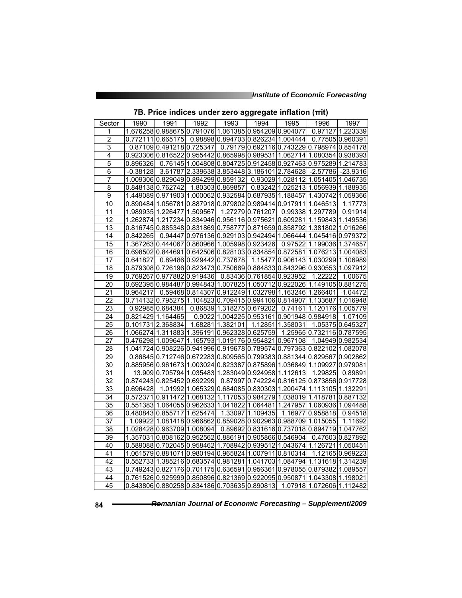| Sector                  | 1990       | 1991                                                                    | 1992 | 1993                                                 | 1994                              | 1995             | 1996                                                          | 1997             |
|-------------------------|------------|-------------------------------------------------------------------------|------|------------------------------------------------------|-----------------------------------|------------------|---------------------------------------------------------------|------------------|
| 1                       |            | 1.676258 0.988675 0.791076 1.061385 0.954209 0.904077                   |      |                                                      |                                   |                  |                                                               | 0.97127 1.223339 |
| $\overline{\mathbf{c}}$ | 0.772111   | 0.665175                                                                |      | 0.98898 0.894703 0.826234 1.004444                   |                                   |                  |                                                               | 0.77505 0.960391 |
| 3                       |            | 0.87109 0.491218 0.725347                                               |      |                                                      |                                   |                  | 0.79179 0.692116 0.743229 0.798974 0.854178                   |                  |
| $\overline{4}$          |            | 0.923306 0.816522 0.955442 0.865998 0.989531 1.062714 1.080354 0.938393 |      |                                                      |                                   |                  |                                                               |                  |
| $\overline{5}$          | 0.896326   |                                                                         |      |                                                      |                                   |                  | 0.76145 1.004808 0.804725 0.912458 0.927463 0.975289 1.214783 |                  |
| $\overline{6}$          | $-0.38128$ |                                                                         |      | 3.61787 2.339638 3.853448 3.186101 2.784628          |                                   |                  | $-2.57786$                                                    | $-23.9316$       |
| 7                       |            | 1.009306 0.829049 0.894299 0.859132                                     |      |                                                      |                                   |                  | 0.93029 1.028112 1.051405 1.046735                            |                  |
| $\overline{8}$          |            | 0.848138 0.762742                                                       |      | 1.80303 0.869857                                     |                                   |                  | 0.83242 1.025213 1.056939 1.188935                            |                  |
| 9                       |            | 1.449089 0.971903 1.000062 0.932584 0.687935 1.188457 1.430742 1.059366 |      |                                                      |                                   |                  |                                                               |                  |
| 10                      |            | 0.890484 1.056781 0.887918 0.979802 0.989414 0.917911 1.046513          |      |                                                      |                                   |                  |                                                               | 1.17773          |
| 11                      |            | 1.989935 1.226477 1.509567                                              |      |                                                      | 1.27279 0.761207 0.99338 1.297789 |                  |                                                               | 0.91914          |
| 12                      |            | 1.262874 1.217234 0.834946 0.956116 0.975621 0.609281 1.159843 1.149536 |      |                                                      |                                   |                  |                                                               |                  |
| 13                      |            | 0.816745 0.885348 0.831869 0.758777 0.871659 0.858792 1.381802 1.016266 |      |                                                      |                                   |                  |                                                               |                  |
| 14                      | 0.842265   |                                                                         |      |                                                      |                                   |                  | 0.94447 0.976136 0.929103 0.942494 1.066444 1.045416 0.979372 |                  |
| 15                      |            | 1.367263 0.444067 0.860966 1.005998 0.923426                            |      |                                                      |                                   |                  | 0.97522 1.199036 1.374657                                     |                  |
| 16                      |            | 0.698502 0.844691 0.642506 0.828103 0.834854 0.872581 1.076213 1.004083 |      |                                                      |                                   |                  |                                                               |                  |
| 17                      | 0.641827   |                                                                         |      | 0.89486 0.929442 0.737678                            |                                   |                  | 1.15477 0.906143 1.030299 1.106989                            |                  |
| 18                      |            | 0.879308 0.726196 0.823473 0.750669 0.884833 0.843296 0.930553 1.097912 |      |                                                      |                                   |                  |                                                               |                  |
| $\overline{19}$         |            | 0.769267 0.977882 0.919436                                              |      |                                                      | 0.83436 0.761854 0.923952         |                  | 1.22222                                                       | 1.00675          |
| 20                      |            | 0.692395 0.984487 0.994843 1.007825 1.050712 0.922026 1.149105 0.881275 |      |                                                      |                                   |                  |                                                               |                  |
| 21                      | 0.964217   |                                                                         |      | 0.59468 0.814307 0.912249 1.032798 1.163246 1.266401 |                                   |                  |                                                               | 1.04472          |
| 22                      |            | 0.714132 0.795275 1.104823 0.709415 0.994106 0.814907 1.133687 1.016948 |      |                                                      |                                   |                  |                                                               |                  |
| 23                      |            | 0.92985 0.684384                                                        |      | 0.86839 1.318275 0.679202                            |                                   |                  | 0.74161 1.120176 1.005779                                     |                  |
| $\overline{24}$         |            | 0.821429 1.164465                                                       |      | 0.9022 1.004225 0.953161 0.901948 0.984918           |                                   |                  |                                                               | 1.07109          |
| $\overline{25}$         |            | 0.101731 2.368834                                                       |      | 1.68281 1.382101                                     |                                   | 1.12851 1.358031 |                                                               | 1.05375 0.645327 |
| $\overline{26}$         |            | 1.066274 1.311883 1.396191 0.962328 0.625759                            |      |                                                      |                                   |                  | 1.25965 0.732116 0.787595                                     |                  |
| 27                      |            | 0.476298 1.009647 1.165793 1.019176 0.954821 0.967108                   |      |                                                      |                                   |                  |                                                               | 1.04949 0.982534 |
| 28                      |            | 1.041724 0.908226 0.941996 0.919678 0.789574 0.797363 0.822102 1.082078 |      |                                                      |                                   |                  |                                                               |                  |
| 29                      |            | 0.86845 0.712746 0.672283 0.809565 0.799383 0.881344 0.829567 0.902862  |      |                                                      |                                   |                  |                                                               |                  |
| $\overline{30}$         |            | 0.885956 0.961673 1.003024 0.823387 0.875896 1.036849 1.109927 0.979081 |      |                                                      |                                   |                  |                                                               |                  |
| 31                      |            | 13.909 0.705794 1.035483 1.283049 0.924958 1.112613                     |      |                                                      |                                   |                  | 1.29825                                                       | 0.89891          |
| 32                      |            | 0.874243 0.825452 0.692299                                              |      |                                                      |                                   |                  | 0.87997 0.742224 0.816125 0.873856 0.917728                   |                  |
| 33                      | 0.696428   |                                                                         |      |                                                      |                                   |                  | 1.01992 1.065329 0.684085 0.830303 1.200474 1.113105 1.132291 |                  |
| $\overline{34}$         |            | 0.5723710.9114721.0681321.1170530.9842791.0380191.4187810.887132        |      |                                                      |                                   |                  |                                                               |                  |
| 35                      |            | 0.551383 1.064055 0.962633 1.041822 1.064481 1.247957 1.060936 1.094488 |      |                                                      |                                   |                  |                                                               |                  |
| 36                      |            | 0.480843 0.855717 1.625474                                              |      |                                                      | 1.33097 1.109435                  |                  | 1.16977 0.958818                                              | 0.94518          |
| $\overline{37}$         |            | 1.09922 1.081418 0.966862 0.859028 0.902963 0.988709 1.015055           |      |                                                      |                                   |                  |                                                               | 1.11692          |
| 38                      |            | 1.028428 0.963709 1.008094                                              |      |                                                      |                                   |                  | 0.89692 0.831616 0.737018 0.894719                            | 1.047762         |
| $\overline{39}$         |            | 1.357031 0.808162 0.952562 0.886191 0.905866 0.546904                   |      |                                                      |                                   |                  |                                                               | 0.47603 0.827892 |
| 40                      |            | 0.589088 0.702045 0.958462 1.708942 0.939512 1.043674 1.126721          |      |                                                      |                                   |                  |                                                               | 1.050451         |
| 41                      |            | 1.061579 0.881071 0.980194 0.965824 1.007911 0.810314                   |      |                                                      |                                   |                  |                                                               | 1.12165 0.969223 |
| 42                      |            | 0.552733 1.385216 0.683574 0.981281 1.041703 1.084794 1.131618 1.314239 |      |                                                      |                                   |                  |                                                               |                  |
| 43                      |            | 0.749243 0.827176 0.701175 0.636591 0.956361 0.978055 0.879382 1.089557 |      |                                                      |                                   |                  |                                                               |                  |
| 44                      |            | 0.761526 0.925999 0.850896 0.821369 0.922095 0.950871 1.043308 1.198021 |      |                                                      |                                   |                  |                                                               |                  |
| 45                      |            | 0.843806 0.880258 0.834186 0.703635 0.890813 1.07918 1.072606 1.112482  |      |                                                      |                                   |                  |                                                               |                  |

### **7B. Price indices under zero aggregate inflation (πit)**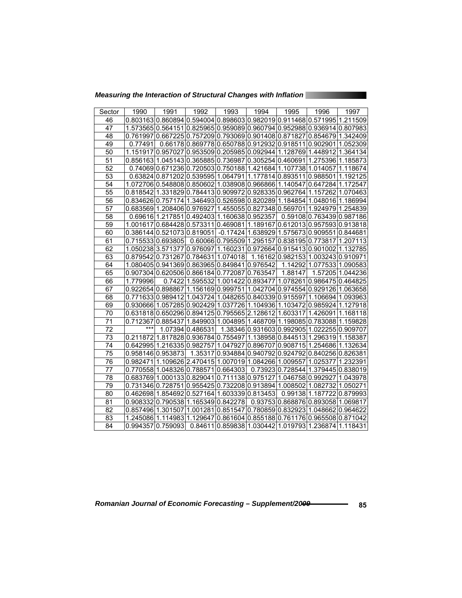*Measuring the Interaction of Structural Changes with Inflation* 

| Sector          | 1990     | 1991                                                                    | 1992             | 1993                      | 1994     | 1995                                                  | 1996                      | 1997             |
|-----------------|----------|-------------------------------------------------------------------------|------------------|---------------------------|----------|-------------------------------------------------------|---------------------------|------------------|
| 46              |          | 0.8031630.8608940.5940040.8986030.9820190.9114680.571995                |                  |                           |          |                                                       |                           | 1.211509         |
| 47              |          | 1.573565 0.564151 0.825965 0.959089 0.960794 0.952988 0.936914 0.807983 |                  |                           |          |                                                       |                           |                  |
| 48              |          | 0.761997 0.667225 0.757209 0.793069 0.901408 0.871827 0.854679 1.342409 |                  |                           |          |                                                       |                           |                  |
| 49              | 0.77491  |                                                                         |                  |                           |          | 0.66178 0.869778 0.650788 0.912932 0.918511 0.902901  |                           | 1.052309         |
| 50              | 1.151917 | 0.957027 0.953509 0.205985 0.092944 1.128769 1.448912 1.364134          |                  |                           |          |                                                       |                           |                  |
| 51              |          | 0.856163 1.045143 0.365885 0.736987 0.305254 0.460691 1.275396          |                  |                           |          |                                                       |                           | 1.185873         |
| 52              |          | 0.7406910.67123610.72050310.75018811.42168411.10773811.014057           |                  |                           |          |                                                       |                           | 1.118674         |
| $\overline{53}$ |          | 0.63824 0.871202 0.539595 1.064791 1.177814 0.893511 0.988501           |                  |                           |          |                                                       |                           | 1.192125         |
| 54              |          | 1.072706 0.548808 0.850602 1.038908 0.966866 1.140547 0.647284          |                  |                           |          |                                                       |                           | 1.172547         |
| 55              |          | 0.818542 1.331829 0.784413 0.909972 0.928335 0.962764 1.157262          |                  |                           |          |                                                       |                           | 1.070463         |
| 56              |          | 0.83462610.757174                                                       |                  |                           |          | 1.346493 0.526598 0.820289 1.184854 1.048016          |                           | 1.186994         |
| 57              |          | 0.68356911.20840610.97692711.45505510.82734810.56970111.924979          |                  |                           |          |                                                       |                           | 1.254839         |
| 58              |          | 0.6961611.21785110.49240311.16063810.952357                             |                  |                           |          |                                                       | 0.5910810.76343910.987186 |                  |
| 59              |          | 1.001617 0.684428 0.573311 0.469081                                     |                  |                           |          | 1.189167 0.612013 0.957593 0.913818                   |                           |                  |
| 60              |          | 0.38614410.52107310.819051                                              |                  |                           |          | -0.17424 1.638929 1.575673 0.909551                   |                           | 0.844681         |
| 61              |          | 0.715533 0.693805                                                       |                  | 0.60066 0.795509 1.295157 |          | 0.838195 0.773817                                     |                           | 1.207113         |
| 62              |          | 1.050238 3.571377 0.976097 1.160231 0.972664 0.915413 0.901002 1.132785 |                  |                           |          |                                                       |                           |                  |
| 63              |          | 0.879542 0.731267 0.784631 1.074018                                     |                  |                           |          | 1.16162 0.982153 1.003243 0.910971                    |                           |                  |
| 64              |          | 1.080405 0.941369 0.863965 0.849841 0.976542                            |                  |                           |          |                                                       | 1.142921.07753311.090583  |                  |
| 65              |          | 0.907304 0.620506 0.866184 0.772087 0.763547                            |                  |                           |          | 1.88147                                               |                           | 1.57205 1.044236 |
| 66              | 1.779996 | 0.7422                                                                  |                  | 1.595532 1.001422         | 0.893477 |                                                       | 1.078261 0.986475         | 0.464825         |
| 67              |          | 0.922654 0.898867 1.156169 0.999751 1.042704 0.974554 0.929126 1.063658 |                  |                           |          |                                                       |                           |                  |
| 68              |          | 0.771633 0.989412                                                       | 1.043724         |                           |          | 1.048265 0.840339 0.915597                            | 1.106694                  | 1.093963         |
| 69              |          | 0.930666 1.057285 0.902429 1.037726 1.104936 1.103472 0.985924 1.127918 |                  |                           |          |                                                       |                           |                  |
| 70              |          | 0.631818 0.650296 0.894125 0.795565 2.128612                            |                  |                           |          | 1.603317 1.426091                                     |                           | 1.168118         |
| 71              | 0.712367 | 0.885437                                                                |                  |                           |          | 1.84990311.00489511.46870911.19808510.78308811.159828 |                           |                  |
| 72              | ***      |                                                                         | 1.0739410.486531 |                           |          | 1.38346 0.931603 0.992905 1.022255 0.909707           |                           |                  |
| $\overline{73}$ |          | 0.211872 1.817828 0.936784 0.755497 1.138958 0.844513 1.296319 1.158387 |                  |                           |          |                                                       |                           |                  |
| 74              |          | 0.64299511.21633510.982757                                              |                  | 1.047927                  | 0.896707 | 10.90871511.25468611.132634                           |                           |                  |
| 75              |          | 0.958146 0.953873                                                       | 1.35317          |                           |          | 0.934884 0.940792 0.924792 0.840256 0.826381          |                           |                  |
| 76              | 0.982471 | l1.109626l2.470415l1.007019l1.084266l1.009557l1.025377                  |                  |                           |          |                                                       |                           | 1.232391         |
| 77              |          | 0.770558 1.048326 0.788571 0.664303                                     |                  |                           |          | 0.73923 0.728544 1.379445 0.838019                    |                           |                  |
| 78              |          | 0.683769 1.000133 0.829041                                              |                  | 0.711138 0.975127         |          | 1.046758 0.992927                                     |                           | 1.043978         |
| 79              |          | 0.731346 0.728751 0.955425 0.732208 0.913894 1.008502 1.082732          |                  |                           |          |                                                       |                           | 1.050271         |
| 80              |          | 0.46269811.85469210.52716411.60333910.813453                            |                  |                           |          |                                                       | 0.9913811.187722          | 0.879993         |
| 81              |          | 0.908332 0.790538 1.165349 0.842278                                     |                  |                           |          | 0.93753 0.868876 0.893058 1.069817                    |                           |                  |
| 82              |          | 0.85749611.301507                                                       | 1.001281         | 0.851547                  |          | 0.780859 0.832923 1.048662 0.964622                   |                           |                  |
| 83              |          | 1.24508611.114983                                                       | 1.129647         |                           |          | 0.861604 0.855188 0.761176 0.965508 0.871042          |                           |                  |
| 84              |          | 0.994357 0.759093                                                       |                  |                           |          | 0.84611 0.859838 1.030442 1.019793 1.236874 1.118431  |                           |                  |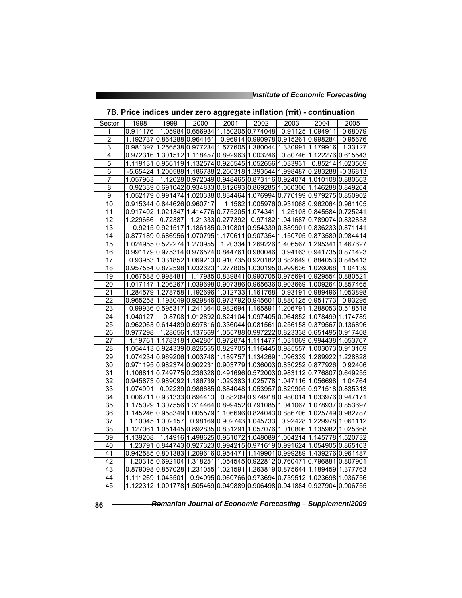| Sector          | 1998     | 1999                                                                       | 2000 | 2001             | 2002                               | 2003                                                          | 2004                      | 2005       |
|-----------------|----------|----------------------------------------------------------------------------|------|------------------|------------------------------------|---------------------------------------------------------------|---------------------------|------------|
| 1               | 0.911176 |                                                                            |      |                  | 1.05984 0.656934 1.150205 0.774048 |                                                               | 0.91125 1.094911          | 0.68079    |
| $\overline{2}$  | 1.192737 | 0.864288 0.964161                                                          |      |                  |                                    | 0.96914 0.990978 0.915261 0.998284                            |                           | 0.95676    |
| 3               |          | 0.981397 1.256538 0.977234 1.577605 1.380044 1.330991 1.179916             |      |                  |                                    |                                                               |                           | 1.33127    |
| 4               |          | 0.972316 1.301512 1.118457 0.892963 1.003246                               |      |                  |                                    |                                                               | 0.80746 1.122276 0.615543 |            |
| 5               |          | 1.1191310.9561191.1325740.9255451.0526561.033931                           |      |                  |                                    |                                                               | 0.85214                   | 1.023569   |
| $\overline{6}$  |          | -5.65424 1.200588 1.186788 2.260318 1.393544 1.998487 0.283288             |      |                  |                                    |                                                               |                           | $-0.36813$ |
| $\overline{7}$  | 1.057963 |                                                                            |      |                  |                                    | 1.120280.9720490.9484650.8731160.9240741.0101080.880663       |                           |            |
| 8               |          | 0.92339 0.691042 0.934833 0.812693 0.869285 1.060306 1.146288 0.849264     |      |                  |                                    |                                                               |                           |            |
| 9               |          | 1.052179 0.991474 1.020338 0.834464 1.076994 0.770199 0.979275 0.850902    |      |                  |                                    |                                                               |                           |            |
| 10              |          | 0.915344 0.844626 0.960717                                                 |      |                  |                                    | 1.1582 1.005976 0.931068 0.962064 0.961105                    |                           |            |
| 11              |          | 0.917402 1.021347 1.414776 0.775205 1.074341                               |      |                  |                                    |                                                               | 1.25103 0.845584 0.725241 |            |
| 12              | 1.229666 | 0.72387                                                                    |      | 1.21333 0.277392 |                                    | 0.97182 1.041687 0.789074 0.832833                            |                           |            |
| 13              |          | 0.9215 0.921517 1.186185 0.910801 0.954339 0.889901 0.836233 0.871141      |      |                  |                                    |                                                               |                           |            |
| 14              |          | 0.877189 0.686956 1.070795 1.170611 0.907354 1.150705 0.873589 0.984414    |      |                  |                                    |                                                               |                           |            |
| 15              |          | 1.024955 0.522274 1.270955                                                 |      |                  |                                    | 1.20334 1.269226 1.406567 1.295341 1.467627                   |                           |            |
| 16              |          | 0.991179 0.975314 0.976524 0.844761 0.980046 0.94163 0.941735 0.871423     |      |                  |                                    |                                                               |                           |            |
| 17              |          | 0.93953 1.031852 1.069213 0.910735 0.920182 0.882649 0.884053 0.845413     |      |                  |                                    |                                                               |                           |            |
| 18              |          | 0.957554 0.872598 1.032623 1.277805 1.030195 0.999636 1.026068             |      |                  |                                    |                                                               |                           | 1.04139    |
| $\overline{19}$ |          | 1.067588 0.998481                                                          |      |                  |                                    | 1.17985 0.839841 0.990705 0.975694 0.929554 0.880521          |                           |            |
| 20              |          | 1.017147 1.206267 1.039698 0.907386 0.965636 0.903669 1.009264 0.857465    |      |                  |                                    |                                                               |                           |            |
| 21              |          | 1.284579 1.278758 1.192696 1.012733 1.161768 0.93191 0.989496 1.053898     |      |                  |                                    |                                                               |                           |            |
| 22              |          | 0.965258 1.193049 0.929846 0.973792 0.945601 0.880125 0.951773             |      |                  |                                    |                                                               |                           | 0.93295    |
| 23              |          | 0.99936 $ 0.595317 1.241364 0.982694 1.165891 1.206791 1.288053 0.518518$  |      |                  |                                    |                                                               |                           |            |
| 24              | 1.040127 |                                                                            |      |                  |                                    | 0.8708 1.012892 0.824104 1.097405 0.964852 1.078499 1.174789  |                           |            |
| 25              |          | 0.962063 0.614489 0.697816 0.336044 0.081561 0.256158 0.379567 0.136896    |      |                  |                                    |                                                               |                           |            |
| 26              | 0.977298 |                                                                            |      |                  |                                    | 1.28656 1.137669 1.055788 0.997222 0.823338 0.651495 0.917408 |                           |            |
| 27              |          | 1.19761 1.178318 1.042801 0.972874 1.111477 1.031069 0.994438 1.053767     |      |                  |                                    |                                                               |                           |            |
| $\overline{28}$ |          | 1.054413 0.924339 0.826555 0.829705 1.116445 0.985557 1.003073 0.913169    |      |                  |                                    |                                                               |                           |            |
| 29              |          | 1.074234 0.969206 1.003748 1.189757 1.134269 1.096339 1.289922 1.228828    |      |                  |                                    |                                                               |                           |            |
| 30              |          | 0.971195 0.982374 0.902231 0.903779 1.036003 0.830252 0.877926             |      |                  |                                    |                                                               |                           | 0.92406    |
| 31              |          | 1.106811 0.749775 0.236328 0.491696 0.572003 0.983112 0.776807 0.649255    |      |                  |                                    |                                                               |                           |            |
| 32              |          | 0.945873 0.989092 1.186739 1.029383 1.025778 1.047116 1.056698             |      |                  |                                    |                                                               |                           | 1.04764    |
| 33              | 1.074991 |                                                                            |      |                  |                                    | 0.92239 0.986685 0.884048 1.053957 0.829905 0.971518 0.835313 |                           |            |
| 34              |          | 1.006711 0.931333 0.894413 0.88209 0.974918 0.980014 1.033976 0.947171     |      |                  |                                    |                                                               |                           |            |
| 35              |          | 1.175029 1.307556 1.314464 0.899452 0.791085 1.041067 1.078937 0.853697    |      |                  |                                    |                                                               |                           |            |
| 36              |          | 1.145246 0.958349 1.005579 1.106696 0.824043 0.886706 1.025749 0.982787    |      |                  |                                    |                                                               |                           |            |
| 37              |          | 1.100451.002157                                                            |      |                  |                                    | 0.98169 0.902743 1.045733 0.92428 1.229978 1.061112           |                           |            |
| 38              |          | 1.127061 1.051445 0.892835 0.831291 1.057076 1.010806 1.135982 1.025668    |      |                  |                                    |                                                               |                           |            |
| $\overline{39}$ | 1.139208 |                                                                            |      |                  |                                    | 1.14916 1.498625 0.961072 1.048089 1.004214 1.145778 1.520732 |                           |            |
| 40              |          | 1.23791 0.844743 0.927323 0.994215 0.971619 0.991624 1.054905 0.865163     |      |                  |                                    |                                                               |                           |            |
| 41              |          | 0.942585 $ 0.801383 1.209616 0.954471 1.149901 0.999289 1.439276 0.961487$ |      |                  |                                    |                                                               |                           |            |
| 42              |          | 1.20315 0.692104 1.318251 1.054545 0.922812 0.760471 0.796881 0.807901     |      |                  |                                    |                                                               |                           |            |
| 43              |          | 0.879098 0.857028 1.231055 1.021591 1.263819 0.875644 1.189459 1.377763    |      |                  |                                    |                                                               |                           |            |
| 44              |          | 1.111269 1.043501                                                          |      |                  |                                    | 0.94095 0.960766 0.973694 0.739512 1.023698 1.036756          |                           |            |
| 45              |          | 1.122312 1.001778 1.505469 0.949889 0.906498 0.941884 0.927904 0.906755    |      |                  |                                    |                                                               |                           |            |
|                 |          |                                                                            |      |                  |                                    |                                                               |                           |            |

**7B. Price indices under zero aggregate inflation (πit) - continuation**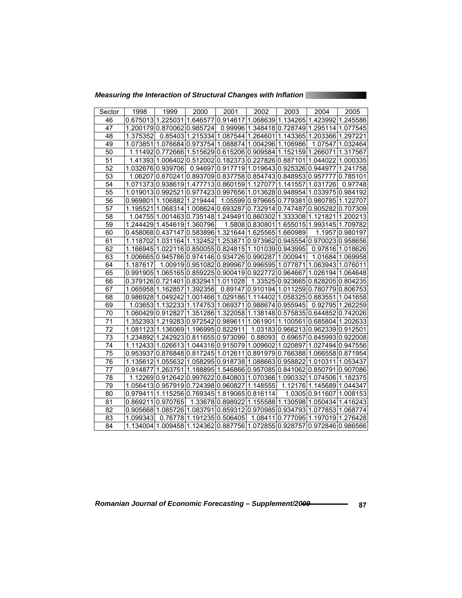*Measuring the Interaction of Structural Changes with Inflation* 

| Sector          | 1998              | 1999                                                          | 2000               | 2001                                | 2002              | 2003                                                  | 2004              | 2005             |
|-----------------|-------------------|---------------------------------------------------------------|--------------------|-------------------------------------|-------------------|-------------------------------------------------------|-------------------|------------------|
| 46              |                   | 0.675013 1.225031                                             | 1.646577           | 0.914617                            | 1.068639          | 1.134265 1.423992                                     |                   | 1.245586         |
| 47              |                   | 1.200179 0.870062 0.985724                                    |                    |                                     |                   | 0.99996 1.348418 0.728749 1.295114                    |                   | 1.077545         |
| 48              | 1.375352          |                                                               |                    | 0.8540311.21533411.087544           |                   | 1.2646011.1433651.203366                              |                   | 1.297221         |
| 49              | 1.073851          |                                                               |                    | 1.07668410.97375411.088874          |                   | 1.004296 1.106986                                     | 1.07547           | 1.032464         |
| 50              |                   | 1.11492 0.772666 1.515629 0.615206 0.909584                   |                    |                                     |                   | 1.152159                                              | 1.266071          | 1.317567         |
| 51              |                   | 1.41393 1.006402 0.512002 0.182373 0.227826 0.887101 1.044022 |                    |                                     |                   |                                                       |                   | 1.000335         |
| 52              |                   | 1.03267610.939706                                             | 0.94697            | 0.917719                            |                   | 1.019643 0.925326 0.944977                            |                   | 1.241758         |
| 53              | 1.06207           | 0.870241                                                      | 0.893709           | 0.837758                            |                   | 0.854743 0.848953 0.9577                              |                   | 0.785101         |
| 54              |                   | 1.07137310.938619                                             | 1.477713           | 0.860159                            | 1.127077          | 1.141557                                              | 1.031726          | 0.97748          |
| $\overline{55}$ |                   | 1.019013 0.992521                                             | 0.977423           | 0.997656                            |                   | 1.013628 0.948954 1.033975                            |                   | 0.984192         |
| 56              | 0.969801          | 1.106882                                                      | 1.219444           |                                     | 1.05599 0.979665  | 0.779381                                              | 0.980785          | 1.122707         |
| 57              | 1.195521          | 1.068314                                                      |                    | 1.008624 0.693287                   | 0.732914          | 0.747487                                              | 0.905282          | 0.707309         |
| 58              |                   | 1.0475511.001463                                              | 0.735148 1.249491  |                                     | 0.860302          | 1.333308 1.121821                                     |                   | 1.200213         |
| 59              |                   | 1.244429 1.454619                                             | 1.360796           |                                     | 1.5808 0.830801   | 1.655015 1.993145                                     |                   | 1.709782         |
| 60              |                   | 0.45806810.437147                                             |                    | 0.583896 1.321644 1.625565 1.660989 |                   |                                                       | 1.1957            | 0.980197         |
| 61              | 1.118702          | 1.031164                                                      | 1.132452           | 1.253871                            |                   | 0.973962 0.945554 0.970023                            |                   | 0.958656         |
| 62              |                   | 1.166945 1.022116 0.850055 0.824815                           |                    |                                     |                   | 1.101039 0.943995                                     |                   | 0.9781611.018626 |
| 63              |                   | 1.006665 0.945786 0.974146 0.934726 0.990287                  |                    |                                     |                   | 1.000941                                              | 1.01684           | 1.069958         |
| 64              | 1.187617          |                                                               |                    | 1.00919 0.951082 0.899967           | 0.996595          | 1.077871                                              | 1.063943          | 1.076011         |
| 65              |                   | 0.99190511.06516510.85922510.90041910.922772                  |                    |                                     |                   | 0.964667                                              | 1.026194          | 1.064648         |
| 66              |                   | 0.379126 0.721401 0.832941                                    |                    | 1.011028                            | 1.33525           | 0.923665 0.828205                                     |                   | 0.804235         |
| 67              | 1.06595811.162857 |                                                               | 1.392356           | 0.89147                             |                   | 0.910194 1.011259 0.780779                            |                   | 0.806753         |
| 68              |                   | 0.98692811.049242                                             | 1.001466           | 1.029186                            | 1.114402          | 1.058325 0.883551                                     |                   | 1.041658         |
| 69              |                   | 1.0365311.132233                                              | 1.174753           | 1.069371                            | 0.988674 0.955945 |                                                       | 0.92795           | 1.262259         |
| 70              | 1.060429 0.912827 |                                                               |                    |                                     |                   | 1.35128611.32205811.13814810.57583510.64485210.742026 |                   |                  |
| 71              | .3523931          | .219283<br>1                                                  | 0.972542           | 0.989611                            | 1.061901          | 1.100561                                              | 0.685804          | 1.202633         |
| 72              |                   | 1.08112311.136069                                             | l1.196995l0.822911 |                                     |                   | 1.03183 0.966213 0.962339                             |                   | 0.912501         |
| $\overline{73}$ | 1.234892          | 1.242923 0.811655 0.973099                                    |                    |                                     | 0.88093           | 0.69657                                               | 0.845993          | 0.922008         |
| 74              |                   | 1.112433 1.026613                                             |                    | 1.044316 0.915079                   | 1.009602          | 1.020897                                              | 1.027494          | 0.947556         |
| 75              | 0.953937          | 0.876848 0.817245 1.012611                                    |                    |                                     | 0.891979          | l0.766388l1.066558l0.871954                           |                   |                  |
| 76              | 1.135612          | 1.055632                                                      |                    |                                     |                   | 1.058295 0.918738 1.088663 0.958822 1.010311          |                   | 1.053437         |
| 77              | 0.914877          | 1.263751                                                      |                    |                                     |                   | 1.188895 1.546866 0.957085 0.841062 0.850791          |                   | 0.907086         |
| 78              |                   | 1.12269 0.912642                                              |                    | 0.997622 0.840803                   |                   | 1.070366 1.090332 1.074506                            |                   | 1.182375         |
| 79              |                   | 1.056413 0.957919 0.724398 0.960827                           |                    |                                     | 1.148555          |                                                       | 1.12176 1.145689  | 1.044347         |
| 80              | 0.979411          |                                                               |                    | 1.115256 0.769345 1.819065 0.816114 |                   |                                                       | 1.0305 0.911607   | 1.008153         |
| 81              | 0.869211          | 0.970765                                                      |                    | 1.33678 0.898922                    |                   | 1.155588 1.130598 1.050434                            |                   | 1.416243         |
| 82              | 0.905668          | 1.085726                                                      | 1.083791           | 0.859312                            |                   | 0.97098510.9347931                                    | 1.077853          | 1.068774         |
| 83              | 1.099343          | 0.76778                                                       | 1.191235           | 0.506405                            | 1.08411           | 0.777095 1.197019                                     |                   | 1.276428         |
| 84              | 1.134004          | 1.009458                                                      |                    |                                     |                   | 1.124362 0.887756 1.072855 0.928757                   | 0.972846 0.986566 |                  |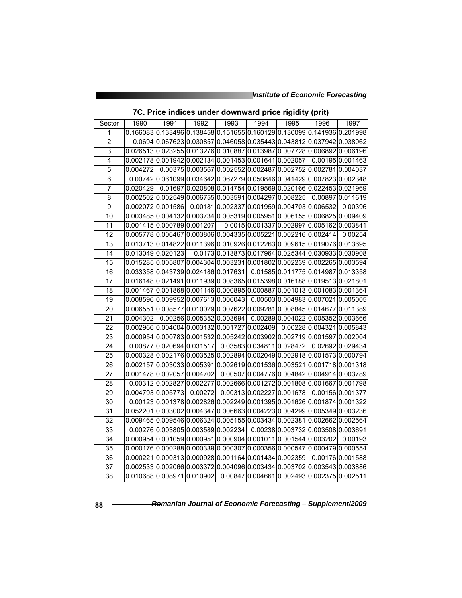|                 |          |                                                                         |         |                           |                           |                                         | -11                                                           |                                                                         |
|-----------------|----------|-------------------------------------------------------------------------|---------|---------------------------|---------------------------|-----------------------------------------|---------------------------------------------------------------|-------------------------------------------------------------------------|
| Sector          | 1990     | 1991                                                                    | 1992    | 1993                      | 1994                      | 1995                                    | 1996                                                          | 1997                                                                    |
| 1               |          | 0.166083 0.133496 0.138458 0.151655 0.160129 0.130099 0.141936 0.201998 |         |                           |                           |                                         |                                                               |                                                                         |
| $\overline{2}$  |          | 0.0694 0.067623 0.030857 0.046058 0.035443 0.043812 0.037942 0.038062   |         |                           |                           |                                         |                                                               |                                                                         |
| $\overline{3}$  |          |                                                                         |         |                           |                           |                                         |                                                               | 0.026513 0.023255 0.013276 0.010887 0.013987 0.007728 0.006892 0.006196 |
| $\overline{4}$  |          | 0.002178 0.001942 0.002134 0.001453 0.001641 0.002057                   |         |                           |                           |                                         |                                                               | 0.00195 0.001463                                                        |
| 5               | 0.004272 |                                                                         |         |                           |                           |                                         | 0.00375 0.003567 0.002552 0.002487 0.002752 0.002781 0.004037 |                                                                         |
| 6               |          | 0.00742 0.061099 0.034642 0.067279 0.050846 0.041429 0.007823 0.002348  |         |                           |                           |                                         |                                                               |                                                                         |
| 7               | 0.020429 |                                                                         |         |                           |                           |                                         | 0.01697 0.020808 0.014754 0.019569 0.020166 0.022453 0.021969 |                                                                         |
| 8               |          | 0.002502 0.002549 0.006755 0.003591 0.004297 0.008225                   |         |                           |                           |                                         |                                                               | 0.00897 0.011619                                                        |
| $\overline{9}$  |          | 0.002072 0.001586                                                       |         |                           |                           | 0.001810.0023370.0019590.0047030.006532 |                                                               | 0.00396                                                                 |
| 10              |          | 0.003485 0.004132 0.003734 0.005319 0.005951 0.006155 0.006825 0.009409 |         |                           |                           |                                         |                                                               |                                                                         |
| 11              |          | 0.001415 0.000789 0.001207                                              |         |                           |                           |                                         | 0.0015 0.001337 0.002997 0.005162 0.003841                    |                                                                         |
| 12              |          | 0.005778 0.006467 0.003806 0.004335 0.005221 0.002216 0.002414          |         |                           |                           |                                         |                                                               | 0.00254                                                                 |
| $\overline{13}$ |          | 0.013713 0.014822 0.011396 0.010926 0.012263 0.009615 0.019076 0.013695 |         |                           |                           |                                         |                                                               |                                                                         |
| 14              |          | 0.013049 0.020123                                                       |         |                           |                           |                                         | 0.0173 0.013873 0.017964 0.025344 0.030933 0.030908           |                                                                         |
| 15              |          | 0.015285 0.005807 0.004304 0.003231 0.001802 0.002239 0.002265 0.003594 |         |                           |                           |                                         |                                                               |                                                                         |
| 16              |          | 0.033358 0.043739 0.024186 0.017631                                     |         |                           |                           |                                         | 0.01585 0.011775 0.014987 0.013358                            |                                                                         |
| $\overline{17}$ |          | 0.016148 0.021491 0.011939 0.008365 0.015398 0.016188 0.019513 0.021801 |         |                           |                           |                                         |                                                               |                                                                         |
| $\overline{18}$ |          | 0.001467 0.001868 0.001146 0.000895 0.000887 0.001013 0.001083 0.001364 |         |                           |                           |                                         |                                                               |                                                                         |
| 19              |          | 0.008596 0.009952 0.007613 0.006043                                     |         |                           |                           |                                         | 0.00503 0.004983 0.007021 0.005005                            |                                                                         |
| 20              |          | 0.006551 0.008577 0.010029 0.007622 0.009281 0.008845 0.014677 0.011389 |         |                           |                           |                                         |                                                               |                                                                         |
| 21              | 0.004302 |                                                                         |         | 0.00256 0.005352 0.003694 |                           |                                         | 0.00289 0.004022 0.005352 0.003666                            |                                                                         |
| 22              |          | 0.002966 0.004004 0.003132 0.001727 0.002409                            |         |                           |                           |                                         | 0.00228 0.004321 0.005843                                     |                                                                         |
| $\overline{23}$ |          | 0.000954 0.000783 0.001532 0.005242 0.003902 0.002719 0.001597 0.002004 |         |                           |                           |                                         |                                                               |                                                                         |
| $\overline{24}$ |          | 0.00877 0.020694 0.031517                                               |         |                           | 0.03583 0.034811 0.028472 |                                         |                                                               | 0.02692 0.029434                                                        |
| 25              |          | 0.000328 0.002176 0.003525 0.002894 0.002049 0.002918 0.001573 0.000794 |         |                           |                           |                                         |                                                               |                                                                         |
| 26              |          | 0.002157 0.003033 0.005391 0.002619 0.001536 0.003521 0.001718 0.001318 |         |                           |                           |                                         |                                                               |                                                                         |
| 27              |          | 0.001478 0.002057 0.004702                                              |         |                           |                           |                                         | 0.00507 0.004776 0.004842 0.004914 0.003789                   |                                                                         |
| 28              |          | 0.00312 0.002827 0.002277 0.002666 0.001272 0.001808 0.001667 0.001798  |         |                           |                           |                                         |                                                               |                                                                         |
| 29              |          | 0.004793 0.005773                                                       | 0.00272 |                           |                           | 0.003130.0022270.001678                 |                                                               | 0.00156 0.001377                                                        |
| 30              |          | 0.001230.0013780.0028260.0022490.0013950.0016260.0018740.001322         |         |                           |                           |                                         |                                                               |                                                                         |
| 31              |          | 0.052201 0.003002 0.004347 0.006663 0.004223 0.004299 0.005349 0.003236 |         |                           |                           |                                         |                                                               |                                                                         |
| 32              |          | 0.009465 0.009546 0.006324 0.005155 0.003434 0.002381 0.002662 0.002564 |         |                           |                           |                                         |                                                               |                                                                         |
| 33              |          | 0.00276 0.003805 0.003589 0.002234                                      |         |                           |                           |                                         | 0.00238 0.003732 0.003508 0.003691                            |                                                                         |
| 34              |          | 0.000954 0.001059 0.000951 0.000904 0.001011 0.001544 0.003202          |         |                           |                           |                                         |                                                               | 0.00193                                                                 |
| $\overline{35}$ |          | 0.000176 0.000288 0.000339 0.000307 0.000356 0.000547 0.000479 0.000554 |         |                           |                           |                                         |                                                               |                                                                         |
| 36              |          | 0.000221 0.000313 0.000928 0.001164 0.001434 0.002359                   |         |                           |                           |                                         |                                                               | 0.001760.001588                                                         |
| 37              |          | 0.002533 0.002066 0.003372 0.004096 0.003434 0.003702 0.003543 0.003886 |         |                           |                           |                                         |                                                               |                                                                         |
| $\overline{38}$ |          | 0.010688 0.008971 0.010902                                              |         |                           |                           |                                         | 0.00847 0.004661 0.002493 0.002375 0.002511                   |                                                                         |

| 7C. Price indices under downward price rigidity (prit) |
|--------------------------------------------------------|
|--------------------------------------------------------|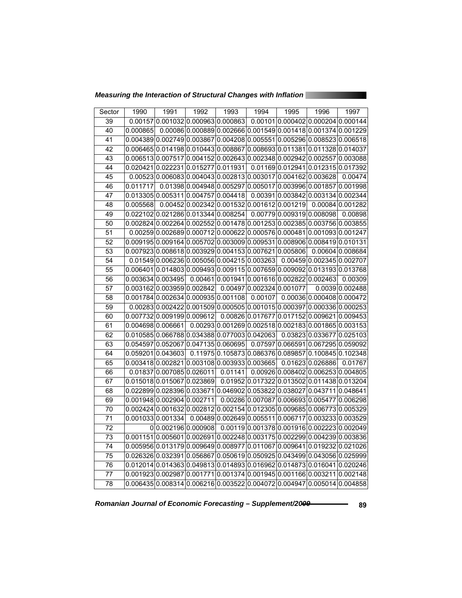*Measuring the Interaction of Structural Changes with Inflation* 

| Sector          | 1990     | 1991                                                                     | 1992 | 1993                       | 1994 | 1995                                          | 1996                                                          | 1997             |
|-----------------|----------|--------------------------------------------------------------------------|------|----------------------------|------|-----------------------------------------------|---------------------------------------------------------------|------------------|
| 39              | 0.00157  |                                                                          |      | 0.001032 0.000963 0.000863 |      |                                               | 0.00101 0.000402 0.000204 0.000144                            |                  |
| 40              | 0.000865 |                                                                          |      |                            |      |                                               | 0.000860.0008890.0026660.0015490.0014180.0013740.001229       |                  |
| $\overline{41}$ |          | 0.004389 0.002749 0.003867 0.004208 0.005551 0.005296 0.008523 0.006518  |      |                            |      |                                               |                                                               |                  |
| 42              |          | 0.006465 0.014198 0.010443 0.008867 0.008693 0.011381 0.011328 0.014037  |      |                            |      |                                               |                                                               |                  |
| 43              |          | 0.006513 0.007517 0.004152 0.002643 0.002348 0.002942 0.002557 0.003088  |      |                            |      |                                               |                                                               |                  |
| 44              |          | 0.020421 0.022231 0.015277 0.011931                                      |      |                            |      |                                               | 0.01169 0.012941 0.012315 0.017392                            |                  |
| 45              |          | 0.005230.0060830.0040430.0028130.0030170.0041620.003628                  |      |                            |      |                                               |                                                               | 0.00474          |
| 46              | 0.011717 |                                                                          |      |                            |      |                                               | 0.01398 0.004948 0.005297 0.005017 0.003996 0.001857 0.001998 |                  |
| 47              |          | 0.013305 0.005311 0.004757 0.004418                                      |      |                            |      |                                               | 0.00391 0.003842 0.003134 0.002344                            |                  |
| 48              | 0.005568 |                                                                          |      |                            |      | 0.00452 0.002342 0.001532 0.001612 0.001219   |                                                               | 0.00084 0.001282 |
| 49              |          | 0.022102 0.021286 0.013344 0.008254                                      |      |                            |      | 0.007790.0093190.008098                       |                                                               | 0.00898          |
| 50              |          | 0.002824 0.002264 0.002552 0.001478 0.001253 0.002385 0.003756 0.003855  |      |                            |      |                                               |                                                               |                  |
| 51              |          | 0.00259 0.002689 0.000712 0.000622 0.000576 0.000481 0.001093 0.001247   |      |                            |      |                                               |                                                               |                  |
| $\overline{52}$ |          | 0.009195 0.009164 0.005702 0.003009 0.009531 0.008906 0.008419 0.010131  |      |                            |      |                                               |                                                               |                  |
| 53              |          | 0.007923 0.008618 0.003929 0.004153 0.007621 0.005806                    |      |                            |      |                                               |                                                               | 0.00604 0.008684 |
| 54              |          | 0.01549 0.006236 0.005056 0.004215 0.003263 0.00459 0.002345 0.002707    |      |                            |      |                                               |                                                               |                  |
| $\overline{55}$ |          | 0.006401 0.014803 0.009493 0.009115 0.007659 0.009092 0.013193 0.013768  |      |                            |      |                                               |                                                               |                  |
| 56              |          | 0.003634 0.003495                                                        |      |                            |      | $0.00461 0.001941 0.001616 0.002822 0.002463$ |                                                               | 0.00309          |
| $\overline{57}$ |          | 0.0031620.0039590.002842                                                 |      |                            |      | 0.00497 0.002324 0.001077                     |                                                               | 0.0039 0.002488  |
| 58              |          | $0.001784 0.002634 0.000935 0.001108 0.00107 0.00036 0.000408 0.000472$  |      |                            |      |                                               |                                                               |                  |
| 59              |          | $0.00283 0.002422 0.001509 0.000505 0.001015 0.000397 0.000336 0.000253$ |      |                            |      |                                               |                                                               |                  |
| 60              |          | 0.007732 0.009199 0.009612                                               |      |                            |      |                                               | 0.00826 0.017677 0.017152 0.009621 0.009453                   |                  |
| 61              |          | 0.004698 0.006661                                                        |      |                            |      |                                               | $0.00293 0.001269 0.002518 0.002183 0.001865 0.003153$        |                  |
| 62              |          | 0.010585 0.066788 0.034388 0.077003 0.042063                             |      |                            |      |                                               | 0.03823 0.033677 0.025103                                     |                  |
| 63              |          | 0.054597 0.052067 0.047135 0.060695                                      |      |                            |      |                                               | 0.07597 0.066591 0.067295 0.059092                            |                  |
| 64              |          | 0.059201 0.043603                                                        |      |                            |      |                                               | 0.11975 0.105873 0.086376 0.089857 0.100845 0.102348          |                  |
| 65              |          | 0.003418 0.002821 0.003108 0.003933 0.003665                             |      |                            |      |                                               | 0.01623 0.026886                                              | 0.01767          |
| 66              |          | 0.01837 0.007085 0.026011                                                |      | 0.01141                    |      |                                               | 0.00926 0.008402 0.006253 0.004805                            |                  |
| 67              |          | 0.015018 0.015067 0.023869                                               |      |                            |      |                                               | 0.01952 0.017322 0.013502 0.011438 0.013204                   |                  |
| 68              |          | 0.022899 0.028396 0.033671 0.046902 0.053822 0.038027 0.043711 0.048641  |      |                            |      |                                               |                                                               |                  |
| 69              |          | 0.001948 0.002904 0.002711                                               |      |                            |      |                                               | 0.00286 0.007087 0.006693 0.005477 0.006298                   |                  |
| 70              |          | 0.002424 0.001632 0.002812 0.002154 0.012305 0.009685 0.006773 0.005329  |      |                            |      |                                               |                                                               |                  |
| $\overline{71}$ |          | 0.0010330.001334                                                         |      |                            |      |                                               | 0.004890.0026490.0055110.0067170.0032330.003529               |                  |
| 72              |          | 00.0021960.000908                                                        |      |                            |      |                                               | 0.00119 0.001378 0.001916 0.002223 0.002049                   |                  |
| $\overline{73}$ |          | 0.001151 0.005601 0.002691 0.002248 0.003175 0.002299 0.004239 0.003836  |      |                            |      |                                               |                                                               |                  |
| 74              |          | 0.005956 0.013179 0.009649 0.008977 0.011067 0.009641 0.019232 0.021026  |      |                            |      |                                               |                                                               |                  |
| 75              |          | 0.026326 0.032391 0.056867 0.050619 0.050925 0.043499 0.043056 0.025999  |      |                            |      |                                               |                                                               |                  |
| 76              |          | 0.012014 0.014363 0.049813 0.014893 0.016962 0.014873 0.016041 0.020246  |      |                            |      |                                               |                                                               |                  |
| 77              |          | 0.001923 0.002987 0.001771 0.001374 0.001945 0.001166 0.003211 0.002148  |      |                            |      |                                               |                                                               |                  |
| $\overline{78}$ |          | 0.006435 0.008314 0.006216 0.003522 0.004072 0.004947 0.005014 0.004858  |      |                            |      |                                               |                                                               |                  |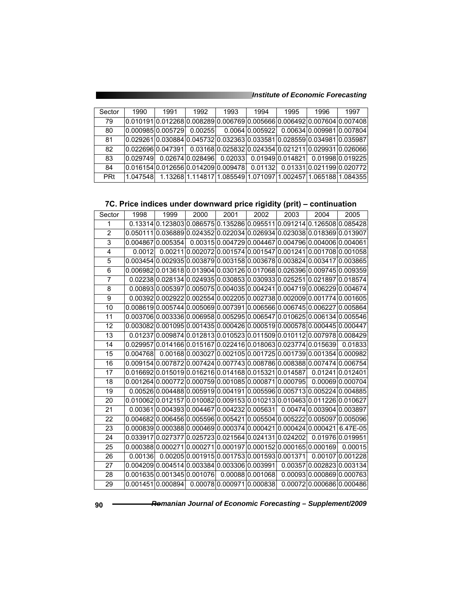| Sector     | 1990                                  | 1991 | 1992    | 1993                     | 1994            | 1995 | 1996                      | 1997                                                          |
|------------|---------------------------------------|------|---------|--------------------------|-----------------|------|---------------------------|---------------------------------------------------------------|
| 79         |                                       |      |         |                          |                 |      |                           |                                                               |
| 80         | 0.00098510.005729                     |      | 0.00255 |                          | 0.0064 0.005922 |      | 0.00634 0.009981 0.007804 |                                                               |
| 81         |                                       |      |         |                          |                 |      |                           |                                                               |
| 82         | 0.02269610.0473911                    |      |         |                          |                 |      |                           | 0.0316810.02583210.02435410.02121110.02993110.026066          |
| 83         | 10.029749                             |      |         | 0.02674 0.028496 0.02033 |                 |      |                           | 0.01949 0.014821 0.01998 0.019225                             |
| 84         | l0.016154l0.012656l0.014209l0.009478l |      |         |                          | 0.01132         |      |                           | 0.01331 0.021199 0.020772                                     |
| <b>PRt</b> | 1.047548                              |      |         |                          |                 |      |                           | 1.1326811.11481711.08554911.07109711.00245711.06518811.084355 |

**<sup>7</sup>C. Price indices under downward price rigidity (prit) – continuation** 

| Sector         | 1998     | 1999                                                                          | 2000 | 2001                                                          | $\overline{2002}$ | 2003 | 2004                      | 2005                                                                |
|----------------|----------|-------------------------------------------------------------------------------|------|---------------------------------------------------------------|-------------------|------|---------------------------|---------------------------------------------------------------------|
| 1              |          | 0.13314 0.123803 0.086575 0.135286 0.095511 0.091214 0.126508 0.085428        |      |                                                               |                   |      |                           |                                                                     |
| $\overline{2}$ |          | 0.050111 0.036889 0.024352 0.022034 0.026934 0.023038 0.018369 0.013907       |      |                                                               |                   |      |                           |                                                                     |
| 3              |          | 0.004867 0.005354                                                             |      | 0.0031510.00472910.00446710.00479610.00400610.004061          |                   |      |                           |                                                                     |
| 4              | 0.0012   |                                                                               |      | 0.00211 0.002072 0.001574 0.001547 0.001241 0.001708 0.001058 |                   |      |                           |                                                                     |
| 5              |          | 0.003454 0.002935 0.003879 0.003158 0.003678 0.003824 0.003417 0.003865       |      |                                                               |                   |      |                           |                                                                     |
| 6              |          | 0.006982 0.013618 0.013904 0.030126 0.017068 0.026396 0.009745 0.009359       |      |                                                               |                   |      |                           |                                                                     |
| $\overline{7}$ |          | $0.02238 0.028134 0.024935 0.030853 0.030933 0.025251 0.021897 0.018574$      |      |                                                               |                   |      |                           |                                                                     |
| 8              |          | 0.00893 0.005397 0.005075 0.004035 0.004241 0.004719 0.006229 0.004674        |      |                                                               |                   |      |                           |                                                                     |
| 9              |          | $0.00392 0.002922 0.002554 0.002205 0.002738 0.002009 0.001774 0.001605$      |      |                                                               |                   |      |                           |                                                                     |
| 10             |          | $0.008619 0.005744 0.005069 0.007391 0.006566 0.006745 0.006227 0.005864$     |      |                                                               |                   |      |                           |                                                                     |
| 11             |          | $0.003706 0.003336 0.006958 0.005295 0.006547 0.010625 0.006134 0.005546$     |      |                                                               |                   |      |                           |                                                                     |
| 12             |          | $0.003082 0.001095 0.001435 0.000426 0.000519 0.000578 0.000445 0.000447$     |      |                                                               |                   |      |                           |                                                                     |
| 13             |          | 0.01237 0.009874 0.012813 0.010523 0.011509 0.010112 0.007978 0.008429        |      |                                                               |                   |      |                           |                                                                     |
| 14             |          | 0.029957 0.014166 0.015167 0.022416 0.018063 0.023774 0.015639                |      |                                                               |                   |      |                           | 0.01833                                                             |
| 15             | 0.004768 |                                                                               |      | 0.00168 0.003027 0.002105 0.001725 0.001739 0.001354 0.000982 |                   |      |                           |                                                                     |
| 16             |          | 0.009154 $ 0.007872 0.007424 0.007743 0.008786 0.008388 0.007474 0.006754$    |      |                                                               |                   |      |                           |                                                                     |
| 17             |          | 0.016692 0.015019 0.016216 0.014168 0.015321 0.014587                         |      |                                                               |                   |      |                           | 0.01241 0.012401                                                    |
| 18             |          | 0.001264 0.000772 0.000759 0.001085 0.000871 0.000795                         |      |                                                               |                   |      |                           | 0.0006910.000704                                                    |
| 19             |          | $0.00526 0.004488 0.005919 0.004191 0.005596 0.005713 0.005224 0.004885$      |      |                                                               |                   |      |                           |                                                                     |
| 20             |          | 0.010062l0.012157l0.010082l0.009153l0.010213l0.010463l0.011226l0.010627       |      |                                                               |                   |      |                           |                                                                     |
| 21             |          | $0.00361 0.004393 0.004467 0.004232 0.005631 0.00474 0.003904 0.003897$       |      |                                                               |                   |      |                           |                                                                     |
| 22             |          | $0.004682 0.006456 0.005596 0.005421 0.005504 0.005222 0.005097 0.005096$     |      |                                                               |                   |      |                           |                                                                     |
| 23             |          | $0.00083910.00038810.00046910.00037410.00042110.00042410.00042116.47E-051$    |      |                                                               |                   |      |                           |                                                                     |
| 24             |          | 0.033917 0.027377 0.025723 0.021564 0.024131 0.024202  0.01976 0.019951       |      |                                                               |                   |      |                           |                                                                     |
| 25             |          | 0.000388 0.000271 0.000271 0.000197 0.000152 0.000165 0.000169                |      |                                                               |                   |      |                           | 0.00015                                                             |
| 26             | 0.00136  |                                                                               |      |                                                               |                   |      |                           | $0.00205 0.001915 0.001753 0.001593 0.001371 $ 0.00107 $ 0.001228 $ |
| 27             |          | 0.00420910.00451410.00338410.00330610.0039911                                 |      |                                                               |                   |      | 0.00357 0.002823 0.003134 |                                                                     |
| 28             |          | $0.001635 0.001345 0.001076 $ $0.00088 0.001068 $ $0.00093 0.000869 0.000763$ |      |                                                               |                   |      |                           |                                                                     |
| 29             |          | 0.00145110.0008941                                                            |      | 0.0007800.0009710.000838                                      |                   |      |                           | 0.00072 0.000686 0.000486                                           |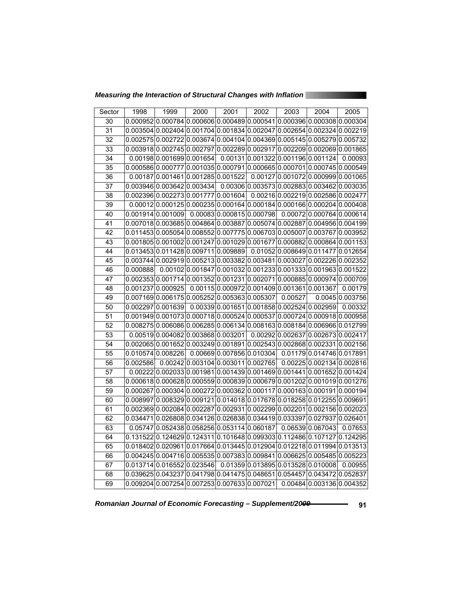*Measuring the Interaction of Structural Changes with Inflation* 

| Sector          | 1998     | 1999                                                                      | 2000 | 2001                               | 2002 | 2003 | 2004                                                            | 2005            |
|-----------------|----------|---------------------------------------------------------------------------|------|------------------------------------|------|------|-----------------------------------------------------------------|-----------------|
| 30              |          | 0.000952 0.000784 0.000606 0.000489 0.000541 0.000396 0.000308 0.000304   |      |                                    |      |      |                                                                 |                 |
| 31              |          | 0.003504 0.002404 0.001704 0.001834 0.002047 0.002654 0.002324 0.002219   |      |                                    |      |      |                                                                 |                 |
| $\overline{32}$ |          | 0.002575 0.002722 0.003674 0.004104 0.004369 0.005145 0.005279 0.005732   |      |                                    |      |      |                                                                 |                 |
| $\overline{33}$ |          | 0.003918 0.002745 0.002797 0.002289 0.002917 0.002209 0.002069 0.001865   |      |                                    |      |      |                                                                 |                 |
| 34              |          | 0.00198 0.001699 0.001654                                                 |      |                                    |      |      | 0.00131 0.001322 0.001196 0.001124                              | 0.00093         |
| $\overline{35}$ |          | 0.000586 0.000777 0.001035 0.000791 0.000665 0.000701 0.000745 0.000549   |      |                                    |      |      |                                                                 |                 |
| $\overline{36}$ |          | 0.00187 0.001461 0.001285 0.001522                                        |      |                                    |      |      | 0.00127 0.001072 0.000999 0.001065                              |                 |
| $\overline{37}$ |          | 0.003946 0.003642 0.003434                                                |      |                                    |      |      | 0.00306 0.003573 0.002883 0.003462 0.003035                     |                 |
| 38              |          | 0.002396 0.002273 0.001777 0.001604                                       |      |                                    |      |      | 0.00216 0.002219 0.002586 0.002477                              |                 |
| 39              |          | $0.00012 0.000125 0.000235 0.000164 0.000184 0.000166 0.000204 0.000408$  |      |                                    |      |      |                                                                 |                 |
| 40              |          | 0.001914 0.001009                                                         |      |                                    |      |      | $0.00083 0.000815 0.000798 0.00072 0.000764 0.000614$           |                 |
| 41              |          | $0.007018 0.003685 0.004864 0.003887 0.005074 0.002887 0.004956 0.004199$ |      |                                    |      |      |                                                                 |                 |
| 42              |          | 0.0114530.0050540.0085520.0077750.0067030.0050070.0037670.003952          |      |                                    |      |      |                                                                 |                 |
| 43              |          | 0.001805 0.001002 0.001247 0.001029 0.001677 0.000882 0.000864 0.001153   |      |                                    |      |      |                                                                 |                 |
| 44              |          | 0.0134530.0114280.0097110.009889  0.010520.0086490.0114770.012654         |      |                                    |      |      |                                                                 |                 |
| 45              |          | 0.003744 0.002919 0.005213 0.003382 0.003481 0.003027 0.002226 0.002352   |      |                                    |      |      |                                                                 |                 |
| 46              | 0.000888 |                                                                           |      |                                    |      |      | $0.00102 0.001847 0.001032 0.001233 0.001333 0.001963 0.001522$ |                 |
| 47              |          | 0.002353 0.001714 0.001352 0.001231 0.002071 0.000885 0.000974 0.000709   |      |                                    |      |      |                                                                 |                 |
| 48              |          | 0.001237 0.000925                                                         |      |                                    |      |      | $0.00115 0.000972 0.001409 0.001361 0.001367$                   | 0.00179         |
| 49              |          | 0.0071690.0061750.0052520.0053630.005307 0.00527                          |      |                                    |      |      |                                                                 | 0.0045 0.003756 |
| 50              |          | 0.002297 0.001639                                                         |      |                                    |      |      | 0.00339 0.001651 0.001858 0.002524 0.002959                     | 0.00332         |
| 51              |          | $0.001949 0.001073 0.000718 0.000524 0.000537 0.000724 0.000918 0.000958$ |      |                                    |      |      |                                                                 |                 |
| 52              |          | 0.008275 0.006086 0.006285 0.006134 0.008163 0.008184 0.006966 0.012799   |      |                                    |      |      |                                                                 |                 |
| $\overline{53}$ |          | 0.00519 0.004082 0.003868 0.003201                                        |      |                                    |      |      | 0.00292 0.002637 0.002673 0.002417                              |                 |
| $\overline{54}$ |          | 0.002065 0.001652 0.003249 0.001891 0.002543 0.002868 0.002331 0.002156   |      |                                    |      |      |                                                                 |                 |
| $\overline{55}$ |          | 0.010574 0.008226                                                         |      |                                    |      |      | 0.00669 0.007856 0.010304 0.01179 0.014746 0.017891             |                 |
| 56              | 0.002586 |                                                                           |      | 0.00242 0.003104 0.003011 0.002765 |      |      | 0.00225 0.002134 0.002816                                       |                 |
| 57              |          | 0.00222 0.002033 0.001981 0.001439 0.001469 0.001441 0.001652 0.001424    |      |                                    |      |      |                                                                 |                 |
| 58              |          | 0.000618 0.000628 0.000559 0.000839 0.000679 0.001202 0.001019 0.001276   |      |                                    |      |      |                                                                 |                 |
| 59              |          | 0.000267 0.000304 0.000272 0.000362 0.000117 0.000163 0.000191 0.000194   |      |                                    |      |      |                                                                 |                 |
| 60              |          | 0.008997 0.008329 0.009121 0.014018 0.017678 0.018258 0.012255 0.009691   |      |                                    |      |      |                                                                 |                 |
| 61              |          | 0.002369 0.002084 0.002287 0.002931 0.002299 0.002201 0.002156 0.002023   |      |                                    |      |      |                                                                 |                 |
| 62              | 0.034471 | $[0.026808]0.034126]0.026838[0.034419]0.033397]0.027937]0.026401$         |      |                                    |      |      |                                                                 |                 |
| 63              |          | 0.05747 0.052438 0.058256 0.053114 0.060187                               |      |                                    |      |      | 0.06539 0.067043                                                | 0.07653         |
| 64              |          | 0.131522 0.124629 0.124311 0.101648 0.099303 0.112486 0.107127 0.124295   |      |                                    |      |      |                                                                 |                 |
| 65              |          | 0.018402 0.020961 0.017664 0.013445 0.012904 0.012218 0.011994 0.013513   |      |                                    |      |      |                                                                 |                 |
| 66              |          | 0.004245 0.004716 0.005535 0.007383 0.009841 0.006625 0.005485 0.005223   |      |                                    |      |      |                                                                 |                 |
| 67              |          | 0.013714 0.016552 0.023546                                                |      |                                    |      |      | 0.01359 0.013895 0.013528 0.010008                              | 0.00955         |
| 68              |          | 0.039625 0.043237 0.041798 0.041475 0.048651 0.054457 0.043472 0.052837   |      |                                    |      |      |                                                                 |                 |
| 69              |          | 0.009204 0.007254 0.007253 0.007633 0.007021                              |      |                                    |      |      | 0.00484 0.003136 0.004352                                       |                 |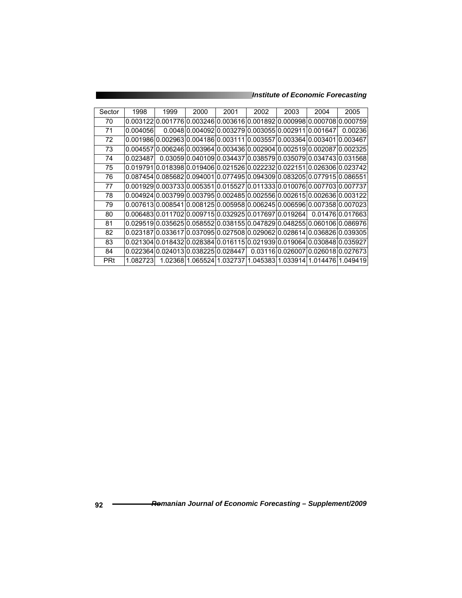*Institute of Economic Forecasting*

| Sector     | 1998      | 1999 | 2000 | 2001                                 | 2002 | 2003 | 2004                                                                               | 2005                                                           |
|------------|-----------|------|------|--------------------------------------|------|------|------------------------------------------------------------------------------------|----------------------------------------------------------------|
| 70         |           |      |      |                                      |      |      | 0.00312210.00177610.00324610.00361610.00189210.00099810.00070810.000759            |                                                                |
| 71         | 0.0040561 |      |      |                                      |      |      | 0.004810.00409210.00327910.00305510.00291110.0016471                               | 0.00236                                                        |
| 72         |           |      |      |                                      |      |      | 0.001986I0.002963I0.004186I0.003111I0.003557I0.003364I0.003401I0.003467            |                                                                |
| 73         |           |      |      |                                      |      |      | 0.00455710.00624610.00396410.00343610.00290410.00251910.00208710.002325            |                                                                |
| 74         | 0.023487  |      |      |                                      |      |      | 0.0305910.04010910.03443710.03857910.03507910.03474310.031568                      |                                                                |
| 75         |           |      |      |                                      |      |      | 0.019791l0.018398l0.019406l0.021526l0.022232l0.022151l0.026306l0.023742            |                                                                |
| 76         |           |      |      |                                      |      |      | 0.08745410.08568210.09400110.07749510.09430910.08320510.07791510.086551            |                                                                |
| 77         |           |      |      |                                      |      |      | 0.00192910.00373310.00535110.01552710.01133310.01007610.00770310.007737            |                                                                |
| 78         |           |      |      |                                      |      |      | 0.00492410.00379910.00379510.00248510.00255610.00261510.00263610.003122            |                                                                |
| 79         |           |      |      |                                      |      |      | 0.00761310.00854110.00812510.00595810.00624510.00659610.00735810.007023            |                                                                |
| 80         |           |      |      |                                      |      |      | 0.00648310.01170210.00971510.03292510.01769710.0192641            0.0147610.017663 |                                                                |
| 81         |           |      |      |                                      |      |      | 0.02951910.03562510.05855210.03815510.04782910.04825510.06010610.086976            |                                                                |
| 82         |           |      |      |                                      |      |      | 0.023187l0.033617l0.037095l0.027508l0.029062l0.028614l0.036826l0.039305l           |                                                                |
| 83         |           |      |      |                                      |      |      | 0.02130410.01843210.02838410.01611510.02193910.01906410.03084810.035927            |                                                                |
| 84         |           |      |      | 0.02236410.02401310.03822510.0284471 |      |      | 0.03116l0.026007l0.026018l0.027673                                                 |                                                                |
| <b>PRt</b> | 1.082723  |      |      |                                      |      |      |                                                                                    | 1.02368l1.065524l1.032737l1.045383l1.033914l1.014476l1.049419l |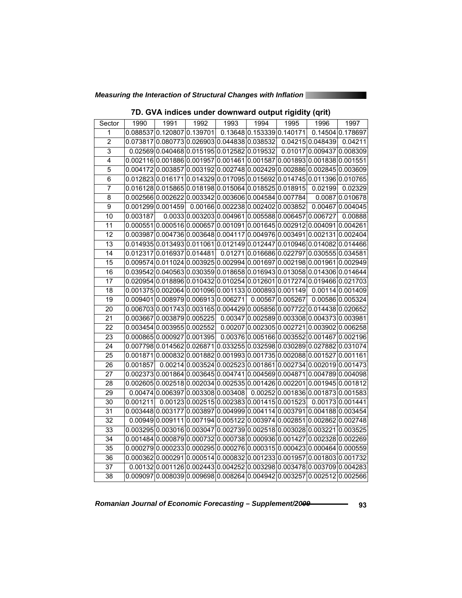*Measuring the Interaction of Structural Changes with Inflation* 

| Sector          | 1990     | 1991                                | 1992 | 1993 | 1994                                                                      | 1995             | 1996 | 1997                                                             |
|-----------------|----------|-------------------------------------|------|------|---------------------------------------------------------------------------|------------------|------|------------------------------------------------------------------|
| 1               |          | 0.088537 0.120807 0.139701          |      |      | 0.136480.1533390.140171                                                   |                  |      | 0.14504 0.178697                                                 |
| $\overline{2}$  |          |                                     |      |      | 0.073817 0.080773 0.026903 0.044838 0.038532 0.04215 0.048439             |                  |      | 0.04211                                                          |
| $\overline{3}$  |          |                                     |      |      | 0.02569 0.040468 0.015195 0.012582 0.019532 0.01017 0.009437 0.008309     |                  |      |                                                                  |
| $\overline{4}$  |          |                                     |      |      | 0.002116 0.001886 0.001957 0.001461 0.001587 0.001893 0.001838 0.001551   |                  |      |                                                                  |
| 5               |          |                                     |      |      | 0.0041720.0038570.0031920.0027480.0024290.0028860.0028450.003609          |                  |      |                                                                  |
| $\overline{6}$  |          |                                     |      |      | 0.012823 0.016171 0.014329 0.017095 0.015692 0.014745 0.011396 0.010765   |                  |      |                                                                  |
| 7               |          |                                     |      |      | $0.016128 0.015865 0.018198 0.015064 0.018525 0.018915 0.02199$           |                  |      | 0.02329                                                          |
| $\overline{8}$  |          |                                     |      |      | 0.002566 0.002622 0.003342 0.003606 0.004584 0.007784                     |                  |      | 0.0087 0.010678                                                  |
| 9               |          | 0.001299 0.001459                   |      |      | 0.00166 0.002238 0.002402 0.003852                                        |                  |      | 0.00467 0.004045                                                 |
| 10              | 0.003187 |                                     |      |      | 0.0033 0.003203 0.004961 0.005588 0.006457 0.006727                       |                  |      | 0.00888                                                          |
| 11              |          |                                     |      |      | 0.0005510.0005160.0006570.0010910.0016450.0029120.0040910.004261          |                  |      |                                                                  |
| $\overline{12}$ |          |                                     |      |      | 0.003987 0.004736 0.003648 0.004117 0.004976 0.003491 0.002131 0.002404   |                  |      |                                                                  |
| $\overline{13}$ |          |                                     |      |      | 0.014935 0.013493 0.011061 0.012149 0.012447 0.010946 0.014082 0.014466   |                  |      |                                                                  |
| 14              |          | 0.012317 0.016937 0.014481          |      |      | 0.01271 0.016686 0.022797 0.030555 0.034581                               |                  |      |                                                                  |
| 15              |          |                                     |      |      | 0.009574 0.011024 0.003925 0.002994 0.001697 0.002198 0.001961 0.002949   |                  |      |                                                                  |
| 16              |          |                                     |      |      | 0.039542 0.040563 0.030359 0.018658 0.016943 0.013058 0.014306 0.014644   |                  |      |                                                                  |
| 17              |          |                                     |      |      | 0.0209540.0188960.0104320.0102540.0126010.0172740.0194660.021703          |                  |      |                                                                  |
| $\overline{18}$ |          |                                     |      |      | $0.001375 0.002064 0.001096 0.001133 0.000893 0.001149 $                  |                  |      | 0.00114 0.001409                                                 |
| 19              |          | 0.009401 0.008979 0.006913 0.006271 |      |      |                                                                           | 0.00567 0.005267 |      | 0.00586 0.005324                                                 |
| 20              |          |                                     |      |      | 0.006703 0.001743 0.003165 0.004429 0.005856 0.007722 0.014438 0.020652   |                  |      |                                                                  |
| 21              |          | 0.003667 0.003879 0.005225          |      |      | $0.00347 0.002589 0.003308 0.004373 0.003981$                             |                  |      |                                                                  |
| 22              |          | 0.003454 0.003955 0.002552          |      |      | $0.00207 0.002305 0.002721 0.003902 0.006258$                             |                  |      |                                                                  |
| 23              |          | 0.000865 0.000927 0.001395          |      |      | 0.00376 0.005166 0.003552 0.001467 0.002196                               |                  |      |                                                                  |
| $\overline{24}$ |          |                                     |      |      | 0.007798 0.014562 0.026871 0.033255 0.032598 0.030289 0.027882 0.031074   |                  |      |                                                                  |
| 25              |          |                                     |      |      | 0.001871 0.000832 0.001882 0.001993 0.001735 0.002088 0.001527 0.001161   |                  |      |                                                                  |
| 26              | 0.001857 |                                     |      |      | $0.00214 0.003524 0.002523 0.001861 0.002734 0.002019 0.001473$           |                  |      |                                                                  |
| 27              |          |                                     |      |      | 0.002373 0.001864 0.003645 0.004741 0.004569 0.004871 0.004789 0.004098   |                  |      |                                                                  |
| 28              |          |                                     |      |      | 0.002605 0.002518 0.002034 0.002535 0.001426 0.002201 0.001945 0.001812   |                  |      |                                                                  |
| $\overline{29}$ |          |                                     |      |      | $0.00474 0.006397 0.003308 0.003408 0.00252 0.001836 0.001873 0.001583$   |                  |      |                                                                  |
| 30              | 0.001211 |                                     |      |      | 0.00123 0.002515 0.002383 0.001415 0.001523 0.00173 0.001441              |                  |      |                                                                  |
| 31              |          |                                     |      |      | 0.003448 0.003177 0.003897 0.004999 0.004114 0.003791 0.004188 0.003454   |                  |      |                                                                  |
| 32              |          |                                     |      |      | 0.00949 0.009111 0.007194 0.005122 0.003974 0.002851 0.002862 0.002748    |                  |      |                                                                  |
| 33              |          |                                     |      |      | 0.003295 0.003016 0.003047 0.002739 0.002518 0.003028 0.003221 0.003525   |                  |      |                                                                  |
| $\overline{34}$ |          |                                     |      |      | 0.001484 0.000879 0.000732 0.000738 0.000936 0.001427 0.002328 0.002269   |                  |      |                                                                  |
| $\overline{35}$ |          |                                     |      |      | 0.000279 0.000233 0.000295 0.000276 0.000315 0.000423 0.000464 0.000559   |                  |      |                                                                  |
| 36              |          |                                     |      |      | $0.000362 0.000291 0.000514 0.000832 0.001233 0.001957 0.001803 0.001732$ |                  |      |                                                                  |
| 37              |          |                                     |      |      | $0.00132 0.001126 0.002443 0.004252 0.003298 0.003478 0.003709 0.004283$  |                  |      |                                                                  |
| $\overline{38}$ |          |                                     |      |      |                                                                           |                  |      | 0.0090970.0080390.0096980.0082640.0049420.0032570.0025120.002566 |

### **7D. GVA indices under downward output rigidity (qrit)**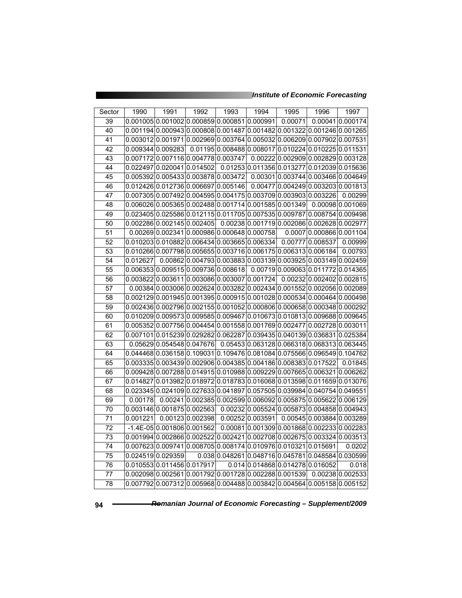| Sector          | 1990     | 1991                                                                      | 1992             | 1993 | 1994                             | 1995    | 1996                                                          | 1997             |
|-----------------|----------|---------------------------------------------------------------------------|------------------|------|----------------------------------|---------|---------------------------------------------------------------|------------------|
| 39              |          | 0.001005 0.001002 0.000859 0.000851 0.000991                              |                  |      |                                  | 0.00071 |                                                               | 0.00041 0.000174 |
| 40              |          | 0.001194 0.000943 0.000808 0.001487 0.001482 0.001322 0.001246 0.001265   |                  |      |                                  |         |                                                               |                  |
| 41              |          | 0.003012 0.001971 0.002969 0.003764 0.005032 0.006209 0.007902 0.007531   |                  |      |                                  |         |                                                               |                  |
| 42              |          | 0.009344 0.009283                                                         |                  |      |                                  |         | 0.01195 0.008488 0.008017 0.010224 0.010225 0.011531          |                  |
| 43              |          | 0.0071720.0071160.0047780.003747                                          |                  |      |                                  |         | 0.00222 0.002909 0.002829 0.003128                            |                  |
| 44              | 0.022497 | 0.020041 0.014502                                                         |                  |      |                                  |         | 0.01253 0.011356 0.013277 0.012039 0.015636                   |                  |
| 45              |          | 0.005392 0.005433 0.003878 0.003472                                       |                  |      |                                  |         | 0.00301 0.003744 0.003466 0.004649                            |                  |
| 46              |          | 0.012426 0.012736 0.006697 0.005146                                       |                  |      |                                  |         | 0.00477 0.004249 0.003203 0.001813                            |                  |
| 47              |          | 0.007305 0.007492 0.004595 0.004175 0.003709 0.003903 0.003226            |                  |      |                                  |         |                                                               | 0.00299          |
| 48              |          | 0.006026 0.005365 0.002488 0.001714 0.001585 0.001349                     |                  |      |                                  |         |                                                               | 0.00098 0.001069 |
| 49              |          | 0.023405 0.025586 0.012115 0.011705 0.007535 0.009787 0.008754 0.009498   |                  |      |                                  |         |                                                               |                  |
| 50              |          | 0.002286 0.002145 0.002405                                                |                  |      |                                  |         | 0.00238 0.001719 0.002086 0.002628 0.002977                   |                  |
| 51              |          | 0.00269 0.002341 0.000986 0.000648 0.000758                               |                  |      |                                  |         | 0.0007 0.000866 0.001104                                      |                  |
| 52              |          | 0.010203 0.010882 0.006434 0.003665 0.006334                              |                  |      |                                  |         | 0.00777 0.008537                                              | 0.00999          |
| 53              |          | 0.010266 0.007798 0.005655 0.003716 0.006175 0.006313 0.006184            |                  |      |                                  |         |                                                               | 0.00793          |
| 54              | 0.012627 |                                                                           |                  |      |                                  |         | 0.00862 0.004793 0.003883 0.003139 0.003925 0.003149 0.002459 |                  |
| 55              | 0.006353 | 0.0095150.0097360.008618                                                  |                  |      |                                  |         | 0.00719 0.009063 0.011772 0.014365                            |                  |
| 56              |          | 0.003822 0.003611 0.003086 0.003007 0.001724                              |                  |      |                                  |         | 0.00232 0.002402 0.002815                                     |                  |
| 57              |          | 0.00384 0.003006 0.002624 0.003282 0.002434 0.001552 0.002056 0.002089    |                  |      |                                  |         |                                                               |                  |
| 58              |          | 0.002129 0.001945 0.001395 0.000915 0.001028 0.000534 0.000464 0.000498   |                  |      |                                  |         |                                                               |                  |
| 59              |          | $0.002436 0.002796 0.002155 0.001052 0.000806 0.000658 0.000348 0.000292$ |                  |      |                                  |         |                                                               |                  |
| 60              |          | 0.010209 0.009573 0.009585 0.009467 0.010673 0.010813 0.009688 0.009645   |                  |      |                                  |         |                                                               |                  |
| 61              |          | 0.005352 0.007756 0.004454 0.001558 0.001769 0.002477 0.002728 0.003011   |                  |      |                                  |         |                                                               |                  |
| 62              | 0.007101 | 0.015239 0.029282                                                         |                  |      |                                  |         | 0.062287 0.039435 0.040139 0.036831 0.025384                  |                  |
| 63              |          | 0.05629 0.054548 0.047676                                                 |                  |      |                                  |         | 0.054530.0631280.0663180.0683130.063445                       |                  |
| 64              |          | 0.044468 0.036158 0.109031 0.109476 0.081084 0.075566 0.096549 0.104762   |                  |      |                                  |         |                                                               |                  |
| 65              |          | $0.003335 0.003439 0.002906 0.004385 0.004186 0.008383 0.017522$          |                  |      |                                  |         |                                                               | 0.01845          |
| 66              |          | $0.009428 0.007288 0.014915 0.010988 0.009229 0.007665 0.006321 0.006262$ |                  |      |                                  |         |                                                               |                  |
| 67              | 0.014827 | $0.013982 0.018972 0.018783 0.016068 0.013598 0.011659 0.013076$          |                  |      |                                  |         |                                                               |                  |
| 68              |          | 0.023345 0.024109 0.027633 0.041897 0.057505 0.039984 0.040754 0.049551   |                  |      |                                  |         |                                                               |                  |
| 69              | 0.00178  |                                                                           |                  |      |                                  |         | 0.00241 0.002385 0.002599 0.006092 0.005875 0.005622 0.006129 |                  |
| $\overline{70}$ |          | 0.003146 0.001875 0.002563                                                |                  |      |                                  |         | 0.00232 0.005524 0.005873 0.004858 0.004943                   |                  |
| 71              | 0.001221 |                                                                           | 0.00123 0.002398 |      | 0.00252 0.003591                 |         | 0.00545 0.003884 0.003289                                     |                  |
| $\overline{72}$ |          | $-1.4E - 05000180600001562$                                               |                  |      |                                  |         | 0.000810.0013090.0018680.0022330.002283                       |                  |
| 73              |          | $0.001994 0.002866 0.002522 0.002421 0.002708 0.002675 0.003324 0.003513$ |                  |      |                                  |         |                                                               |                  |
| $\overline{74}$ |          | 0.007623 0.009741 0.008705 0.008174 0.010976 0.010321 0.015691            |                  |      |                                  |         |                                                               | 0.0202           |
| $\overline{75}$ |          | 0.024519 0.029359                                                         |                  |      |                                  |         | 0.038 0.048261 0.048716 0.045781 0.048584 0.030599            |                  |
| 76              |          | 0.010553 0.011456 0.017917                                                |                  |      | 0.014 0.014868 0.014278 0.016052 |         |                                                               | 0.018            |
| 77              |          | 0.002098 0.002561 0.001792 0.001728 0.002288 0.001539                     |                  |      |                                  |         |                                                               | 0.0023810.002533 |
| 78              |          | 0.007792 0.007312 0.005968 0.004488 0.003842 0.004564 0.005158 0.005152   |                  |      |                                  |         |                                                               |                  |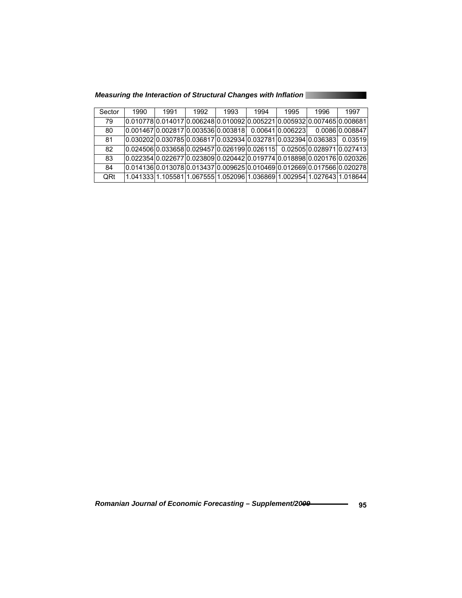| Measuring the Interaction of Structural Changes with Inflation |  |  |
|----------------------------------------------------------------|--|--|
|                                                                |  |  |
|                                                                |  |  |
|                                                                |  |  |

| Sector | 1990                                                                     | 1991 | 1992 | 1993 | 1994 | 1995 | 1996                                                                      | 1997                                                                          |
|--------|--------------------------------------------------------------------------|------|------|------|------|------|---------------------------------------------------------------------------|-------------------------------------------------------------------------------|
| 79     | l0.010778l0.014017l0.006248l0.010092l0.005221l0.005932l0.007465l0.008681 |      |      |      |      |      |                                                                           |                                                                               |
| 80     | 0.001467 0.002817 0.003536 0.003818 0.00641 0.006223                     |      |      |      |      |      |                                                                           | 0.008610.008847                                                               |
| 81     |                                                                          |      |      |      |      |      |                                                                           | 0.03519                                                                       |
| 82     |                                                                          |      |      |      |      |      |                                                                           | $[0.024506]0.033658]0.029457]0.026199]0.026115$ 0.02505 $[0.028971]0.027413]$ |
| 83     |                                                                          |      |      |      |      |      |                                                                           |                                                                               |
| 84     |                                                                          |      |      |      |      |      |                                                                           | l0.014136l0.013078l0.013437l0.009625l0.010469l0.012669l0.017566l0.020278l     |
| QRt    |                                                                          |      |      |      |      |      | l1.041333l1.105581l1.067555l1.052096l1.036869l1.002954l1.027643l1.018644l |                                                                               |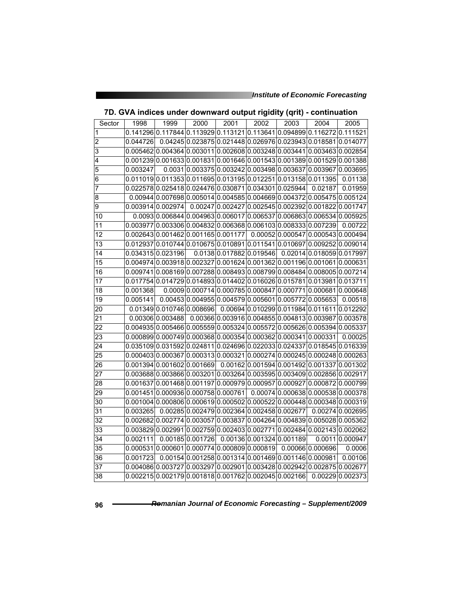| Sector          | 1998     | 1999                                                                          | 2000 | 2001                                    | 2002 | 2003 | 2004                                                           | 2005                                                                    |
|-----------------|----------|-------------------------------------------------------------------------------|------|-----------------------------------------|------|------|----------------------------------------------------------------|-------------------------------------------------------------------------|
| 1               |          | 0.141296 0.117844 0.113929 0.113121 0.113641 0.094899 0.116272 0.111521       |      |                                         |      |      |                                                                |                                                                         |
| $\overline{2}$  |          | 0.044726 0.04245 0.023875 0.021448 0.026976 0.023943 0.018581 0.014077        |      |                                         |      |      |                                                                |                                                                         |
| 3               |          | 0.0054620.0043640.0030110.0026080.0032480.0034410.0034630.002854              |      |                                         |      |      |                                                                |                                                                         |
| $\overline{4}$  |          | 0.001239 0.001633 0.001831 0.001646 0.001543 0.001389 0.001529 0.001388       |      |                                         |      |      |                                                                |                                                                         |
| 5               | 0.003247 |                                                                               |      |                                         |      |      | 0.0031 0.003375 0.003242 0.003498 0.003637 0.003967 0.003695   |                                                                         |
| 6               |          | 0.011019 0.011353 0.011695 0.013195 0.012251 0.013158 0.011395                |      |                                         |      |      |                                                                | 0.01138                                                                 |
| 7               |          | 0.022578 0.025418 0.024476 0.030871 0.034301 0.025944 0.02187                 |      |                                         |      |      |                                                                | 0.01959                                                                 |
| 8               |          | $0.00944 0.007698 0.005014 0.004585 0.004669 0.004372 0.005475 0.005124$      |      |                                         |      |      |                                                                |                                                                         |
| 9               |          | 0.003914 0.002974                                                             |      |                                         |      |      | 0.00247 0.002427 0.002545 0.002392 0.001822 0.001747           |                                                                         |
| 10              |          | $0.0093 0.006844 0.004963 0.006017 0.006537 0.006863 0.006534 0.005925$       |      |                                         |      |      |                                                                |                                                                         |
| 11              |          | 0.003977 0.003306 0.004832 0.006368 0.006103 0.008333 0.007239                |      |                                         |      |      |                                                                | 0.00722                                                                 |
| 12              |          | 0.0026430.0014620.0011650.001177 0.000520.0005470.0005430.000494              |      |                                         |      |      |                                                                |                                                                         |
| $\overline{13}$ |          | 0.012937 0.010744 0.010675 0.010891 0.011541 0.010697 0.009252 0.009014       |      |                                         |      |      |                                                                |                                                                         |
| 14              |          | 0.034315 0.023196                                                             |      |                                         |      |      | 0.0138 0.017882 0.019546 0.02014 0.018059 0.017997             |                                                                         |
| 15              |          | 0.004974 $ 0.003918 0.002327 0.001624 0.001362 0.001196 0.001061 0.000631$    |      |                                         |      |      |                                                                |                                                                         |
| 16              |          | 0.0097410.0081690.0072880.0084930.0087990.0084840.0080050.007214              |      |                                         |      |      |                                                                |                                                                         |
| 17              |          | 0.017754 0.014729 0.014893 0.014402 0.016026 0.015781 0.013981 0.013711       |      |                                         |      |      |                                                                |                                                                         |
| $\overline{18}$ | 0.001368 |                                                                               |      |                                         |      |      | $0.0009 0.000714 0.000785 0.000847 0.000771 0.000681 0.000648$ |                                                                         |
| $\overline{19}$ | 0.005141 |                                                                               |      |                                         |      |      | 0.004530.0049550.0045790.0056010.0057720.005653                | 0.00518                                                                 |
| 20              |          | $0.01349 0.010746 0.008696 0.00694 0.010299 0.011984 0.011611 0.012292$       |      |                                         |      |      |                                                                |                                                                         |
| 21              |          | 0.00306 0.003488                                                              |      |                                         |      |      | 0.00366 0.003916 0.004855 0.004813 0.003987 0.003578           |                                                                         |
| 22              |          | 0.004935 0.005466 0.005559 0.005324 0.005572 0.005626 0.005394 0.005337       |      |                                         |      |      |                                                                |                                                                         |
| 23              |          | 0.000899 $ 0.000749 0.000368 0.000354 0.000362 0.000341 0.000331 $ 0.00025    |      |                                         |      |      |                                                                |                                                                         |
| 24              |          | 0.035109 0.031592 0.024811 0.024696 0.022033 0.024337 0.018545 0.016339       |      |                                         |      |      |                                                                |                                                                         |
| 25              |          | 0.000403 0.000367 0.000313 0.000321 0.000274 0.000245 0.000248 0.000263       |      |                                         |      |      |                                                                |                                                                         |
| 26              |          | 0.001394 $ 0.001602 0.001669 $ 0.00162 $ 0.001594 0.001492 0.001337 0.001302$ |      |                                         |      |      |                                                                |                                                                         |
| 27              |          | 0.003688 0.003866 0.003201 0.003264 0.003595 0.003409 0.002856 0.002917       |      |                                         |      |      |                                                                |                                                                         |
| 28              | 0.001637 | 0.0014680.0011970.0009790.0009570.0009270.0008720.000799                      |      |                                         |      |      |                                                                |                                                                         |
| $\overline{29}$ |          | $0.001451 0.000936 0.000758 0.000761 0.00074 0.000638 0.000538 0.000378$      |      |                                         |      |      |                                                                |                                                                         |
| 30              |          | 0.001004 0.000806 0.000619 0.000502 0.000522 0.000448 0.000348 0.000319       |      |                                         |      |      |                                                                |                                                                         |
| 31              | 0.003265 |                                                                               |      |                                         |      |      | $0.00285 0.002479 0.002364 0.002458 0.002677 0.00274 0.002695$ |                                                                         |
| 32              |          | 0.002682 0.002774 0.003057 0.003837 0.004264 0.004839 0.005028 0.005362       |      |                                         |      |      |                                                                |                                                                         |
| 33              |          | 0.003829 0.002991 0.002759 0.002403 0.002771 0.002484 0.002143 0.002062       |      |                                         |      |      |                                                                |                                                                         |
| $\overline{34}$ | 0.002111 |                                                                               |      | 0.001850.001726 0.001360.0013240.001189 |      |      |                                                                | 0.0011 0.000947                                                         |
| $\overline{35}$ |          | $0.000531 0.000601 0.000774 0.000809 0.000819 0.00066 0.000696$               |      |                                         |      |      |                                                                | 0.0006                                                                  |
| 36              | 0.001723 |                                                                               |      |                                         |      |      | 0.00154 0.001258 0.001314 0.001469 0.001146 0.000981           | 0.00106                                                                 |
| 37              |          | 0.004086 0.003727 0.003297 0.002901 0.003428 0.002942 0.002875 0.002677       |      |                                         |      |      |                                                                |                                                                         |
| 38              |          |                                                                               |      |                                         |      |      |                                                                | 0.002215 0.002179 0.001818 0.001762 0.002045 0.002166  0.00229 0.002373 |

| 7D. GVA indices under downward output rigidity (qrit) - continuation |  |
|----------------------------------------------------------------------|--|
|----------------------------------------------------------------------|--|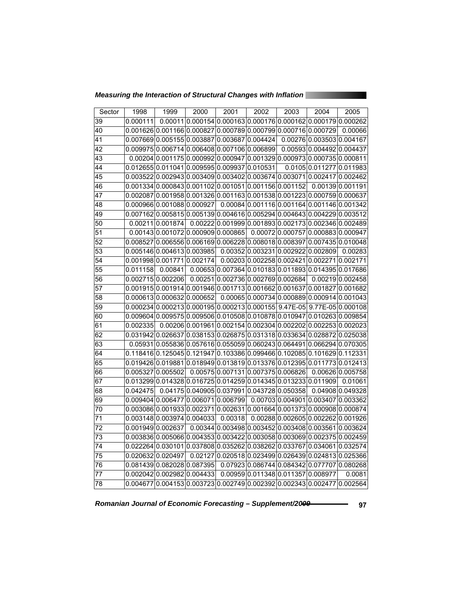*Measuring the Interaction of Structural Changes with Inflation* 

| Sector          | 1998     | 1999                                                                              | 2000 | 2001    | 2002                                           | 2003 | 2004                                                            | 2005             |
|-----------------|----------|-----------------------------------------------------------------------------------|------|---------|------------------------------------------------|------|-----------------------------------------------------------------|------------------|
| 39              | 0.000111 |                                                                                   |      |         |                                                |      | $0.00011 0.000154 0.000163 0.000176 0.000162 0.000179 0.000262$ |                  |
| 40              |          | 0.001626 0.001166 0.000827 0.000789 0.000799 0.000716 0.000729                    |      |         |                                                |      |                                                                 | 0.00066          |
| $\overline{41}$ |          | 0.007669 0.005155 0.003887 0.003687 0.004424 0.00276 0.003503 0.004167            |      |         |                                                |      |                                                                 |                  |
| $\overline{42}$ |          | 0.009975 0.006714 0.006408 0.007106 0.006899 0.00593 0.004492 0.004437            |      |         |                                                |      |                                                                 |                  |
| 43              |          | 0.00204 0.001175 0.000992 0.000947 0.001329 0.000973 0.000735 0.000811            |      |         |                                                |      |                                                                 |                  |
| 44              |          | 0.012655 0.011041 0.009595 0.009937 0.010531                                      |      |         |                                                |      | 0.0105 0.011277 0.011983                                        |                  |
| 45              |          | 0.003522 0.002943 0.003409 0.003402 0.003674 0.003071 0.002417 0.002462           |      |         |                                                |      |                                                                 |                  |
| 46              |          | 0.001334 0.000843 0.001102 0.001051 0.001156 0.001152 0.00139 0.001191            |      |         |                                                |      |                                                                 |                  |
| 47              |          | 0.002087 0.001958 0.001326 0.001163 0.001538 0.001223 0.000759 0.000637           |      |         |                                                |      |                                                                 |                  |
| 48              |          | 0.00096600.0010880.000927 0.000840.0011160.0011640.0011460.001342                 |      |         |                                                |      |                                                                 |                  |
| 49              |          | 0.007162 0.005815 0.005139 0.004616 0.005294 0.004643 0.004229 0.003512           |      |         |                                                |      |                                                                 |                  |
| 50              |          | 0.00211 0.001874                                                                  |      |         |                                                |      | 0.002220.0019990.0018930.0021730.0023460.002489                 |                  |
| $\overline{51}$ |          | $0.00143 0.001072 0.000909 0.000865 0.00072 0.000757 0.000883 0.000947$           |      |         |                                                |      |                                                                 |                  |
| $\overline{52}$ |          | 0.008527 0.006556 0.006169 0.006228 0.008018 0.008397 0.007435 0.010048           |      |         |                                                |      |                                                                 |                  |
| 53              |          | 0.005146 0.004613 0.003985                     0.00352 0.003231 0.002922 0.002809 |      |         |                                                |      |                                                                 | 0.00283          |
| 54              |          | 0.001998 0.001771 0.002174 0.00203 0.002258 0.002421 0.002271 0.002171            |      |         |                                                |      |                                                                 |                  |
| 55              | 0.011158 | 0.00841                                                                           |      |         |                                                |      | 0.006530.0073640.0101830.0118930.0143950.017686                 |                  |
| 56              |          | 0.002715 0.002206                                                                 |      |         |                                                |      | $0.00251 0.002736 0.002769 0.002684 0.00219 0.002458$           |                  |
| $\overline{57}$ |          | 0.001915 0.001914 0.001946 0.001713 0.001662 0.001637 0.001827 0.001682           |      |         |                                                |      |                                                                 |                  |
| 58              |          | $0.000613 0.000632 0.000652 0.00065 0.000734 0.000889 0.000914 0.001043$          |      |         |                                                |      |                                                                 |                  |
| 59              |          | 0.000234 0.000213 0.000195 0.000213 0.000155 9.47E-05 9.77E-05 0.000108           |      |         |                                                |      |                                                                 |                  |
| 60              |          | 0.009604 0.009575 0.009506 0.010508 0.010878 0.010947 0.010263 0.009854           |      |         |                                                |      |                                                                 |                  |
| 61              | 0.002335 |                                                                                   |      |         |                                                |      | 0.00206 0.001961 0.002154 0.002304 0.002202 0.002253 0.002023   |                  |
| 62              |          | 0.031942 0.026637 0.038153 0.026875 0.031318 0.033634 0.028872 0.025038           |      |         |                                                |      |                                                                 |                  |
| 63              |          | 0.05931 0.055836 0.057616 0.055059 0.060243 0.064491 0.066294 0.070305            |      |         |                                                |      |                                                                 |                  |
| 64              |          | 0.118416 0.125045 0.121947 0.103386 0.099466 0.102085 0.101629 0.112331           |      |         |                                                |      |                                                                 |                  |
| 65              |          | 0.019426 0.019881 0.018949 0.013819 0.013376 0.012395 0.011773 0.012413           |      |         |                                                |      |                                                                 |                  |
| 66              |          | 0.005327 0.005502                                                                 |      |         |                                                |      | 0.00575 0.007131 0.007375 0.006826 0.00626 0.005758             |                  |
| 67              |          | 0.013299 0.014328 0.016725 0.014259 0.014345 0.013233 0.011909                    |      |         |                                                |      |                                                                 | 0.01061          |
| 68              | 0.042475 |                                                                                   |      |         | $0.04175 0.040905 0.037991 0.043728 0.050358 $ |      |                                                                 | 0.04908 0.049328 |
| 69              |          | $0.009404 0.006477 0.006071 0.006799 0.00703 0.004901 0.003407 0.003362$          |      |         |                                                |      |                                                                 |                  |
| 70              |          | 0.003086 0.001933 0.002371 0.002631 0.001664 0.001373 0.000908 0.000874           |      |         |                                                |      |                                                                 |                  |
| $\overline{71}$ |          | 0.003148 0.003974 0.004033                                                        |      | 0.00318 |                                                |      | 0.002880.0026050.0022620.001926                                 |                  |
| 72              |          | 0.001949 0.002637                                                                 |      |         |                                                |      | 0.00344 0.003498 0.003452 0.003408 0.003561 0.003624            |                  |
| 73              |          | 0.003836 0.005066 0.004353 0.003422 0.003058 0.003069 0.002375 0.002459           |      |         |                                                |      |                                                                 |                  |
| 74              |          | 0.022264 0.030101 0.037808 0.035262 0.038262 0.033767 0.034061 0.032574           |      |         |                                                |      |                                                                 |                  |
| $\overline{75}$ |          | 0.020632 0.020497                                                                 |      |         |                                                |      | 0.02127 0.020518 0.023499 0.026439 0.024813 0.025366            |                  |
| 76              |          | 0.081439 0.082028 0.087395 0.07923 0.086744 0.084342 0.077707 0.080268            |      |         |                                                |      |                                                                 |                  |
| 77              |          | $0.002042 0.002982 0.004433 $ $0.00959 0.011348 0.011357 0.008977$                |      |         |                                                |      |                                                                 | 0.0081           |
| $\overline{78}$ |          | 0.004677 0.004153 0.003723 0.002749 0.002392 0.002343 0.002477 0.002564           |      |         |                                                |      |                                                                 |                  |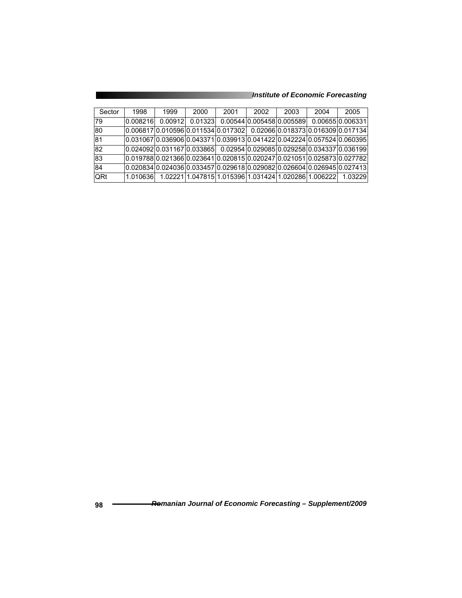| Sector          | 1998     | 1999                                                                          | 2000    | 2001                                                 | 2002 | 2003                       | 2004 | 2005                                                                    |
|-----------------|----------|-------------------------------------------------------------------------------|---------|------------------------------------------------------|------|----------------------------|------|-------------------------------------------------------------------------|
| 179             | 0.008216 | 0.00912                                                                       | 0.01323 |                                                      |      | 0.0054410.00545810.0055891 |      | 0.0065510.006331                                                        |
| 80              |          | l0.006817l0.010596l0.011534l0.017302l     0.02066l0.018373l0.016309l0.017134  |         |                                                      |      |                            |      |                                                                         |
| 81              |          | l0.031067l0.036906l0.043371l0.039913l0.041422l0.042224l0.057524l0.060395l     |         |                                                      |      |                            |      |                                                                         |
| 82              |          | l0.024092l0.031167l0.033865l     0.02954l0.029085l0.029258l0.034337l0.036199l |         |                                                      |      |                            |      |                                                                         |
| $\overline{83}$ |          | l0.019788l0.021366l0.023641l0.020815l0.020247l0.021051l0.025873l0.027782      |         |                                                      |      |                            |      |                                                                         |
| 84              |          |                                                                               |         |                                                      |      |                            |      | 0.020834 0.024036 0.033457 0.029618 0.029082 0.026604 0.026945 0.027413 |
| <b>QRt</b>      | 1.010636 |                                                                               |         | 1.02221 1.047815 1.015396 1.031424 1.020286 1.006222 |      |                            |      | 1.03229                                                                 |